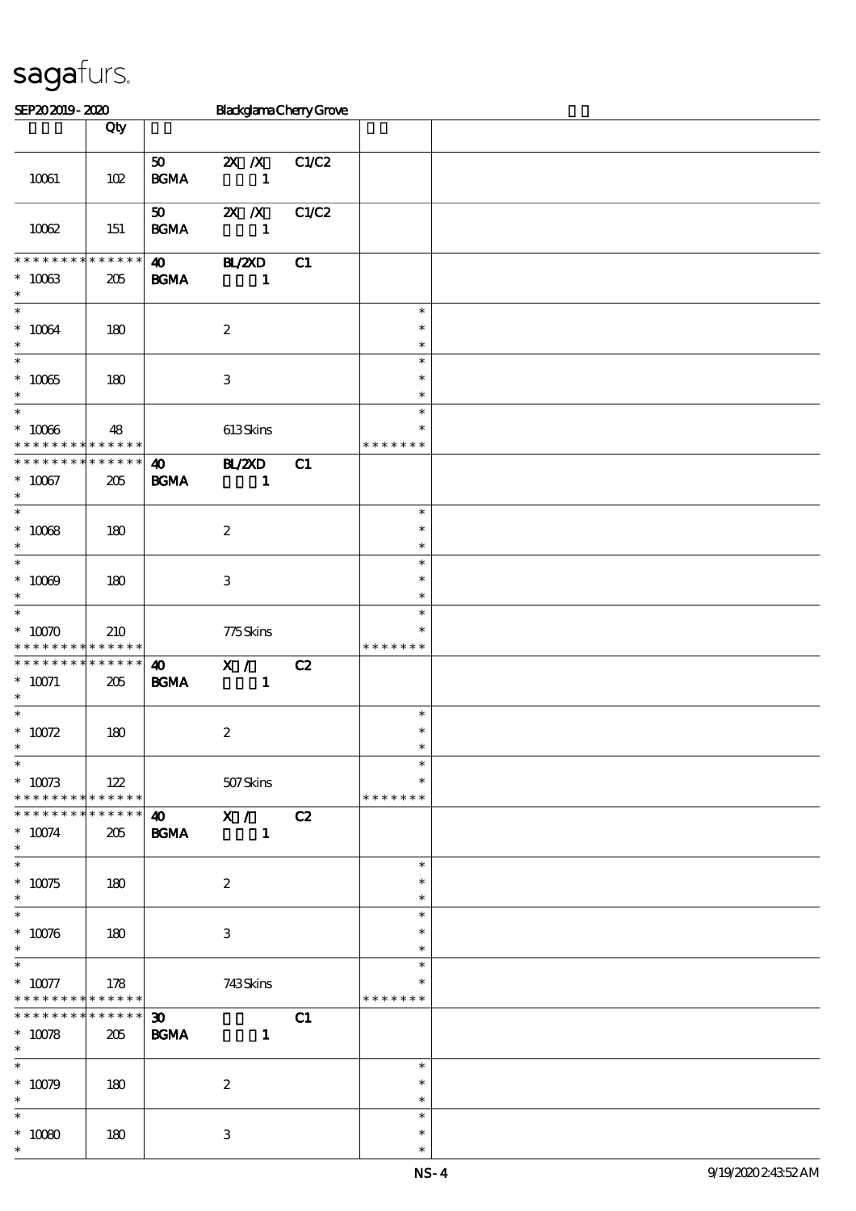| <b>BlackglamaChenyGrove</b><br>SEP202019-2020                 |                    |                                            |                                                  |       |                                   |  |
|---------------------------------------------------------------|--------------------|--------------------------------------------|--------------------------------------------------|-------|-----------------------------------|--|
|                                                               | Qty                |                                            |                                                  |       |                                   |  |
| 10061                                                         | 102                | 50<br><b>BGMA</b>                          | $X$ $X$<br>$\mathbf{1}$                          | C1/C2 |                                   |  |
| 10062                                                         | 151                | 50<br><b>BGMA</b>                          | $\mathbf{X}$ $\mathbf{X}$<br>$\mathbf{1}$        | C1/C2 |                                   |  |
| * * * * * * * * * * * * * *<br>$^\ast$ 10063<br>$\ast$        | 205                | $\boldsymbol{\omega}$<br><b>BGMA</b>       | <b>HZZD</b><br>$\mathbf{1}$                      | C1    |                                   |  |
| $\ast$<br>$^\ast$ 10064<br>$\ast$                             | 180                |                                            | $\boldsymbol{2}$                                 |       | $\ast$<br>$\ast$<br>$\ast$        |  |
| $\ast$<br>$* 10065$<br>$\ast$                                 | 180                |                                            | $\,3$                                            |       | $\ast$<br>$\ast$<br>$\ast$        |  |
| $\ast$<br>$^\ast$ 10066<br>* * * * * * * * * * * * * *        | 48                 |                                            | 613Skins                                         |       | $\ast$<br>$\ast$<br>* * * * * * * |  |
| * * * * * * * * * * * * * *<br>$^\ast$ 10067<br>$\ast$        | $205\,$            | $\boldsymbol{\omega}$<br><b>BGMA</b>       | <b>BL/2XD</b><br>$\mathbf{1}$                    | C1    |                                   |  |
| $\ast$<br>$^\ast$ 10068<br>$\ast$<br>$\ast$                   | 180                |                                            | $\boldsymbol{2}$                                 |       | $\ast$<br>$\ast$<br>$\ast$        |  |
| $^*$ 10069 $\,$<br>$\ast$<br>$\ast$                           | 180                |                                            | $\,3\,$                                          |       | $\ast$<br>$\ast$<br>$\ast$        |  |
| $* 10070$<br>* * * * * * * * <mark>* * * * * *</mark>         | 210                |                                            | $775$ Skins                                      |       | $\ast$<br>$\ast$<br>* * * * * * * |  |
| * * * * * * * *<br>$*$ 10071<br>$\ast$                        | * * * * * *<br>205 | $\boldsymbol{\omega}$<br><b>BGMA</b>       | X /<br>$\mathbf{1}$                              | C2    |                                   |  |
| $\ast$<br>$^\ast$ 10072<br>$\overline{\phantom{0}}$           | 180                |                                            | $\boldsymbol{2}$                                 |       | $\ast$<br>$\ast$                  |  |
| $* 10073$<br>* * * * * * * * * * * * * *                      | 122                |                                            | 507Skins                                         |       | $\ast$<br>$\ast$<br>* * * * * * * |  |
| ******** <mark>*******</mark><br>$* 10074$<br>$\ast$          | 205                | <b>BGMA</b>                                | $\overline{40}$ $\overline{X}$ / $\overline{C2}$ |       |                                   |  |
| $\ast$<br>$^\ast$ 10075<br>$\ast$<br>$\overline{\phantom{0}}$ | 180                |                                            | $\boldsymbol{2}$                                 |       | $\ast$<br>$\ast$<br>$\ast$        |  |
| $^\ast$ 10076<br>$\ast$                                       | 180                |                                            | 3                                                |       | $\ast$<br>$\ast$<br>$\ast$        |  |
| $\ast$<br>$* 10077$<br>* * * * * * * * * * * * * *            | 178                |                                            | 743Skins                                         |       | $\ast$<br>* * * * * * *           |  |
| * * * * * * * *<br>$* 10078$<br>$\ast$                        | $******$<br>205    | $\boldsymbol{\mathfrak{D}}$<br><b>BGMA</b> | $\mathbf{1}$                                     | C1    |                                   |  |
| $\overline{\phantom{0}}$<br>$^*$ 10079<br>$*$                 | 180                |                                            | $\boldsymbol{2}$                                 |       | $\ast$<br>$\ast$<br>$\ast$        |  |
| $\overline{\ast}$<br>$^\ast$ 10080<br>$\ast$                  | 180                |                                            | $\,3\,$                                          |       | $\ast$<br>$\ast$<br>$\ast$        |  |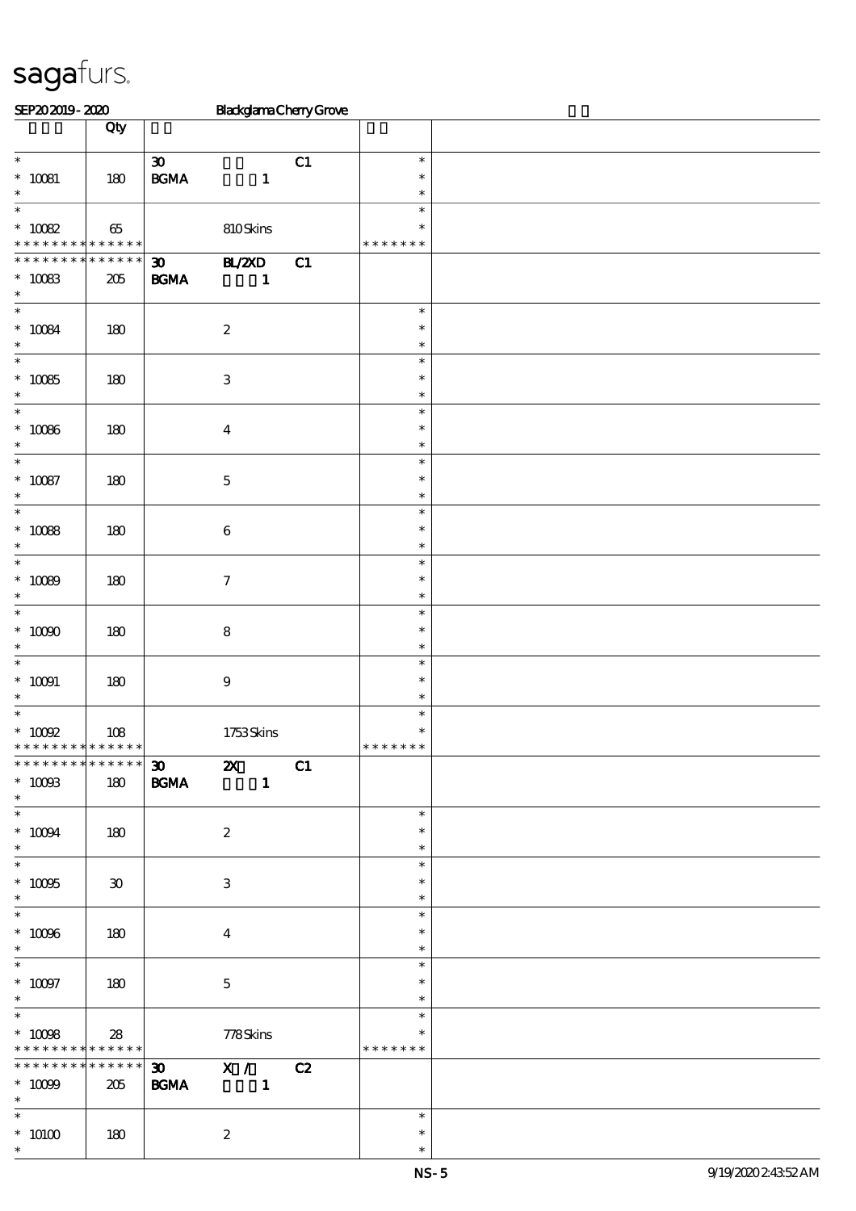| SEP202019-2020                                           |                                                |                                                                    | <b>BlackglamaCherryGrove</b>              |    |                                   |  |
|----------------------------------------------------------|------------------------------------------------|--------------------------------------------------------------------|-------------------------------------------|----|-----------------------------------|--|
|                                                          | Qty                                            |                                                                    |                                           |    |                                   |  |
| $\ast$<br>$^*$ 10081<br>$\ast$                           | 180                                            | $\pmb{\mathfrak{D}}$<br>$\mathbf{B}\mathbf{G}\mathbf{M}\mathbf{A}$ | $\mathbf{1}$                              | C1 | $\ast$<br>$\ast$<br>$\ast$        |  |
| $\overline{\ast}$<br>$^*$ 10082 $\,$                     | $65\,$<br>* * * * * <mark>* * * * * * *</mark> |                                                                    | 810Skins                                  |    | $\ast$<br>$\ast$<br>* * * * * * * |  |
| * * * * * * * *<br>$^*$ 10083 $\,$<br>$\ast$             | * * * * * *<br>205                             | $\boldsymbol{\mathfrak{D}}$<br>$\mathbf{B G MA}$                   | $\mathbf{H}$ /2XD<br>$\mathbf{1}$         | C1 |                                   |  |
| $\ast$<br>$^\ast$ 10084<br>$\ast$                        | 180                                            |                                                                    | $\boldsymbol{2}$                          |    | $\ast$<br>$\ast$<br>$\ast$        |  |
| $\ast$<br>$* 10085$<br>$\ast$                            | 180                                            |                                                                    | $\,3$                                     |    | $\ast$<br>$\ast$<br>$\ast$        |  |
| $\ast$<br>$^\ast$ 10086<br>$\ast$                        | 180                                            |                                                                    | $\boldsymbol{4}$                          |    | $\ast$<br>$\ast$<br>$\ast$        |  |
| $\ast$<br>$^\ast$ 10087<br>$\ast$                        | 180                                            |                                                                    | $\mathbf 5$                               |    | $\ast$<br>$\ast$<br>$\ast$        |  |
| $\ast$<br>$^\ast$ 10088<br>$\ast$                        | 180                                            |                                                                    | $\,6\,$                                   |    | $\ast$<br>$\ast$<br>$\ast$        |  |
| $\ast$<br>$* 10089$<br>$\ast$                            | 180                                            |                                                                    | $\boldsymbol{7}$                          |    | $\ast$<br>$\ast$<br>$\ast$        |  |
| $\ast$<br>$^*$ 10090 $\,$<br>$\ast$                      | 180                                            |                                                                    | $\bf 8$                                   |    | $\ast$<br>$\ast$<br>$\ast$        |  |
| $\ast$<br>$^*$ 10091 $\,$<br>$\ast$                      | $180\,$                                        |                                                                    | $\boldsymbol{9}$                          |    | $\ast$<br>$\ast$<br>$\ast$        |  |
| $\ast$<br>$^*$ 10092<br>* * * * * * * * * * * * * *      | 108                                            |                                                                    | 1753Skins                                 |    | $\ast$<br>$\ast$<br>* * * * * * * |  |
| * * * * * * * * * * * * * *<br>$^\ast$ 10093<br>$\ast$   | 180                                            | $\boldsymbol{\mathfrak{D}}$<br><b>BGMA</b>                         | $\boldsymbol{\mathsf{z}}$<br>$\mathbf{I}$ | C1 |                                   |  |
| $\overline{\phantom{0}}$<br>$^*$ 10094 $\,$<br>$*$       | 180                                            |                                                                    | $\boldsymbol{2}$                          |    | $\ast$<br>$\ast$<br>$\ast$        |  |
| $\overline{\ast}$<br>$^\ast$ 10095<br>$\ast$             | $\boldsymbol{\mathfrak{D}}$                    |                                                                    | $\ensuremath{\mathbf{3}}$                 |    | $\ast$<br>$\ast$<br>$\ast$        |  |
| $\ast$<br>$^\ast$ 10096<br>$\ast$                        | 180                                            |                                                                    | $\boldsymbol{4}$                          |    | $\ast$<br>$\ast$<br>$\ast$        |  |
| $\overline{\phantom{0}}$<br>$^\ast$ 10097<br>$\ast$      | 180                                            |                                                                    | $\mathbf{5}$                              |    | $\ast$<br>$\ast$<br>$\ast$        |  |
| $\ast$<br>$^*$ 10098 $\,$<br>* * * * * * * * * * * * * * | 28                                             |                                                                    | 778Skins                                  |    | $\ast$<br>$\ast$<br>* * * * * * * |  |
| * * * * * * * *<br>$^\ast$ 10099<br>$*$                  | $***$ * * * *<br>205                           | $\boldsymbol{\mathfrak{D}}$<br><b>BGMA</b>                         | X / C2<br>$\blacksquare$                  |    |                                   |  |
| $\overline{\ast}$<br>$^*$ $\,$ $10100$<br>$\ast$         | 180                                            |                                                                    | $\boldsymbol{2}$                          |    | $\ast$<br>$\ast$<br>$\ast$        |  |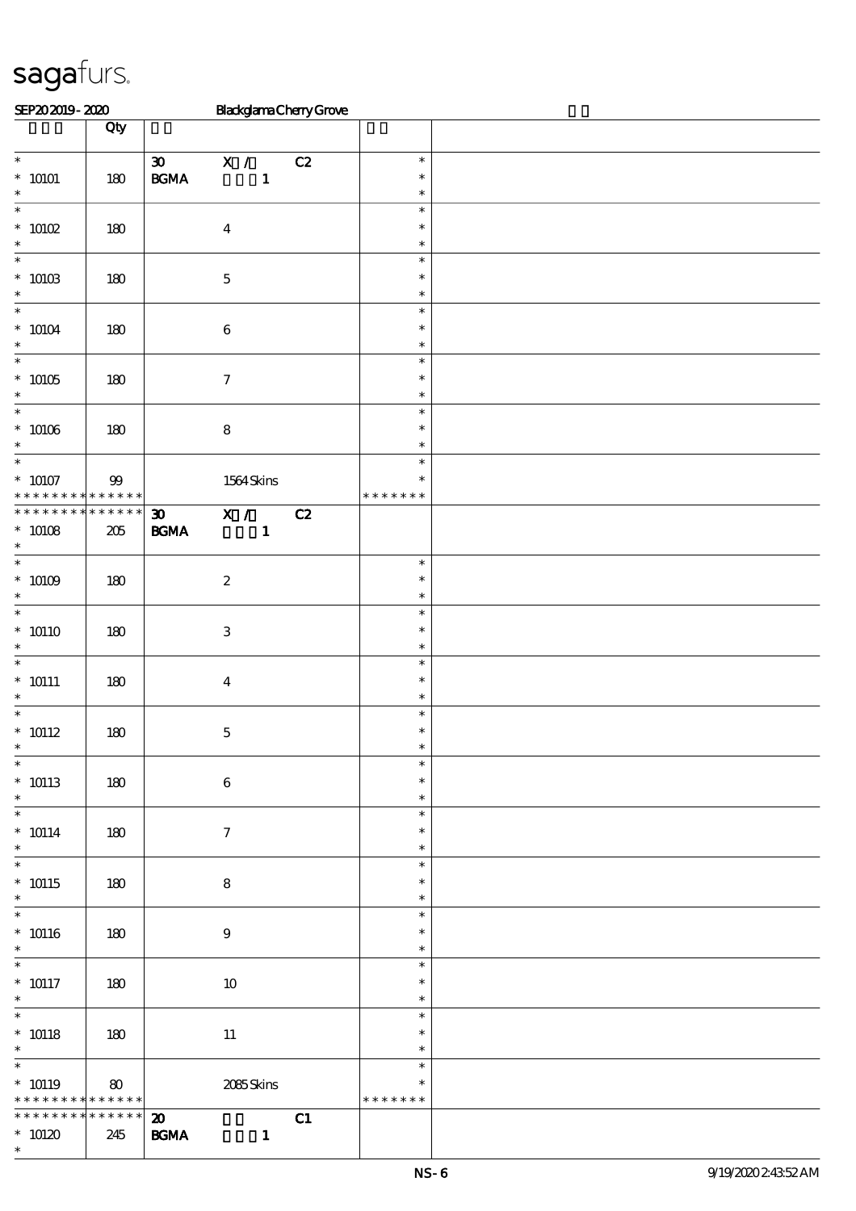| SEP202019-2020                                                               |                       | <b>BlackglamaChenyGrove</b>                                                                                                  |                                   |  |
|------------------------------------------------------------------------------|-----------------------|------------------------------------------------------------------------------------------------------------------------------|-----------------------------------|--|
|                                                                              | Qty                   |                                                                                                                              |                                   |  |
| $\overline{\ast}$<br>$^\ast$ 10101<br>$\ast$                                 | $180\,$               | $\overline{\mathbf{x}}$ /<br>$\boldsymbol{\mathfrak{D}}$<br>C2<br>$\mathbf{B}\mathbf{G}\mathbf{M}\mathbf{A}$<br>$\mathbf{1}$ | $\ast$<br>$\ast$<br>$\ast$        |  |
| $\ast$<br>$*$ 10102<br>$\ast$                                                | $180\,$               | $\boldsymbol{4}$                                                                                                             | $\ast$<br>$\ast$<br>$\ast$        |  |
| $\ast$<br>$^\ast$ 10103 $^\ast$                                              | 180                   | $\mathbf 5$                                                                                                                  | $\ast$<br>$\ast$<br>$\ast$        |  |
| $\ast$<br>$^*$ 10104 $\,$<br>$\ast$                                          | 180                   | $\bf 6$                                                                                                                      | $\ast$<br>$\ast$<br>$\ast$        |  |
| $\overline{\ast}$<br>$^*$ 10105<br>$\ast$                                    | 180                   | $\boldsymbol{7}$                                                                                                             | $\ast$<br>$\ast$<br>$\ast$        |  |
| $\overline{\phantom{0}}$<br>$^*$ 10106 $\,$<br>$\ast$                        | $180$                 | $\bf 8$                                                                                                                      | $\ast$<br>$\ast$<br>$\ast$        |  |
| $\overline{\ast}$<br>$^*$ 10107<br>* * *<br>* * *                            | $99\,$<br>* * * * * * | 1564Skins                                                                                                                    | $\ast$<br>$\ast$<br>* * * * * * * |  |
| * * * * * * * *<br>$^*$ 10108 $\,$<br>$\ast$                                 | $******$<br>205       | $\overline{X}$ /<br>C2<br>$\boldsymbol{\mathfrak{D}}$<br>$\mathbf{B G MA}$<br>$\mathbf{1}$                                   |                                   |  |
| $\ast$<br>$^*$ 10109 $\,$<br>$\ast$                                          | 180                   | $\boldsymbol{2}$                                                                                                             | $\ast$<br>$\ast$<br>$\ast$        |  |
| $\ast$<br>$* 10110$<br>$\ast$                                                | $180$                 | $\ensuremath{\mathbf{3}}$                                                                                                    | $\ast$<br>$\ast$<br>$\ast$        |  |
| $\ast$<br>$* 10111$<br>$\ast$                                                | 180                   | $\overline{\mathbf{4}}$                                                                                                      | $\ast$<br>$\ast$<br>$\ast$        |  |
| $\ast$<br>$^*$ 10112<br>$\star$                                              | $180$                 | $\mathbf 5$                                                                                                                  | $\ast$<br>$\ast$                  |  |
| $\overline{\ast}$<br>$* 10113$<br>$\ast$                                     | 180                   | $\bf 6$                                                                                                                      | $\ast$<br>$\ast$<br>$\ast$        |  |
| $\ast$<br>$^*$ 10114 $\,$<br>$\ast$                                          | 180                   | $\boldsymbol{\tau}$                                                                                                          | $\ast$<br>$\ast$<br>$\ast$        |  |
| $\ast$<br>$* 10115$<br>$\ast$                                                | 180                   | $\bf8$                                                                                                                       | $\ast$<br>$\ast$<br>$\ast$        |  |
| $\overline{\phantom{0}}$<br>$^*$ 10116<br>$\ast$                             | 180                   | $\boldsymbol{9}$                                                                                                             | $\ast$<br>$\ast$<br>$\ast$        |  |
| $\overline{\ast}$<br>$^*$ 10117<br>$\ast$                                    | 180                   | $10\,$                                                                                                                       | $\ast$<br>$\ast$<br>$\ast$        |  |
| $\overline{\phantom{0}}$<br>$^*$ 10118<br>$*$                                | 180                   | $11\,$                                                                                                                       | $\ast$<br>$\ast$<br>$\ast$        |  |
| $\overline{\ast}$<br>$* 10119$<br>* * * * * * * * <mark>* * * * * * *</mark> | $\boldsymbol{80}$     | 2085Skins                                                                                                                    | $\ast$<br>∗<br>* * * * * * *      |  |
| * * * * * * * *<br>$*$ 10120<br>$\ast$                                       | * * * * * *<br>245    | $\boldsymbol{\mathfrak{D}}$<br>C1<br>$\mathbf{B G MA}$<br>$\mathbf{1}$                                                       |                                   |  |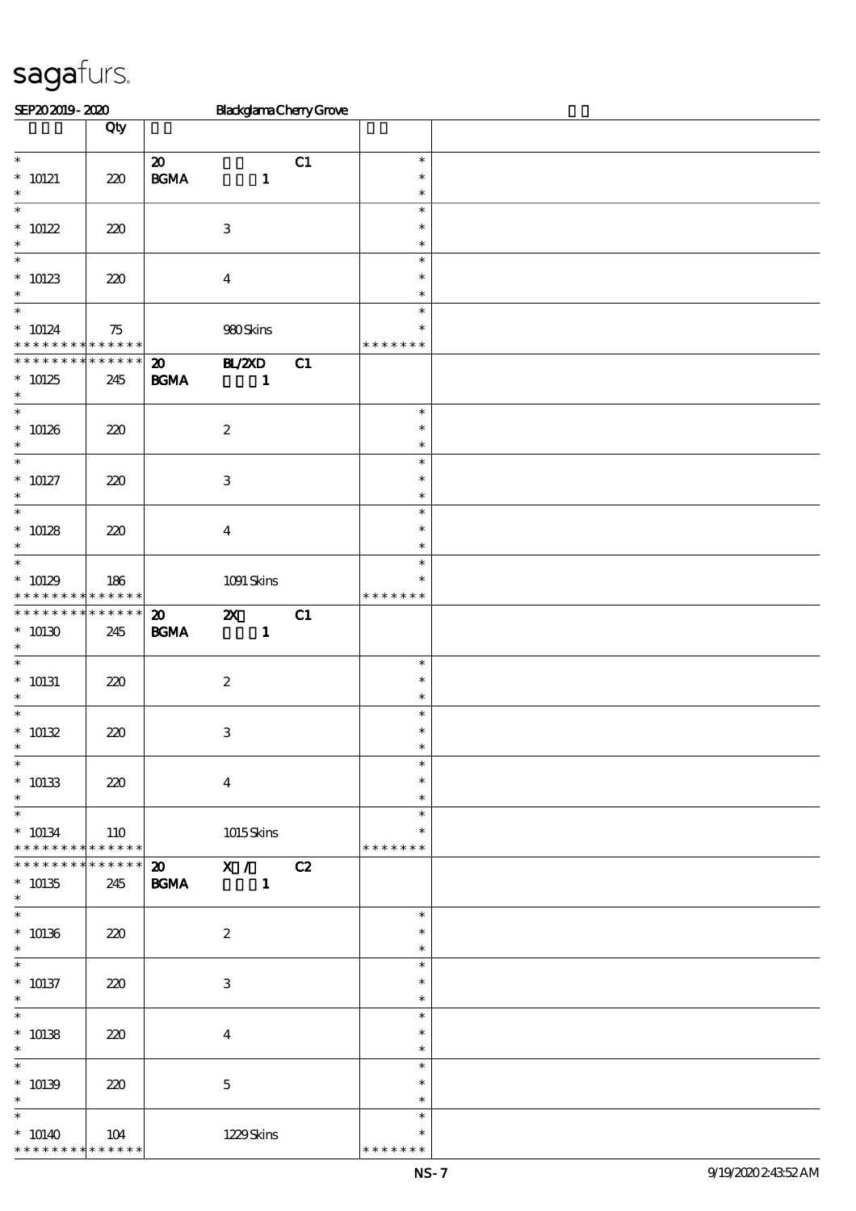| SEP202019-2020                                                   |                                            |                                                  | <b>BlackglamaChenyGrove</b>               |    |                                      |  |
|------------------------------------------------------------------|--------------------------------------------|--------------------------------------------------|-------------------------------------------|----|--------------------------------------|--|
|                                                                  | Qty                                        |                                                  |                                           |    |                                      |  |
| $\overline{\phantom{0}}$<br>$* 10121$<br>$\ast$                  | 220                                        | $\boldsymbol{\mathbf{z}}$<br>$\mathbf{B G MA}$   | $\mathbf{1}$                              | C1 | $\ast$<br>$\ast$<br>$\ast$           |  |
| $\ast$<br>$* 10122$<br>$\ast$                                    | 220                                        |                                                  | $\ensuremath{\mathbf{3}}$                 |    | $\ast$<br>$\ast$<br>$\ast$           |  |
| $\ast$<br>$* 10123$<br>$\ast$<br>$\overline{\ast}$               | 220                                        |                                                  | $\boldsymbol{4}$                          |    | $\ast$<br>$\ast$<br>$\ast$           |  |
| $* 10124$                                                        | 75<br>* * * * * <mark>* * * * * * *</mark> |                                                  | 980Skins                                  |    | $\ast$<br>∗<br>* * * * * * *         |  |
| * * * * * * * *<br>$*10125$<br>$\ast$                            | * * * * * *<br>245                         | $\boldsymbol{\mathfrak{D}}$<br>$\mathbf{B G MA}$ | BL/2XD<br>$\mathbf{1}$                    | C1 |                                      |  |
| $\ast$<br>$* 10126$<br>$\ast$<br>$\overline{\ast}$               | 220                                        |                                                  | $\boldsymbol{2}$                          |    | $\ast$<br>$\ast$<br>$\ast$           |  |
| $* 10127$<br>$\ast$                                              | 220                                        |                                                  | $\ensuremath{\mathbf{3}}$                 |    | $\ast$<br>$\ast$<br>$\ast$           |  |
| $\ast$<br>$* 10128$<br>$\ast$                                    | 220                                        |                                                  | $\boldsymbol{4}$                          |    | $\ast$<br>$\ast$<br>$\ast$           |  |
| $\ast$<br>$*10129$<br>* * * * * * * * <mark>* * * * * * *</mark> | 186                                        |                                                  | $1091$ Skins                              |    | $\ast$<br>$\ast$<br>* * * * * * *    |  |
| * * * * * * * * * * * * * *<br>$*10130$<br>$\ast$                | 245                                        | $\boldsymbol{\mathfrak{D}}$<br>$\mathbf{B G MA}$ | $\boldsymbol{\mathsf{z}}$<br>$\mathbf{1}$ | C1 |                                      |  |
| $\ast$<br>$^*$ 10131<br>$\ast$                                   | 220                                        |                                                  | $\boldsymbol{2}$                          |    | $\ast$<br>$\ast$<br>$\ast$           |  |
| $\ast$<br>$* 10132$<br>$\overline{\phantom{0}}$                  | 220                                        |                                                  | $\ensuremath{\mathbf{3}}$                 |    | $\ast$<br>$\ast$                     |  |
| $^*$ 10133<br>$\ast$<br>$\overline{\ast}$                        | 220                                        |                                                  | $\bf{4}$                                  |    | $\ast$<br>$\ast$<br>$\ast$<br>$\ast$ |  |
| $* 10134$<br>* * * * * * * *                                     | 110<br>$******$                            |                                                  | 1015Skins                                 |    | ∗<br>* * * * * * *                   |  |
| * * * * * * * *<br>$* 10135$<br>$\ast$<br>$\overline{\ast}$      | * * * * * *<br>245                         | <b>BGMA</b>                                      | 20 X / C2                                 |    |                                      |  |
| $* 10136$<br>$\ast$<br>$\overline{\phantom{0}}$                  | 220                                        |                                                  | $\boldsymbol{2}$                          |    | $\ast$<br>$\ast$<br>$\ast$           |  |
| $* 10137$<br>$\ast$<br>$\overline{\ast}$                         | 220                                        |                                                  | $\ensuremath{\mathbf{3}}$                 |    | $\ast$<br>∗<br>$\ast$                |  |
| $* 10138$<br>$\ast$<br>$\overline{\phantom{0}}$                  | 220                                        |                                                  | $\boldsymbol{4}$                          |    | $\ast$<br>$\ast$<br>$\ast$           |  |
| $* 10139$<br>$\ast$<br>$\ast$                                    | 220                                        |                                                  | $\mathbf 5$                               |    | $\ast$<br>$\ast$<br>$\ast$           |  |
| $* 10140$<br>* * * * * * * * * * * * * *                         | 104                                        |                                                  | 1229Skins                                 |    | $\ast$<br>* * * * * * *              |  |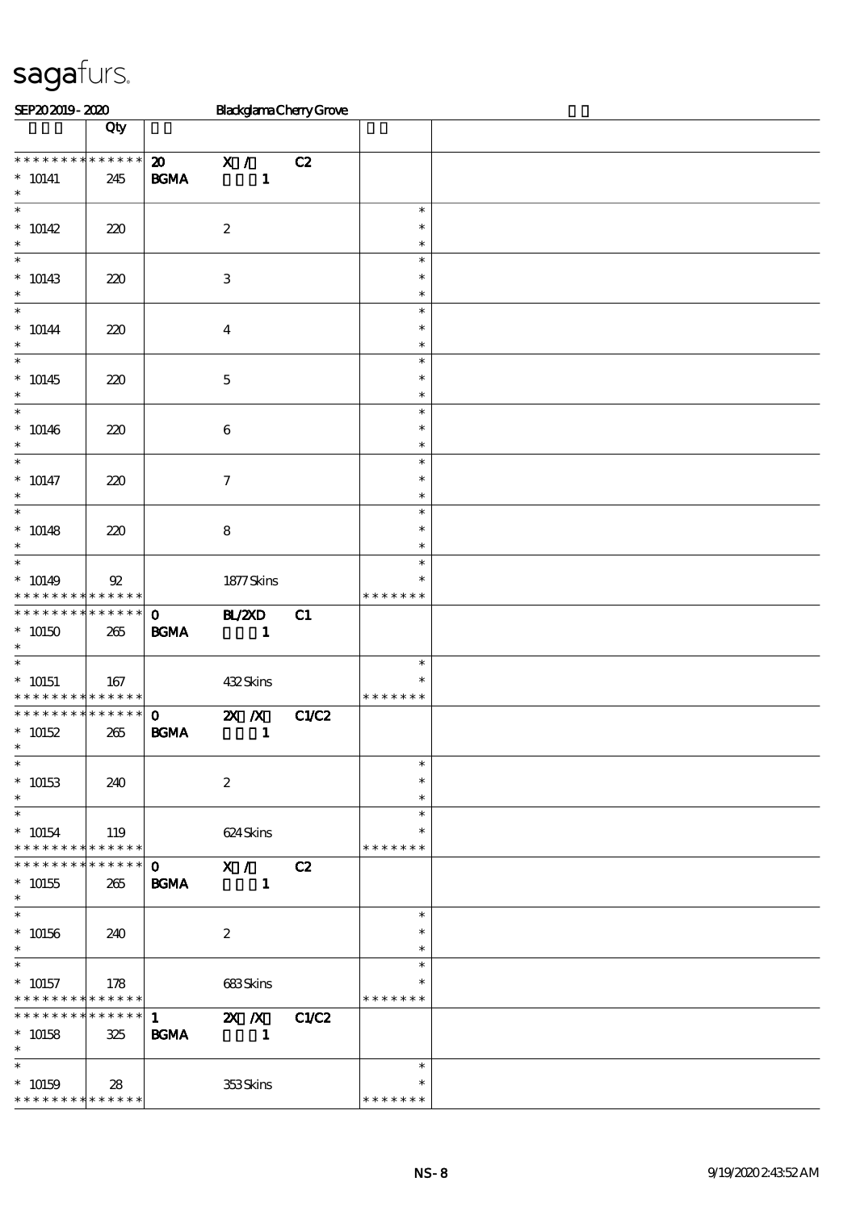| SEP202019-2020                                                  |                    |                                                  | <b>BlackglamaCherryGrove</b> |       |                                   |  |
|-----------------------------------------------------------------|--------------------|--------------------------------------------------|------------------------------|-------|-----------------------------------|--|
|                                                                 | Qty                |                                                  |                              |       |                                   |  |
| * * * * * * * * * * * * * *<br>$* 10141$<br>$\ast$              | 245                | $\boldsymbol{\mathfrak{D}}$<br>$\mathbf{B G MA}$ | X /<br>$\mathbf{1}$          | C2    |                                   |  |
| $\overline{\ast}$<br>$* 10142$<br>$\ast$                        | 220                |                                                  | $\boldsymbol{2}$             |       | $\ast$<br>$\ast$<br>$\ast$        |  |
| $\ast$<br>$* 10143$<br>$\ast$                                   | 220                |                                                  | $\,3$                        |       | $\ast$<br>$\ast$<br>$\ast$        |  |
| $\ast$<br>$^*$ 10144<br>$\ast$                                  | 220                |                                                  | $\boldsymbol{4}$             |       | $\ast$<br>$\ast$<br>$\ast$        |  |
| $\overline{\ast}$<br>$* 10145$<br>$\ast$                        | 220                |                                                  | $\mathbf 5$                  |       | $\ast$<br>$\ast$<br>$\ast$        |  |
| $\ast$<br>$* 10146$<br>$\ast$                                   | 220                |                                                  | $\,6\,$                      |       | $\ast$<br>$\ast$<br>$\ast$        |  |
| $\overline{\ast}$<br>$* 10147$<br>$\ast$                        | 220                |                                                  | $\boldsymbol{7}$             |       | $\ast$<br>$\ast$<br>$\ast$        |  |
| $\overline{\ast}$<br>$* 10148$<br>$\ast$                        | 220                |                                                  | $\bf 8$                      |       | $\ast$<br>$\ast$<br>$\ast$        |  |
| $\ast$<br>$* 10149$<br>* * * * * * * * * * * * * *              | ${\mathfrak A}$    |                                                  | 1877Skins                    |       | $\ast$<br>$\ast$<br>* * * * * * * |  |
| * * * * * * * * * * * * * *<br>$^*$ 10150 $\,$<br>$\ast$        | 265                | $\mathbf 0$<br><b>BGMA</b>                       | <b>BL/2XD</b><br>$\sim$ 1    | C1    |                                   |  |
| $\ast$<br>$* 10151$<br>* * * * * * * * * * * * * *              | 167                |                                                  | 432Skins                     |       | $\ast$<br>$\ast$<br>* * * * * * * |  |
| * * * * * * * * * * * * * *<br>$* 10152$<br>$\ast$              | 265                | $\mathbf{o}$<br><b>BGMA</b>                      | $X$ $N$<br>$\mathbf{1}$      | C1/C2 |                                   |  |
| $\ast$<br>$* 10153$<br>$\ast$                                   | 240                |                                                  | $\boldsymbol{2}$             |       | $\ast$<br>$\ast$<br>$\ast$        |  |
| $\overline{\ast}$<br>$* 10154$<br>* * * * * * * *               | 119<br>* * * * * * |                                                  | 624 Skins                    |       | $\ast$<br>$\ast$<br>* * * * * * * |  |
| * * * * * * * *<br>$^*$ 10155<br>$\ast$                         | * * * * * *<br>265 | $\mathbf{O}$<br><b>BGMA</b>                      | X /<br>$\mathbf{1}$          | C2    |                                   |  |
| $\ast$<br>$^*$ 10156 $\,$<br>$\ast$                             | 240                |                                                  | $\boldsymbol{2}$             |       | $\ast$<br>$\ast$<br>$\ast$        |  |
| $\overline{\ast}$<br>$* 10157$<br>* * * * * * * *               | 178<br>* * * * * * |                                                  | 683Skins                     |       | $\ast$<br>$\ast$<br>* * * * * * * |  |
| * * * * * * * *<br>$* 10158$<br>$\ast$                          | * * * * * *<br>325 | $\mathbf{1}$<br><b>BGMA</b>                      | $X$ $N$<br>$\mathbf{1}$      | C1/C2 |                                   |  |
| $\ast$<br>$* 10159$<br>* * * * * * * * <mark>* * * * * *</mark> | 28                 |                                                  | 353Skins                     |       | $\ast$<br>*<br>* * * * * * *      |  |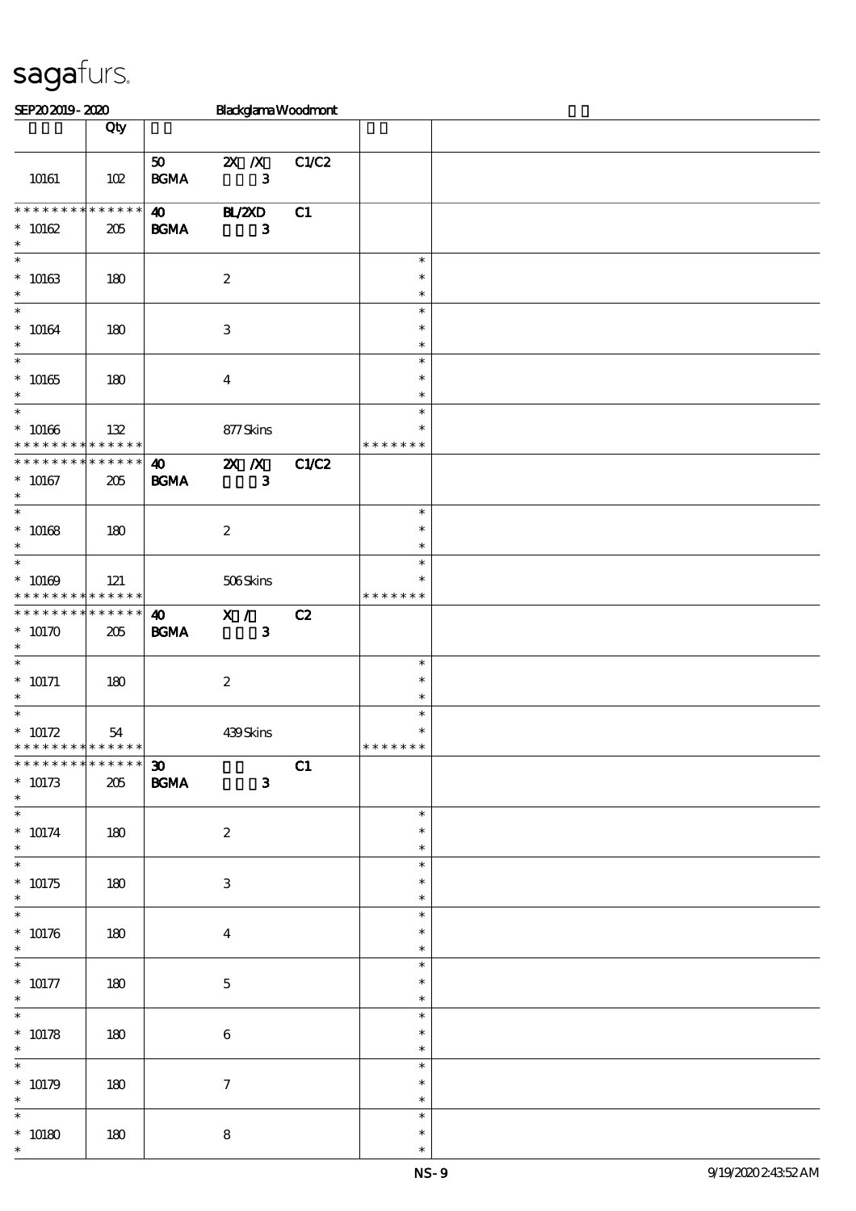| SEP202019-2020                                                           |                    |                                                                           | <b>Blackglama Woodmont</b>                |       |                                      |  |
|--------------------------------------------------------------------------|--------------------|---------------------------------------------------------------------------|-------------------------------------------|-------|--------------------------------------|--|
|                                                                          | Qty                |                                                                           |                                           |       |                                      |  |
| 10161                                                                    | 102                | 50<br>$\mathbf{B}\mathbf{G}\mathbf{M}\mathbf{A}$                          | $X$ $X$<br>$\mathbf{3}$                   | C1/C2 |                                      |  |
| **************<br>$* 10162$<br>$\ast$                                    | 205                | $\boldsymbol{\omega}$<br><b>BGMA</b>                                      | BL/2XD<br>$\mathbf{3}$                    | C1    |                                      |  |
| $\ast$<br>$^*$ 10163 $\,$<br>$\ast$                                      | 180                |                                                                           | $\boldsymbol{2}$                          |       | $\ast$<br>$\ast$<br>$\ast$           |  |
| $\ast$<br>$^*$ 10164 $\,$<br>$\ast$<br>$\overline{\phantom{a}}$          | 180                |                                                                           | $\,3$                                     |       | $\ast$<br>$\ast$<br>$\ast$           |  |
| $* 10165$<br>$\ast$<br>$\overline{\phantom{0}}$                          | 180                |                                                                           | $\boldsymbol{4}$                          |       | $\ast$<br>$\ast$<br>$\ast$           |  |
| $^*$ 10166<br>* * * * * * * *<br>* * * * * * * * * * * * * *             | 132<br>* * * * * * |                                                                           | 877Skins                                  |       | $\ast$<br>$\ast$<br>* * * * * * *    |  |
| $^\ast$ 10167<br>$\ast$<br>$\ast$                                        | 205                | $\boldsymbol{\omega}$<br>B GMA                                            | $\mathbf{X}$ $\mathbf{X}$<br>$\mathbf{3}$ | C1/C2 | $\ast$                               |  |
| $* 10168$<br>$\ast$<br>$\ast$                                            | 180                |                                                                           | $\boldsymbol{2}$                          |       | $\ast$<br>$\ast$<br>$\ast$           |  |
| $* 10169$<br>* * * * * * * * <mark>* * * * * * *</mark>                  | 121<br>******      |                                                                           | 506Skins                                  |       | $\ast$<br>* * * * * * *              |  |
| * * * * * * * *<br>$*10170$<br>$\ast$<br>$\ast$                          | 205                | $\boldsymbol{\omega}$<br>B GMA                                            | X /<br>$\mathbf{3}$                       | C2    |                                      |  |
| $* 10171$<br>$\ast$<br>$\overline{\ast}$                                 | 180                |                                                                           | $\boldsymbol{2}$                          |       | $\ast$<br>$\ast$<br>$\ast$           |  |
| $^*$ 10172<br>* * * * * * * * * * * * * *<br>* * * * * * * * * * * * * * | 54                 |                                                                           | 439Skins                                  |       | $\ast$<br>$\ast$<br>*******          |  |
| $* 10173$<br>$\ast$<br>$\ast$                                            | $205\,$            | $\boldsymbol{\mathfrak{D}}$<br>$\mathbf{B}\mathbf{G}\mathbf{M}\mathbf{A}$ | $\mathbf{3}$                              | C1    |                                      |  |
| $* 10174$<br>$\ast$<br>$\overline{\ast}$                                 | 180                |                                                                           | $\boldsymbol{2}$                          |       | $\ast$<br>$\ast$<br>$\ast$<br>$\ast$ |  |
| $* 10175$<br>$\ast$<br>$\ast$                                            | 180                |                                                                           | 3                                         |       | $\ast$<br>$\ast$<br>$\ast$           |  |
| $* 10176$<br>$\ast$<br>$\ast$                                            | 180                |                                                                           | $\overline{\mathbf{4}}$                   |       | $\ast$<br>$\ast$                     |  |
| $^*$ 10177<br>$\ast$<br>$\overline{\ast}$                                | 180                |                                                                           | $\mathbf{5}$                              |       | $\ast$<br>$\ast$<br>$\ast$<br>$\ast$ |  |
| $* 10178$<br>$\ast$<br>$\ast$                                            | 180                |                                                                           | $\,6\,$                                   |       | $\ast$<br>$\ast$<br>$\ast$           |  |
| $* 10179$<br>$\ast$<br>$\ast$                                            | 180                |                                                                           | $\tau$                                    |       | $\ast$<br>$\ast$<br>$\ast$           |  |
| $^*$ 10180 $\,$<br>$\ast$                                                | 180                |                                                                           | $\bf 8$                                   |       | $\ast$<br>$\ast$                     |  |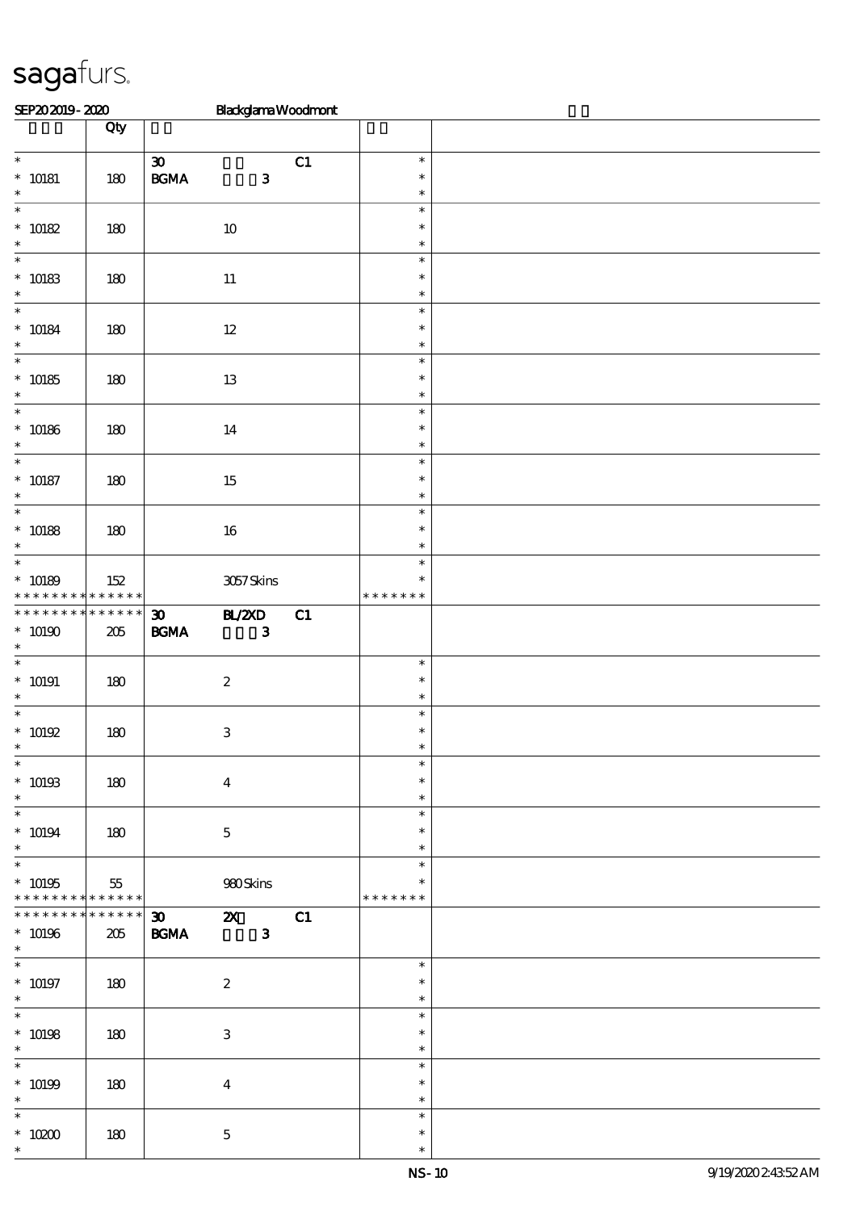| SEP202019-2020                                        |                        | <b>BlackglamaWoodmont</b>                                                         |    |                                   |  |
|-------------------------------------------------------|------------------------|-----------------------------------------------------------------------------------|----|-----------------------------------|--|
|                                                       | Qty                    |                                                                                   |    |                                   |  |
| $\overline{\phantom{0}}$<br>$* 10181$                 | 180                    | $\pmb{\mathfrak{D}}$<br>$\mathbf{B G MA}$<br>$\mathbf{3}$                         | C1 | $\ast$<br>$\ast$                  |  |
| $\ast$<br>$\ast$                                      |                        |                                                                                   |    | $\ast$<br>$\ast$                  |  |
| $* 10182$<br>$\ast$                                   | 180                    | 10                                                                                |    | $\ast$<br>$\ast$                  |  |
| $\ast$<br>$^\ast$ 10183<br>$\ast$                     | 180                    | $11\,$                                                                            |    | $\ast$<br>$\ast$<br>$\ast$        |  |
| $\ast$<br>$* 10184$<br>$\ast$                         | 180                    | $12\,$                                                                            |    | $\ast$<br>$\ast$<br>$\ast$        |  |
| $\overline{\ast}$<br>$* 10185$<br>$\ast$              | 180                    | 13                                                                                |    | $\ast$<br>$\ast$<br>$\ast$        |  |
| $\overline{\phantom{0}}$<br>$^*$ 10186 $\,$<br>$\ast$ | 180                    | 14                                                                                |    | $\ast$<br>$\ast$<br>$\ast$        |  |
| $\ast$<br>$* 10187$<br>$\ast$                         | 180                    | $15\,$                                                                            |    | $\ast$<br>$\ast$<br>$\ast$        |  |
| $\overline{\phantom{0}}$<br>$* 10188$<br>$\ast$       | 180                    | 16                                                                                |    | $\ast$<br>$\ast$<br>$\ast$        |  |
| $\ast$<br>$* 10189$<br>* * * * * * * *                | 152<br>******          | 3057Skins                                                                         |    | $\ast$<br>$\ast$<br>* * * * * * * |  |
| * * * * * * * *<br>$*$ 10190 $\,$<br>$\ast$           | * * * * * *<br>$205\,$ | <b>BL/ZXD</b><br>$\boldsymbol{\mathfrak{D}}$<br>$\mathbf{B G MA}$<br>$\mathbf{3}$ | C1 |                                   |  |
| $\ast$<br>$* 10191$<br>$\ast$                         | 180                    | $\boldsymbol{2}$                                                                  |    | $\ast$<br>$\ast$<br>$\ast$        |  |
| $\ast$<br>$* 10192$                                   | 180                    | $\ensuremath{\mathsf{3}}$                                                         |    | $\ast$<br>$\ast$                  |  |
| $\overline{\ast}$<br>$* 10193$<br>$\ast$              | 180                    | $\bf{4}$                                                                          |    | $\ast$<br>$\ast$<br>$\ast$        |  |
| $\overline{\ast}$<br>$* 10194$<br>$\ast$              | 180                    | $\mathbf 5$                                                                       |    | $\ast$<br>$\ast$<br>$\ast$        |  |
| $\ast$<br>$* 10195$<br>* * * * * * * * * * * * * * *  | 55                     | 980Skins                                                                          |    | $\ast$<br>$\ast$<br>* * * * * * * |  |
| * * * * * * * *<br>$* 10196$<br>$\ast$                | $******$<br>205        | $\mathbf{3}$<br><b>BGMA</b>                                                       |    |                                   |  |
| $\overline{\ast}$<br>$^*$ 10197<br>$\ast$             | 180                    | $\boldsymbol{2}$                                                                  |    | $\ast$<br>$\ast$<br>$\ast$        |  |
| $\ast$<br>$* 10198$<br>$\ast$                         | 180                    | 3                                                                                 |    | $\ast$<br>$\ast$<br>$\ast$        |  |
| $\ast$<br>$* 10199$<br>$\ast$                         | 180                    | $\boldsymbol{4}$                                                                  |    | $\ast$<br>$\ast$<br>$\ast$        |  |
| $\ast$<br>$^*$ 10200 $\,$<br>$\ast$                   | 180                    | $\bf 5$                                                                           |    | $\ast$<br>$\ast$<br>$\ast$        |  |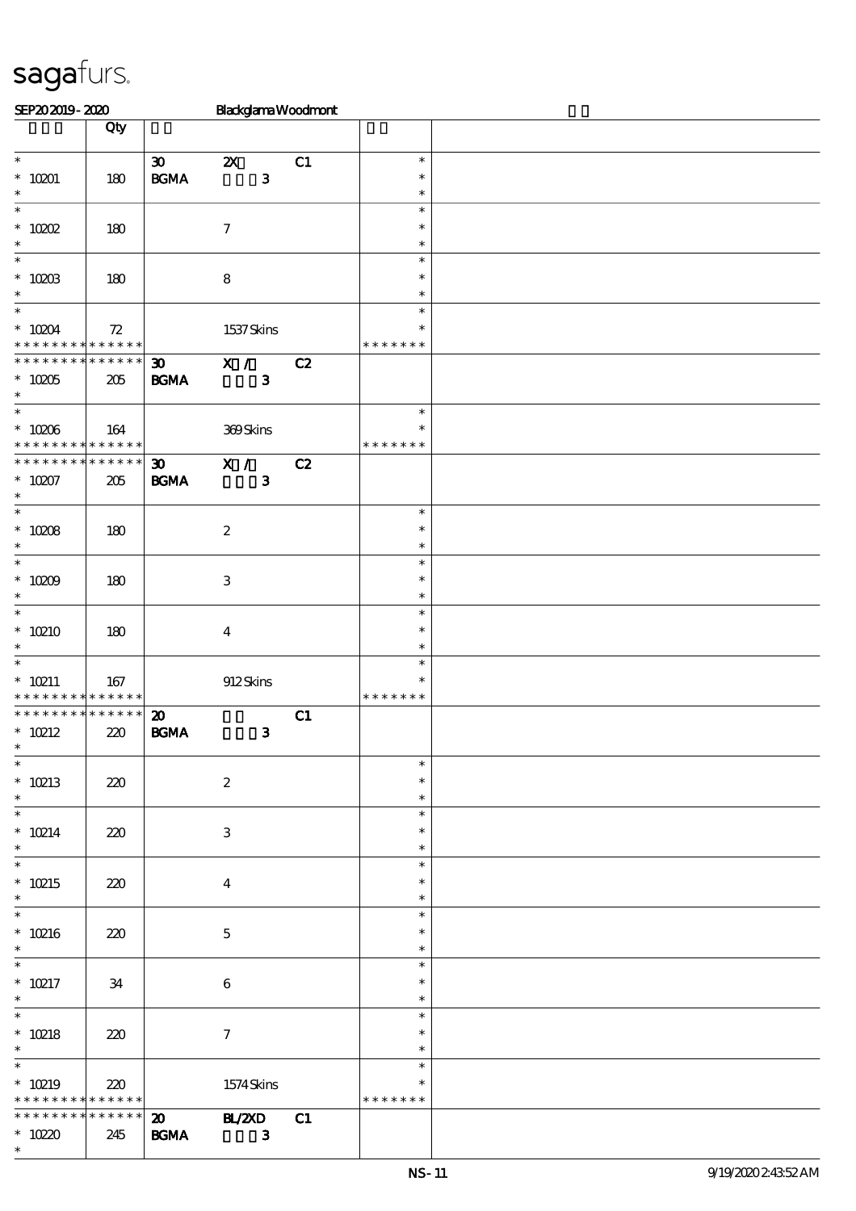| SEP202019-2020                             |        |                                            | <b>BlackglamaWoodmont</b> |    |               |  |
|--------------------------------------------|--------|--------------------------------------------|---------------------------|----|---------------|--|
|                                            | Qty    |                                            |                           |    |               |  |
|                                            |        |                                            |                           |    |               |  |
| $\overline{\phantom{0}}$                   |        | $\boldsymbol{\mathfrak{D}}$                | $\boldsymbol{\mathsf{Z}}$ | C1 | $\ast$        |  |
| $*$ 10201 $\,$                             | 180    | $\mathbf{B}\mathbf{G}\mathbf{M}\mathbf{A}$ | $\mathbf{3}$              |    | $\ast$        |  |
| $\ast$                                     |        |                                            |                           |    | $\ast$        |  |
| $\ast$                                     |        |                                            |                           |    | $\ast$        |  |
| $*$ 10202                                  | 180    |                                            | $\boldsymbol{\tau}$       |    | $\ast$        |  |
| $\ast$                                     |        |                                            |                           |    | $\ast$        |  |
| $\ast$                                     |        |                                            |                           |    | $\ast$        |  |
| $^*$ 1003                                  | 180    |                                            | $\bf 8$                   |    | $\ast$        |  |
| $\ast$                                     |        |                                            |                           |    | $\ast$        |  |
| $\overline{\ast}$                          |        |                                            |                           |    | $\ast$        |  |
| $^*$ 10204 $\,$                            | $72\,$ |                                            |                           |    | $\ast$        |  |
| * * * * * * * * <mark>* * * * * * *</mark> |        |                                            | 1537Skins                 |    | * * * * * * * |  |
| * * * * * * * * * * * * * *                |        |                                            |                           |    |               |  |
|                                            |        | $\boldsymbol{\mathfrak{D}}$                | X /                       | C2 |               |  |
| $*10205$                                   | 205    | <b>BGMA</b>                                | $\mathbf{3}$              |    |               |  |
| $\ast$                                     |        |                                            |                           |    |               |  |
|                                            |        |                                            |                           |    | $\ast$        |  |
| $^\ast$ 10206                              | 164    |                                            | 369Skins                  |    | $\ast$        |  |
| * * * * * * * * <mark>* * * * * * *</mark> |        |                                            |                           |    | * * * * * * * |  |
| * * * * * * * * * * * * * *                |        | $\boldsymbol{\mathfrak{D}}$                | $\overline{\mathbf{x}}$ / | C2 |               |  |
| $* 10207$                                  | 205    | $\mathbf{B G MA}$                          | $\mathbf{3}$              |    |               |  |
| $\ast$                                     |        |                                            |                           |    |               |  |
| $\overline{\ast}$                          |        |                                            |                           |    | $\ast$        |  |
| $^*$ 10208 $\,$                            | 180    |                                            | $\boldsymbol{2}$          |    | $\ast$        |  |
| $\ast$                                     |        |                                            |                           |    | $\ast$        |  |
| $\ast$                                     |        |                                            |                           |    | $\ast$        |  |
| $* 10009$                                  | 180    |                                            | $\,3$                     |    | $\ast$        |  |
| $\ast$                                     |        |                                            |                           |    | $\ast$        |  |
| $\overline{\ast}$                          |        |                                            |                           |    | $\ast$        |  |
| $*10210$                                   | 180    |                                            | $\overline{\mathbf{4}}$   |    | $\ast$        |  |
| $\ast$                                     |        |                                            |                           |    | $\ast$        |  |
| $\ast$                                     |        |                                            |                           |    | $\ast$        |  |
| $* 10211$                                  | 167    |                                            | 912Skins                  |    | $\ast$        |  |
| * * * * * * * * <mark>* * * * * * *</mark> |        |                                            |                           |    | * * * * * * * |  |
| * * * * * * * * * * * * * *                |        | $\boldsymbol{\mathfrak{D}}$                |                           | C1 |               |  |
| $\hspace{0.1cm}^*$ 10212                   | 220    | $\mathbf{B G MA}$                          | $\mathbf{3}$              |    |               |  |
| $\star$ $\sim$                             |        |                                            |                           |    |               |  |
| $\ast$                                     |        |                                            |                           |    | $\ast$        |  |
| $* 10213$                                  | 220    |                                            | $\boldsymbol{2}$          |    | $\ast$        |  |
| $\ast$                                     |        |                                            |                           |    | $\ast$        |  |
| $\ast$                                     |        |                                            |                           |    | $\ast$        |  |
| $*$ 10214                                  | 220    |                                            | $\ensuremath{\mathsf{3}}$ |    | $\ast$        |  |
| $\ast$                                     |        |                                            |                           |    | $\ast$        |  |
| $\ast$                                     |        |                                            |                           |    | $\ast$        |  |
| $*$ 10215                                  | 220    |                                            | $\bf{4}$                  |    | $\ast$        |  |
| $\ast$                                     |        |                                            |                           |    | $\ast$        |  |
| $\overline{\ast}$                          |        |                                            |                           |    | $\ast$        |  |
|                                            |        |                                            |                           |    | $\ast$        |  |
| $* 10216$<br>$\ast$                        | 220    |                                            | $\mathbf{5}$              |    |               |  |
|                                            |        |                                            |                           |    | $\ast$        |  |
| $\ast$                                     |        |                                            |                           |    | $\ast$        |  |
| $*$ 10217                                  | 34     |                                            | 6                         |    | $\ast$        |  |
| $\ast$<br>$\overline{\phantom{0}}$         |        |                                            |                           |    | $\ast$        |  |
|                                            |        |                                            |                           |    | $\ast$        |  |
| $* 10218$                                  | 220    |                                            | $\tau$                    |    | $\ast$        |  |
| $*$                                        |        |                                            |                           |    | $\ast$        |  |
| $\overline{\ast}$                          |        |                                            |                           |    | $\ast$        |  |
| $* 10219$                                  | 220    |                                            | 1574Skins                 |    | $\ast$        |  |
| * * * * * * * * <mark>* * * * * * *</mark> |        |                                            |                           |    | * * * * * * * |  |
| * * * * * * * * * * * * * * *              |        | $\boldsymbol{\mathfrak{D}}$                | <b>HL/2XD</b>             | C1 |               |  |
| $*$ 10220                                  | 245    | <b>BGMA</b>                                | $\mathbf{3}$              |    |               |  |
| $\ast$                                     |        |                                            |                           |    |               |  |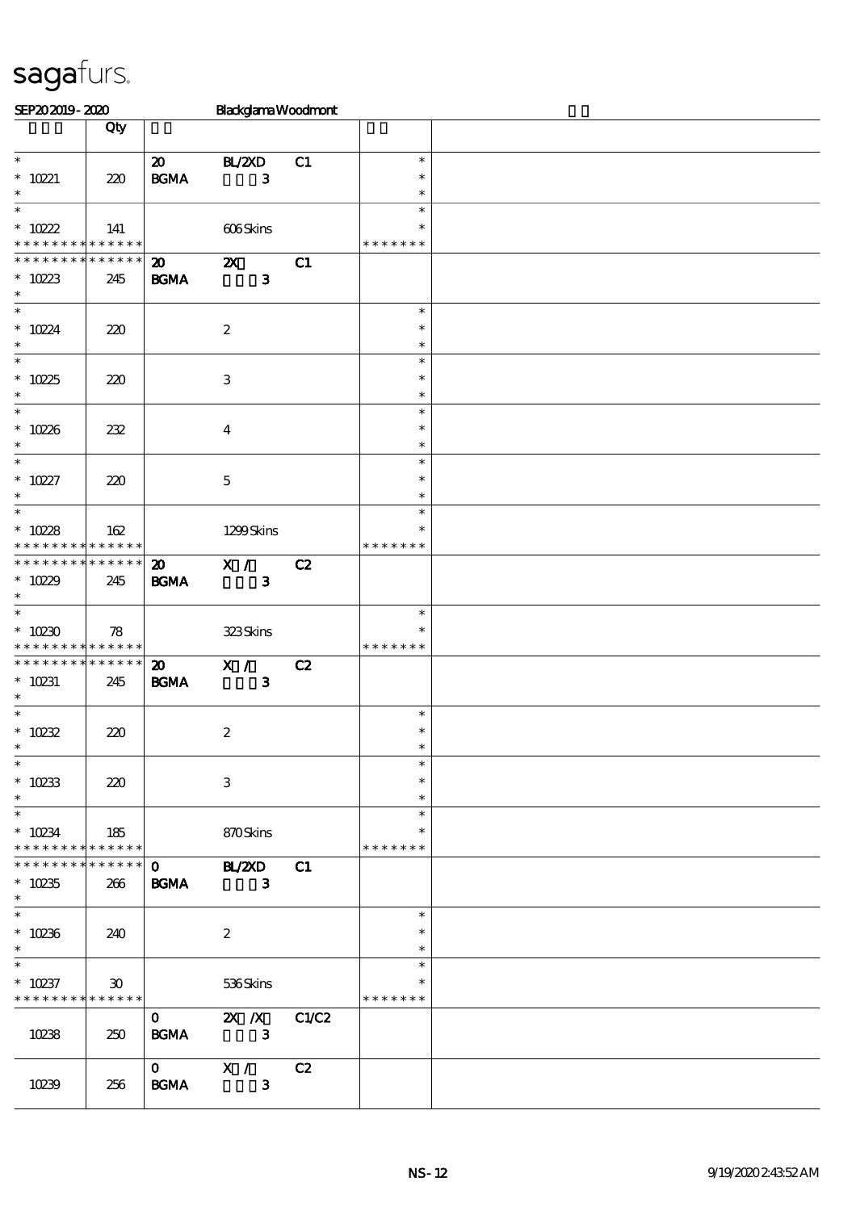| SEP202019-2020                                                |                             |                             | <b>BlackglamaWoodmont</b> |    |                  |  |
|---------------------------------------------------------------|-----------------------------|-----------------------------|---------------------------|----|------------------|--|
|                                                               | Qty                         |                             |                           |    |                  |  |
| $\overline{\ast}$                                             |                             | $\boldsymbol{\mathfrak{D}}$ | BL/2XD                    | C1 | $\ast$           |  |
| $* 10221$                                                     | 220                         | $\mathbf{B G MA}$           | $\mathbf{3}$              |    | $\ast$           |  |
| $\ast$<br>$\ast$                                              |                             |                             |                           |    | $\ast$<br>$\ast$ |  |
| $* 10222$                                                     | 141                         |                             | 606Skins                  |    | $\ast$           |  |
| * * * * * * * * <mark>* * * * * * *</mark>                    |                             |                             |                           |    | * * * * * * *    |  |
| **************                                                |                             | $\boldsymbol{\mathfrak{D}}$ | $\boldsymbol{\alpha}$     | C1 |                  |  |
| $* 10223$<br>$\ast$                                           | 245                         | BGMA                        | $\mathbf{3}$              |    |                  |  |
| $\overline{\phantom{0}}$                                      |                             |                             |                           |    | $\ast$<br>$\ast$ |  |
| $* 10224$<br>$\ast$                                           | 220                         |                             | $\boldsymbol{2}$          |    | $\ast$           |  |
| $\overline{\ast}$                                             |                             |                             |                           |    | $\ast$           |  |
| $*10225$                                                      | 220                         |                             | $\,3\,$                   |    | $\ast$           |  |
| $\ast$<br>$\overline{\phantom{0}}$                            |                             |                             |                           |    | $\ast$<br>$\ast$ |  |
| $* 10226$                                                     | 232                         |                             | $\boldsymbol{4}$          |    | $\ast$           |  |
| $\ast$                                                        |                             |                             |                           |    | $\ast$           |  |
| $\overline{\phantom{0}}$                                      |                             |                             |                           |    | $\ast$           |  |
| $* 10227$<br>$\ast$                                           | 220                         |                             | $\mathbf 5$               |    | $\ast$<br>$\ast$ |  |
| $\overline{\ast}$                                             |                             |                             |                           |    | $\ast$           |  |
| $* 10228$                                                     | 162                         |                             | 1299Skins                 |    | $\ast$           |  |
| * * * * * * * * <mark>* * * * * * *</mark>                    |                             |                             |                           |    | * * * * * * *    |  |
| * * * * * * * * * * * * * *                                   |                             | $\boldsymbol{\mathfrak{D}}$ | X /                       | C2 |                  |  |
| $*10229$<br>$\ast$                                            | 245                         | <b>BGMA</b>                 | $\mathbf{3}$              |    |                  |  |
| $\ast$                                                        |                             |                             |                           |    | $\ast$           |  |
| $*10230$                                                      | 78                          |                             | 323Skins                  |    |                  |  |
| * * * * * * * * <mark>* * * * * * *</mark><br>* * * * * * * * | ******                      | $\boldsymbol{\mathsf{20}}$  | X /                       | C2 | * * * * * * *    |  |
| $* 10231$                                                     | 245                         | <b>BGMA</b>                 | $\mathbf{3}$              |    |                  |  |
| $\ast$                                                        |                             |                             |                           |    |                  |  |
| $\ast$                                                        |                             |                             |                           |    | $\ast$           |  |
| $* 10232$<br>$\star$                                          | 220                         |                             | $\boldsymbol{2}$          |    | $\ast$           |  |
| $\ast$                                                        |                             |                             |                           |    | $\ast$           |  |
| $* 10233$                                                     | 220                         |                             | $\,3$                     |    | $\ast$           |  |
| $\ast$                                                        |                             |                             |                           |    | $\ast$           |  |
| $\ast$                                                        |                             |                             |                           |    | $\ast$<br>$\ast$ |  |
| $* 10234$<br>* * * * * * * * <mark>* * * * * *</mark>         | 185                         |                             | 870Skins                  |    | * * * * * * *    |  |
| * * * * * * *                                                 | $* * * * * * *$             |                             | $\overline{0}$ BL/2XD     | C1 |                  |  |
| $* 10235$                                                     | 266                         | <b>BGMA</b>                 | $\mathbf{3}$              |    |                  |  |
| $*$<br>$\overline{\ast}$                                      |                             |                             |                           |    | $\ast$           |  |
| $*10236$                                                      | 240                         |                             | $\boldsymbol{2}$          |    | $\ast$           |  |
| $\ast$                                                        |                             |                             |                           |    | $\ast$           |  |
| $\ast$                                                        |                             |                             |                           |    | $\ast$           |  |
| $* 10237$                                                     | $\boldsymbol{\mathfrak{D}}$ |                             | 536Skins                  |    | $\ast$           |  |
| * * * * * * * * <mark>* * * * * *</mark>                      |                             | $\mathbf{O}$                | <b>2X</b> <i>N</i> C1/C2  |    | * * * * * * *    |  |
| 10238                                                         | 250                         | <b>BGMA</b>                 | $\overline{\mathbf{3}}$   |    |                  |  |
|                                                               |                             |                             |                           |    |                  |  |
|                                                               |                             | $\mathbf{O}$                | X / C2                    |    |                  |  |
| 10239                                                         | 256                         | <b>BGMA</b>                 | $\mathbf{3}$              |    |                  |  |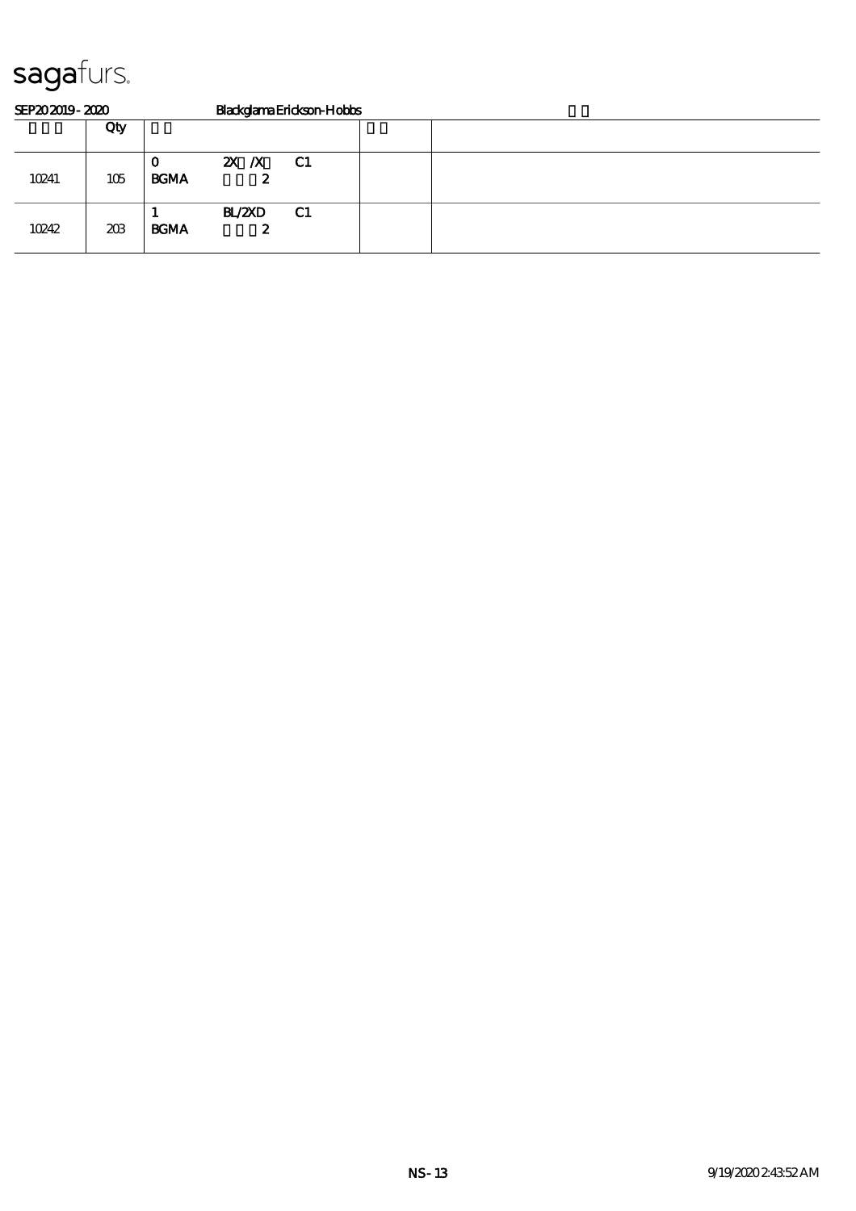| SEP202019-2020 |     | BlackglamaErickson-Hobbs |                     |      |  |  |  |  |  |  |
|----------------|-----|--------------------------|---------------------|------|--|--|--|--|--|--|
|                | Qty |                          |                     |      |  |  |  |  |  |  |
| 10241          | 105 | U<br><b>BGMA</b>         | <b>2X X</b> C1<br>2 |      |  |  |  |  |  |  |
| 10242          | 203 | <b>BCMA</b>              | <b>BL/2XD</b><br>2  | - C1 |  |  |  |  |  |  |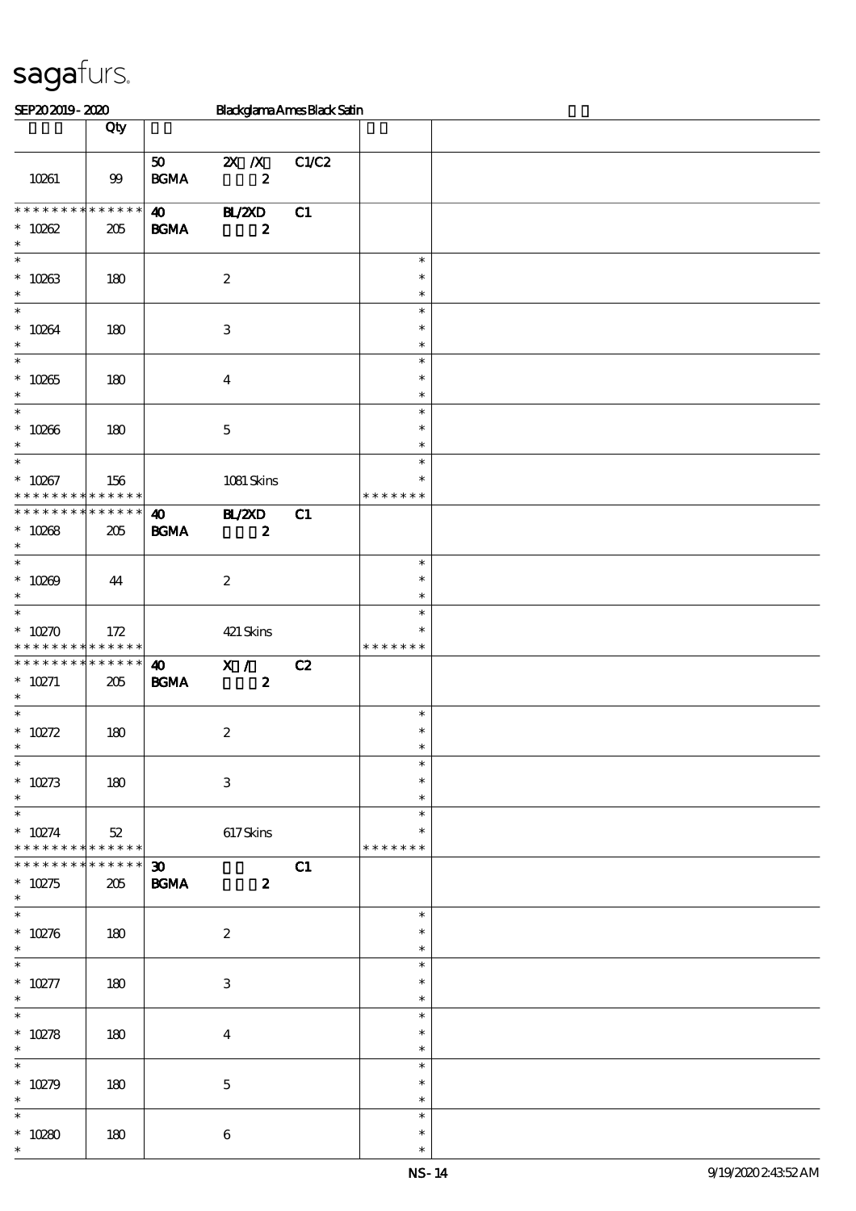| SEP202019-2020                             |             |                                            | <b>Blackglama Ames Black Satin</b> |       |               |  |
|--------------------------------------------|-------------|--------------------------------------------|------------------------------------|-------|---------------|--|
|                                            | Qty         |                                            |                                    |       |               |  |
|                                            |             |                                            |                                    |       |               |  |
|                                            |             | 50                                         | $X$ $X$                            | C1/C2 |               |  |
| 10261                                      | 99          | $\mathbf{B}\mathbf{G}\mathbf{M}\mathbf{A}$ | $\boldsymbol{z}$                   |       |               |  |
|                                            |             |                                            |                                    |       |               |  |
| * * * * * * * * * * * * * *                |             | $\boldsymbol{\omega}$                      | <b>HL/2XD</b>                      | C1    |               |  |
| $* 10002$                                  | 205         | <b>BGMA</b>                                | $\boldsymbol{z}$                   |       |               |  |
| $\ast$                                     |             |                                            |                                    |       |               |  |
| $\ast$                                     |             |                                            |                                    |       | $\ast$        |  |
|                                            | 180         |                                            | $\boldsymbol{2}$                   |       | $\ast$        |  |
| $* 10263$<br>$\ast$                        |             |                                            |                                    |       | $\ast$        |  |
| $\overline{\ast}$                          |             |                                            |                                    |       | $\ast$        |  |
| $* 10264$                                  |             |                                            |                                    |       | $\ast$        |  |
| $\ast$                                     | 180         |                                            | $\,3$                              |       | $\ast$        |  |
| $\overline{\phantom{0}}$                   |             |                                            |                                    |       | $\ast$        |  |
|                                            |             |                                            |                                    |       |               |  |
| $* 10265$<br>$\ast$                        | 180         |                                            | $\boldsymbol{4}$                   |       | $\ast$        |  |
| $\overline{\phantom{0}}$                   |             |                                            |                                    |       | $\ast$        |  |
|                                            |             |                                            |                                    |       | $\ast$        |  |
| $* 10266$                                  | 180         |                                            | $\mathbf 5$                        |       | $\ast$        |  |
| $\ast$<br>$\overline{\phantom{0}}$         |             |                                            |                                    |       | $\ast$        |  |
|                                            |             |                                            |                                    |       | $\ast$        |  |
| $* 10267$                                  | 156         |                                            | 1081 Skins                         |       | $\ast$        |  |
| * * * * * * * *                            | * * * * * * |                                            |                                    |       | * * * * * * * |  |
| * * * * * * * *                            | * * * * * * | $\boldsymbol{\omega}$                      | H Z D                              | C1    |               |  |
| $* 10268$                                  | 205         | <b>BGMA</b>                                | $\boldsymbol{z}$                   |       |               |  |
| $\ast$                                     |             |                                            |                                    |       |               |  |
| $\ast$                                     |             |                                            |                                    |       | $\ast$        |  |
| $* 10269$                                  | 44          |                                            | $\boldsymbol{2}$                   |       | $\ast$        |  |
| $\ast$                                     |             |                                            |                                    |       | $\ast$        |  |
| $\overline{\ast}$                          |             |                                            |                                    |       | $\ast$        |  |
| $*10270$                                   | 172         |                                            | 421 Skins                          |       | $\ast$        |  |
| * * * * * * * * <mark>* * * * * * *</mark> |             |                                            |                                    |       | * * * * * * * |  |
| * * * * * * * *                            | * * * * * * | $\boldsymbol{\omega}$                      | X /                                | C2    |               |  |
| $* 10271$                                  | 205         | <b>BGMA</b>                                | $\boldsymbol{z}$                   |       |               |  |
| $\ast$                                     |             |                                            |                                    |       |               |  |
| $\overline{\phantom{0}}$                   |             |                                            |                                    |       | $\ast$        |  |
| $* 10272$                                  | 180         |                                            | $\boldsymbol{2}$                   |       | $\ast$        |  |
| $\ast$                                     |             |                                            |                                    |       | $\ast$        |  |
| $\ast$                                     |             |                                            |                                    |       | $\ast$        |  |
| $* 10273$                                  | 180         |                                            | $\ensuremath{\mathbf{3}}$          |       | $\ast$        |  |
| $\ast$                                     |             |                                            |                                    |       | $\ast$        |  |
| $\ast$                                     |             |                                            |                                    |       | $\ast$        |  |
| $* 10274$                                  | $52\,$      |                                            | 617Skins                           |       | $\ast$        |  |
| * * * * * * * * * * * * * *                |             |                                            |                                    |       | * * * * * * * |  |
| * * * * * * * *                            | * * * * * * | $\boldsymbol{\mathfrak{D}}$                |                                    | C1    |               |  |
| $* 10275$                                  | 205         | <b>BGMA</b>                                | $\boldsymbol{z}$                   |       |               |  |
| $\ast$                                     |             |                                            |                                    |       |               |  |
| $\overline{\phantom{0}}$                   |             |                                            |                                    |       | $\ast$        |  |
| $* 10276$                                  | 180         |                                            | $\boldsymbol{2}$                   |       | $\ast$        |  |
| $\ast$                                     |             |                                            |                                    |       | $\ast$        |  |
| $\ast$                                     |             |                                            |                                    |       | $\ast$        |  |
| $^*$ 10277                                 | 180         |                                            | 3                                  |       | $\ast$        |  |
| $\ast$                                     |             |                                            |                                    |       | $\ast$        |  |
| $\overline{\phantom{0}}$                   |             |                                            |                                    |       | $\ast$        |  |
| $* 10278$                                  | 180         |                                            | $\boldsymbol{4}$                   |       | $\ast$        |  |
| $\ast$                                     |             |                                            |                                    |       | $\ast$        |  |
| $\overline{\phantom{1}}$                   |             |                                            |                                    |       | $\ast$        |  |
| $* 10279$                                  | 180         |                                            | $\mathbf 5$                        |       | $\ast$        |  |
| $\ast$                                     |             |                                            |                                    |       | $\ast$        |  |
| $\ast$                                     |             |                                            |                                    |       | $\ast$        |  |
| $* 10280$                                  | 180         |                                            | $\,6\,$                            |       | $\ast$        |  |
| $\ast$                                     |             |                                            |                                    |       | $\ast$        |  |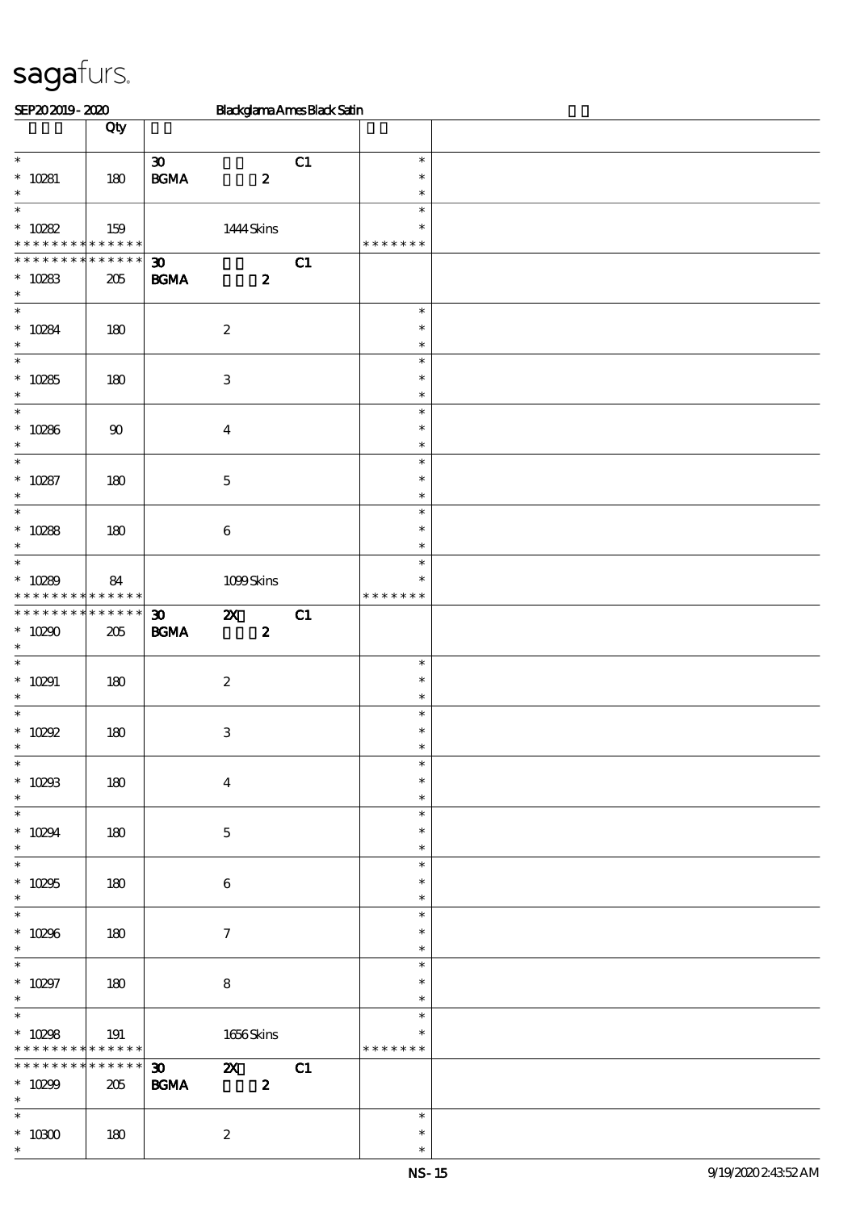| SEP202019-2020                                     |                                  | Blackglama Ames Black Satin                                                                       |    |                                   |  |
|----------------------------------------------------|----------------------------------|---------------------------------------------------------------------------------------------------|----|-----------------------------------|--|
|                                                    | Qty                              |                                                                                                   |    |                                   |  |
| $\ast$<br>$* 10281$<br>$\ast$                      | 180                              | $\boldsymbol{\mathfrak{D}}$<br>$\mathbf{B G MA}$<br>$\boldsymbol{z}$                              | C1 | $\ast$<br>$\ast$<br>$\ast$        |  |
| $\overline{\ast}$<br>$* 10282$<br>* * *<br>$\ast$  | 159<br>******                    | 1444 Skins                                                                                        |    | $\ast$<br>$\ast$<br>* * * * * * * |  |
| * * * * * * *<br>×<br>$* 10283$<br>$\ast$          | * * * * * *<br>205               | $\boldsymbol{\mathfrak{D}}$<br>$\boldsymbol{2}$<br>$\mathbf{B G MA}$                              | C1 |                                   |  |
| $\ast$<br>$* 10284$<br>$\ast$                      | 180                              | $\boldsymbol{2}$                                                                                  |    | $\ast$<br>$\ast$<br>$\ast$        |  |
| $\overline{\phantom{0}}$<br>$* 10285$<br>$\ast$    | 180                              | $\,3\,$                                                                                           |    | $\ast$<br>$\ast$<br>$\ast$        |  |
| $\overline{\phantom{0}}$<br>$* 10286$<br>$\ast$    | 90                               | $\boldsymbol{4}$                                                                                  |    | $\ast$<br>$\ast$<br>$\ast$        |  |
| $\overline{\ast}$<br>$* 10287$<br>$\ast$           | 180                              | $\mathbf 5$                                                                                       |    | $\ast$<br>$\ast$<br>$\ast$        |  |
| $\overline{\phantom{0}}$<br>$* 10288$<br>$\ast$    | 180                              | $\,6\,$                                                                                           |    | $\ast$<br>$\ast$<br>$\ast$        |  |
| $\ast$<br>$* 10289$<br>* * * * * * * *             | 84<br>$\ast\ast\ast\ast\ast\ast$ | 1099Skins                                                                                         |    | $\ast$<br>$\ast$<br>* * * * * * * |  |
| * * * * * * * *<br>$* 10290$<br>$\ast$             | * * * * * *<br>205               | $\boldsymbol{\mathfrak{D}}$<br>$\boldsymbol{\mathsf{z}}$<br>$\mathbf{B G MA}$<br>$\boldsymbol{z}$ | C1 |                                   |  |
| $\ast$<br>$* 10291$<br>$\ast$                      | 180                              | $\boldsymbol{2}$                                                                                  |    | $\ast$<br>$\ast$<br>$\ast$        |  |
| $\ast$<br>$* 10292$<br>∗                           | 180                              | $\,3\,$                                                                                           |    | $\ast$<br>$\ast$                  |  |
| $\ast$<br>$* 10293$<br>$\ast$                      | 180                              | $\boldsymbol{4}$                                                                                  |    | $\ast$<br>$\ast$<br>$\ast$        |  |
| $\overline{\ast}$<br>$* 10294$<br>$\ast$           | 180                              | $\mathbf 5$                                                                                       |    | $\ast$<br>$\ast$<br>$\ast$        |  |
| $\overline{\phantom{0}}$<br>$^*$ 10295<br>$\ast$   | 180                              | $\,6\,$                                                                                           |    | $\ast$<br>$\ast$<br>$\ast$        |  |
| $\overline{\ast}$<br>$* 10296$<br>$\ast$           | 180                              | $\boldsymbol{\tau}$                                                                               |    | $\ast$<br>$\ast$<br>$\ast$        |  |
| $\overline{\ast}$<br>$* 10297$<br>$\ast$           | 180                              | $\bf 8$                                                                                           |    | $\ast$<br>$\ast$<br>$\ast$        |  |
| $\ast$<br>$* 10298$<br>* * * * * * * * * * * * * * | 191                              | $1656$ Skins                                                                                      |    | $\ast$<br>$\ast$<br>* * * * * * * |  |
| * * * * * * * *<br>$* 10299$<br>$\ast$             | * * * * * *<br>205               | $\boldsymbol{\mathfrak{D}}$<br>$\mathbf{x}$<br>$\mathbf{B G MA}$<br>$\boldsymbol{z}$              | C1 |                                   |  |
| $\overline{\ast}$<br>$^\ast$ 10300<br>$\ast$       | 180                              | $\boldsymbol{2}$                                                                                  |    | $\ast$<br>$\ast$<br>$\ast$        |  |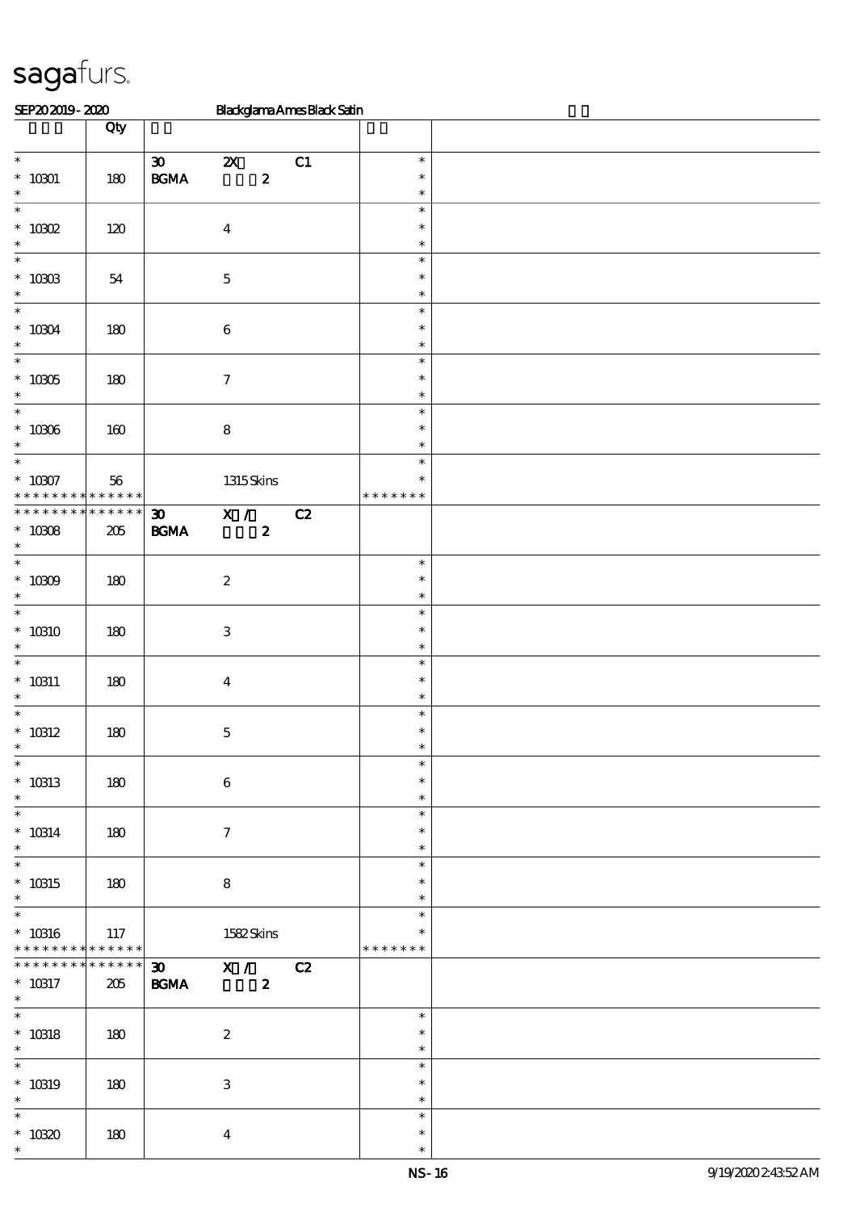| SEP202019-2020                     |                            |                             | Blackglama Ames Black Satin |    |                               |  |
|------------------------------------|----------------------------|-----------------------------|-----------------------------|----|-------------------------------|--|
|                                    | Qty                        |                             |                             |    |                               |  |
| $\overline{\phantom{0}}$           |                            |                             |                             |    |                               |  |
|                                    |                            | $\boldsymbol{\mathfrak{D}}$ | $\boldsymbol{\mathsf{Z}}$   | C1 | $\ast$                        |  |
| $^*$ 10301 $\,$<br>$\ast$          | 180                        | $\mathbf{B G MA}$           | $\pmb{2}$                   |    | $\ast$<br>$\ast$              |  |
| $\ast$                             |                            |                             |                             |    | $\ast$                        |  |
| $*$ 10302                          | 120                        |                             | $\boldsymbol{4}$            |    | $\ast$                        |  |
| $\ast$                             |                            |                             |                             |    | $\ast$                        |  |
| $\ast$                             |                            |                             |                             |    | $\ast$                        |  |
| $^*$ 10303                         | ${\bf 54}$                 |                             | $\mathbf 5$                 |    | $\ast$                        |  |
| $\ast$                             |                            |                             |                             |    | $\ast$                        |  |
| $\ast$                             |                            |                             |                             |    | $\ast$                        |  |
| $^*$ 10304 $\,$<br>$\ast$          | 180                        |                             | $\,6\,$                     |    | $\ast$                        |  |
| $\ast$                             |                            |                             |                             |    | $\ast$<br>$\ast$              |  |
| $^*$ 10305 $\,$                    | 180                        |                             | $\boldsymbol{7}$            |    | $\ast$                        |  |
| $\ast$                             |                            |                             |                             |    | $\ast$                        |  |
| $\ast$                             |                            |                             |                             |    | $\ast$                        |  |
| $^\ast$ 10306                      | 160                        |                             | $\bf 8$                     |    | $\ast$                        |  |
| $\ast$                             |                            |                             |                             |    | $\ast$                        |  |
| $\overline{\ast}$                  |                            |                             |                             |    | $\ast$                        |  |
| $^\ast$ 10307                      | 56                         |                             | $1315$ Skins                |    | $\ast$                        |  |
| * * *<br>$* *$                     | * * * * * *<br>* * * * * * |                             |                             |    | * * * * *<br>$\ast$<br>$\ast$ |  |
| * * * * * * * *                    |                            | $\boldsymbol{\mathfrak{D}}$ | X /                         | C2 |                               |  |
| $* 10008$<br>$\ast$                | $205\,$                    | $\mathbf{B G MA}$           | $\boldsymbol{z}$            |    |                               |  |
| $\ast$                             |                            |                             |                             |    | $\ast$                        |  |
| $^*$ 10309 $\,$                    | 180                        |                             | $\boldsymbol{2}$            |    | $\ast$                        |  |
| $\ast$                             |                            |                             |                             |    | $\ast$                        |  |
| $\overline{\ast}$                  |                            |                             |                             |    | $\ast$                        |  |
| $^*$ 10310 $\,$                    | 180                        |                             | $\,3$                       |    | $\ast$                        |  |
| $\ast$                             |                            |                             |                             |    | $\ast$                        |  |
| $\ast$                             |                            |                             |                             |    | $\ast$                        |  |
| $*$ 10311<br>$\ast$                | 180                        |                             | $\boldsymbol{4}$            |    | $\ast$<br>$\ast$              |  |
| $\ast$                             |                            |                             |                             |    | $\ast$                        |  |
| $^*$ 10312                         | 180                        |                             | $\mathbf 5$                 |    | $\ast$                        |  |
|                                    |                            |                             |                             |    |                               |  |
| $\overline{\phantom{0}}$           |                            |                             |                             |    | $\ast$                        |  |
| $* 10313$                          | 180                        |                             | $\bf 6$                     |    | $\ast$                        |  |
| $\ast$                             |                            |                             |                             |    | $\ast$                        |  |
| $\overline{\phantom{0}}$           |                            |                             |                             |    | $\ast$                        |  |
| $^*$ 10314 $\,$                    | 180                        |                             | $\tau$                      |    | $\ast$                        |  |
| $\ast$<br>$\overline{\ast}$        |                            |                             |                             |    | $\ast$<br>$\ast$              |  |
| $^*$ 10315                         | 180                        |                             | 8                           |    | $\ast$                        |  |
| $\ast$                             |                            |                             |                             |    | $\ast$                        |  |
| $\overline{\phantom{0}}$           |                            |                             |                             |    | $\ast$                        |  |
| $^*$ 10316                         | 117                        |                             | 1582Skins                   |    | $\ast$                        |  |
| * * * * * * * *                    | * * * * * * *              |                             |                             |    | * * * * * * *                 |  |
| * * * * * * *                      | * * * * * *                |                             | 30 X / C2                   |    |                               |  |
| $^*$ 10317                         | 205                        | <b>BGMA</b>                 | $\mathbf{z}$                |    |                               |  |
| $\ast$<br>$\overline{\phantom{0}}$ |                            |                             |                             |    | $\ast$                        |  |
| $^\ast$ 10318                      | 180                        |                             | $\boldsymbol{z}$            |    | $\ast$                        |  |
| $\ast$                             |                            |                             |                             |    | $\ast$                        |  |
| $\overline{\phantom{0}}$           |                            |                             |                             |    | $\ast$                        |  |
| $^*$ 10319                         | 180                        |                             | $\ensuremath{\mathbf{3}}$   |    | $\ast$                        |  |
| $\ast$                             |                            |                             |                             |    | $\ast$                        |  |
| $\ast$                             |                            |                             |                             |    | $\ast$                        |  |
| $^*$ 10320 $\,$                    | 180                        |                             | $\bf{4}$                    |    | $\ast$                        |  |
| $\ast$                             |                            |                             |                             |    | $\ast$                        |  |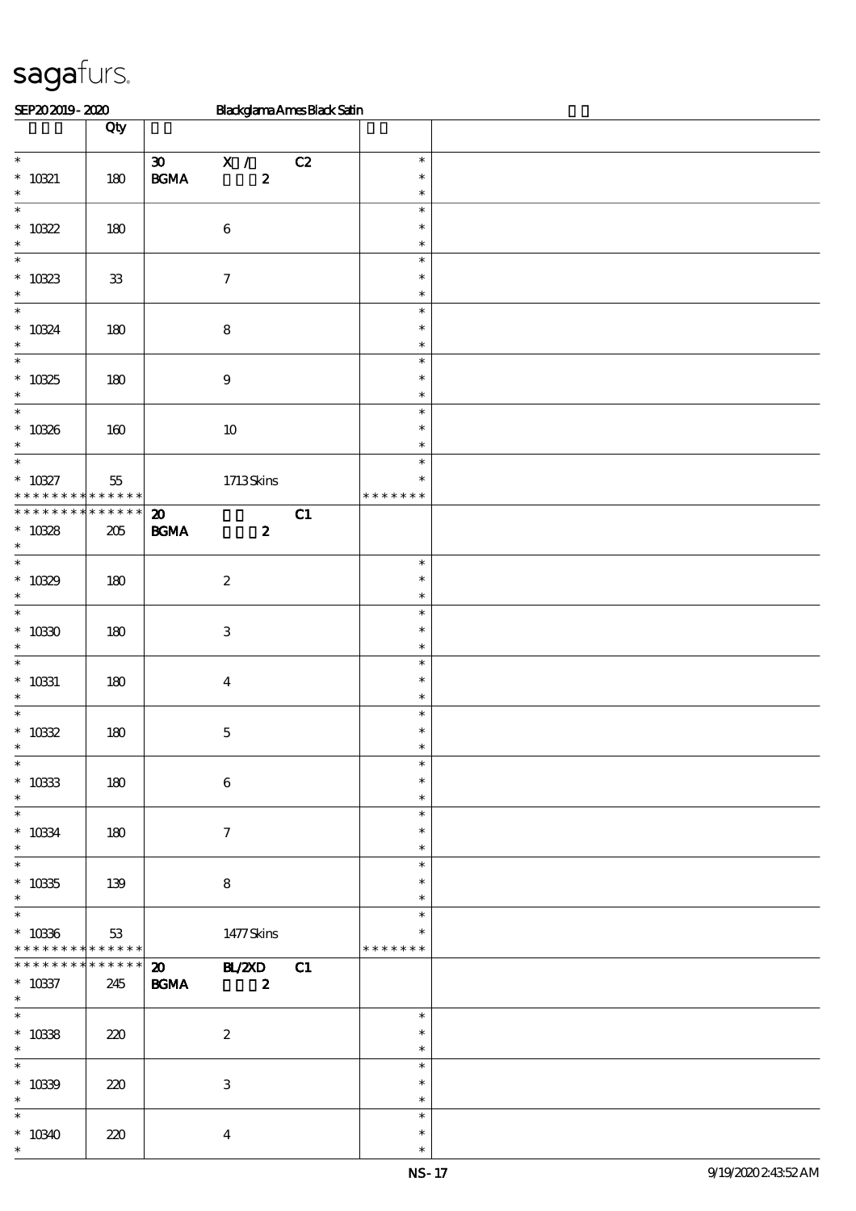| SEP202019-2020                     |             |                             | Blackglama Ames Black Satin   |    |                  |  |
|------------------------------------|-------------|-----------------------------|-------------------------------|----|------------------|--|
|                                    | Qty         |                             |                               |    |                  |  |
|                                    |             |                             |                               |    |                  |  |
| $\overline{\phantom{0}}$           |             | $\boldsymbol{\mathfrak{D}}$ | $\mathbf{X}$ /                | C2 | $\ast$           |  |
| $^*$ 10321                         | 180         | $\mathbf{B G MA}$           | $\boldsymbol{z}$              |    | $\ast$           |  |
| $\ast$                             |             |                             |                               |    | $\ast$           |  |
| $\overline{\ast}$                  |             |                             |                               |    | $\ast$           |  |
| $* 10322$                          | 180         |                             | $\,6\,$                       |    | $\ast$           |  |
| $\ast$                             |             |                             |                               |    | $\ast$           |  |
| $\ast$                             |             |                             |                               |    | $\ast$           |  |
| $* 10323$                          | ${\bf 33}$  |                             | $\boldsymbol{7}$              |    | $\ast$           |  |
| $\ast$                             |             |                             |                               |    | $\ast$           |  |
| $\ast$                             |             |                             |                               |    | $\ast$           |  |
| $* 10324$                          | 180         |                             | $\bf 8$                       |    | $\ast$           |  |
| $\ast$                             |             |                             |                               |    | $\ast$           |  |
| $\overline{\phantom{0}}$           |             |                             |                               |    | $\ast$           |  |
| $* 10325$                          | 180         |                             | $\boldsymbol{9}$              |    | $\ast$           |  |
| $\ast$                             |             |                             |                               |    | $\ast$           |  |
| $\ast$                             |             |                             |                               |    | $\ast$           |  |
| $* 10326$                          | 160         |                             | $10\,$                        |    | $\ast$           |  |
| $\ast$                             |             |                             |                               |    | $\ast$           |  |
| $\overline{\ast}$                  |             |                             |                               |    | $\ast$           |  |
| $* 10327$                          | $55\,$      |                             | 1713Skins                     |    | $\ast$           |  |
| * * *                              | * * * * * * |                             |                               |    | * * * * * * *    |  |
| * * * * * * * *                    | * * * * * * | $\boldsymbol{\mathbf{z}}$   |                               | C1 |                  |  |
| $* 10328$                          | $205\,$     | $\mathbf{B G MA}$           | $\boldsymbol{z}$              |    |                  |  |
| $\ast$                             |             |                             |                               |    |                  |  |
| $\ast$                             |             |                             |                               |    | $\ast$           |  |
| $* 10329$                          | 180         |                             | $\boldsymbol{2}$              |    | $\ast$           |  |
| $\ast$                             |             |                             |                               |    | $\ast$           |  |
| $\ast$                             |             |                             |                               |    | $\ast$           |  |
| $^*$ 10330 $\,$                    | 180         |                             | $\,3\,$                       |    | $\ast$           |  |
| $\ast$                             |             |                             |                               |    | $\ast$           |  |
| $\ast$                             |             |                             |                               |    | $\ast$           |  |
| $^\ast$ 10331                      | 180         |                             | $\bf{4}$                      |    | $\ast$           |  |
| $\ast$                             |             |                             |                               |    | $\ast$           |  |
| $\ast$                             |             |                             |                               |    | $\ast$           |  |
| $* 10332$                          | 180         |                             | $\mathbf 5$                   |    | $\ast$           |  |
| ∗<br>$\frac{1}{*}$                 |             |                             |                               |    |                  |  |
|                                    |             |                             |                               |    | $\ast$           |  |
| $* 10333$                          | 180         |                             | $\bf 6$                       |    | $\ast$           |  |
| $\ast$<br>$\overline{\phantom{0}}$ |             |                             |                               |    | $\ast$           |  |
|                                    |             |                             |                               |    | $\ast$           |  |
| $^*$ 10334 $\,$                    | 180         |                             | $\tau$                        |    | $\ast$           |  |
| $\ast$<br>$\overline{\ast}$        |             |                             |                               |    | $\ast$           |  |
|                                    |             |                             |                               |    | $\ast$           |  |
| $^\ast$ 10335                      | 139         |                             | 8                             |    | $\ast$           |  |
| $\ast$<br>$\overline{\phantom{0}}$ |             |                             |                               |    | $\ast$           |  |
|                                    |             |                             |                               |    | $\ast$           |  |
| $* 10336$                          | 53          |                             | 1477Skins                     |    | $\ast$           |  |
| * * * * * * * * * * * * * * *      | * * * * * * |                             |                               |    | * * * * * * *    |  |
| * * * * * * * *                    |             |                             | $\overline{\text{20}}$ BL/2XD | C1 |                  |  |
| $^\ast$ 10337                      | 245         | <b>BGMA</b>                 | $\overline{\mathbf{z}}$       |    |                  |  |
| $\ast$<br>$\overline{\ast}$        |             |                             |                               |    |                  |  |
|                                    |             |                             |                               |    | $\ast$           |  |
| $* 10338$<br>$\ast$                | 220         |                             | $\boldsymbol{z}$              |    | $\ast$<br>$\ast$ |  |
| $\ast$                             |             |                             |                               |    | $\ast$           |  |
|                                    |             |                             |                               |    |                  |  |
| $^*$ 10339 $\,$<br>$\ast$          | 220         |                             | 3                             |    | $\ast$<br>$\ast$ |  |
| $\ast$                             |             |                             |                               |    | $\ast$           |  |
|                                    |             |                             |                               |    | $\ast$           |  |
| $*10340$                           | 220         |                             | $\bf{4}$                      |    |                  |  |
| $\ast$                             |             |                             |                               |    | $\ast$           |  |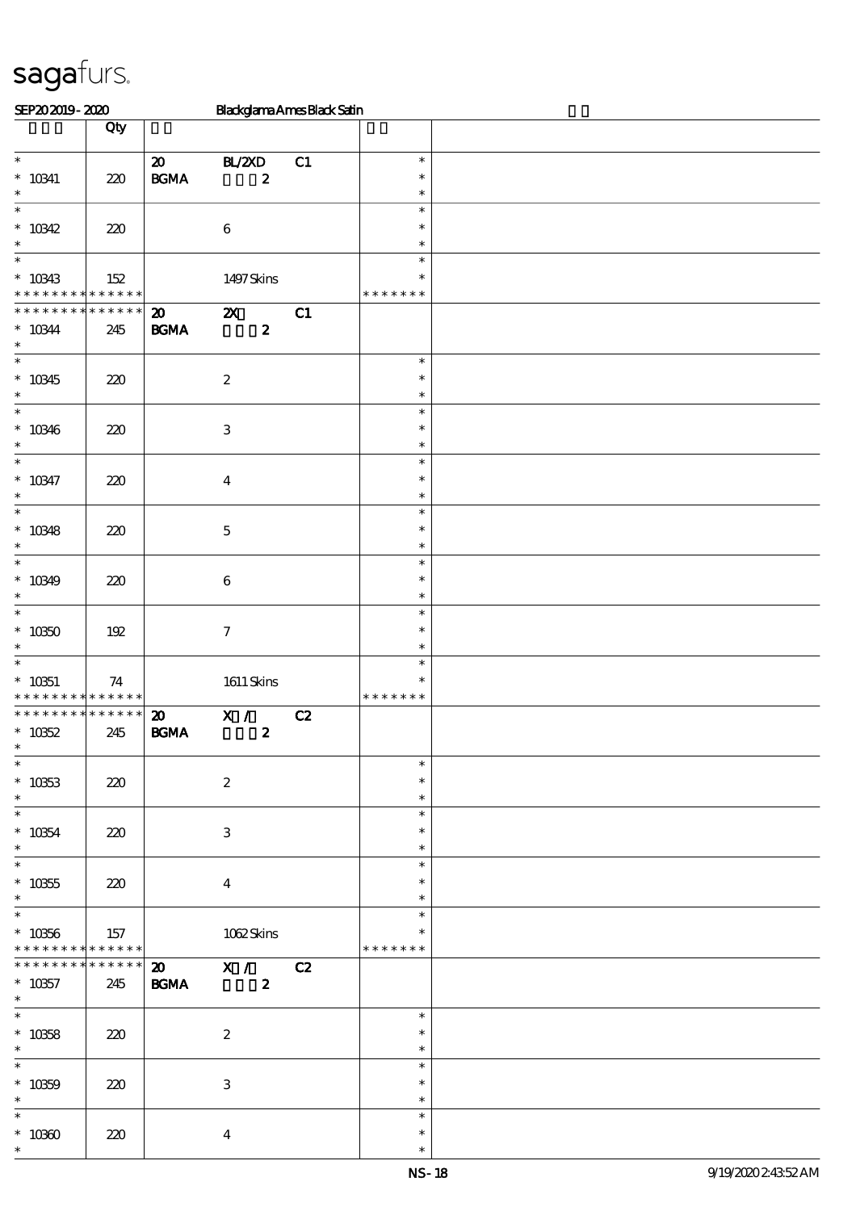| SEP202019-2020                                                           |                    |                                                  | <b>Blackglama Ames Black Satin</b>            |    |                                   |  |
|--------------------------------------------------------------------------|--------------------|--------------------------------------------------|-----------------------------------------------|----|-----------------------------------|--|
|                                                                          | Qty                |                                                  |                                               |    |                                   |  |
| $\overline{\phantom{0}}$<br>$^*$ 10341<br>$\ast$                         | 220                | $\boldsymbol{\mathfrak{D}}$<br>$\mathbf{B G MA}$ | BL/2XD<br>$\boldsymbol{z}$                    | C1 | $\ast$<br>$\ast$<br>$\ast$        |  |
| $\ast$<br>$* 10342$<br>$\ast$                                            | 220                |                                                  | $\bf 6$                                       |    | $\ast$<br>$\ast$<br>$\ast$        |  |
| $\ast$<br>$* 10343$<br>* * * * * * * * <mark>* * * * * * *</mark>        | 152                |                                                  | 1497Skins                                     |    | $\ast$<br>$\ast$<br>* * * * * * * |  |
| * * * * * * * * * * * * * *<br>$* 10344$<br>$\ast$                       | 245                | $\boldsymbol{\mathfrak{D}}$<br>$\mathbf{B G MA}$ | $\boldsymbol{\mathsf{z}}$<br>$\boldsymbol{z}$ | C1 |                                   |  |
| $\ast$<br>$* 10345$<br>$\ast$                                            | 220                |                                                  | $\boldsymbol{2}$                              |    | $\ast$<br>$\ast$<br>$\ast$        |  |
| $\ast$<br>$* 10346$<br>$\ast$                                            | 220                |                                                  | $\,3$                                         |    | $\ast$<br>$\ast$<br>$\ast$        |  |
| $\overline{\ast}$<br>$* 10347$<br>$\ast$                                 | 220                |                                                  | $\boldsymbol{4}$                              |    | $\ast$<br>$\ast$<br>$\ast$        |  |
| $\ast$<br>$* 10348$<br>$\ast$                                            | 220                |                                                  | $\mathbf 5$                                   |    | $\ast$<br>$\ast$<br>$\ast$        |  |
| $\ast$<br>$* 10349$<br>$\ast$                                            | 220                |                                                  | $\bf 6$                                       |    | $\ast$<br>$\ast$<br>$\ast$        |  |
| $\ast$<br>$* 10350$<br>$\ast$                                            | 192                |                                                  | $\boldsymbol{\tau}$                           |    | $\ast$<br>$\ast$<br>$\ast$        |  |
| $\ast$<br>$* 10351$<br>* * * * * * * * * * * * * *                       | 74                 |                                                  | $1611$ Skins                                  |    | $\ast$<br>∗<br>* * * * * * *      |  |
| * * * * * * * *<br>$* 10352$<br>$\downarrow$<br>$\overline{\phantom{0}}$ | ******<br>245      | $\boldsymbol{\mathfrak{D}}$<br>$\mathbf{B G MA}$ | X /<br>$\boldsymbol{z}$                       | C2 |                                   |  |
| $^\ast$ 10353<br>$\ast$<br>$\overline{\phantom{0}}$                      | 220                |                                                  | $\boldsymbol{2}$                              |    | $\ast$<br>$\ast$<br>$\ast$        |  |
| $^*$ 10354 $\,$<br>$\ast$                                                | 220                |                                                  | $\ensuremath{\mathbf{3}}$                     |    | $\ast$<br>$\ast$<br>$\ast$        |  |
| $\ast$<br>$^\ast$ 10355<br>$\ast$<br>$\overline{\ast}$                   | 220                |                                                  | $\bf{4}$                                      |    | $\ast$<br>$\ast$<br>$\ast$        |  |
| $* 10356$<br>* * * * * * * * <mark>* * * * * * *</mark>                  | 157                |                                                  | 1062Skins                                     |    | $\ast$<br>∗<br>* * * * * * *      |  |
| * * * * * * * *<br>$* 10357$<br>$\ast$                                   | * * * * * *<br>245 | <b>BGMA</b>                                      | 20 X / C2<br>$\mathbf{2}$                     |    |                                   |  |
| $\overline{\ast}$<br>$* 10358$<br>$\ast$                                 | 220                |                                                  | $\boldsymbol{2}$                              |    | $\ast$<br>$\ast$<br>$\ast$        |  |
| $\overline{\phantom{a}}$<br>$* 10359$<br>$\ast$                          | 220                |                                                  | $\ensuremath{\mathbf{3}}$                     |    | $\ast$<br>$\ast$<br>$\ast$        |  |
| $\ast$<br>$^\ast$ 10360<br>$\ast$                                        | 220                |                                                  | $\boldsymbol{4}$                              |    | $\ast$<br>∗<br>$\ast$             |  |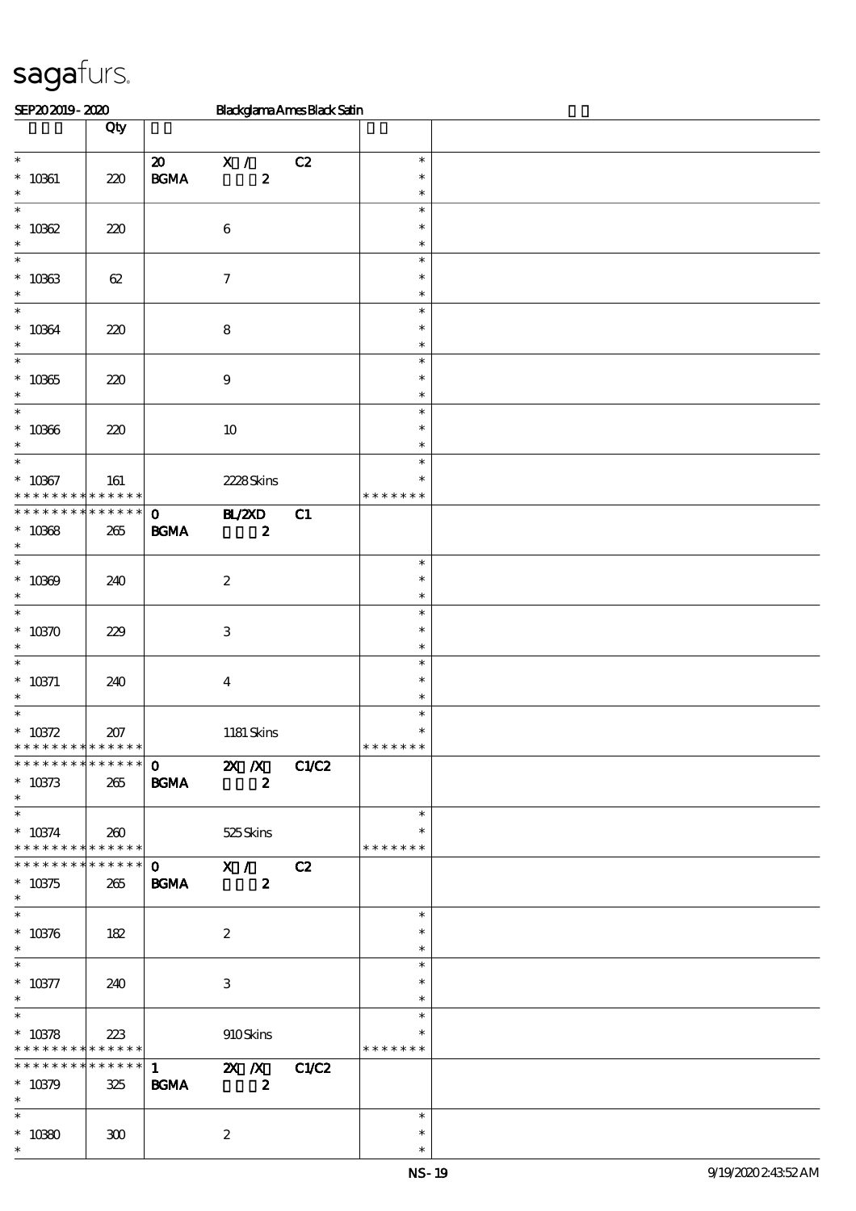| SEP202019-2020                       |             |                                            | <b>Blackglama Ames Black Satin</b>                                                                                                                                                                                                                                                                                                                                                |    |               |  |
|--------------------------------------|-------------|--------------------------------------------|-----------------------------------------------------------------------------------------------------------------------------------------------------------------------------------------------------------------------------------------------------------------------------------------------------------------------------------------------------------------------------------|----|---------------|--|
|                                      | Qty         |                                            |                                                                                                                                                                                                                                                                                                                                                                                   |    |               |  |
|                                      |             |                                            |                                                                                                                                                                                                                                                                                                                                                                                   |    |               |  |
| $\overline{\phantom{0}}$             |             | $\boldsymbol{\mathfrak{D}}$                | $X / \sqrt{2}$                                                                                                                                                                                                                                                                                                                                                                    | C2 | $\ast$        |  |
| $* 10061$                            | 220         | $\mathbf{B}\mathbf{G}\mathbf{M}\mathbf{A}$ | $\boldsymbol{z}$                                                                                                                                                                                                                                                                                                                                                                  |    | $\ast$        |  |
| $\ast$                               |             |                                            |                                                                                                                                                                                                                                                                                                                                                                                   |    | $\ast$        |  |
| $\overline{\ast}$                    |             |                                            |                                                                                                                                                                                                                                                                                                                                                                                   |    | $\ast$        |  |
| $* 10002$                            | 220         |                                            | $\,6\,$                                                                                                                                                                                                                                                                                                                                                                           |    | $\ast$        |  |
| $\ast$                               |             |                                            |                                                                                                                                                                                                                                                                                                                                                                                   |    | $\ast$        |  |
| $\ast$                               |             |                                            |                                                                                                                                                                                                                                                                                                                                                                                   |    | $\ast$        |  |
|                                      |             |                                            | $\boldsymbol{7}$                                                                                                                                                                                                                                                                                                                                                                  |    | $\ast$        |  |
| $* 10963$<br>$\ast$                  | 62          |                                            |                                                                                                                                                                                                                                                                                                                                                                                   |    | $\ast$        |  |
| $\ast$                               |             |                                            |                                                                                                                                                                                                                                                                                                                                                                                   |    | $\ast$        |  |
|                                      |             |                                            |                                                                                                                                                                                                                                                                                                                                                                                   |    |               |  |
| $* 10064$                            | 220         |                                            | ${\bf 8}$                                                                                                                                                                                                                                                                                                                                                                         |    | $\ast$        |  |
| $\ast$                               |             |                                            |                                                                                                                                                                                                                                                                                                                                                                                   |    | $\ast$        |  |
| $\ast$                               |             |                                            |                                                                                                                                                                                                                                                                                                                                                                                   |    | $\ast$        |  |
| $^\ast$ 10365                        | 220         |                                            | $\boldsymbol{9}$                                                                                                                                                                                                                                                                                                                                                                  |    | $\ast$        |  |
| $\ast$                               |             |                                            |                                                                                                                                                                                                                                                                                                                                                                                   |    | $\ast$        |  |
| $\ast$                               |             |                                            |                                                                                                                                                                                                                                                                                                                                                                                   |    | $\ast$        |  |
| $* 10966$                            | 220         |                                            | $10\,$                                                                                                                                                                                                                                                                                                                                                                            |    | $\ast$        |  |
| $\ast$                               |             |                                            |                                                                                                                                                                                                                                                                                                                                                                                   |    | $\ast$        |  |
| $\ast$                               |             |                                            |                                                                                                                                                                                                                                                                                                                                                                                   |    | $\ast$        |  |
| $* 10367$                            | 161         |                                            | 2228Skins                                                                                                                                                                                                                                                                                                                                                                         |    | $\ast$        |  |
|                                      | * * * * * * |                                            |                                                                                                                                                                                                                                                                                                                                                                                   |    | * * * * * * * |  |
| * * * * * * * *                      | * * * * * * | $\mathbf{O}$                               | BL/2XD                                                                                                                                                                                                                                                                                                                                                                            | C1 |               |  |
| $* 10068$                            | 265         | $\mathbf{B G MA}$                          | $\boldsymbol{z}$                                                                                                                                                                                                                                                                                                                                                                  |    |               |  |
| $\ast$                               |             |                                            |                                                                                                                                                                                                                                                                                                                                                                                   |    |               |  |
| $\ast$                               |             |                                            |                                                                                                                                                                                                                                                                                                                                                                                   |    | $\ast$        |  |
| $* 10000$                            |             |                                            |                                                                                                                                                                                                                                                                                                                                                                                   |    | $\ast$        |  |
| $\ast$                               | 240         |                                            | $\boldsymbol{2}$                                                                                                                                                                                                                                                                                                                                                                  |    | $\ast$        |  |
| $\ast$                               |             |                                            |                                                                                                                                                                                                                                                                                                                                                                                   |    |               |  |
|                                      |             |                                            |                                                                                                                                                                                                                                                                                                                                                                                   |    | $\ast$        |  |
| $* 10370$                            | 229         |                                            | $\,3\,$                                                                                                                                                                                                                                                                                                                                                                           |    | $\ast$        |  |
| $\ast$                               |             |                                            |                                                                                                                                                                                                                                                                                                                                                                                   |    | $\ast$        |  |
| $\ast$                               |             |                                            |                                                                                                                                                                                                                                                                                                                                                                                   |    | $\ast$        |  |
| $* 10371$                            | 240         |                                            | $\boldsymbol{4}$                                                                                                                                                                                                                                                                                                                                                                  |    | $\ast$        |  |
| $\ast$                               |             |                                            |                                                                                                                                                                                                                                                                                                                                                                                   |    | $\ast$        |  |
| $\ast$                               |             |                                            |                                                                                                                                                                                                                                                                                                                                                                                   |    | $\ast$        |  |
| $* 10372$                            | 207         |                                            | 1181 Skins                                                                                                                                                                                                                                                                                                                                                                        |    | $\ast$        |  |
| * * * * * * * * * * * * * *          |             |                                            |                                                                                                                                                                                                                                                                                                                                                                                   |    | * * * * * * * |  |
| * * * * * * * * * * * * * * *        |             |                                            | $\overline{0}$ $\overline{X}$ $\overline{X}$ $C1C2$                                                                                                                                                                                                                                                                                                                               |    |               |  |
| $* 10373$                            | 265         | <b>BGMA</b>                                | $\sim$ 2                                                                                                                                                                                                                                                                                                                                                                          |    |               |  |
| $\ast$                               |             |                                            |                                                                                                                                                                                                                                                                                                                                                                                   |    |               |  |
| $\overline{\phantom{0}}$             |             |                                            |                                                                                                                                                                                                                                                                                                                                                                                   |    | $\ast$        |  |
| $^*$ 10374 $\,$                      | 260         |                                            | 525Skins                                                                                                                                                                                                                                                                                                                                                                          |    | $\ast$        |  |
| * * * * * * * * * * * * * * *        |             |                                            |                                                                                                                                                                                                                                                                                                                                                                                   |    | * * * * * * * |  |
| * * * * * * * * * * * * * * *        |             |                                            | $\overline{0}$ $\overline{X}$ / $\overline{C}$ $\overline{C}$ $\overline{C}$ $\overline{C}$ $\overline{C}$ $\overline{C}$ $\overline{C}$ $\overline{C}$ $\overline{C}$ $\overline{C}$ $\overline{C}$ $\overline{C}$ $\overline{C}$ $\overline{C}$ $\overline{C}$ $\overline{C}$ $\overline{C}$ $\overline{C}$ $\overline{C}$ $\overline{C}$ $\overline{C}$ $\overline{C}$ $\over$ |    |               |  |
|                                      |             |                                            |                                                                                                                                                                                                                                                                                                                                                                                   |    |               |  |
| $* 10375$<br>$\ast$                  | 265         | <b>BGMA</b>                                | $\boldsymbol{z}$                                                                                                                                                                                                                                                                                                                                                                  |    |               |  |
| $\ast$                               |             |                                            |                                                                                                                                                                                                                                                                                                                                                                                   |    | $\ast$        |  |
|                                      |             |                                            |                                                                                                                                                                                                                                                                                                                                                                                   |    |               |  |
| $* 10376$                            | 182         |                                            | $\boldsymbol{z}$                                                                                                                                                                                                                                                                                                                                                                  |    | $\ast$        |  |
| $\ast$<br>$\overline{\phantom{a}^*}$ |             |                                            |                                                                                                                                                                                                                                                                                                                                                                                   |    | $\ast$        |  |
|                                      |             |                                            |                                                                                                                                                                                                                                                                                                                                                                                   |    | $\ast$        |  |
| $* 10377$                            | 240         |                                            | 3                                                                                                                                                                                                                                                                                                                                                                                 |    | $\ast$        |  |
| $\ast$                               |             |                                            |                                                                                                                                                                                                                                                                                                                                                                                   |    | $\ast$        |  |
| $\overline{\ast}$                    |             |                                            |                                                                                                                                                                                                                                                                                                                                                                                   |    | $\ast$        |  |
| $* 10378$                            | 223         |                                            | 910Skins                                                                                                                                                                                                                                                                                                                                                                          |    | ∗             |  |
| * * * * * * * * * * * * * * *        |             |                                            |                                                                                                                                                                                                                                                                                                                                                                                   |    | * * * * * * * |  |
| * * * * * * * *                      | ****** 1    |                                            | <b>2X</b> <i>X</i> C1/C2                                                                                                                                                                                                                                                                                                                                                          |    |               |  |
| $* 10379$                            | 325         | <b>BGMA</b>                                | $\overline{\mathbf{2}}$                                                                                                                                                                                                                                                                                                                                                           |    |               |  |
| $\ast$                               |             |                                            |                                                                                                                                                                                                                                                                                                                                                                                   |    |               |  |
| $\ast$                               |             |                                            |                                                                                                                                                                                                                                                                                                                                                                                   |    | $\ast$        |  |
| $^\ast$ 10380                        | 300         |                                            | $\boldsymbol{z}$                                                                                                                                                                                                                                                                                                                                                                  |    | $\ast$        |  |
| $\ast$                               |             |                                            |                                                                                                                                                                                                                                                                                                                                                                                   |    | $\ast$        |  |
|                                      |             |                                            |                                                                                                                                                                                                                                                                                                                                                                                   |    |               |  |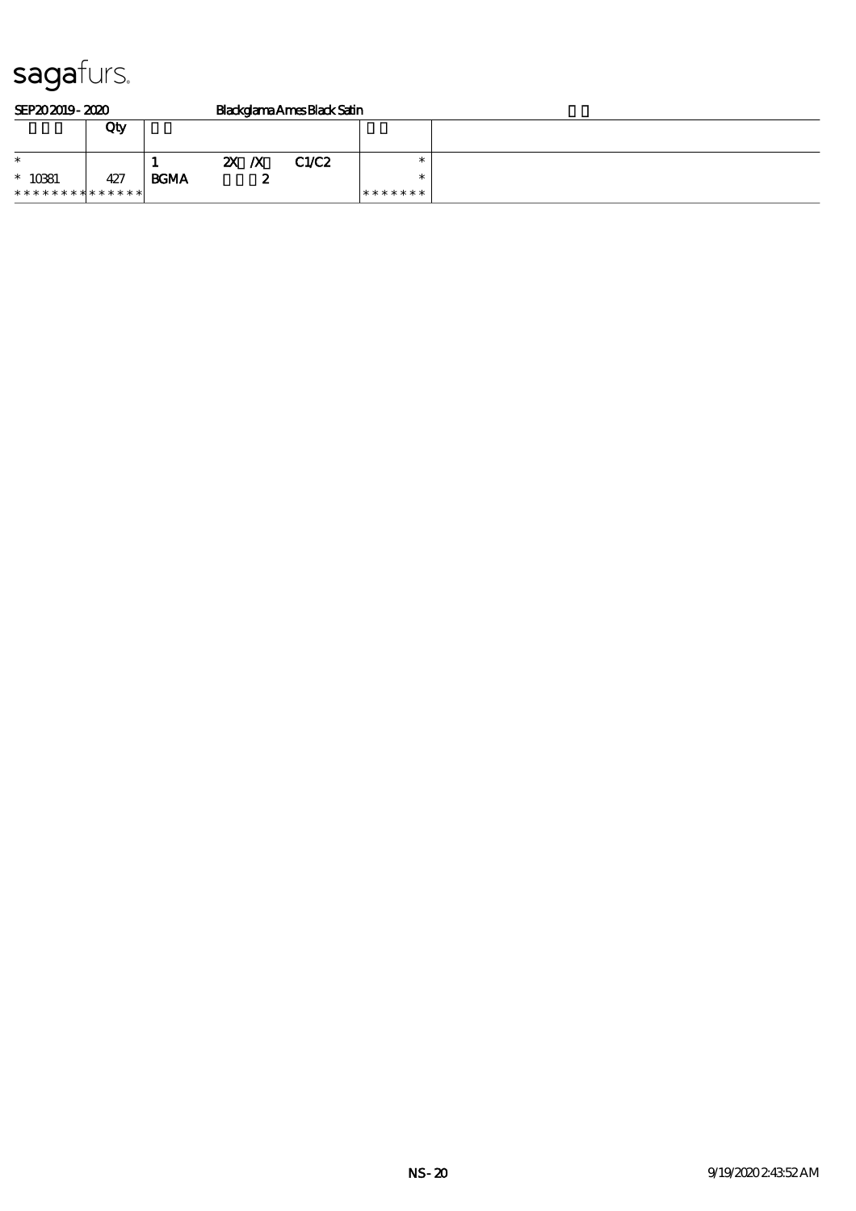| SEP202019-2020  |     |             | <b>Blackglama Ames Black Satin</b> |   |       |         |  |  |
|-----------------|-----|-------------|------------------------------------|---|-------|---------|--|--|
|                 | Qty |             |                                    |   |       |         |  |  |
|                 |     |             |                                    |   |       |         |  |  |
| $\ast$          |     |             | $\mathbf{X}$ $\mathbf{X}$          |   | C1/C2 | ж       |  |  |
| $* 10881$       | 427 | <b>BCMA</b> |                                    | w |       |         |  |  |
| *************** |     |             |                                    |   |       | ******* |  |  |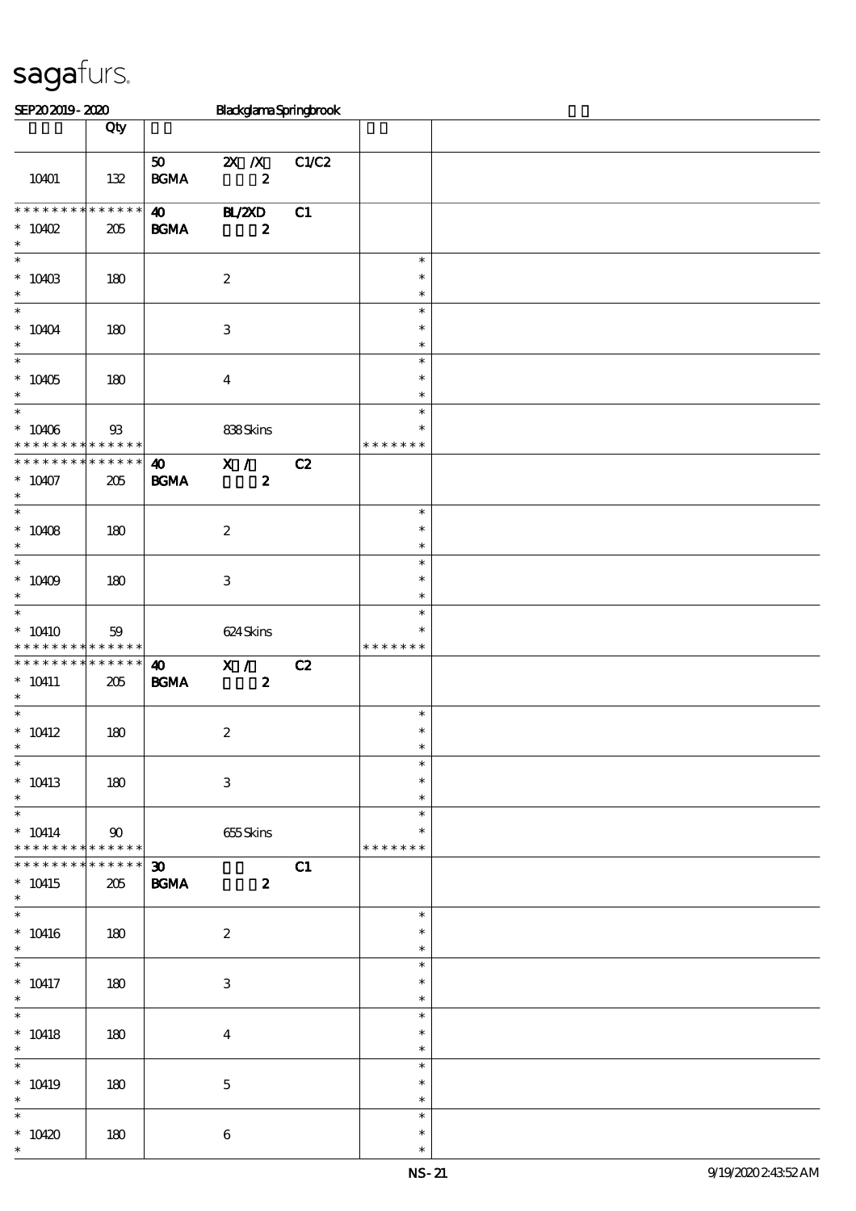| SEP202019-2020                                           |                                          |                                                  | <b>BlackglamaSpringbrook</b>                  |       |                                   |  |
|----------------------------------------------------------|------------------------------------------|--------------------------------------------------|-----------------------------------------------|-------|-----------------------------------|--|
|                                                          | Qty                                      |                                                  |                                               |       |                                   |  |
|                                                          |                                          |                                                  |                                               |       |                                   |  |
| 10401                                                    | $132$                                    | 50<br>$\mathbf{B}\mathbf{G}\mathbf{M}\mathbf{A}$ | $\mathbf{X}$ $\mathbf{X}$<br>$\pmb{2}$        | C1/C2 |                                   |  |
| * * * * * * * *<br>$*$ 10402<br>$\ast$                   | * * * * * *<br>205                       | $\boldsymbol{\omega}$<br>$\mathbf{B G MA}$       | <b>HL/2XD</b><br>$\boldsymbol{z}$             | C1    |                                   |  |
| $\overline{\phantom{0}}$<br>$*$ 10403<br>$\ast$          | 180                                      |                                                  | $\boldsymbol{2}$                              |       | $\ast$<br>$\ast$<br>$\ast$        |  |
| $\ast$<br>$* 10404$<br>$\ast$                            | 180                                      |                                                  | $\ensuremath{\mathbf{3}}$                     |       | $\ast$<br>$\ast$<br>$\ast$        |  |
| $\overline{\ast}$<br>$* 10405$<br>$\ast$                 | 180                                      |                                                  | $\boldsymbol{4}$                              |       | $\ast$<br>$\ast$<br>$\ast$        |  |
| $\overline{\phantom{0}}$<br>$* 10406$<br>* * * * * * * * | $93\,$<br>* * * * * *                    |                                                  | 838Skins                                      |       | $\ast$<br>$\ast$<br>* * * * * * * |  |
| * * * * * * * *<br>$* 10407$<br>$\ast$                   | * * * * * *<br>205                       | $\boldsymbol{\omega}$<br>$\mathbf{B G MA}$       | $\overline{\mathbf{x}}$ /<br>$\boldsymbol{z}$ | C2    |                                   |  |
| $\overline{\ast}$<br>$* 10408$<br>$\ast$                 | 180                                      |                                                  | $\boldsymbol{2}$                              |       | $\ast$<br>$\ast$<br>$\ast$        |  |
| $\overline{\ast}$<br>$* 10009$<br>$\ast$                 | 180                                      |                                                  | 3                                             |       | $\ast$<br>$\ast$<br>$\ast$        |  |
| $\ast$<br>$*10410$<br>* * * * * * * *                    | 59<br>* * * * * *                        |                                                  | 624 Skins                                     |       | $\ast$<br>∗<br>* * * * * * *      |  |
| * * * * * * * *<br>$* 10411$<br>$\ast$                   | * * * * * *<br>205                       | $\boldsymbol{\omega}$<br><b>BGMA</b>             | X /<br>$\boldsymbol{z}$                       | C2    |                                   |  |
| $\overline{\ast}$<br>$^*$ 10412 $\,$<br>$*$              | $180$                                    |                                                  | $\boldsymbol{2}$                              |       | $\ast$<br>$\ast$<br>$\ast$        |  |
| $\ast$<br>$* 10413$<br>$\ast$                            | 180                                      |                                                  | $\ensuremath{\mathbf{3}}$                     |       | $\ast$<br>$\ast$<br>$\ast$        |  |
| $\ast$<br>$* 10414$<br>* * * * * * * *                   | $\boldsymbol{\omega}$<br>$* * * * * * *$ |                                                  | 655Skins                                      |       | $\ast$<br>$\ast$<br>* * * * * * * |  |
| * * * * * * * *<br>$* 10415$<br>$\ast$                   | $******$<br>205                          | $\boldsymbol{\mathfrak{D}}$<br><b>BGMA</b>       | $\boldsymbol{z}$                              | C1    |                                   |  |
| $\overline{\ast}$<br>$* 10416$<br>$\ast$                 | 180                                      |                                                  | $\boldsymbol{2}$                              |       | $\ast$<br>$\ast$<br>$\ast$        |  |
| $\ast$<br>$* 10417$<br>$\ast$                            | 180                                      |                                                  | 3                                             |       | $\ast$<br>$\ast$<br>$\ast$        |  |
| $\overline{\phantom{0}}$<br>$* 10418$<br>$\ast$          | 180                                      |                                                  | $\boldsymbol{4}$                              |       | $\ast$<br>$\ast$<br>$\ast$        |  |
| $\ast$<br>$* 10419$<br>$\ast$                            | 180                                      |                                                  | $\mathbf 5$                                   |       | $\ast$<br>$\ast$<br>$\ast$        |  |
| $\ast$<br>$*10420$<br>$\ast$                             | 180                                      |                                                  | $\boldsymbol{6}$                              |       | $\ast$<br>$\ast$<br>$\ast$        |  |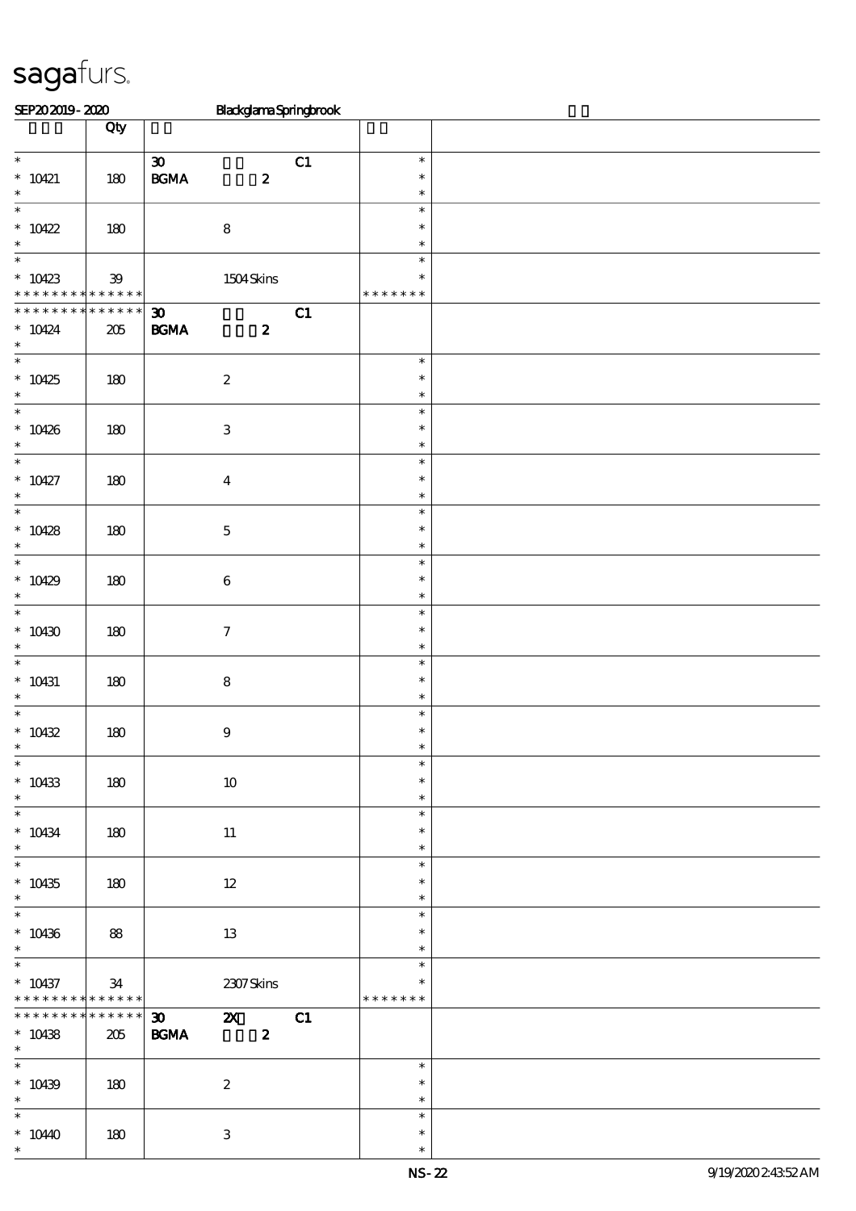| SEP202019-2020                             |             |                             | BlackglamaSpringbrook |    |                  |  |  |  |  |  |
|--------------------------------------------|-------------|-----------------------------|-----------------------|----|------------------|--|--|--|--|--|
|                                            | Qty         |                             |                       |    |                  |  |  |  |  |  |
|                                            |             |                             |                       |    |                  |  |  |  |  |  |
| $\overline{\phantom{0}}$                   |             | $\boldsymbol{\mathfrak{D}}$ |                       | C1 | $\ast$           |  |  |  |  |  |
| $* 10421$                                  | $180$       | $\mathbf{B G MA}$           | $\boldsymbol{z}$      |    | $\ast$           |  |  |  |  |  |
| $\ast$<br>$\overline{\phantom{0}}$         |             |                             |                       |    | $\ast$<br>$\ast$ |  |  |  |  |  |
|                                            |             |                             |                       |    | $\ast$           |  |  |  |  |  |
| $*10422$<br>$\ast$                         | 180         | $\bf 8$                     |                       |    | $\ast$           |  |  |  |  |  |
| $\ast$                                     |             |                             |                       |    | $\ast$           |  |  |  |  |  |
| $*10423$                                   | ${\bf 39}$  |                             | 1504Skins             |    | $\ast$           |  |  |  |  |  |
| * * * * * * * * <mark>* * * * * * *</mark> |             |                             |                       |    | * * * * * * *    |  |  |  |  |  |
| * * * * * * * *                            | * * * * * * | $\boldsymbol{\mathfrak{D}}$ |                       | C1 |                  |  |  |  |  |  |
| $* 10424$                                  | 205         | $\mathbf{B G MA}$           | $\boldsymbol{z}$      |    |                  |  |  |  |  |  |
| $\ast$                                     |             |                             |                       |    |                  |  |  |  |  |  |
| $\overline{\phantom{0}}$                   |             |                             |                       |    | $\ast$           |  |  |  |  |  |
| $*10425$                                   | 180         | $\boldsymbol{2}$            |                       |    | $\ast$           |  |  |  |  |  |
| $\ast$<br>$\ast$                           |             |                             |                       |    | $\ast$           |  |  |  |  |  |
|                                            |             |                             |                       |    | $\ast$<br>$\ast$ |  |  |  |  |  |
| $* 10426$<br>$\ast$                        | 180         | $\ensuremath{\mathbf{3}}$   |                       |    | $\ast$           |  |  |  |  |  |
| $\overline{\phantom{0}}$                   |             |                             |                       |    | $\ast$           |  |  |  |  |  |
| $* 10427$                                  | 180         | $\boldsymbol{4}$            |                       |    | $\ast$           |  |  |  |  |  |
| $\ast$                                     |             |                             |                       |    | $\ast$           |  |  |  |  |  |
| $\overline{\ast}$                          |             |                             |                       |    | $\ast$           |  |  |  |  |  |
| $* 10428$                                  | 180         | $\mathbf 5$                 |                       |    | $\ast$           |  |  |  |  |  |
| $\ast$                                     |             |                             |                       |    | $\ast$           |  |  |  |  |  |
| $\ast$                                     |             |                             |                       |    | $\ast$           |  |  |  |  |  |
| $*10429$<br>$\ast$                         | $180$       | $\bf 6$                     |                       |    | $\ast$<br>$\ast$ |  |  |  |  |  |
| $\ast$                                     |             |                             |                       |    | $\ast$           |  |  |  |  |  |
| $*10430$                                   | 180         | $\boldsymbol{7}$            |                       |    | $\ast$           |  |  |  |  |  |
| $\ast$                                     |             |                             |                       |    | $\ast$           |  |  |  |  |  |
| $\overline{\phantom{0}}$                   |             |                             |                       |    | $\ast$           |  |  |  |  |  |
| $* 10431$                                  | 180         | $\bf 8$                     |                       |    | $\ast$           |  |  |  |  |  |
| $\ast$                                     |             |                             |                       |    | $\ast$           |  |  |  |  |  |
| $\ast$                                     |             |                             |                       |    | $\ast$           |  |  |  |  |  |
| $* 10432$                                  | $180$       | $\boldsymbol{9}$            |                       |    | $\ast$           |  |  |  |  |  |
| $*$<br>$\overline{\phantom{0}}$            |             |                             |                       |    | $\ast$           |  |  |  |  |  |
| $* 10433$                                  | 180         | $10\,$                      |                       |    | $\ast$           |  |  |  |  |  |
| $\ast$                                     |             |                             |                       |    | $\ast$           |  |  |  |  |  |
| $\overline{\phantom{0}}$                   |             |                             |                       |    | $\ast$           |  |  |  |  |  |
| $* 10434$                                  | 180         | 11                          |                       |    | $\ast$           |  |  |  |  |  |
| $\ast$                                     |             |                             |                       |    | $\ast$           |  |  |  |  |  |
| $\ast$                                     |             |                             |                       |    | $\ast$           |  |  |  |  |  |
| $* 10435$                                  | 180         | $12\,$                      |                       |    | $\ast$           |  |  |  |  |  |
| $\ast$<br>$\overline{\phantom{0}}$         |             |                             |                       |    | $\ast$           |  |  |  |  |  |
|                                            |             |                             |                       |    | $\ast$<br>$\ast$ |  |  |  |  |  |
| $* 10436$<br>$\ast$                        | 88          | 13                          |                       |    | $\ast$           |  |  |  |  |  |
| $\overline{\phantom{0}}$                   |             |                             |                       |    | $\ast$           |  |  |  |  |  |
| $* 10437$                                  | 34          |                             | 2307Skins             |    | ∗                |  |  |  |  |  |
| * * * * * * * * * * * * * *                |             |                             |                       |    | * * * * * * *    |  |  |  |  |  |
| * * * * * * * *                            | $******$    | $\boldsymbol{\mathfrak{D}}$ | $\mathbf{z}$          | C1 |                  |  |  |  |  |  |
| $* 10438$                                  | 205         | <b>BGMA</b>                 | $\boldsymbol{z}$      |    |                  |  |  |  |  |  |
| $\ast$<br>$\overline{\phantom{0}}$         |             |                             |                       |    |                  |  |  |  |  |  |
|                                            |             |                             |                       |    | $\ast$           |  |  |  |  |  |
| $* 10439$<br>$\ast$                        | 180         | $\boldsymbol{2}$            |                       |    | $\ast$<br>$\ast$ |  |  |  |  |  |
| $\overline{\phantom{0}}$                   |             |                             |                       |    | $\ast$           |  |  |  |  |  |
| $*1040$                                    | 180         | $\ensuremath{\mathbf{3}}$   |                       |    | $\ast$           |  |  |  |  |  |
| $\ast$                                     |             |                             |                       |    | $\ast$           |  |  |  |  |  |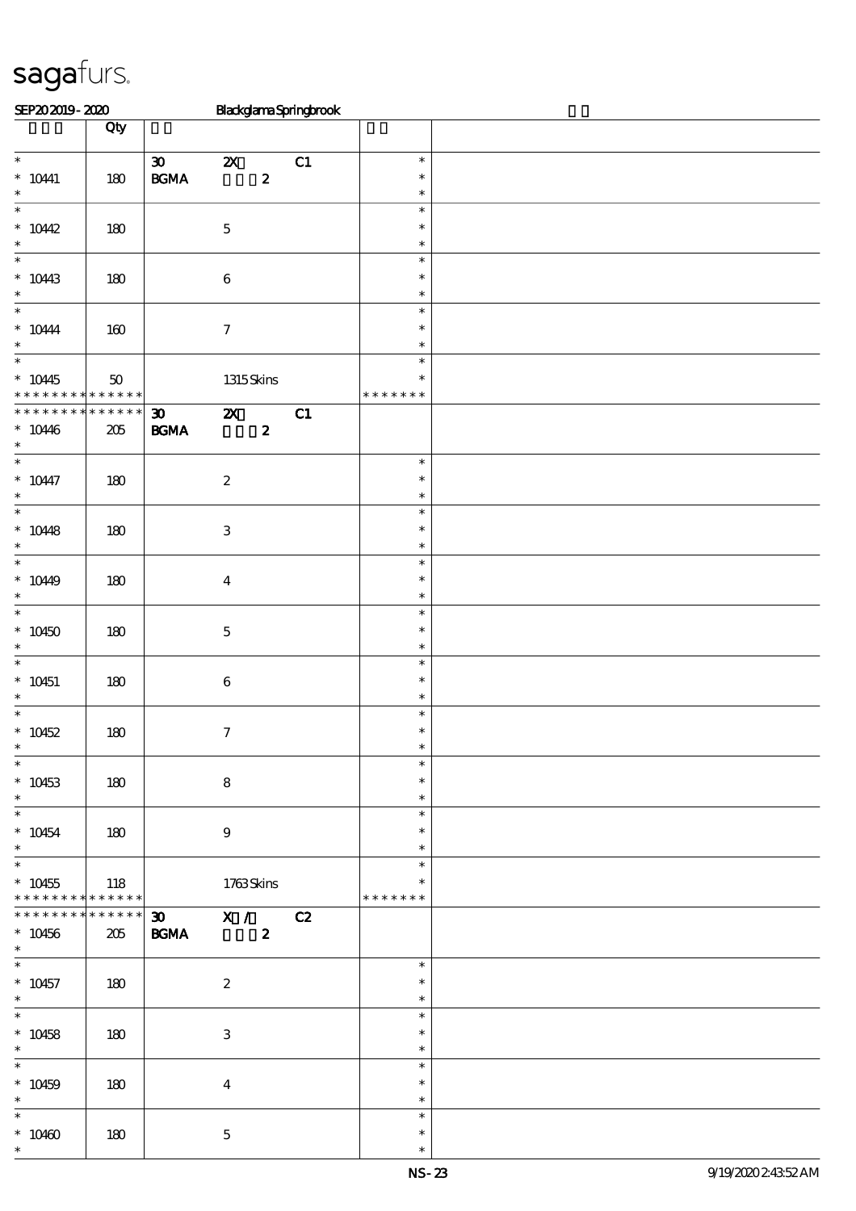| SEP202019-2020                           |               |                                                  |                           |                  | BlackglamaSpringbrook |                  |  |
|------------------------------------------|---------------|--------------------------------------------------|---------------------------|------------------|-----------------------|------------------|--|
|                                          | Qty           |                                                  |                           |                  |                       |                  |  |
|                                          |               |                                                  |                           |                  |                       |                  |  |
| $\overline{\phantom{0}}$                 |               | $\boldsymbol{\mathfrak{D}}$                      | $\boldsymbol{\mathsf{z}}$ |                  | C1                    | $\ast$           |  |
| $* 10441$                                | 180           | $\mathbf{B G MA}$                                |                           | $\pmb{2}$        |                       | $\ast$           |  |
| $\ast$<br>$\ast$                         |               |                                                  |                           |                  |                       | $\ast$           |  |
|                                          |               |                                                  |                           |                  |                       | $\ast$           |  |
| $*10442$<br>$\ast$                       | 180           |                                                  | $\mathbf 5$               |                  |                       | $\ast$<br>$\ast$ |  |
| $\ast$                                   |               |                                                  |                           |                  |                       | $\ast$           |  |
| $*1043$                                  | 180           |                                                  |                           |                  |                       | $\ast$           |  |
| $\ast$                                   |               |                                                  | $\,6\,$                   |                  |                       | $\ast$           |  |
| $\ast$                                   |               |                                                  |                           |                  |                       | $\ast$           |  |
| $^*$ 10444                               | 160           |                                                  | $\boldsymbol{7}$          |                  |                       | $\ast$           |  |
| $\ast$                                   |               |                                                  |                           |                  |                       | $\ast$           |  |
| $\ast$                                   |               |                                                  |                           |                  |                       | $\ast$           |  |
| $*10445$                                 | $50\,$        |                                                  | 1315Skins                 |                  |                       | $\ast$           |  |
| * * * * * * * * <mark>* * * * * *</mark> |               |                                                  |                           |                  |                       | * * * * * * *    |  |
| * * * * * * *                            | * * * * * *   | $\boldsymbol{\mathfrak{D}}$                      | $\boldsymbol{\mathsf{Z}}$ |                  | C1                    |                  |  |
| $* 10446$                                | $205\,$       | $\mathbf{B G MA}$                                |                           | $\boldsymbol{z}$ |                       |                  |  |
| $\ast$                                   |               |                                                  |                           |                  |                       |                  |  |
| $\overline{\phantom{0}}$                 |               |                                                  |                           |                  |                       | $\ast$           |  |
| $* 10447$                                | 180           |                                                  | $\boldsymbol{2}$          |                  |                       | $\ast$           |  |
| $\ast$                                   |               |                                                  |                           |                  |                       | $\ast$           |  |
| $\overline{\phantom{0}}$                 |               |                                                  |                           |                  |                       | $\ast$           |  |
| $* 10448$                                | 180           |                                                  | $\,3$                     |                  |                       | $\ast$           |  |
| $\ast$                                   |               |                                                  |                           |                  |                       | $\ast$           |  |
| $\ast$                                   |               |                                                  |                           |                  |                       | $\ast$           |  |
| $*1049$<br>$\ast$                        | 180           |                                                  | $\boldsymbol{4}$          |                  |                       | $\ast$<br>$\ast$ |  |
| $\overline{\ast}$                        |               |                                                  |                           |                  |                       | $\ast$           |  |
|                                          |               |                                                  |                           |                  |                       | $\ast$           |  |
| $*10450$<br>$\ast$                       | 180           |                                                  | $\bf 5$                   |                  |                       | $\ast$           |  |
| $\ast$                                   |               |                                                  |                           |                  |                       | $\ast$           |  |
| $* 10451$                                | 180           |                                                  | $\bf 6$                   |                  |                       | $\ast$           |  |
| $\ast$                                   |               |                                                  |                           |                  |                       | $\ast$           |  |
| $\ast$                                   |               |                                                  |                           |                  |                       | $\ast$           |  |
| $* 10452$                                | 180           |                                                  | $\tau$                    |                  |                       | $\ast$           |  |
|                                          |               |                                                  |                           |                  |                       |                  |  |
| $\overline{\phantom{0}}$                 |               |                                                  |                           |                  |                       | $\ast$           |  |
| $*10453$                                 | 180           |                                                  | $\bf8$                    |                  |                       | $\ast$           |  |
| $\ast$                                   |               |                                                  |                           |                  |                       | $\ast$           |  |
| $\overline{\phantom{0}}$                 |               |                                                  |                           |                  |                       | $\ast$           |  |
| $* 10454$                                | 180           |                                                  | $\boldsymbol{9}$          |                  |                       | $\ast$           |  |
| $\ast$<br>$\overline{\phantom{0}}$       |               |                                                  |                           |                  |                       | $\ast$           |  |
|                                          |               |                                                  |                           |                  |                       | $\ast$<br>$\ast$ |  |
| $*10455$<br>* * * * * * * *              | 118<br>****** |                                                  | 1763Skins                 |                  |                       | * * * * * * *    |  |
| * * * * * * * *                          | ******        | $\overline{30}$ $\overline{X}$ / $\overline{C2}$ |                           |                  |                       |                  |  |
| $* 10456$                                | 205           | <b>BGMA</b>                                      |                           | $\boldsymbol{z}$ |                       |                  |  |
| $\ast$                                   |               |                                                  |                           |                  |                       |                  |  |
|                                          |               |                                                  |                           |                  |                       | $\ast$           |  |
| $* 10457$                                | 180           |                                                  | $\boldsymbol{2}$          |                  |                       | $\ast$           |  |
| $\ast$                                   |               |                                                  |                           |                  |                       | $\ast$           |  |
| $\overline{\ast}$                        |               |                                                  |                           |                  |                       | $\ast$           |  |
| $* 10458$                                | 180           |                                                  | 3                         |                  |                       | $\ast$           |  |
| $\ast$                                   |               |                                                  |                           |                  |                       | $\ast$           |  |
| $\overline{\phantom{0}}$                 |               |                                                  |                           |                  |                       | $\ast$           |  |
| $* 10459$                                | 180           |                                                  | $\bf{4}$                  |                  |                       | $\ast$           |  |
| $\ast$                                   |               |                                                  |                           |                  |                       | $\ast$           |  |
| $\ast$                                   |               |                                                  |                           |                  |                       | $\ast$           |  |
| $*10460$                                 | 180           |                                                  | $\mathbf{5}$              |                  |                       | $\ast$           |  |
| $\ast$                                   |               |                                                  |                           |                  |                       | $\ast$           |  |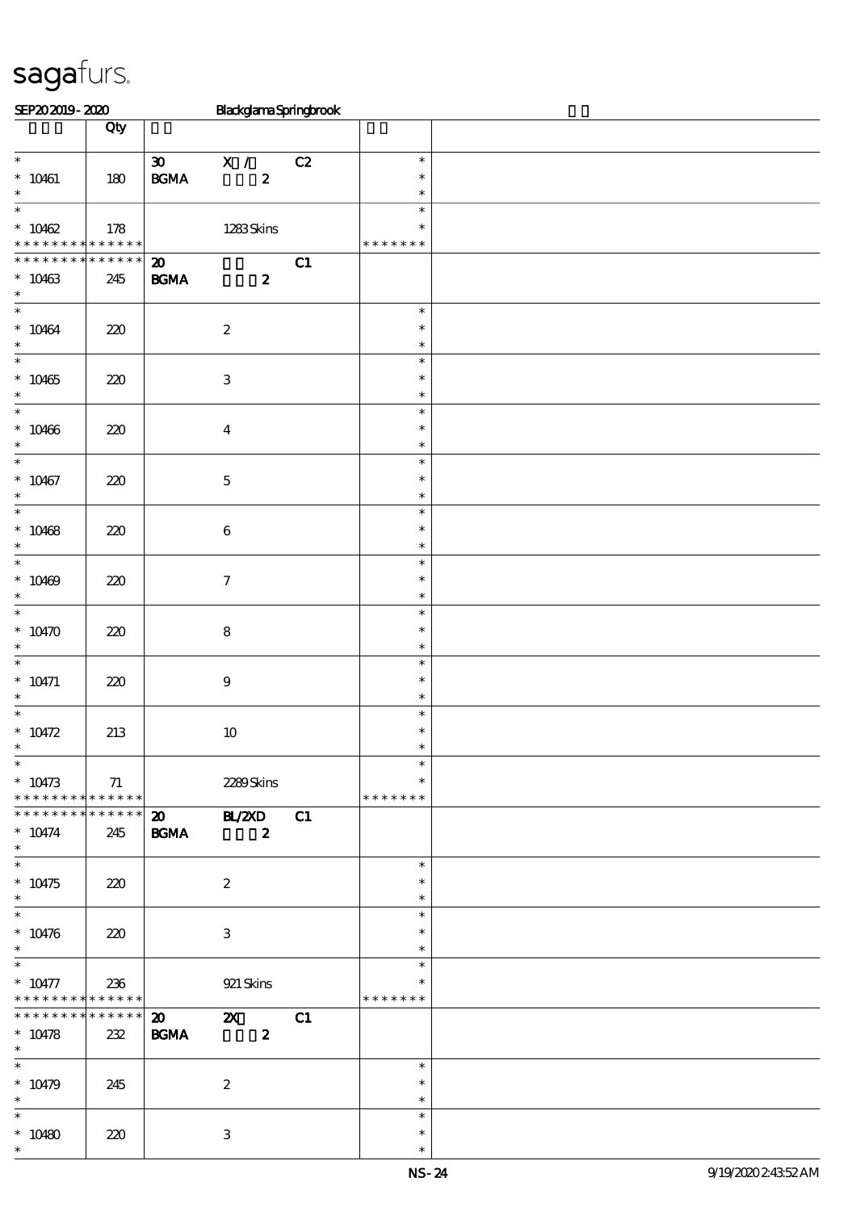| SEP202019-2020                                                  |                    |                                                  | BlackglamaSpringbrook                   |    |                                   |  |
|-----------------------------------------------------------------|--------------------|--------------------------------------------------|-----------------------------------------|----|-----------------------------------|--|
|                                                                 | Qty                |                                                  |                                         |    |                                   |  |
| $\ast$<br>$* 10461$<br>$\ast$                                   | 180                | $\boldsymbol{\mathfrak{D}}$<br>$\mathbf{B G MA}$ | X /<br>$\boldsymbol{z}$                 | C2 | $\ast$<br>$\ast$<br>$\ast$        |  |
| $\overline{\ast}$<br>$* 10462$<br>* * *<br>$\ast$               | 178<br>* * * * * * |                                                  | 1283Skins                               |    | $\ast$<br>$\ast$<br>* * * * * * * |  |
| * * * * * * *<br>$\ast$<br>$* 10463$<br>$\ast$                  | * * * * * *<br>245 | $\boldsymbol{\mathbf{z}}$<br>$\mathbf{B G MA}$   | $\boldsymbol{2}$                        | C1 |                                   |  |
| $\ast$<br>$* 10464$<br>$\ast$                                   | 220                |                                                  | $\boldsymbol{2}$                        |    | $\ast$<br>$\ast$<br>$\ast$        |  |
| $\ast$<br>$* 10465$<br>$\ast$                                   | 220                |                                                  | $\,3\,$                                 |    | $\ast$<br>$\ast$<br>$\ast$        |  |
| $\ast$<br>$* 10466$<br>$\ast$                                   | 220                |                                                  | $\bf{4}$                                |    | $\ast$<br>$\ast$<br>$\ast$        |  |
| $\ast$<br>$* 10467$<br>$\ast$                                   | 220                |                                                  | $\mathbf 5$                             |    | $\ast$<br>$\ast$<br>$\ast$        |  |
| $\ast$<br>$* 10468$<br>$\ast$                                   | 220                |                                                  | $\,6\,$                                 |    | $\ast$<br>$\ast$<br>$\ast$        |  |
| $\ast$<br>$* 10469$<br>$\ast$                                   | 220                |                                                  | $\boldsymbol{7}$                        |    | $\ast$<br>$\ast$<br>$\ast$        |  |
| $\ast$<br>$*10470$<br>$\ast$                                    | 220                |                                                  | $\bf 8$                                 |    | $\ast$<br>$\ast$<br>$\ast$        |  |
| $\ast$<br>$* 10471$<br>$\ast$                                   | 220                |                                                  | $\boldsymbol{9}$                        |    | $\ast$<br>$\ast$<br>$\ast$        |  |
| $\ast$<br>$* 10472$<br>$\ast$                                   | 213                |                                                  | $10\,$                                  |    | $\ast$<br>$\ast$                  |  |
| $\ast$<br>$* 10473$<br>* * * * * * * * * * * * * * *            | 71                 |                                                  | 2289Skins                               |    | $\ast$<br>$\ast$<br>* * * * * * * |  |
| ******** <mark>******</mark><br>$^*$ 10474 $\,$<br>$*$          | 245                | <b>BGMA</b>                                      | 20 BL/ZXD C1<br>$\overline{\mathbf{2}}$ |    |                                   |  |
| $*$<br>$* 10475$<br>$\ast$                                      | 220                |                                                  | $\boldsymbol{2}$                        |    | $\ast$<br>$\ast$<br>$\ast$        |  |
| $\overline{\ast}$<br>$^*$ 10476 $\,$<br>$\ast$                  | 220                |                                                  | 3                                       |    | $\ast$<br>$\ast$<br>$\ast$        |  |
| $\overline{\ast}$<br>$* 10477$<br>* * * * * * * * * * * * * * * | 236                |                                                  | 921 Skins                               |    | $\ast$<br>$\ast$<br>* * * * * * * |  |
| * * * * * * * *<br>$* 10478$<br>$\ast$                          | 232                | $ ***** $ 20 2X<br><b>BGMA</b>                   | $\boldsymbol{z}$                        | C1 |                                   |  |
| $\overline{\phantom{0}}$<br>$* 10479$<br>$\ast$                 | 245                |                                                  | $\boldsymbol{2}$                        |    | $\ast$<br>$\ast$<br>$\ast$        |  |
| $\overline{\phantom{0}}$<br>$* 10480$<br>$\ast$                 | 220                |                                                  | $\,3$                                   |    | $\ast$<br>$\ast$<br>$\ast$        |  |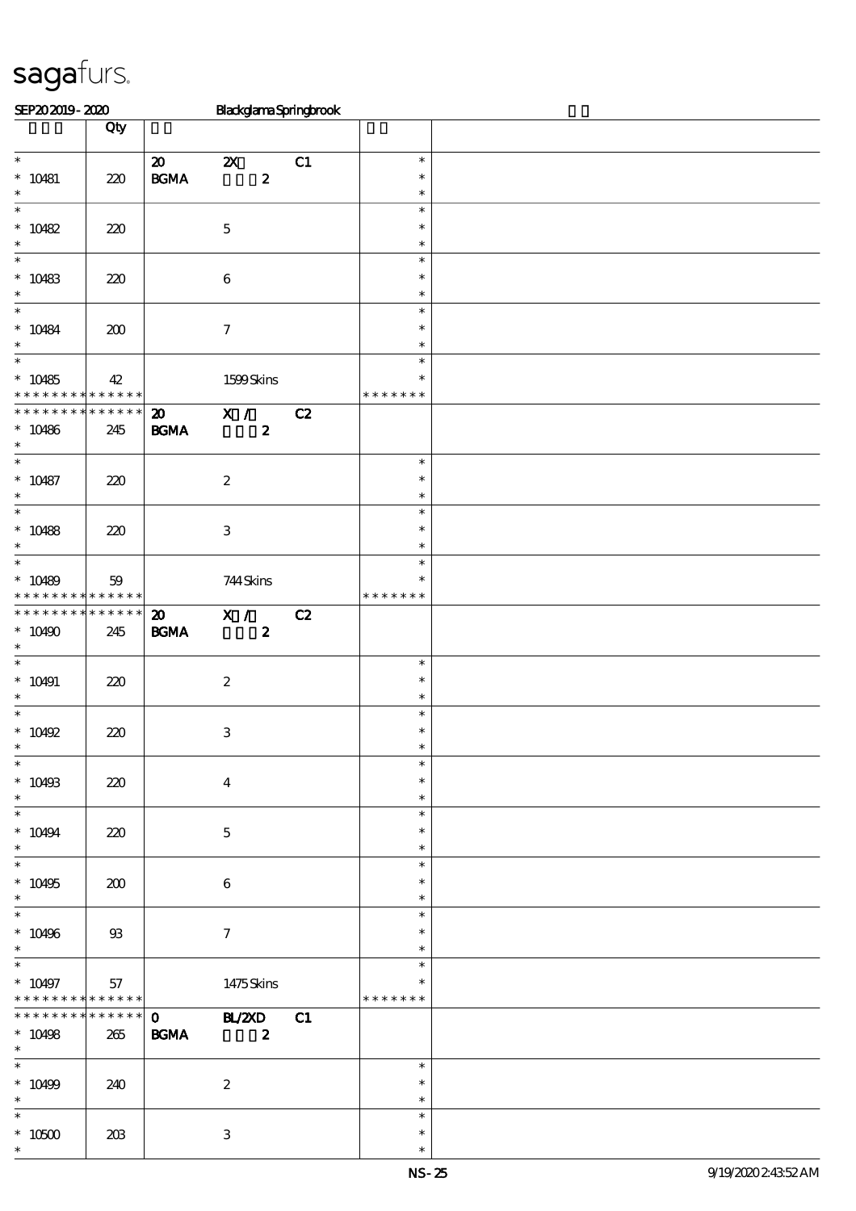| SEP202019-2020                                   |                 |                             | BlackglamaSpringbrook                         |    |                  |  |
|--------------------------------------------------|-----------------|-----------------------------|-----------------------------------------------|----|------------------|--|
|                                                  | Qty             |                             |                                               |    |                  |  |
| $\overline{\phantom{0}}$                         |                 | $\boldsymbol{\mathfrak{D}}$ |                                               |    | $\ast$           |  |
| $* 10481$                                        | $220$           | $\mathbf{B G MA}$           | $\boldsymbol{\mathsf{Z}}$<br>$\boldsymbol{z}$ | C1 | $\ast$           |  |
| $\ast$                                           |                 |                             |                                               |    | $\ast$           |  |
| $\ast$                                           |                 |                             |                                               |    | $\ast$           |  |
| $* 10482$                                        | 220             |                             | $\mathbf 5$                                   |    | $\ast$           |  |
| $\ast$<br>$\ast$                                 |                 |                             |                                               |    | $\ast$<br>$\ast$ |  |
| $* 10483$                                        | 220             |                             | $\bf 6$                                       |    | $\ast$           |  |
| $\ast$                                           |                 |                             |                                               |    | $\ast$           |  |
| $\ast$                                           |                 |                             |                                               |    | $\ast$           |  |
| $* 10484$<br>$\ast$                              | 200             |                             | $\boldsymbol{\tau}$                           |    | $\ast$<br>$\ast$ |  |
| $\ast$                                           |                 |                             |                                               |    | $\ast$           |  |
| $*10485$                                         | 42              |                             | 1599Skins                                     |    | $\ast$           |  |
| * * * * * * * * * * * * * *                      |                 |                             |                                               |    | * * * * * * *    |  |
| * * * * * * * *                                  | * * * * * *     | $\boldsymbol{\mathfrak{D}}$ | X /                                           | C2 |                  |  |
| $* 10486$<br>$\ast$                              | 245             | $\mathbf{B G MA}$           | $\boldsymbol{z}$                              |    |                  |  |
| $\overline{\phantom{a}^*}$                       |                 |                             |                                               |    | $\ast$           |  |
| $* 10487$                                        | 220             |                             | $\boldsymbol{2}$                              |    | $\ast$           |  |
| $\ast$<br>$\overline{\ast}$                      |                 |                             |                                               |    | $\ast$           |  |
| $* 10488$                                        | 220             |                             | $\,3$                                         |    | $\ast$<br>$\ast$ |  |
| $\ast$                                           |                 |                             |                                               |    | $\ast$           |  |
| $\ast$                                           |                 |                             |                                               |    | $\ast$           |  |
| $* 10489$                                        | 59              |                             | 744Skins                                      |    | $\ast$           |  |
| * * * * * * * *<br>* * * * * * * * * * * * * *   | $* * * * * * *$ | $\boldsymbol{\mathfrak{D}}$ | $\overline{\mathbf{x}}$ /                     | C2 | * * * * * * *    |  |
| $*10490$                                         | 245             | $\mathbf{B G MA}$           | $\boldsymbol{z}$                              |    |                  |  |
| $\ast$                                           |                 |                             |                                               |    |                  |  |
| $\ast$                                           |                 |                             |                                               |    | $\ast$           |  |
| $* 10491$<br>$\ast$                              | 220             |                             | $\boldsymbol{2}$                              |    | $\ast$<br>$\ast$ |  |
| $\ast$                                           |                 |                             |                                               |    | $\ast$           |  |
| $* 10492$                                        | 220             |                             | $\,3\,$                                       |    | $\ast$           |  |
| $\overline{\phantom{0}}$                         |                 |                             |                                               |    |                  |  |
| $* 10493$                                        | 220             |                             | $\bf{4}$                                      |    | $\ast$<br>$\ast$ |  |
| $\ast$                                           |                 |                             |                                               |    | $\ast$           |  |
| $\overline{\phantom{a}}$                         |                 |                             |                                               |    | $\ast$           |  |
| $* 10494$                                        | 220             |                             | $\mathbf{5}$                                  |    | $\ast$           |  |
| $\ast$<br>$\overline{\ast}$                      |                 |                             |                                               |    | $\ast$<br>$\ast$ |  |
| $* 10495$                                        | 200             |                             | $\boldsymbol{6}$                              |    | $\ast$           |  |
| $\ast$                                           |                 |                             |                                               |    | $\ast$           |  |
| $\overline{\phantom{0}}$                         |                 |                             |                                               |    | $\ast$           |  |
| $* 10496$<br>$\ast$                              | $93$            |                             | $\tau$                                        |    | $\ast$<br>$\ast$ |  |
| $\overline{\phantom{0}}$                         |                 |                             |                                               |    | $\ast$           |  |
| $* 10497$                                        | 57              |                             | 1475Skins                                     |    |                  |  |
| * * * * * * * * * * * * * * *<br>* * * * * * * * | $******$        |                             |                                               |    | * * * * * * *    |  |
| $* 10498$                                        | 265             | $\mathbf{O}$<br><b>BGMA</b> | <b>BL/2XD</b> C1<br>$\overline{\mathbf{2}}$   |    |                  |  |
| $*$                                              |                 |                             |                                               |    |                  |  |
| $\overline{\phantom{0}}$                         |                 |                             |                                               |    | $\ast$           |  |
| $^*$ 10499<br>$\ast$                             | 240             |                             | $\boldsymbol{2}$                              |    | $\ast$<br>$\ast$ |  |
| $\ast$                                           |                 |                             |                                               |    | $\ast$           |  |
| $^\ast$ 10500                                    | 203             |                             | $\ensuremath{\mathsf{3}}$                     |    | $\ast$           |  |
| $\ast$                                           |                 |                             |                                               |    | $\ast$           |  |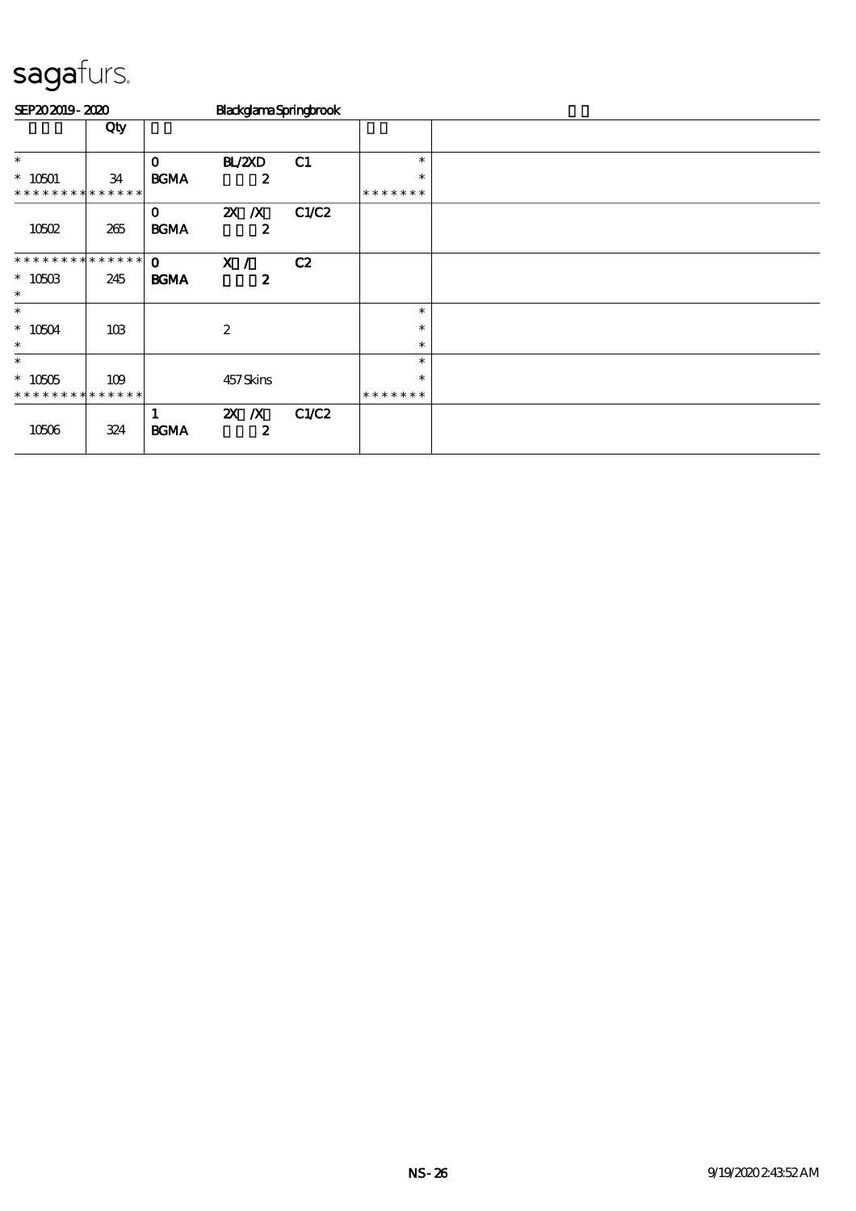| SEP202019-2020              |                 |                             | BlackglamaSpringbrook       |       |               |  |  |  |  |
|-----------------------------|-----------------|-----------------------------|-----------------------------|-------|---------------|--|--|--|--|
|                             | Qty             |                             |                             |       |               |  |  |  |  |
| $\ast$                      |                 | $\mathbf{o}$                | BL/2XD                      | C1    | $\ast$        |  |  |  |  |
| $* 10501$                   | 34              | <b>BGMA</b>                 | $\boldsymbol{z}$            |       | $\ast$        |  |  |  |  |
| * * * * * * * *             | * * * * * *     |                             |                             |       | * * * * * * * |  |  |  |  |
| 10502                       | 265             | $\mathbf{o}$<br><b>BGMA</b> | $X$ $X$<br>$\boldsymbol{z}$ | C1/C2 |               |  |  |  |  |
| * * * * * * * * * * * * * * |                 | $\mathbf{o}$                | X /                         | C2    |               |  |  |  |  |
| $*1050B$<br>$\ast$          | 245             | <b>BGMA</b>                 | $\boldsymbol{z}$            |       |               |  |  |  |  |
| $\ast$                      |                 |                             |                             |       | $\ast$        |  |  |  |  |
| $\hspace{0.1cm}^*$ 10504    | 10 <sub>B</sub> |                             | $\boldsymbol{2}$            |       | $\ast$        |  |  |  |  |
| $\ast$                      |                 |                             |                             |       | $\ast$        |  |  |  |  |
| $\ast$                      |                 |                             |                             |       | $\ast$        |  |  |  |  |
| $* 10505$                   | 109             |                             | 457Skins                    |       | $\ast$        |  |  |  |  |
| * * * * * * * *             | * * * * * *     |                             |                             |       | * * * * * * * |  |  |  |  |
| 10506                       | 324             | <b>BGMA</b>                 | $X$ $X$<br>2                | C1/C2 |               |  |  |  |  |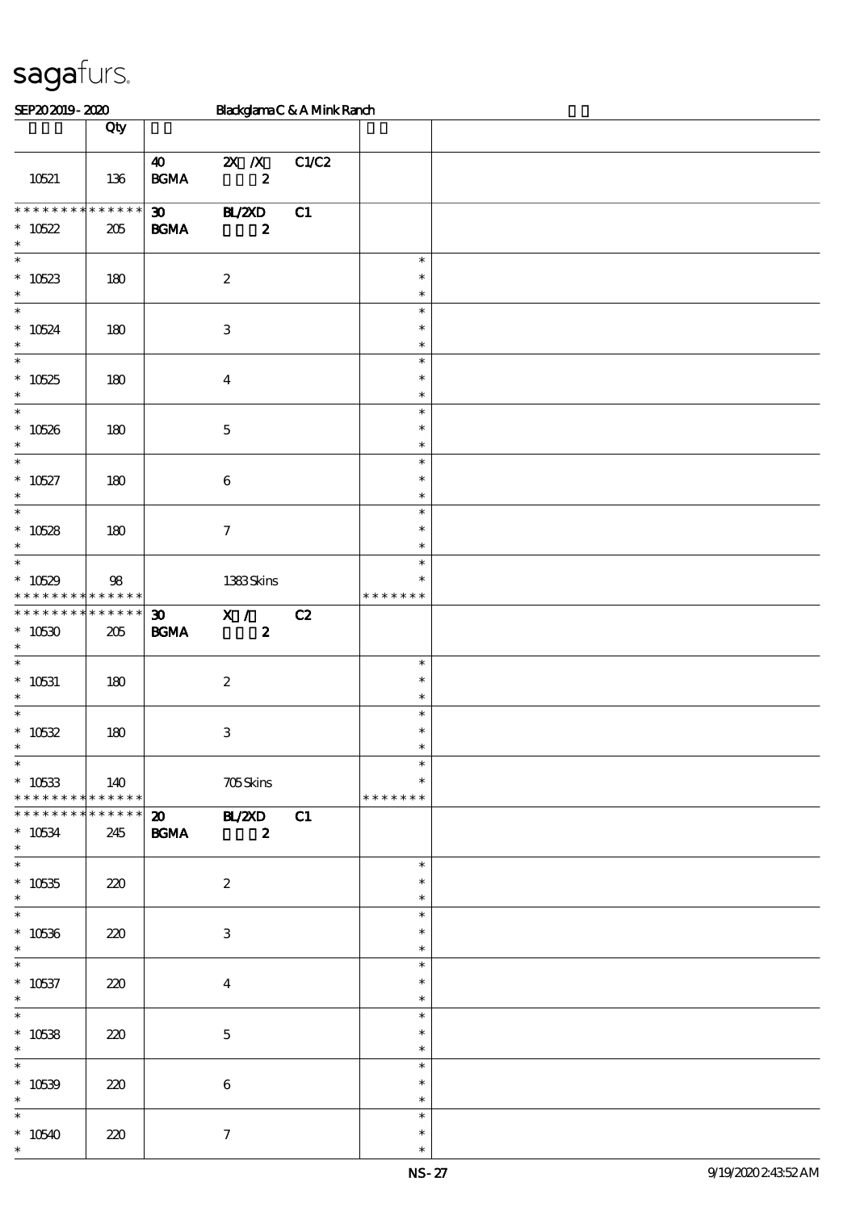| SEP202019-2020                                       |      |                                                  |                                         | BlackglamaC&AMinkRanch |                                   |  |
|------------------------------------------------------|------|--------------------------------------------------|-----------------------------------------|------------------------|-----------------------------------|--|
|                                                      | Qty  |                                                  |                                         |                        |                                   |  |
| 10521                                                | 136  | $\boldsymbol{\omega}$<br>$\mathbf{B G MA}$       | $2X$ $\overline{X}$<br>$\boldsymbol{z}$ | C1/C2                  |                                   |  |
| * * * * * * * * * * * * * *<br>$* 10522$<br>$\ast$   | 205  | $\boldsymbol{\mathfrak{D}}$<br>$\mathbf{B G MA}$ | <b>HL/2XD</b><br>$\boldsymbol{z}$       | C1                     |                                   |  |
| $\ast$<br>$*10523$<br>$\ast$                         | 180  |                                                  | $\boldsymbol{2}$                        |                        | $\ast$<br>$\ast$<br>$\ast$        |  |
| $\ast$<br>$* 10524$<br>$\ast$                        | 180  |                                                  | $\ensuremath{\mathbf{3}}$               |                        | $\ast$<br>$\ast$<br>$\ast$        |  |
| $\overline{\ast}$<br>$*10525$<br>$\ast$              | 180  |                                                  | $\boldsymbol{4}$                        |                        | $\ast$<br>$\ast$<br>$\ast$        |  |
| $\overline{\phantom{0}}$<br>$* 10526$<br>$\ast$      | 180  |                                                  | $\mathbf{5}$                            |                        | $\ast$<br>$\ast$<br>$\ast$        |  |
| $\ast$<br>$* 10527$<br>$\ast$                        | 180  |                                                  | $\bf 6$                                 |                        | $\ast$<br>$\ast$<br>$\ast$        |  |
| $\overline{\ast}$<br>$* 10528$<br>$\ast$             | 180  |                                                  | $\boldsymbol{\tau}$                     |                        | $\ast$<br>$\ast$<br>$\ast$        |  |
| $\ast$<br>$*10529$<br>* * * * * * * * * * * * * *    | $98$ |                                                  | 1383Skins                               |                        | $\ast$<br>$\ast$<br>* * * * * * * |  |
| * * * * * * * * * * * * * *<br>$*10530$<br>$\ast$    | 205  | 30 <sub>o</sub><br>B GMA                         | X /<br>$\boldsymbol{z}$                 | C2                     |                                   |  |
| $\ast$<br>$* 10531$<br>$\ast$                        | 180  |                                                  | $\boldsymbol{z}$                        |                        | $\ast$<br>$\ast$<br>$\ast$        |  |
| $\ast$<br>$* 10532$<br>$\overline{\ast}$             | 180  |                                                  | $\ensuremath{\mathbf{3}}$               |                        | $\ast$<br>$\ast$                  |  |
| $* 10533$<br>* * * * * * * * * * * * * * *           | 140  |                                                  | $705$ Skins                             |                        | $\ast$<br>$\ast$<br>* * * * * * * |  |
| ******** <mark>*******</mark><br>$* 10534$<br>$\ast$ | 245  | $\mathbf{B G MA}$                                | 20 BL/2XD C1<br>$\overline{\mathbf{2}}$ |                        |                                   |  |
| $\overline{\ast}$<br>$* 10535$<br>$\ast$             | 220  |                                                  | $\boldsymbol{2}$                        |                        | $\ast$<br>$\ast$<br>$\ast$        |  |
| $\overline{\phantom{0}}$<br>$* 10536$<br>$\ast$      | 220  |                                                  | 3                                       |                        | $\ast$<br>$\ast$<br>$\ast$        |  |
| $\ast$<br>$* 10537$<br>$\ast$                        | 220  |                                                  | $\overline{4}$                          |                        | $\ast$<br>$\ast$<br>$\ast$        |  |
| $\ast$<br>$* 10538$<br>$\ast$                        | 220  |                                                  | $\mathbf{5}$                            |                        | $\ast$<br>$\ast$<br>$\ast$        |  |
| $\ast$<br>$* 10539$<br>$\ast$                        | 220  |                                                  | $\bf 6$                                 |                        | $\ast$<br>$\ast$<br>$\ast$        |  |
| $\ast$<br>$*10540$<br>$\ast$                         | 220  |                                                  | $\boldsymbol{7}$                        |                        | $\ast$<br>$\ast$<br>$\ast$        |  |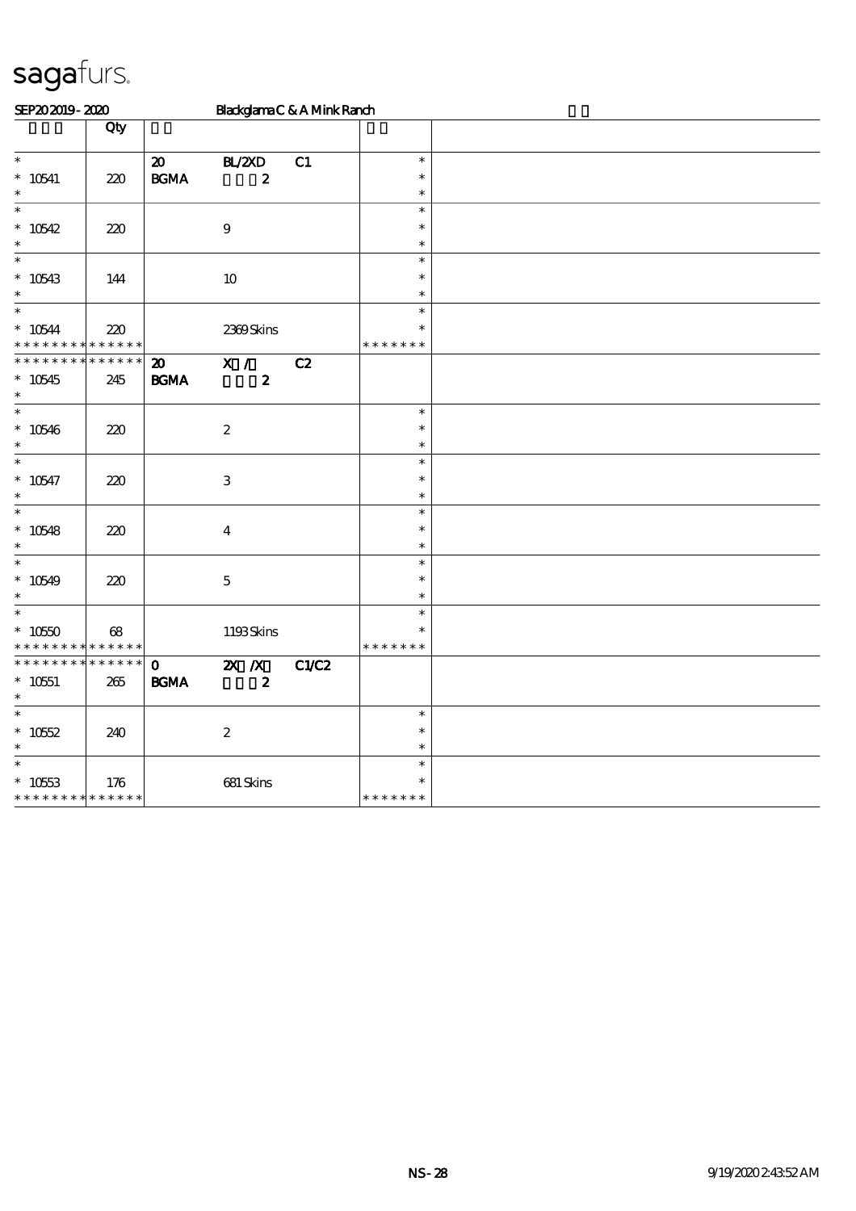| SEP202019-2020                                                  |                            |                                                | BlackglamaC&AMinkRanch      |       |                                   |  |  |  |  |  |
|-----------------------------------------------------------------|----------------------------|------------------------------------------------|-----------------------------|-------|-----------------------------------|--|--|--|--|--|
|                                                                 | Qty                        |                                                |                             |       |                                   |  |  |  |  |  |
| $\ast$<br>$^*$ 10541<br>$\ast$                                  | 220                        | $\boldsymbol{\mathfrak{D}}$<br><b>BGMA</b>     | BLZED<br>$\boldsymbol{2}$   | C1    | $\ast$<br>$\ast$<br>$\ast$        |  |  |  |  |  |
| $\ast$<br>$*10542$<br>$\ast$                                    | 220                        |                                                | $\boldsymbol{9}$            |       | $\ast$<br>$\ast$<br>$\ast$        |  |  |  |  |  |
| $\ast$<br>$*10543$<br>$\ast$                                    | 144                        |                                                | $10\,$                      |       | $\ast$<br>$\ast$<br>$\ast$        |  |  |  |  |  |
| $\overline{\ast}$<br>$* 10544$                                  | 220<br>* * * * * * * * * * |                                                | 2369Skins                   |       | $\ast$<br>$\ast$<br>* * * * * * * |  |  |  |  |  |
| * * * * * * * *<br>$*10545$<br>$\ast$                           | * * * * * *<br>245         | $\boldsymbol{\mathbf{z}}$<br>$\mathbf{B G MA}$ | X /<br>$\boldsymbol{z}$     | C2    |                                   |  |  |  |  |  |
| $\ast$<br>$*10546$<br>$\ast$                                    | 220                        |                                                | $\boldsymbol{2}$            |       | $\ast$<br>$\ast$<br>$\ast$        |  |  |  |  |  |
| $\ast$<br>$* 10547$<br>$\ast$                                   | 220                        |                                                | $\,3$                       |       | $\ast$<br>$\ast$<br>$\ast$        |  |  |  |  |  |
| $\ast$<br>$*10548$<br>$\ast$                                    | 220                        |                                                | $\boldsymbol{4}$            |       | $\ast$<br>$\ast$<br>$\ast$        |  |  |  |  |  |
| $\ast$<br>$*10549$<br>$\ast$                                    | 220                        |                                                | $\mathbf 5$                 |       | $\ast$<br>$\ast$<br>$\ast$        |  |  |  |  |  |
| $\ast$<br>$*1050$<br>* * * * * * * * <mark>* * * * * * *</mark> | 68                         |                                                | 1193Skins                   |       | $\ast$<br>$\ast$<br>* * * * * * * |  |  |  |  |  |
| * * * * * * * *<br>$* 10551$<br>$\ast$                          | * * * * * *<br>265         | $\mathbf 0$<br><b>BGMA</b>                     | $X$ $N$<br>$\boldsymbol{2}$ | C1/C2 |                                   |  |  |  |  |  |
| $\ast$<br>$* 10552$<br>$\ast$                                   | 240                        |                                                | $\boldsymbol{2}$            |       | $\ast$<br>$\ast$<br>$\ast$        |  |  |  |  |  |
| $\ast$<br>$* 10553$<br>* * * * * * * * * * * * * *              | 176                        |                                                | 681 Skins                   |       | $\ast$<br>$\ast$<br>* * * * * * * |  |  |  |  |  |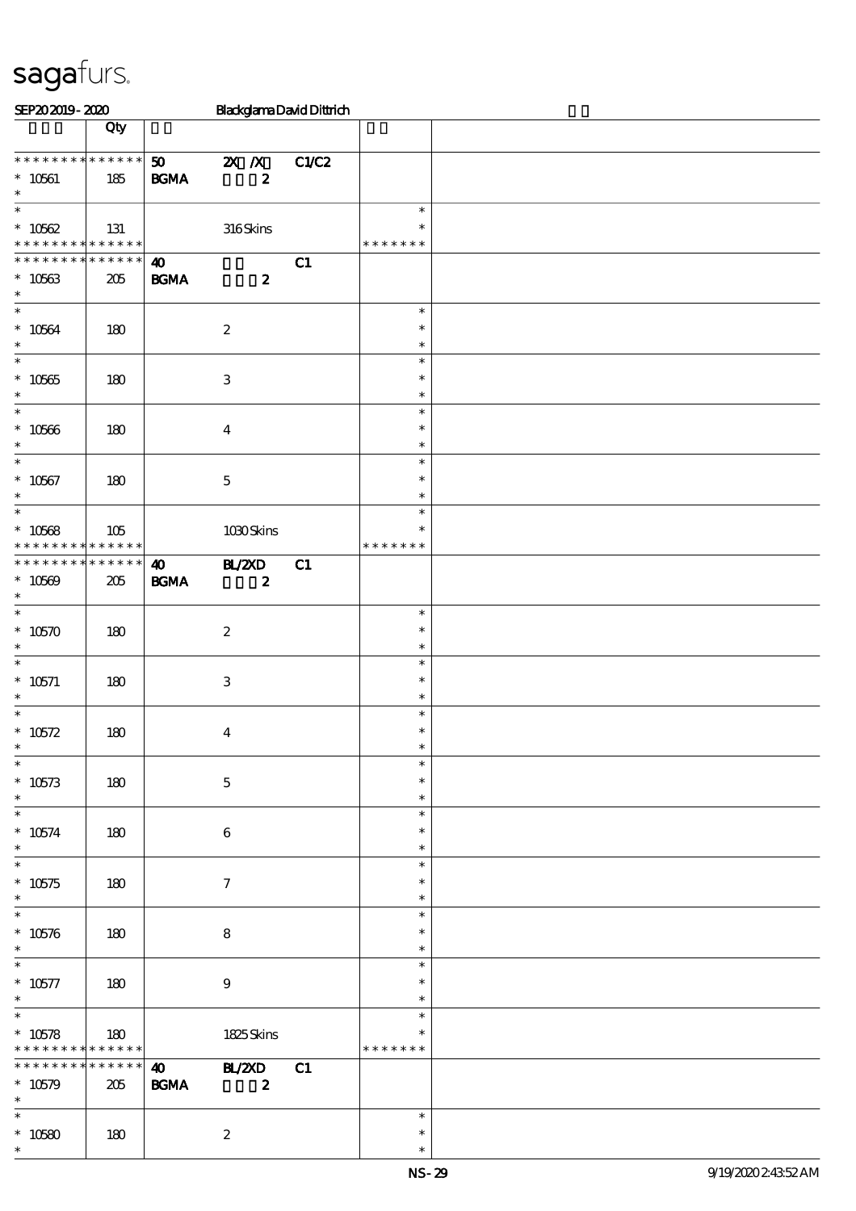| SEP202019-2020                                         |               |                                      |                           |                  | <b>BlackglamaDavidDittrich</b> |                                   |  |
|--------------------------------------------------------|---------------|--------------------------------------|---------------------------|------------------|--------------------------------|-----------------------------------|--|
|                                                        | Qty           |                                      |                           |                  |                                |                                   |  |
| * * * * * * * * * * * * * *<br>$* 10561$<br>$\ast$     | 185           | 50<br><b>BGMA</b>                    | $\mathbf{X}$ $\mathbf{X}$ | $\boldsymbol{z}$ | C1/C2                          |                                   |  |
| $\ast$<br>$* 10562$<br>* * * * * * * * * * * * * *     | 131           |                                      |                           | 316Skins         |                                | $\ast$<br>$\ast$<br>* * * * * * * |  |
| * * * * * * * * * * * * * *<br>$* 10563$<br>$\ast$     | 205           | $\boldsymbol{\omega}$<br><b>BGMA</b> |                           | $\boldsymbol{z}$ | C1                             |                                   |  |
| $\overline{\ast}$<br>$^*$ 10564 $\,$<br>$\ast$         | 180           |                                      | $\boldsymbol{2}$          |                  |                                | $\ast$<br>$\ast$<br>$\ast$        |  |
| $\ast$<br>$* 10565$<br>$\ast$                          | 180           |                                      | $\,3$                     |                  |                                | $\ast$<br>$\ast$<br>$\ast$        |  |
| $\ast$<br>$^*$ 10566 $\,$<br>$\ast$                    | 180           |                                      | $\boldsymbol{4}$          |                  |                                | $\ast$<br>$\ast$<br>$\ast$        |  |
| $\overline{\ast}$<br>$* 10567$<br>$\ast$               | 180           |                                      | $\mathbf 5$               |                  |                                | $\ast$<br>$\ast$<br>$\ast$        |  |
| $\ast$<br>$* 10568$<br>* * * * * * * *                 | 105<br>****** |                                      |                           | 1030Skins        |                                | $\ast$<br>$\ast$<br>* * * * * * * |  |
| * * * * * * * * * * * * * *<br>$* 10569$<br>$\ast$     | 205           | $\boldsymbol{\omega}$<br><b>BGMA</b> | <b>HAZXD</b>              | $\boldsymbol{z}$ | C1                             |                                   |  |
| $\ast$<br>$*10570$<br>$\ast$                           | 180           |                                      | $\boldsymbol{2}$          |                  |                                | $\ast$<br>$\ast$<br>$\ast$        |  |
| $\ast$<br>$* 10571$<br>$\ast$                          | 180           |                                      | $\,3\,$                   |                  |                                | $\ast$<br>$\ast$<br>$\ast$        |  |
| $\ast$<br>* $10572$<br>$\overline{\phantom{0}}$        | 180           |                                      | $\boldsymbol{4}$          |                  |                                | $\ast$<br>$\ast$                  |  |
| $* 10573$<br>$\ast$                                    | 180           |                                      | $\mathbf 5$               |                  |                                | $\ast$<br>$\ast$<br>$\ast$        |  |
| $\overline{\ast}$<br>$^*$ 10574 $\,$<br>$\ast$         | 180           |                                      | $\bf 6$                   |                  |                                | $\ast$<br>$\ast$<br>$\ast$        |  |
| $\ast$<br>$^\ast$ 10575<br>$\ast$<br>$\overline{\ast}$ | 180           |                                      | $\boldsymbol{\tau}$       |                  |                                | $\ast$<br>$\ast$<br>$\ast$        |  |
| $* 10576$<br>$\ast$                                    | 180           |                                      | 8                         |                  |                                | $\ast$<br>$\ast$<br>$\ast$        |  |
| $\ast$<br>$* 10577$<br>$\ast$                          | 180           |                                      | $\bf{9}$                  |                  |                                | $\ast$<br>$\ast$<br>$\ast$        |  |
| $\ast$<br>$* 10578$<br>* * * * * * * * * * * * * *     | 180           |                                      |                           | 1825Skins        |                                | $\ast$<br>$\ast$<br>* * * * * * * |  |
| * * * * * * * * * * * * * *<br>$* 10579$<br>$\ast$     | 205           | $\boldsymbol{\omega}$<br><b>BGMA</b> | <b>HL/ZXD</b>             | $\boldsymbol{z}$ | C1                             |                                   |  |
| $\ast$<br>$* 10580$<br>$\ast$                          | 180           |                                      | $\boldsymbol{2}$          |                  |                                | $\ast$<br>$\ast$<br>$\ast$        |  |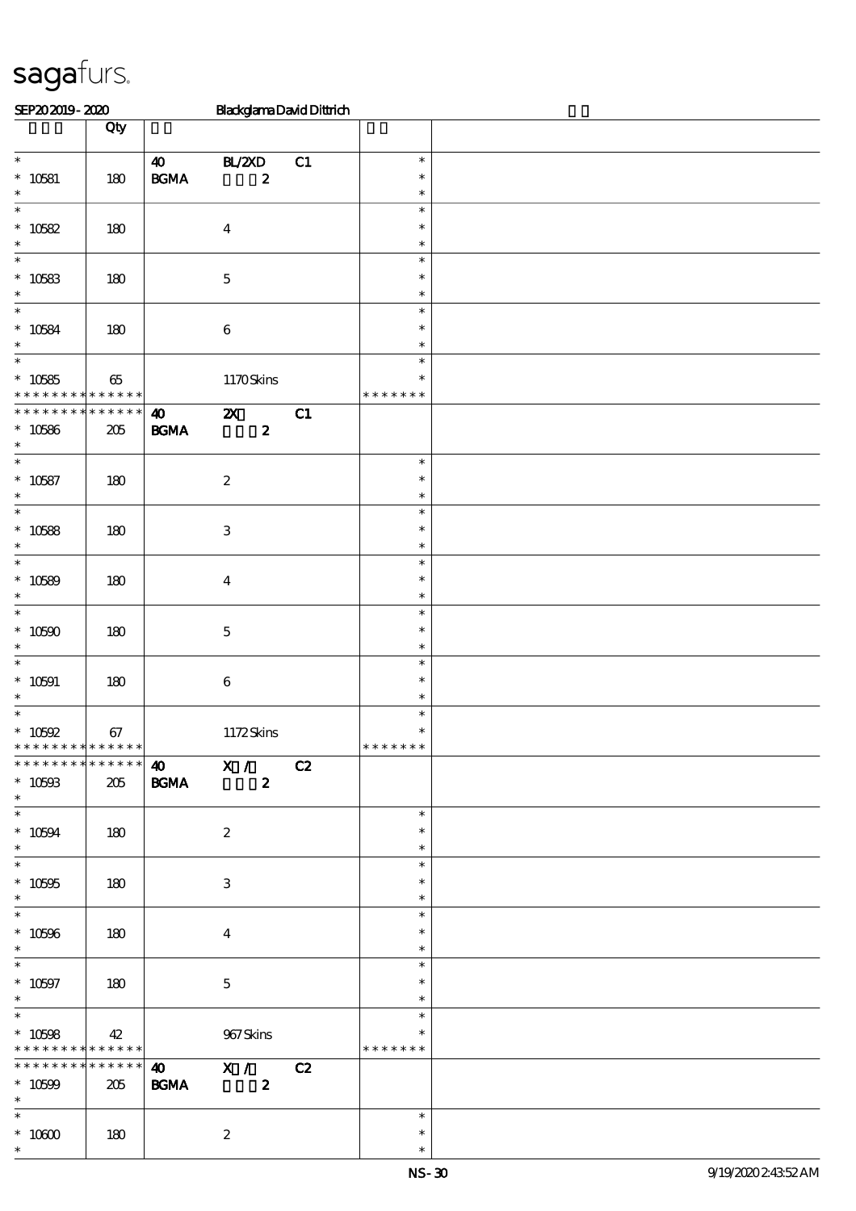| SEP202019-2020                                                              |                        |                                            | <b>BlackglamaDavidDittrich</b>                |    |                                      |  |
|-----------------------------------------------------------------------------|------------------------|--------------------------------------------|-----------------------------------------------|----|--------------------------------------|--|
|                                                                             | Qty                    |                                            |                                               |    |                                      |  |
| $\ast$<br>$* 10581$<br>$\ast$                                               | 180                    | $\boldsymbol{\omega}$<br>$\mathbf{B G MA}$ | BL/2XD<br>$\boldsymbol{z}$                    | C1 | $\ast$<br>$\ast$<br>$\ast$           |  |
| $\ast$<br>$* 10582$<br>$\ast$                                               | 180                    |                                            | $\boldsymbol{4}$                              |    | $\ast$<br>$\ast$<br>$\ast$           |  |
| $\ast$<br>$* 10583$<br>$\ast$                                               | 180                    |                                            | $\mathbf 5$                                   |    | $\ast$<br>$\ast$<br>$\ast$           |  |
| $\ast$<br>$* 10584$<br>$\ast$                                               | 180                    |                                            | $\bf 6$                                       |    | $\ast$<br>$\ast$<br>$\ast$           |  |
| $\ast$<br>$* 10585$<br>* * * * * * * * <mark>* * * * * * *</mark>           | $65\,$                 |                                            | 1170Skins                                     |    | $\ast$<br>$\ast$<br>* * * * * * *    |  |
| * * * * * * * *<br>$* 10586$<br>$\ast$<br>$\overline{\phantom{0}}$          | * * * * * *<br>$205\,$ | $\boldsymbol{\omega}$<br>$\mathbf{B G MA}$ | $\boldsymbol{\mathsf{X}}$<br>$\boldsymbol{z}$ | C1 |                                      |  |
| $* 10587$<br>$\ast$<br>$\ast$                                               | 180                    |                                            | $\boldsymbol{2}$                              |    | $\ast$<br>$\ast$<br>$\ast$           |  |
| $* 10588$<br>$\ast$<br>$\ast$                                               | 180                    |                                            | $\,3$                                         |    | $\ast$<br>$\ast$<br>$\ast$<br>$\ast$ |  |
| $* 10589$<br>$\ast$<br>$\ast$                                               | 180                    |                                            | $\bf{4}$                                      |    | $\ast$<br>$\ast$<br>$\ast$           |  |
| $* 10590$<br>$\ast$<br>$\ast$                                               | 180                    |                                            | $\mathbf 5$                                   |    | $\ast$<br>$\ast$<br>$\ast$           |  |
| $* 10591$<br>$\ast$<br>$\ast$                                               | 180                    |                                            | $\bf 6$                                       |    | $\ast$<br>$\ast$<br>$\ast$           |  |
| $* 10592$<br>**************                                                 | 67<br>* * * * * *      |                                            | 1172Skins<br>40 X / C2                        |    | $\ast$<br>* * * * * * *              |  |
| $* 10503$<br>$\ast$                                                         | 205                    | <b>BGMA</b>                                | $\boldsymbol{z}$                              |    | $\ast$                               |  |
| $^*$ 10594 $\,$<br>$\ast$<br>$\overline{\ast}$                              | 180                    |                                            | $\boldsymbol{z}$                              |    | $\ast$<br>$\ast$<br>$\ast$           |  |
| $^*$ 10595 $\,$<br>$\ast$<br>$\overline{\phantom{a}^*}$                     | 180                    |                                            | 3                                             |    | $\ast$<br>$\ast$<br>$\ast$           |  |
| $^\ast$ 10596<br>$\ast$                                                     | 180                    |                                            | $\overline{4}$                                |    | $\ast$<br>$\ast$<br>$\ast$           |  |
| $* 10597$<br>$\ast$<br>$\ast$                                               | 180                    |                                            | $\mathbf{5}$                                  |    | $\ast$<br>$\ast$<br>$\ast$           |  |
| $* 10508$<br>* * * * * * * * * * * * * * *<br>* * * * * * * * * * * * * * * | 42                     |                                            | 967Skins<br>40 X / C2                         |    | * * * * * * *                        |  |
| $* 10599$<br>$*$ $*$<br>$*$                                                 | 205                    | $\mathbf{B G MA}$                          | $\overline{\mathbf{z}}$                       |    | $\ast$                               |  |
| $^\ast$ 10600<br>$\ast$                                                     | 180                    |                                            | $\boldsymbol{2}$                              |    | $\ast$<br>$\ast$                     |  |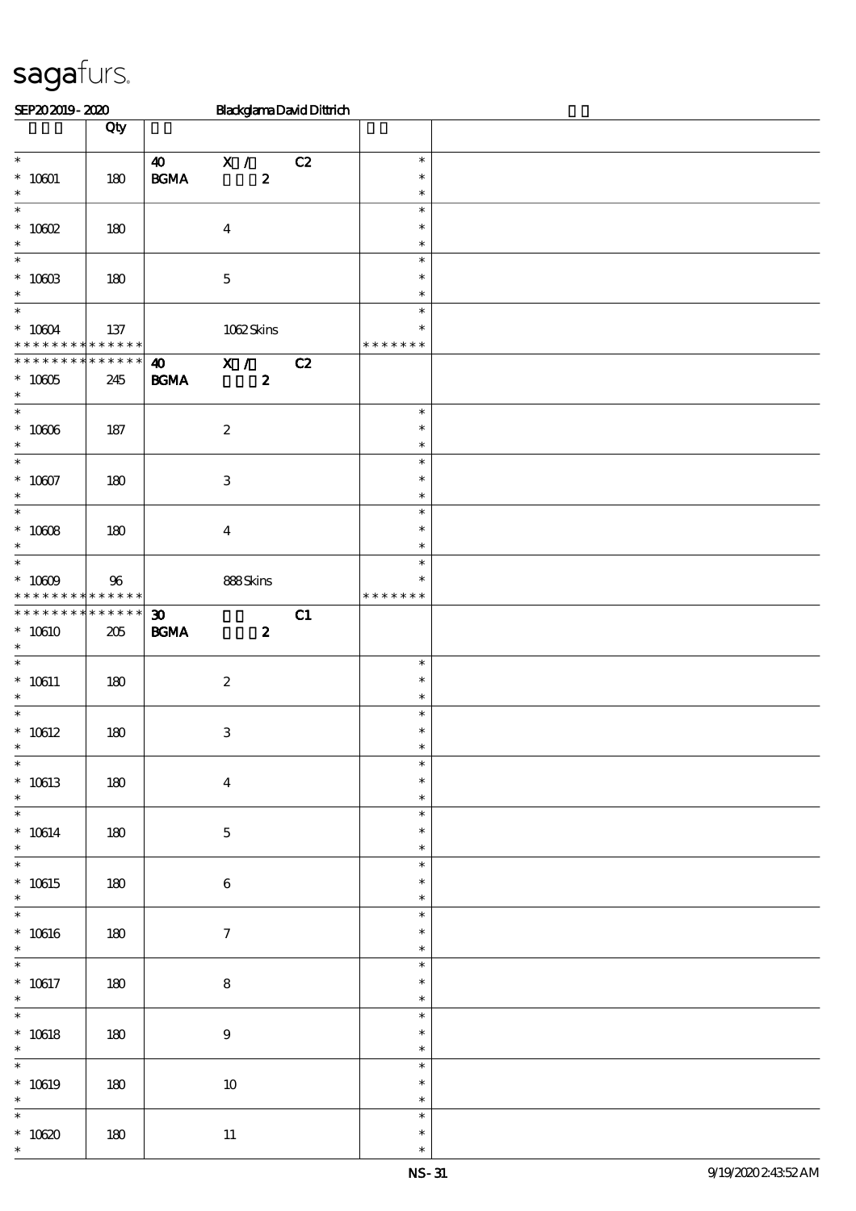| SEP202019-2020                                                             |                        |                                                  |                         | <b>BlackglamaDavidDittrich</b> |                                   |  |
|----------------------------------------------------------------------------|------------------------|--------------------------------------------------|-------------------------|--------------------------------|-----------------------------------|--|
|                                                                            | $\overline{Q}$ ty      |                                                  |                         |                                |                                   |  |
| $\ast$<br>$^*$ 10001 $\,$<br>$\ast$                                        | 180                    | $\boldsymbol{\omega}$<br>$\mathbf{B G MA}$       | X /<br>$\boldsymbol{z}$ | C2                             | $\ast$<br>$\ast$<br>$\ast$        |  |
| $\ast$<br>$^*$ 10002 $\,$<br>$\ast$                                        | 180                    | $\boldsymbol{4}$                                 |                         |                                | $\ast$<br>$\ast$<br>$\ast$        |  |
| $\ast$<br>$^*$ 10603<br>$\ast$                                             | 180                    | $\mathbf 5$                                      |                         |                                | $\ast$<br>$\ast$<br>$\ast$        |  |
| $\ast$<br>$^*$ 10004 $\,$<br>* * * * * * * * * * * * * *                   | 137                    |                                                  | 1062Skins               |                                | $\ast$<br>$\ast$<br>* * * * * * * |  |
| * * * * * * * *<br>$^\ast$ 10005<br>$\ast$                                 | $* * * * * * *$<br>245 | $\boldsymbol{\omega}$<br><b>BGMA</b>             | X /<br>$\boldsymbol{z}$ | C2                             |                                   |  |
| $\overline{\ast}$<br>$^\ast$ 10006<br>$\ast$                               | 187                    | $\boldsymbol{2}$                                 |                         |                                | $\ast$<br>$\ast$<br>$\ast$        |  |
| $\overline{\phantom{a}^*}$<br>$^\ast$ 10607<br>$\ast$                      | 180                    | $\ensuremath{\mathbf{3}}$                        |                         |                                | $\ast$<br>$\ast$<br>$\ast$        |  |
| $\overline{\phantom{0}}$<br>$^*$ 10008 $\,$<br>$\ast$                      | 180                    | $\boldsymbol{4}$                                 |                         |                                | $\ast$<br>$\ast$<br>$\ast$        |  |
| $\overline{\phantom{0}}$<br>$^*$ 10009 $\,$<br>* * * * * * * * * * * * * * | 96                     |                                                  | 888Skins                |                                | $\ast$<br>$\ast$<br>* * * * * * * |  |
| * * * * * * * * * * * * * *<br>$*10610$<br>$\ast$                          | 205                    | $\boldsymbol{\mathfrak{D}}$<br>$\mathbf{B G MA}$ | $\boldsymbol{z}$        | C1                             |                                   |  |
| $\ast$<br>$^*$ 10611<br>$\ast$                                             | 180                    | $\boldsymbol{2}$                                 |                         |                                | $\ast$<br>$\ast$<br>$\ast$        |  |
| $\ast$<br>$* 10612$                                                        | 180                    | $\ensuremath{\mathbf{3}}$                        |                         |                                | $\ast$<br>$\ast$                  |  |
| $\ast$<br>$* 10613$<br>$\ast$                                              | 180                    | $\boldsymbol{4}$                                 |                         |                                | $\ast$<br>$\ast$<br>$\ast$        |  |
| $\overline{\phantom{0}}$<br>$^*$ 10614 $\,$<br>$\ast$                      | 180                    | $\bf 5$                                          |                         |                                | $\ast$<br>$\ast$<br>$\ast$        |  |
| $\overline{\ast}$<br>$* 10615$<br>$\ast$                                   | 180                    | $\bf 6$                                          |                         |                                | $\ast$<br>$\ast$<br>$\ast$        |  |
| $\overline{\phantom{0}}$<br>$^*$ 10616<br>$\ast$                           | 180                    | $\boldsymbol{\tau}$                              |                         |                                | $\ast$<br>$\ast$<br>$\ast$        |  |
| $\overline{\phantom{0}}$<br>$^*$ 10617<br>$\ast$                           | 180                    | ${\bf 8}$                                        |                         |                                | $\ast$<br>$\ast$<br>$\ast$        |  |
| $\ast$<br>$^*$ 10618<br>$\ast$                                             | 180                    | $9\,$                                            |                         |                                | $\ast$<br>$\ast$<br>$\ast$        |  |
| $\overline{\phantom{0}}$<br>$* 10619$<br>$\ast$                            | 180                    |                                                  | $10\,$                  |                                | $\ast$<br>$\ast$<br>$\ast$        |  |
| $\ast$<br>$^\ast$ 10620<br>$\ast$                                          | $180\,$                | $11\,$                                           |                         |                                | $\ast$<br>$\ast$<br>$\ast$        |  |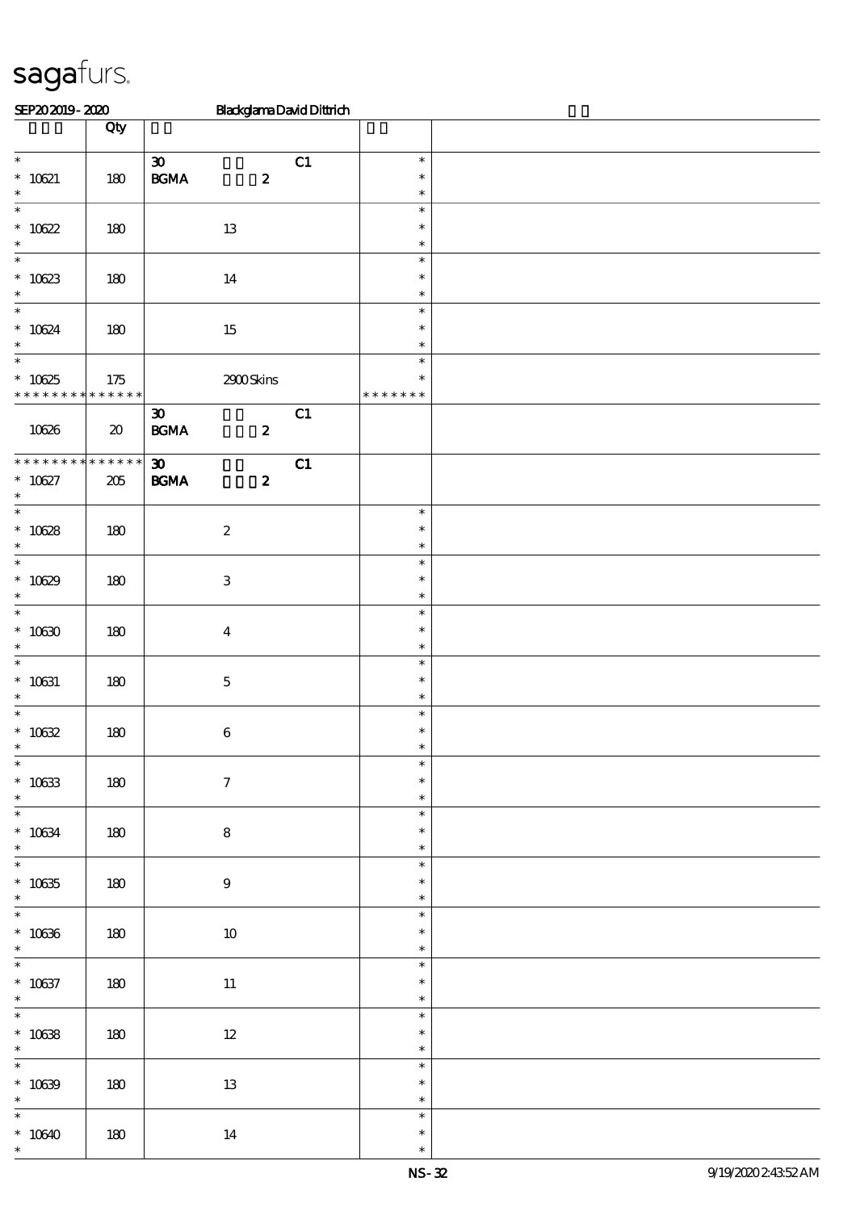| SEP202019-2020                                                |                                     | <b>BlackglamaDavidDittrich</b>                                       |    |                                   |  |
|---------------------------------------------------------------|-------------------------------------|----------------------------------------------------------------------|----|-----------------------------------|--|
|                                                               | Qty                                 |                                                                      |    |                                   |  |
| $\overline{\phantom{0}}$<br>$* 10621$<br>$\ast$               | 180                                 | $\boldsymbol{\mathfrak{D}}$<br>$\mathbf{B G MA}$<br>$\boldsymbol{z}$ | C1 | $\ast$<br>$\ast$<br>$\ast$        |  |
| $\overline{\ast}$<br>$^\ast$ 10622<br>$\ast$                  | 180                                 | $13\,$                                                               |    | $\ast$<br>$\ast$<br>$\ast$        |  |
| $\ast$<br>$* 10623$<br>$\ast$                                 | 180                                 | 14                                                                   |    | $\ast$<br>$\ast$<br>$\ast$        |  |
| $\ast$<br>$^*$ 10624 $\,$<br>$\ast$                           | 180                                 | $15\,$                                                               |    | $\ast$<br>$\ast$<br>$\ast$        |  |
| $\overline{\ast}$<br>$* 10625$<br>* * * * * * * * * * * * * * | $175$                               | 2900Skins                                                            |    | $\ast$<br>$\ast$<br>* * * * * * * |  |
| 10626                                                         | $\boldsymbol{\boldsymbol{\lambda}}$ | $\boldsymbol{\mathfrak{D}}$<br>$\mathbf{B G MA}$<br>$\boldsymbol{z}$ | C1 |                                   |  |
| * * * * * * * *<br>$* 10627$<br>$\ast$                        | * * * * * *<br>$205\,$              | $\boldsymbol{\mathfrak{D}}$<br>$\mathbf{B G MA}$<br>$\boldsymbol{z}$ | C1 |                                   |  |
| $\overline{\phantom{0}}$<br>$* 10628$<br>$\ast$               | 180                                 | $\boldsymbol{2}$                                                     |    | $\ast$<br>$\ast$<br>$\ast$        |  |
| $\overline{\phantom{0}}$<br>$* 10629$<br>$\ast$               | 180                                 | $\,3$                                                                |    | $\ast$<br>$\ast$<br>$\ast$        |  |
| $\overline{\ast}$<br>$^\ast$ 10630<br>$\ast$                  | 180                                 | $\boldsymbol{4}$                                                     |    | $\ast$<br>$\ast$<br>$\ast$        |  |
| $\ast$<br>$* 10631$<br>$\ast$                                 | 180                                 | $\mathbf 5$                                                          |    | $\ast$<br>$\ast$<br>$\ast$        |  |
| $\ast$<br>$^*$ 10632<br>$\ast$                                | 180                                 | $\boldsymbol{6}$                                                     |    | $\ast$<br>$\ast$                  |  |
| $\overline{\phantom{0}}$<br>$* 10633$<br>$\ast$               | 180                                 | $\boldsymbol{7}$                                                     |    | $\ast$<br>$\ast$<br>$\ast$        |  |
| $\overline{\phantom{0}}$<br>$^\ast$ 10634<br>$*$              | 180                                 | $\bf 8$                                                              |    | $\ast$<br>$\ast$<br>$\ast$        |  |
| $\overline{\phantom{0}}$<br>$^\ast$ 10635<br>$\ast$           | 180                                 | $\boldsymbol{9}$                                                     |    | $\ast$<br>$\ast$<br>$\ast$        |  |
| $\overline{\phantom{0}}$<br>$^\ast$ 10636<br>$\ast$           | 180                                 | $10\,$                                                               |    | $\ast$<br>$\ast$<br>$\ast$        |  |
| $\overline{\phantom{0}}$<br>$^\ast$ 10637<br>$\ast$           | 180                                 | $11\,$                                                               |    | $\ast$<br>$\ast$<br>$\ast$        |  |
| $\overline{\phantom{0}}$<br>$^\ast$ 10638<br>$\ast$           | 180                                 | $12\,$                                                               |    | $\ast$<br>$\ast$<br>$\ast$        |  |
| $\overline{\phantom{0}}$<br>$* 10639$<br>$\ast$               | 180                                 | $13\,$                                                               |    | $\ast$<br>$\ast$<br>$\ast$        |  |
| $\overline{\phantom{0}}$<br>$*10640$<br>$\ast$                | $180\,$                             | $14\,$                                                               |    | $\ast$<br>$\ast$<br>$\ast$        |  |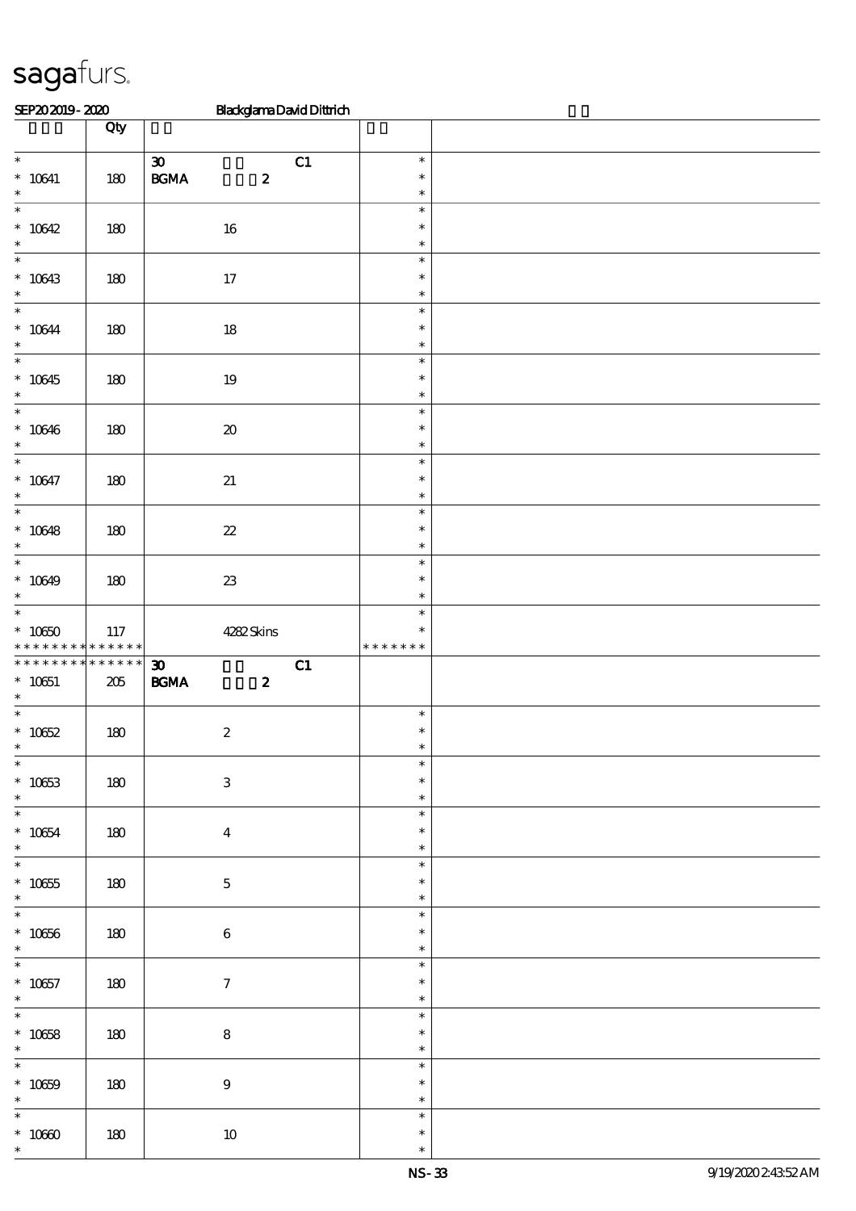| SEP202019-2020                                        |                        | <b>BlackglamaDavidDittrich</b>                                             |                                   |  |
|-------------------------------------------------------|------------------------|----------------------------------------------------------------------------|-----------------------------------|--|
|                                                       | Qty                    |                                                                            |                                   |  |
| $\overline{\phantom{0}}$<br>$^*$ 10641<br>$\ast$      | 180                    | $\boldsymbol{\mathfrak{D}}$<br>C1<br>$\mathbf{B G MA}$<br>$\boldsymbol{z}$ | $\ast$<br>$\ast$<br>$\ast$        |  |
| $\ast$<br>$* 10642$<br>$\ast$                         | 180                    | $16\,$                                                                     | $\ast$<br>$\ast$<br>$\ast$        |  |
| $\ast$<br>$* 10643$<br>$\ast$                         | 180                    | 17                                                                         | $\ast$<br>$\ast$<br>$\ast$        |  |
| $\ast$<br>$^*$ 10644 $\,$<br>$\ast$                   | 180                    | $18\,$                                                                     | $\ast$<br>$\ast$<br>$\ast$        |  |
| $\ast$<br>$* 10645$<br>$\ast$                         | 180                    | $19\,$                                                                     | $\ast$<br>$\ast$<br>$\ast$        |  |
| $\ast$<br>$* 10646$<br>$\ast$                         | $180$                  | $\pmb{\mathcal{X}}$                                                        | $\ast$<br>$\ast$<br>$\ast$        |  |
| $\overline{\ast}$<br>$* 10647$<br>$\ast$              | $180$                  | $2\!1$                                                                     | $\ast$<br>$\ast$<br>$\ast$        |  |
| $\ast$<br>$* 10648$<br>$\ast$                         | 180                    | ${\bf z}$                                                                  | $\ast$<br>$\ast$<br>$\ast$        |  |
| $\ast$<br>$* 10649$<br>$\ast$                         | 180                    | $23\,$                                                                     | $\ast$<br>$\ast$<br>$\ast$        |  |
| $\ast$<br>$^*$ 10650 $\,$<br>* * * * * * * *          | 117<br>$* * * * * * *$ | 4282Skins                                                                  | $\ast$<br>$\ast$<br>* * * * * * * |  |
| * * * * * * * *<br>$* 10651$<br>$\ast$                | * * * * * *<br>$205\,$ | C1<br>$\boldsymbol{\mathfrak{D}}$<br>$\mathbf{B G MA}$<br>$\boldsymbol{z}$ |                                   |  |
| $\ast$<br>$^\ast$ 10652                               | 180                    | $\boldsymbol{2}$                                                           | $\ast$<br>$\ast$                  |  |
| $\overline{\ast}$<br>$^\ast$ 10653<br>$\ast$          | 180                    | $\ensuremath{\mathbf{3}}$                                                  | $\ast$<br>$\ast$<br>$\ast$        |  |
| $* 10654$<br>$\ast$                                   | 180                    | $\boldsymbol{4}$                                                           | $\ast$<br>$\ast$<br>$\ast$        |  |
| $\overline{\phantom{a}^*}$<br>$^\ast$ 10655<br>$\ast$ | 180                    | $\mathbf 5$                                                                | $\ast$<br>$\ast$<br>$\ast$        |  |
| $\overline{\phantom{0}}$<br>$^\ast$ 10656<br>$\ast$   | 180                    | 6                                                                          | $\ast$<br>$\ast$<br>$\ast$        |  |
| $\overline{\phantom{0}}$<br>$^\ast$ 10657<br>$\ast$   | 180                    | $\tau$                                                                     | $\ast$<br>$\ast$<br>$\ast$        |  |
| $\overline{\ast}$<br>$^*$ 10658 $\,$<br>$\ast$        | 180                    | ${\bf 8}$                                                                  | $\ast$<br>$\ast$<br>$\ast$        |  |
| $\overline{\phantom{0}}$<br>$^*$ 10659 $\,$<br>$\ast$ | 180                    | $\bf 9$                                                                    | $\ast$<br>$\ast$<br>$\ast$        |  |
| $\ast$<br>$^\ast$ 10660<br>$\ast$                     | 180                    | $10\,$                                                                     | $\ast$<br>$\ast$<br>$\ast$        |  |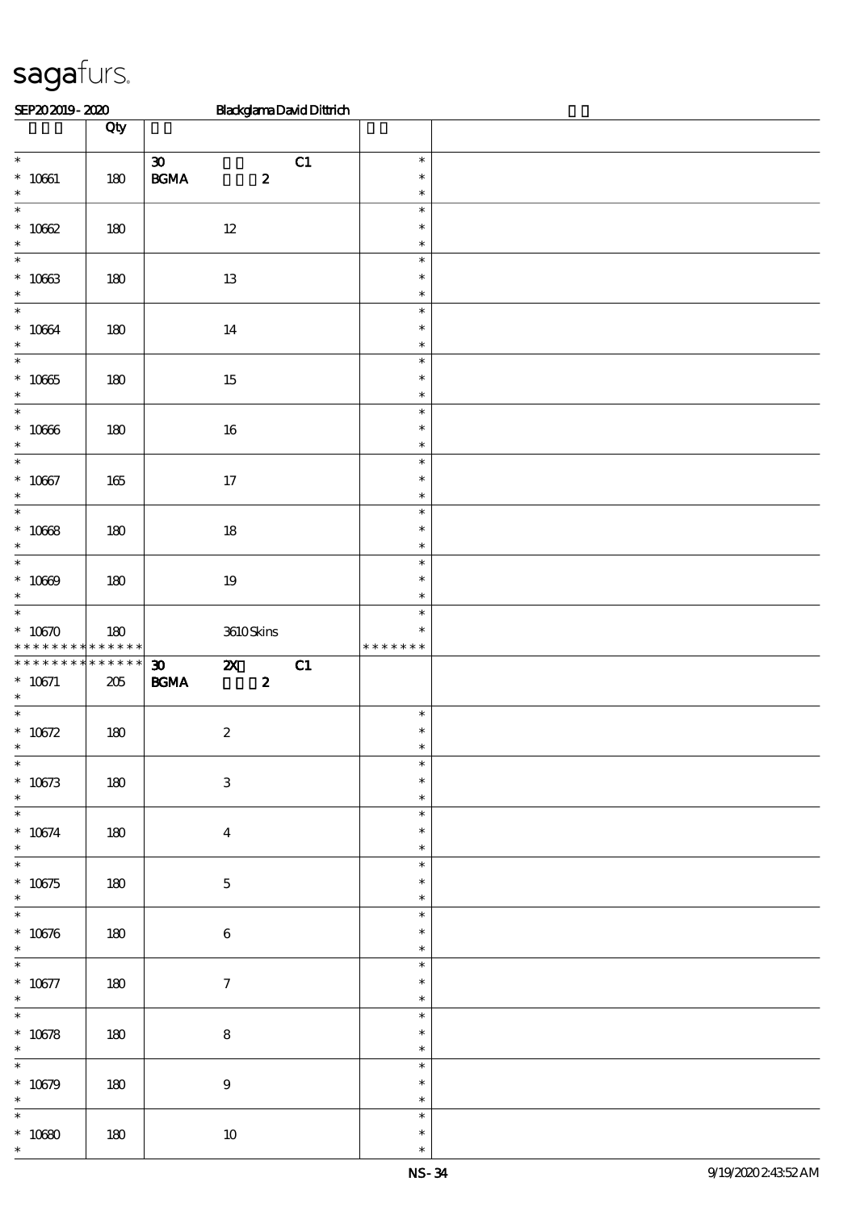| SEP202019-2020                                        |                          | <b>BlackglamaDavidDittrich</b>                                                                          |                                   |  |
|-------------------------------------------------------|--------------------------|---------------------------------------------------------------------------------------------------------|-----------------------------------|--|
|                                                       | Qty                      |                                                                                                         |                                   |  |
| $\overline{\phantom{0}}$<br>$^*$ 10661 $\,$<br>$\ast$ | 180                      | $\boldsymbol{\mathfrak{D}}$<br>C1<br>$\mathbf{B}\mathbf{G}\mathbf{M}\mathbf{A}$<br>$\boldsymbol{z}$     | $\ast$<br>$\ast$<br>$\ast$        |  |
| $\ast$<br>$* 10002$<br>$\ast$                         | 180                      | $12\,$                                                                                                  | $\ast$<br>$\ast$<br>$\ast$        |  |
| $\ast$<br>$* 10663$<br>$\ast$                         | 180                      | $13\,$                                                                                                  | $\ast$<br>$\ast$<br>$\ast$        |  |
| $\ast$<br>$* 10664$<br>$\ast$                         | 180                      | $14\,$                                                                                                  | $\ast$<br>$\ast$<br>$\ast$        |  |
| $\ast$<br>$^\ast$ 10665<br>$\ast$                     | 180                      | 15                                                                                                      | $\ast$<br>$\ast$<br>$\ast$        |  |
| $\ast$<br>$^\ast$ 10366<br>$\ast$                     | $180$                    | $16\,$                                                                                                  | $\ast$<br>$\ast$<br>$\ast$        |  |
| $\overline{\ast}$<br>$* 10067$<br>$\ast$              | 165                      | $17\,$                                                                                                  | $\ast$<br>$\ast$<br>$\ast$        |  |
| $\ast$<br>$^\ast$ 10668<br>$\ast$                     | 180                      | $18\,$                                                                                                  | $\ast$<br>$\ast$<br>$\ast$        |  |
| $\ast$<br>$^\ast$ 10669<br>$\ast$                     | $180$                    | $19\,$                                                                                                  | $\ast$<br>$\ast$<br>$\ast$        |  |
| $\ast$<br>$* 10670$<br>* * * * * * * *                | $180$<br>$* * * * * * *$ | 3610Skins                                                                                               | $\ast$<br>$\ast$<br>* * * * * * * |  |
| * * * * * * * *<br>$* 10671$<br>$\ast$                | * * * * * *<br>$205\,$   | C1<br>$\boldsymbol{\mathfrak{D}}$<br>$\boldsymbol{\mathsf{z}}$<br>$\mathbf{B G MA}$<br>$\boldsymbol{z}$ |                                   |  |
| $\ast$<br>$^\ast$ 10672                               | 180                      | $\boldsymbol{2}$                                                                                        | $\ast$<br>$\ast$                  |  |
| $\overline{\ast}$<br>$* 10673$<br>$\ast$              | 180                      | $\ensuremath{\mathbf{3}}$                                                                               | $\ast$<br>$\ast$<br>$\ast$        |  |
| $\overline{\phantom{0}}$<br>$* 10674$<br>$\ast$       | 180                      | $\boldsymbol{4}$                                                                                        | $\ast$<br>$\ast$<br>$\ast$        |  |
| $\overline{\ast}$<br>$* 10675$<br>$\ast$              | 180                      | $\mathbf 5$                                                                                             | $\ast$<br>$\ast$<br>$\ast$        |  |
| $\overline{\phantom{0}}$<br>$* 10676$<br>$\ast$       | 180                      | 6                                                                                                       | $\ast$<br>$\ast$<br>$\ast$        |  |
| $\overline{\phantom{0}}$<br>$^\ast$ 10677<br>$\ast$   | 180                      | $\tau$                                                                                                  | $\ast$<br>$\ast$<br>$\ast$        |  |
| $\overline{\ast}$<br>$* 10678$<br>$\ast$              | 180                      | ${\bf 8}$                                                                                               | $\ast$<br>$\ast$<br>$\ast$        |  |
| $\overline{\phantom{0}}$<br>$* 10679$<br>$\ast$       | 180                      | $\bf 9$                                                                                                 | $\ast$<br>$\ast$<br>$\ast$        |  |
| $\ast$<br>$^\ast$ 10680<br>$\ast$                     | 180                      | $10\,$                                                                                                  | $\ast$<br>$\ast$<br>$\ast$        |  |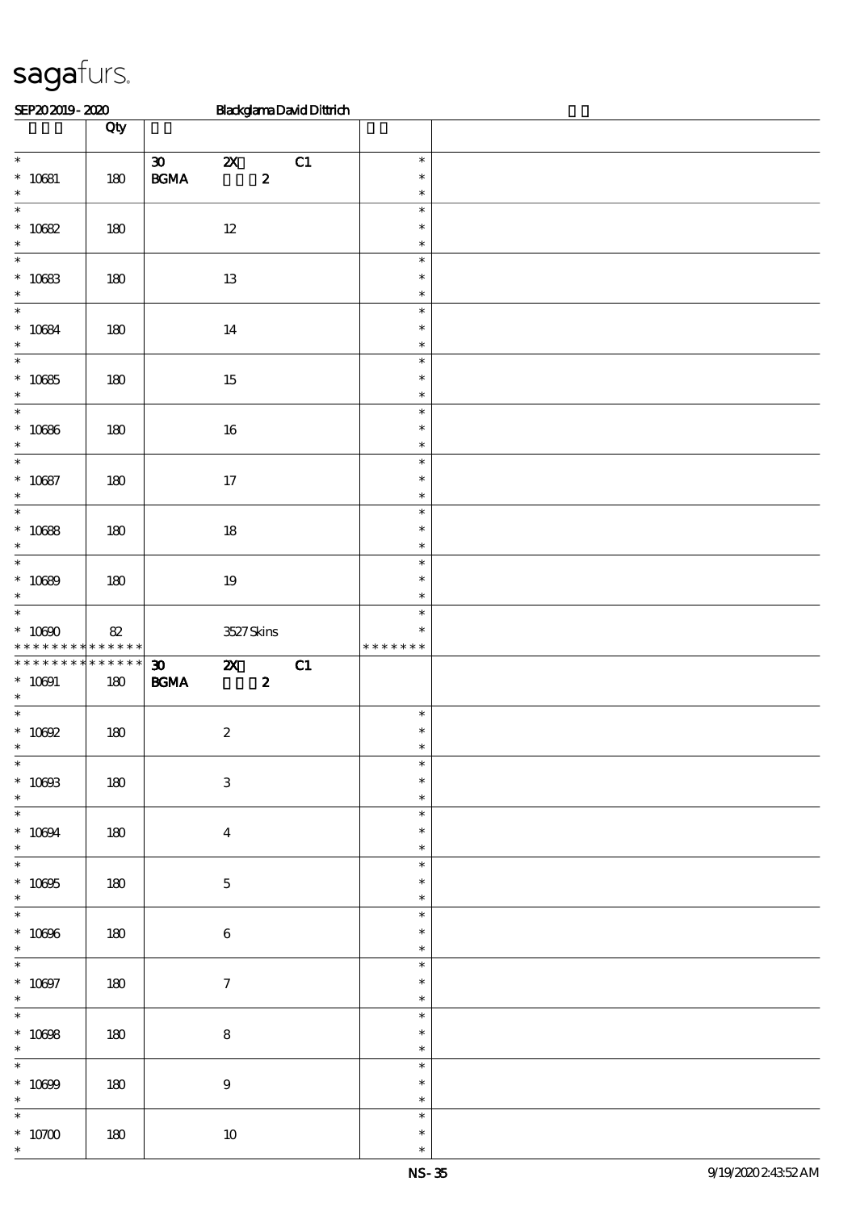| SEP202019-2020                                                 |                       |                                                  |                           |                  | <b>BlackglamaDavidDittrich</b> |                                   |  |
|----------------------------------------------------------------|-----------------------|--------------------------------------------------|---------------------------|------------------|--------------------------------|-----------------------------------|--|
|                                                                | Qty                   |                                                  |                           |                  |                                |                                   |  |
| $\overline{\phantom{0}}$<br>$^\ast$ 10681<br>$\ast$            | 180                   | $\boldsymbol{\mathfrak{D}}$<br>$\mathbf{B G MA}$ | $\boldsymbol{\mathsf{z}}$ | $\boldsymbol{z}$ | C1                             | $\ast$<br>$\ast$<br>$\ast$        |  |
| $\ast$<br>$* 10682$<br>$\ast$                                  | 180                   |                                                  | $12\,$                    |                  |                                | $\ast$<br>$\ast$<br>$\ast$        |  |
| $\ast$<br>$* 10683$<br>$\ast$                                  | 180                   |                                                  | $13\,$                    |                  |                                | $\ast$<br>$\ast$<br>$\ast$        |  |
| $\overline{\phantom{0}}$<br>$^\ast$ 10684<br>$\ast$            | 180                   |                                                  | $14\,$                    |                  |                                | $\ast$<br>$\ast$<br>$\ast$        |  |
| $\ast$<br>$^\ast$ 10685<br>$\ast$                              | 180                   |                                                  | $15\,$                    |                  |                                | $\ast$<br>$\ast$<br>$\ast$        |  |
| $\overline{\ast}$<br>$^\ast$ 10686<br>$\ast$                   | $180$                 |                                                  | $16\,$                    |                  |                                | $\ast$<br>$\ast$<br>$\ast$        |  |
| $\overline{\phantom{a}^*}$<br>$* 10087$<br>$\ast$              | $180$                 |                                                  | $17\,$                    |                  |                                | $\ast$<br>$\ast$<br>$\ast$        |  |
| $\overline{\phantom{0}}$<br>$* 10688$<br>$\ast$                | 180                   |                                                  | $18\,$                    |                  |                                | $\ast$<br>$\ast$<br>$\ast$        |  |
| $\ast$<br>$* 10089$<br>$\ast$                                  | 180                   |                                                  | $19\,$                    |                  |                                | $\ast$<br>$\ast$<br>$\ast$        |  |
| $\overline{\phantom{0}}$<br>$^*$ 10090 $\,$<br>* * * * * * * * | 82<br>$* * * * * * *$ |                                                  | 3527Skins                 |                  |                                | $\ast$<br>$\ast$<br>* * * * * * * |  |
| * * * * * * * *<br>$* 10001$<br>$\ast$                         | * * * * * *<br>180    | $\boldsymbol{\mathfrak{D}}$<br>$\mathbf{B G MA}$ | $\boldsymbol{\mathsf{Z}}$ | $\boldsymbol{z}$ | C1                             |                                   |  |
| $\ast$<br>$^*$ 10092                                           | 180                   |                                                  | $\boldsymbol{2}$          |                  |                                | $\ast$<br>$\ast$                  |  |
| $\overline{\ast}$<br>$^*$ 10003<br>$*$                         | 180                   |                                                  | $\ensuremath{\mathbf{3}}$ |                  |                                | $\ast$<br>$\ast$<br>$\ast$        |  |
| $* 10004$<br>$\ast$                                            | 180                   |                                                  | $\boldsymbol{4}$          |                  |                                | $\ast$<br>$\ast$<br>$\ast$        |  |
| $\overline{\phantom{a}^*}$<br>$^\ast$ 10095<br>$\ast$          | 180                   |                                                  | $\mathbf{5}$              |                  |                                | $\ast$<br>$\ast$<br>$\ast$        |  |
| $\overline{\phantom{0}}$<br>$^\ast$ 10096<br>$\ast$            | 180                   |                                                  | $\bf 6$                   |                  |                                | $\ast$<br>$\ast$<br>$\ast$        |  |
| $^\ast$ 10097<br>$\ast$                                        | 180                   |                                                  | $\mathcal I$              |                  |                                | $\ast$<br>$\ast$<br>$\ast$        |  |
| $\overline{\phantom{a}^*}$<br>$^*$ 10098<br>$\ast$             | 180                   |                                                  | $\bf 8$                   |                  |                                | $\ast$<br>$\ast$<br>$\ast$        |  |
| $\overline{\phantom{0}}$<br>$^\ast$ 10699<br>$\ast$            | 180                   |                                                  | $\bf 9$                   |                  |                                | $\ast$<br>$\ast$<br>$\ast$        |  |
| $\ast$<br>$^\ast$ 10700<br>$\ast$                              | 180                   |                                                  | $10\,$                    |                  |                                | $\ast$<br>$\ast$<br>$\ast$        |  |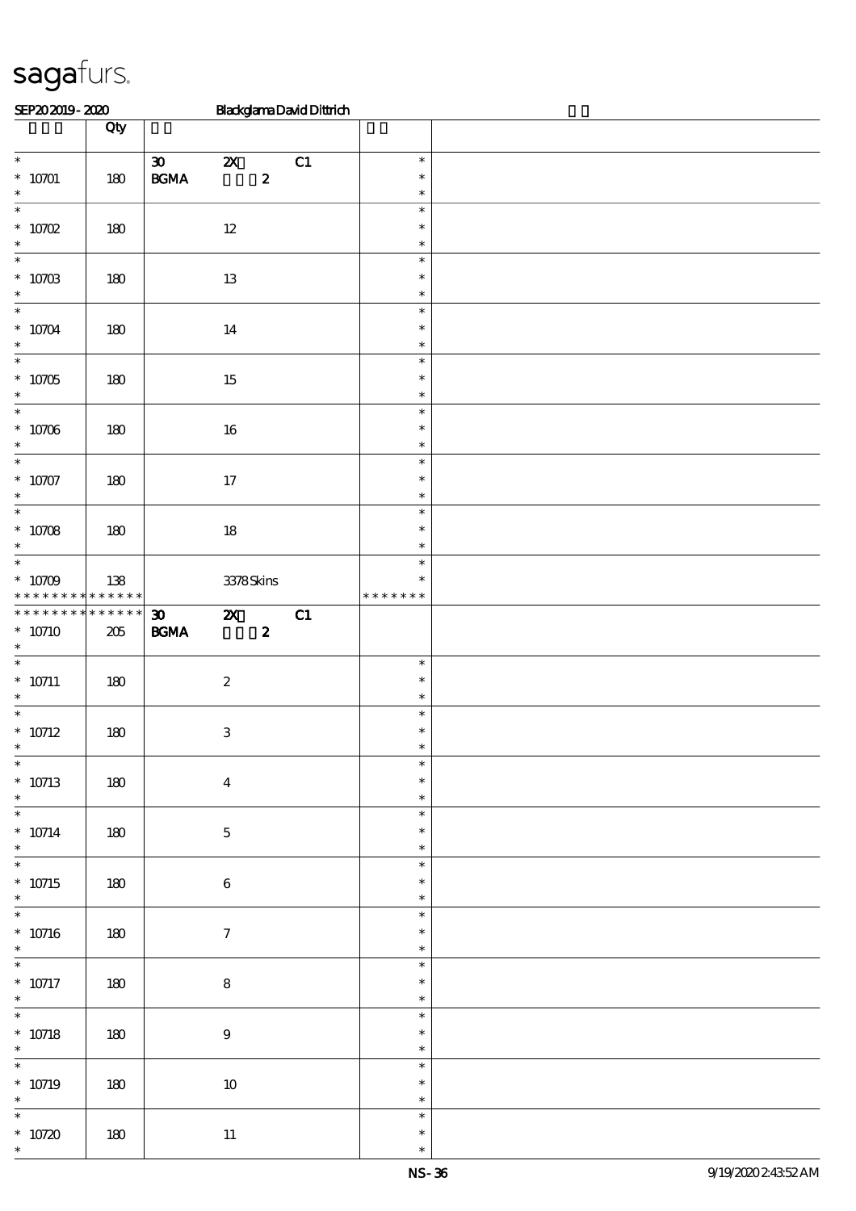| SEP202019-2020                                                |                    |                                                                           |                                               | <b>BlackglamaDavidDittrich</b> |                                      |  |
|---------------------------------------------------------------|--------------------|---------------------------------------------------------------------------|-----------------------------------------------|--------------------------------|--------------------------------------|--|
|                                                               | Qty                |                                                                           |                                               |                                |                                      |  |
| $\overline{\phantom{0}}$<br>$*$ 10701 $\,$<br>$\ast$          | 180                | $\boldsymbol{\mathfrak{D}}$<br>$\mathbf{B G MA}$                          | $\boldsymbol{\mathsf{Z}}$<br>$\boldsymbol{z}$ | C1                             | $\ast$<br>$\ast$<br>$\ast$           |  |
| $\overline{\ast}$<br>$* 10702$<br>$\ast$                      | 180                |                                                                           | $12\,$                                        |                                | $\ast$<br>$\ast$<br>$\ast$           |  |
| $\overline{\phantom{0}}$<br>$^\ast$ 10703 $^\ast$             | 180                |                                                                           | 13                                            |                                | $\ast$<br>$\ast$<br>$\ast$           |  |
| $\overline{\ast}$<br>$^*$ 10704 $\,$<br>$\ast$                | 180                |                                                                           | 14                                            |                                | $\ast$<br>$\ast$<br>$\ast$           |  |
| $\overline{\phantom{a}^*}$<br>$* 10705$<br>$\ast$             | 180                |                                                                           | 15                                            |                                | $\ast$<br>$\ast$<br>$\ast$           |  |
| $\overline{\phantom{0}}$<br>$^\ast$ 10706<br>$\ast$           | 180                |                                                                           | 16                                            |                                | $\ast$<br>$\ast$<br>$\ast$           |  |
| $\overline{\ast}$<br>$* 10707$<br>$\ast$<br>$\overline{\ast}$ | 180                |                                                                           | 17                                            |                                | $\ast$<br>$\ast$<br>$\ast$           |  |
| $* 10708$<br>$\ast$<br>$\overline{\phantom{a}^*}$             | 180                |                                                                           | $18\,$                                        |                                | $\ast$<br>$\ast$<br>$\ast$           |  |
| $* 10709$<br>* * * * * * * * * * * * * * *                    | 138                |                                                                           | $3378S\!$ kins                                |                                | $\ast$<br>$\ast$<br>* * * * * * *    |  |
| * * * * * * * *<br>$* 10710$<br>$\ast$                        | * * * * * *<br>205 | $\boldsymbol{\mathfrak{D}}$<br>$\mathbf{B}\mathbf{G}\mathbf{M}\mathbf{A}$ | $\mathbf{X}$<br>$\boldsymbol{z}$              | C1                             |                                      |  |
| $\ast$<br>$* 10711$<br>$\ast$<br>$\overline{\phantom{a}^*}$   | 180                |                                                                           | $\boldsymbol{z}$                              |                                | $\ast$<br>$\ast$<br>$\ast$           |  |
| $^\ast$ 10712<br>$\ast$                                       | 180                |                                                                           | $\,3$                                         |                                | $\ast$<br>$\ast$                     |  |
| $* 10713$<br>$\ast$<br>$\overline{\ast}$                      | 180                |                                                                           | $\overline{\mathbf{4}}$                       |                                | $\ast$<br>$\ast$<br>$\ast$           |  |
| $* 10714$<br>$\ast$<br>$\overline{\phantom{0}}$               | 180                |                                                                           | $\bf 5$                                       |                                | $\ast$<br>$\ast$<br>$\ast$<br>$\ast$ |  |
| $* 10715$<br>$\ast$<br>$\overline{\phantom{0}}$               | 180                |                                                                           | $\bf 6$                                       |                                | $\ast$<br>$\ast$<br>$\ast$           |  |
| $* 10716$<br>$\ast$<br>$\overline{\phantom{0}}$               | 180                |                                                                           | $\tau$                                        |                                | $\ast$<br>$\ast$                     |  |
| $* 10717$<br>$\ast$<br>$\overline{\phantom{0}}$               | 180                |                                                                           | $\bf 8$                                       |                                | $\ast$<br>$\ast$<br>$\ast$<br>$\ast$ |  |
| $* 10718$<br>$\ast$<br>$\overline{\ast}$                      | 180                |                                                                           | $\bf 9$                                       |                                | $\ast$<br>$\ast$<br>$\ast$           |  |
| $* 10719$<br>$\ast$<br>$\ast$                                 | 180                |                                                                           | $10\,$                                        |                                | $\ast$<br>$\ast$<br>$\ast$           |  |
| $* 10720$<br>$\ast$                                           | 180                |                                                                           | $11\,$                                        |                                | $\ast$<br>$\ast$                     |  |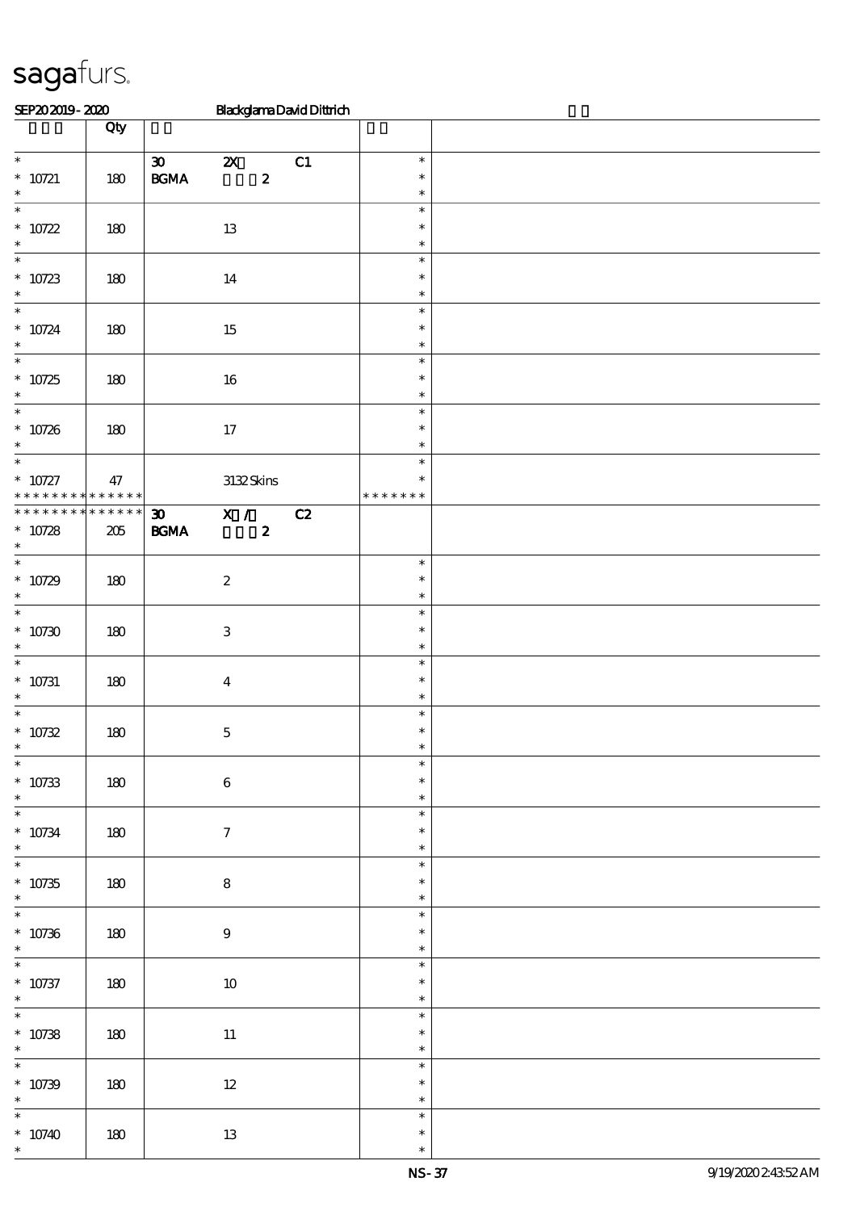| SEP202019-2020                       |                   |                             |                           |                  | <b>BlackglamaDavidDittrich</b> |                  |  |
|--------------------------------------|-------------------|-----------------------------|---------------------------|------------------|--------------------------------|------------------|--|
|                                      | Qty               |                             |                           |                  |                                |                  |  |
|                                      |                   |                             |                           |                  |                                |                  |  |
| $\overline{\phantom{a}^*}$           |                   | $\boldsymbol{\mathfrak{D}}$ | $\boldsymbol{\mathsf{Z}}$ |                  | C1                             | $\ast$           |  |
| $* 10721$                            | 180               | $\mathbf{B G MA}$           |                           | $\boldsymbol{z}$ |                                | $\ast$           |  |
| $\ast$                               |                   |                             |                           |                  |                                | $\ast$           |  |
| $\overline{\ast}$                    |                   |                             |                           |                  |                                | $\ast$           |  |
| $* 10722$                            | 180               |                             | 13                        |                  |                                | $\ast$           |  |
| $\ast$                               |                   |                             |                           |                  |                                | $\ast$           |  |
| $\ast$                               |                   |                             |                           |                  |                                | $\ast$           |  |
| $* 10723$                            | $180$             |                             | $14\,$                    |                  |                                | $\ast$           |  |
| $\ast$                               |                   |                             |                           |                  |                                | $\ast$           |  |
| $\ast$                               |                   |                             |                           |                  |                                | $\ast$           |  |
| $* 10724$                            | 180               |                             | $15\,$                    |                  |                                | $\ast$           |  |
| $\ast$                               |                   |                             |                           |                  |                                | $\ast$           |  |
| $\overline{\phantom{a}^*}$           |                   |                             |                           |                  |                                | $\ast$           |  |
| $* 10725$                            | 180               |                             | $16\,$                    |                  |                                | $\ast$           |  |
| $\ast$<br>$\overline{\phantom{0}}$   |                   |                             |                           |                  |                                | $\ast$           |  |
|                                      |                   |                             |                           |                  |                                | $\ast$           |  |
| $* 10726$                            | 180               |                             | $17$                      |                  |                                | $\ast$           |  |
| $\ast$<br>$\overline{\ast}$          |                   |                             |                           |                  |                                | $\ast$           |  |
|                                      |                   |                             |                           |                  |                                | $\ast$<br>$\ast$ |  |
| $* 10727$<br>* * *<br>* * * * *      | 47<br>* * * * * * |                             | $3132\,$ Skins            |                  |                                | * * * * * * *    |  |
| * * * * * * * *                      | $******$          | $\boldsymbol{\mathfrak{D}}$ |                           |                  | C2                             |                  |  |
|                                      |                   |                             | $\overline{X}$ /          |                  |                                |                  |  |
| $* 10728$<br>$\ast$                  | $205\,$           | $\mathbf{B G MA}$           |                           | $\boldsymbol{z}$ |                                |                  |  |
| $\ast$                               |                   |                             |                           |                  |                                | $\ast$           |  |
| $* 10729$                            | 180               |                             | $\boldsymbol{2}$          |                  |                                | $\ast$           |  |
| $\ast$                               |                   |                             |                           |                  |                                | $\ast$           |  |
| $\ast$                               |                   |                             |                           |                  |                                | $\ast$           |  |
| $*10730$                             | 180               |                             | $\,3\,$                   |                  |                                | $\ast$           |  |
| $\ast$                               |                   |                             |                           |                  |                                | $\ast$           |  |
| $\ast$                               |                   |                             |                           |                  |                                | $\ast$           |  |
| $* 10731$                            | $180$             |                             | $\bf{4}$                  |                  |                                | $\ast$           |  |
| $\ast$                               |                   |                             |                           |                  |                                | $\ast$           |  |
| $\ast$                               |                   |                             |                           |                  |                                | $\ast$           |  |
| $* 10732$                            | $180$             |                             | $\mathbf 5$               |                  |                                | $\ast$           |  |
|                                      |                   |                             |                           |                  |                                |                  |  |
| $\ast$                               |                   |                             |                           |                  |                                | $\ast$           |  |
| $* 10733$                            | 180               |                             | $\,6\,$                   |                  |                                | $\ast$           |  |
| $\ast$                               |                   |                             |                           |                  |                                | $\ast$           |  |
| $\overline{\phantom{0}}$             |                   |                             |                           |                  |                                | $\ast$           |  |
| $* 10734$                            | 180               |                             | $\tau$                    |                  |                                | $\ast$           |  |
| $\ast$                               |                   |                             |                           |                  |                                | $\ast$           |  |
| $\overline{\phantom{a}^*}$           |                   |                             |                           |                  |                                | $\ast$           |  |
| $^\ast$ 10735                        | 180               |                             | ${\bf 8}$                 |                  |                                | $\ast$           |  |
| $\ast$                               |                   |                             |                           |                  |                                | $\ast$           |  |
| $\overline{\phantom{0}}$             |                   |                             |                           |                  |                                | $\ast$           |  |
| $^\ast$ 10736                        | 180               |                             | $\boldsymbol{9}$          |                  |                                | $\ast$           |  |
| $\ast$                               |                   |                             |                           |                  |                                | $\ast$           |  |
| $\overline{\phantom{0}}$             |                   |                             |                           |                  |                                | $\ast$           |  |
| $* 10737$                            | 180               |                             | $10\,$                    |                  |                                | $\ast$           |  |
| $\ast$<br>$\overline{\phantom{a}^*}$ |                   |                             |                           |                  |                                | $\ast$           |  |
|                                      |                   |                             |                           |                  |                                | $\ast$           |  |
| $* 10738$                            | 180               |                             | $11\,$                    |                  |                                | $\ast$           |  |
| $\ast$<br>$\overline{\phantom{0}}$   |                   |                             |                           |                  |                                | $\ast$           |  |
|                                      |                   |                             |                           |                  |                                | $\ast$           |  |
| $* 10739$                            | 180               |                             | $12\,$                    |                  |                                | $\ast$           |  |
| $\ast$<br>$\ast$                     |                   |                             |                           |                  |                                | $\ast$           |  |
|                                      |                   |                             |                           |                  |                                | $\ast$           |  |
| $* 10740$                            | $180\,$           |                             | $13\,$                    |                  |                                | $\ast$           |  |
| $\ast$                               |                   |                             |                           |                  |                                | $\ast$           |  |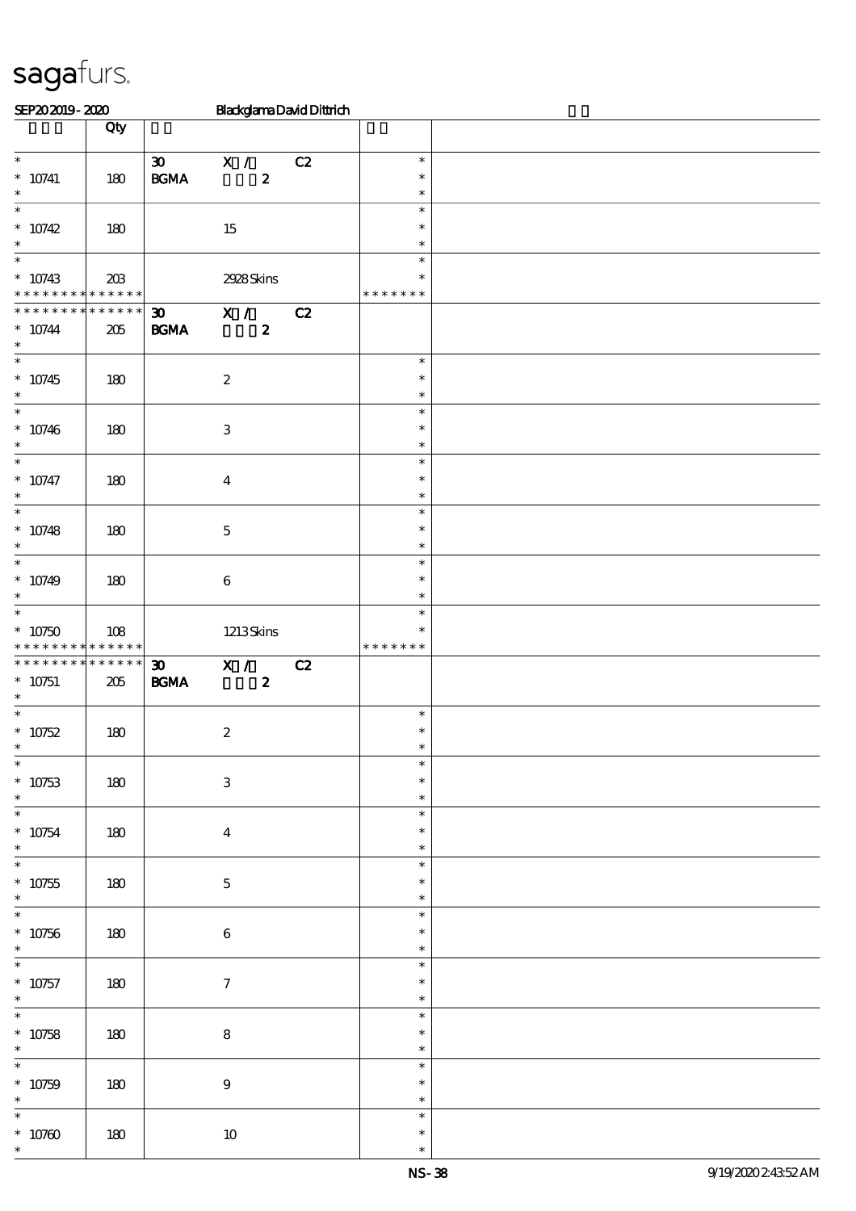| SEP202019-2020                             |             |                             | <b>BlackglamaDavidDittrich</b> |    |               |  |
|--------------------------------------------|-------------|-----------------------------|--------------------------------|----|---------------|--|
|                                            | Qty         |                             |                                |    |               |  |
|                                            |             |                             |                                |    |               |  |
| $\overline{\phantom{0}}$                   |             | $\boldsymbol{\mathfrak{D}}$ | X /                            | C2 | $\ast$        |  |
| $^*$ 10741                                 | 180         | $\mathbf{B G MA}$           | $\boldsymbol{z}$               |    | $\ast$        |  |
| $\ast$                                     |             |                             |                                |    | $\ast$        |  |
| $\overline{\phantom{0}}$                   |             |                             |                                |    | $\ast$        |  |
| $* 10742$                                  | 180         |                             | $15\,$                         |    | $\ast$        |  |
| $\ast$                                     |             |                             |                                |    | $\ast$        |  |
| $\ast$                                     |             |                             |                                |    | $\ast$        |  |
| $* 10743$                                  | $20\%$      |                             | 2928Skins                      |    | $\ast$        |  |
| * * * * * * * * <mark>* * * * * * *</mark> |             |                             |                                |    | * * * * * * * |  |
| * * * * * * * *                            | * * * * * * | $\boldsymbol{\mathfrak{D}}$ | $\overline{\mathbf{x}}$ /      | C2 |               |  |
| $* 10744$                                  | 205         | <b>BGMA</b>                 | $\boldsymbol{z}$               |    |               |  |
| $\ast$                                     |             |                             |                                |    |               |  |
| $\overline{\phantom{0}}$                   |             |                             |                                |    | $\ast$        |  |
| $* 10745$                                  | 180         |                             | $\boldsymbol{2}$               |    | $\ast$        |  |
| $\ast$                                     |             |                             |                                |    | $\ast$        |  |
| $\overline{\ast}$                          |             |                             |                                |    | $\ast$        |  |
| $* 10746$                                  | 180         |                             | $\ensuremath{\mathbf{3}}$      |    | $\ast$        |  |
| $\ast$                                     |             |                             |                                |    | $\ast$        |  |
| $\overline{\phantom{0}}$                   |             |                             |                                |    | $\ast$        |  |
| $^*$ 10747                                 | 180         |                             | $\boldsymbol{4}$               |    | $\ast$        |  |
| $\ast$                                     |             |                             |                                |    | $\ast$        |  |
| $\overline{\ast}$                          |             |                             |                                |    | $\ast$        |  |
| $* 10748$                                  | 180         |                             | $\mathbf 5$                    |    | $\ast$        |  |
| $\ast$                                     |             |                             |                                |    | $\ast$        |  |
| $\ast$                                     |             |                             |                                |    | $\ast$        |  |
| $* 10749$                                  | 180         |                             | $\,6\,$                        |    | $\ast$        |  |
| $\ast$                                     |             |                             |                                |    | $\ast$        |  |
| $\ast$                                     |             |                             |                                |    | $\ast$        |  |
| $* 10750$                                  | 108         |                             | 1213Skins                      |    | $\ast$        |  |
| * * * * * * * * <mark>* * * * * * *</mark> |             |                             |                                |    | * * * * * * * |  |
| * * * * * * * * * * * * * *                |             | $\boldsymbol{\mathfrak{D}}$ | X /                            | C2 |               |  |
| $* 10751$<br>$\ast$                        | 205         | <b>BGMA</b>                 | $\boldsymbol{z}$               |    |               |  |
| $\ast$                                     |             |                             |                                |    | $\ast$        |  |
|                                            |             |                             |                                |    | $\ast$        |  |
| $* 10752$<br>$\ast$                        | 180         |                             | $\boldsymbol{2}$               |    |               |  |
| $\ast$                                     |             |                             |                                |    | $\ast$        |  |
| $* 10753$                                  | 180         |                             | $\,3$                          |    | $\ast$        |  |
| $\ast$                                     |             |                             |                                |    | $\ast$        |  |
| $\overline{\phantom{0}}$                   |             |                             |                                |    | $\ast$        |  |
| $^*$ 10754 $\,$                            | 180         |                             | $\boldsymbol{4}$               |    | $\ast$        |  |
| $\ast$                                     |             |                             |                                |    | $\ast$        |  |
| $\overline{\ast}$                          |             |                             |                                |    | $\ast$        |  |
| $^\ast$ 10755                              | 180         |                             | $\mathbf 5$                    |    | $\ast$        |  |
| $\ast$                                     |             |                             |                                |    | $\ast$        |  |
| $\overline{\ast}$                          |             |                             |                                |    | $\ast$        |  |
| $^\ast$ 10756                              | 180         |                             | $\bf 6$                        |    | $\ast$        |  |
| $\ast$                                     |             |                             |                                |    | $\ast$        |  |
| $\overline{\phantom{0}}$                   |             |                             |                                |    | $\ast$        |  |
| $* 10757$                                  | 180         |                             | $\tau$                         |    | $\ast$        |  |
| $\ast$                                     |             |                             |                                |    | $\ast$        |  |
| $\overline{\ast}$                          |             |                             |                                |    | $\ast$        |  |
| $* 10758$                                  | 180         |                             | $\bf8$                         |    | $\ast$        |  |
| $\ast$                                     |             |                             |                                |    | $\ast$        |  |
| $\overline{\phantom{0}}$                   |             |                             |                                |    |               |  |
|                                            |             |                             |                                |    | $\ast$        |  |
|                                            |             |                             |                                |    | $\ast$        |  |
| $* 10759$<br>$\ast$                        | 180         |                             | $\boldsymbol{9}$               |    | $\ast$        |  |
| $\overline{\ast}$                          |             |                             |                                |    | $\ast$        |  |
| $^*$ 10760 $\,$                            | $180\,$     |                             | $10\,$                         |    | $\ast$        |  |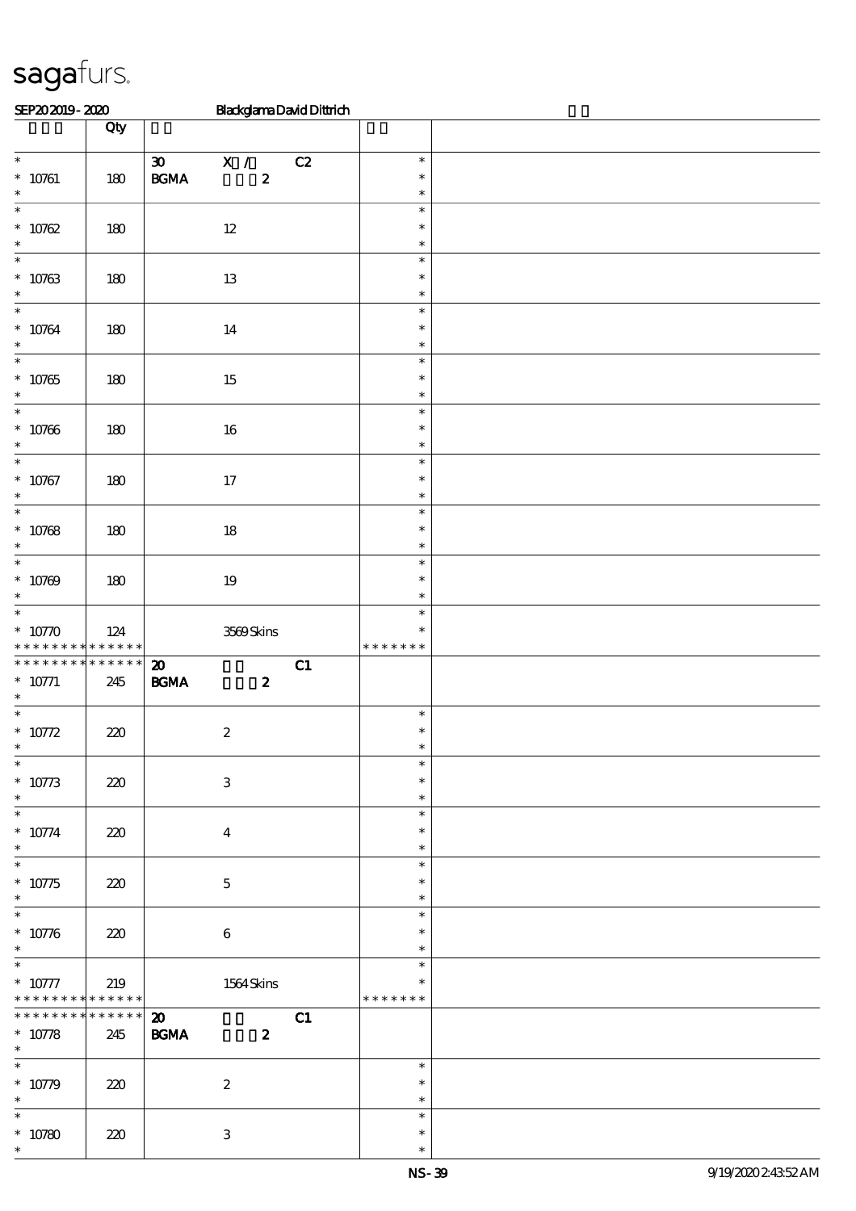| SEP202019-2020                                     |                    | <b>BlackglamaDavidDittrich</b>                                                    |                                   |  |
|----------------------------------------------------|--------------------|-----------------------------------------------------------------------------------|-----------------------------------|--|
|                                                    | Qty                |                                                                                   |                                   |  |
| $\overline{\phantom{0}}$<br>$* 10761$<br>$\ast$    | 180                | $\boldsymbol{\mathfrak{D}}$<br>X /<br>C2<br>$\mathbf{B G MA}$<br>$\boldsymbol{z}$ | $\ast$<br>$\ast$<br>$\ast$        |  |
| $\ast$<br>$* 10762$<br>$\ast$                      | 180                | $12\,$                                                                            | $\ast$<br>$\ast$<br>$\ast$        |  |
| $\ast$<br>$* 10763$<br>$\ast$                      | 180                | $13\,$                                                                            | $\ast$<br>$\ast$<br>$\ast$        |  |
| $\ast$<br>$* 10764$<br>$\ast$                      | 180                | 14                                                                                | $\ast$<br>$\ast$<br>$\ast$        |  |
| $\ast$<br>$* 10765$<br>$\ast$                      | 180                | $15\,$                                                                            | $\ast$<br>$\ast$<br>$\ast$        |  |
| $\ast$<br>$* 10766$<br>$\ast$                      | 180                | $16\,$                                                                            | $\ast$<br>$\ast$<br>$\ast$        |  |
| $\overline{\ast}$<br>$* 10767$<br>$\ast$           | 180                | $17\,$                                                                            | $\ast$<br>$\ast$<br>$\ast$        |  |
| $\overline{\ast}$<br>$* 10768$<br>$\ast$           | $180$              | $18\,$                                                                            | $\ast$<br>$\ast$<br>$\ast$        |  |
| $\ast$<br>$* 10769$<br>$\ast$                      | 180                | $19\,$                                                                            | $\ast$<br>$\ast$<br>$\ast$        |  |
| $\ast$<br>$* 10770$<br>* * * * * * * *             | 124<br>$******$    | 3569Skins                                                                         | $\ast$<br>$\ast$<br>* * * * * * * |  |
| * * * * * * * * * * * * * *<br>$* 10771$<br>$\ast$ | 245                | $\boldsymbol{\mathbf{z}}$<br>C1<br>$\mathbf{B G MA}$<br>$\boldsymbol{z}$          |                                   |  |
| $\ast$<br>$* 10772$                                | 220                | $\boldsymbol{2}$                                                                  | $\ast$<br>$\ast$                  |  |
| $\ast$<br>$* 10773$<br>$\ast$                      | 220                | $\ensuremath{\mathbf{3}}$                                                         | $\ast$<br>$\ast$<br>$\ast$        |  |
| $\overline{\ast}$<br>$* 10774$<br>$\ast$           | 220                | $\bf{4}$                                                                          | $\ast$<br>$\ast$<br>$\ast$        |  |
| $\ast$<br>$* 10775$<br>$\ast$                      | 220                | $\mathbf 5$                                                                       | $\ast$<br>$\ast$<br>$\ast$        |  |
| $\ast$<br>$* 10776$<br>$\ast$                      | 220                | $\bf 6$                                                                           | $\ast$<br>$\ast$<br>$\ast$        |  |
| $\ast$<br>$* 10777$<br>* * * * * * * *             | 219<br>* * * * * * | 1564 Skins                                                                        | $\ast$<br>$\ast$<br>* * * * * * * |  |
| * * * * * * *<br>$* 10778$<br>$\ast$               | * * * * * *<br>245 | $\boldsymbol{\mathfrak{D}}$<br>C1<br>$\mathbf{B G MA}$<br>$\boldsymbol{z}$        |                                   |  |
| $\ast$<br>$* 10779$<br>$\ast$                      | 220                | $\boldsymbol{z}$                                                                  | $\ast$<br>$\ast$<br>$\ast$        |  |
| $\ast$<br>$* 10780$<br>$\ast$                      | 220                | $\ensuremath{\mathbf{3}}$                                                         | $\ast$<br>$\ast$<br>$\ast$        |  |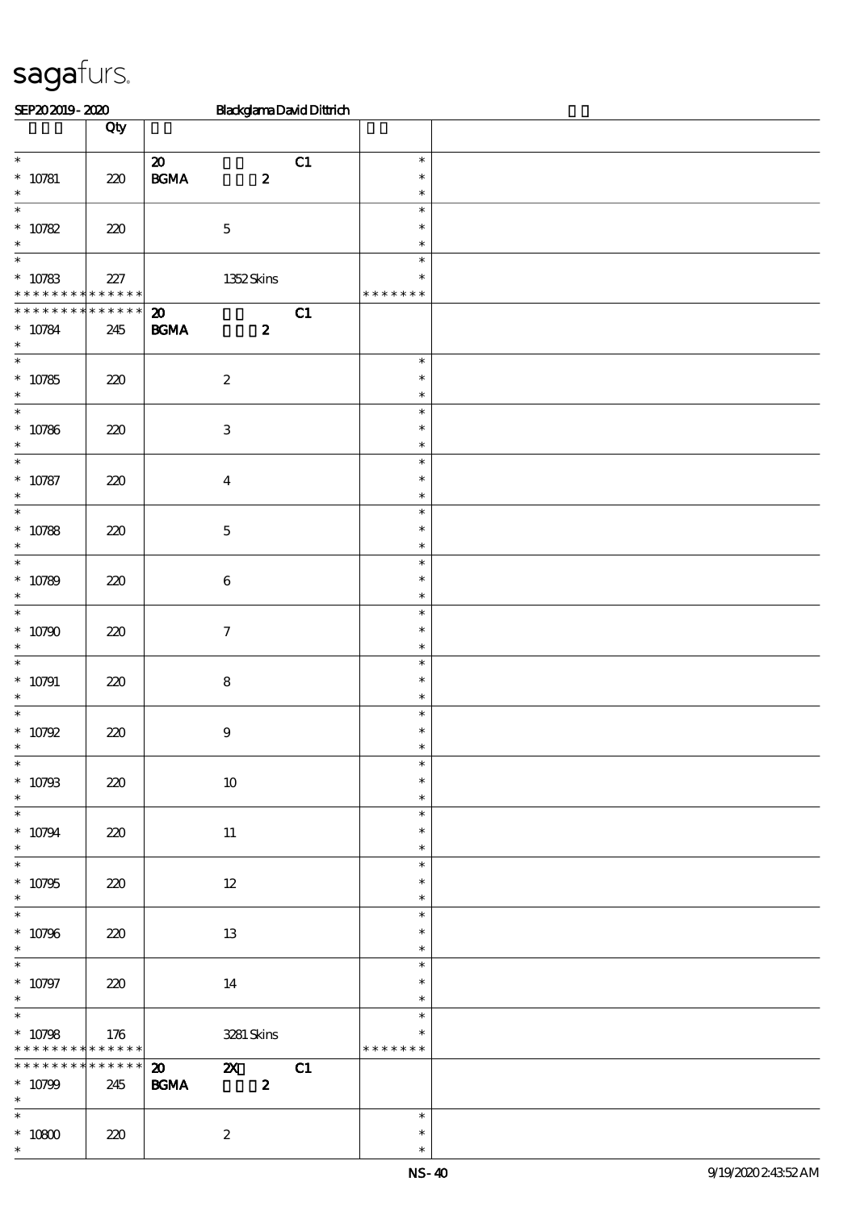| SEP202019-2020                                                    |                    | <b>BlackglamaDavidDittrich</b>                                                       |                                   |  |
|-------------------------------------------------------------------|--------------------|--------------------------------------------------------------------------------------|-----------------------------------|--|
|                                                                   | Qty                |                                                                                      |                                   |  |
| $\ast$<br>$* 10781$<br>$\ast$                                     | 220                | $\boldsymbol{\mathbf{z}}$<br>C1<br>$\mathbf{B G MA}$<br>$\boldsymbol{z}$             | $\ast$<br>$\ast$<br>$\ast$        |  |
| $\overline{\ast}$<br>$* 10782$<br>$\ast$                          | 220                | $\mathbf 5$                                                                          | $\ast$<br>$\ast$<br>$\ast$        |  |
| $\ast$<br>$* 10783$<br>* * * * * * * * <mark>* * * * * * *</mark> | 227                | 1352Skins                                                                            | $\ast$<br>$\ast$<br>* * * * * * * |  |
| * * * * * * * *<br>$^\ast$ 10784<br>$\ast$                        | * * * * * *<br>245 | C1<br>$\boldsymbol{\mathfrak{D}}$<br>$\boldsymbol{z}$<br><b>BGMA</b>                 |                                   |  |
| $\ast$<br>$* 10785$<br>$\ast$                                     | 220                | $\boldsymbol{2}$                                                                     | $\ast$<br>$\ast$<br>$\ast$        |  |
| $\ast$<br>$* 10786$<br>$\ast$                                     | 220                | $\,3$                                                                                | $\ast$<br>$\ast$<br>$\ast$        |  |
| $\ast$<br>$* 10787$<br>$\ast$                                     | 220                | $\boldsymbol{4}$                                                                     | $\ast$<br>$\ast$<br>$\ast$        |  |
| $\overline{\phantom{0}}$<br>$* 10788$<br>$\ast$                   | 220                | $\mathbf 5$                                                                          | $\ast$<br>$\ast$<br>$\ast$        |  |
| $\ast$<br>$* 10789$<br>$\ast$                                     | 220                | $\,6\,$                                                                              | $\ast$<br>$\ast$<br>$\ast$        |  |
| $\ast$<br>$* 10790$<br>$\ast$                                     | 220                | $\boldsymbol{7}$                                                                     | $\ast$<br>$\ast$<br>$\ast$        |  |
| $\ast$<br>$* 10791$<br>$\ast$                                     | 220                | $\bf 8$                                                                              | $\ast$<br>$\ast$<br>$\ast$        |  |
| $\ast$<br>$* 10792$<br>$\ast$                                     | 220                | $\boldsymbol{9}$                                                                     | $\ast$<br>$\ast$                  |  |
| $\overline{\phantom{0}}$<br>$* 10793$<br>$\ast$                   | 220                | $10\,$                                                                               | $\ast$<br>$\ast$<br>$\ast$        |  |
| $\overline{\phantom{0}}$<br>$* 10794$<br>$\ast$                   | 220                | $11\,$                                                                               | $\ast$<br>$\ast$<br>$\ast$        |  |
| $\overline{\ast}$<br>$* 10795$<br>$\ast$                          | 220                | $12\,$                                                                               | $\ast$<br>$\ast$<br>$\ast$        |  |
| $\overline{\ast}$<br>$* 10796$<br>$\ast$                          | 220                | 13                                                                                   | $\ast$<br>$\ast$<br>$\ast$        |  |
| $\overline{\phantom{0}}$<br>$* 10797$<br>$\ast$                   | 220                | 14                                                                                   | $\ast$<br>$\ast$<br>$\ast$        |  |
| $\overline{\ast}$<br>$* 10798$<br>* * * * * * * * * * * * * *     | 176                | 3281 Skins                                                                           | $\ast$<br>∗<br>* * * * * * *      |  |
| * * * * * * * *<br>$* 10799$<br>$\ast$                            | * * * * * *<br>245 | C1<br>$\boldsymbol{\omega}$<br>$\mathbf{x}$<br>$\mathbf{B G MA}$<br>$\boldsymbol{z}$ |                                   |  |
| $\overline{\phantom{0}}$<br>$^\ast$ 10800<br>$\ast$               | 220                | $\boldsymbol{2}$                                                                     | $\ast$<br>$\ast$<br>$\ast$        |  |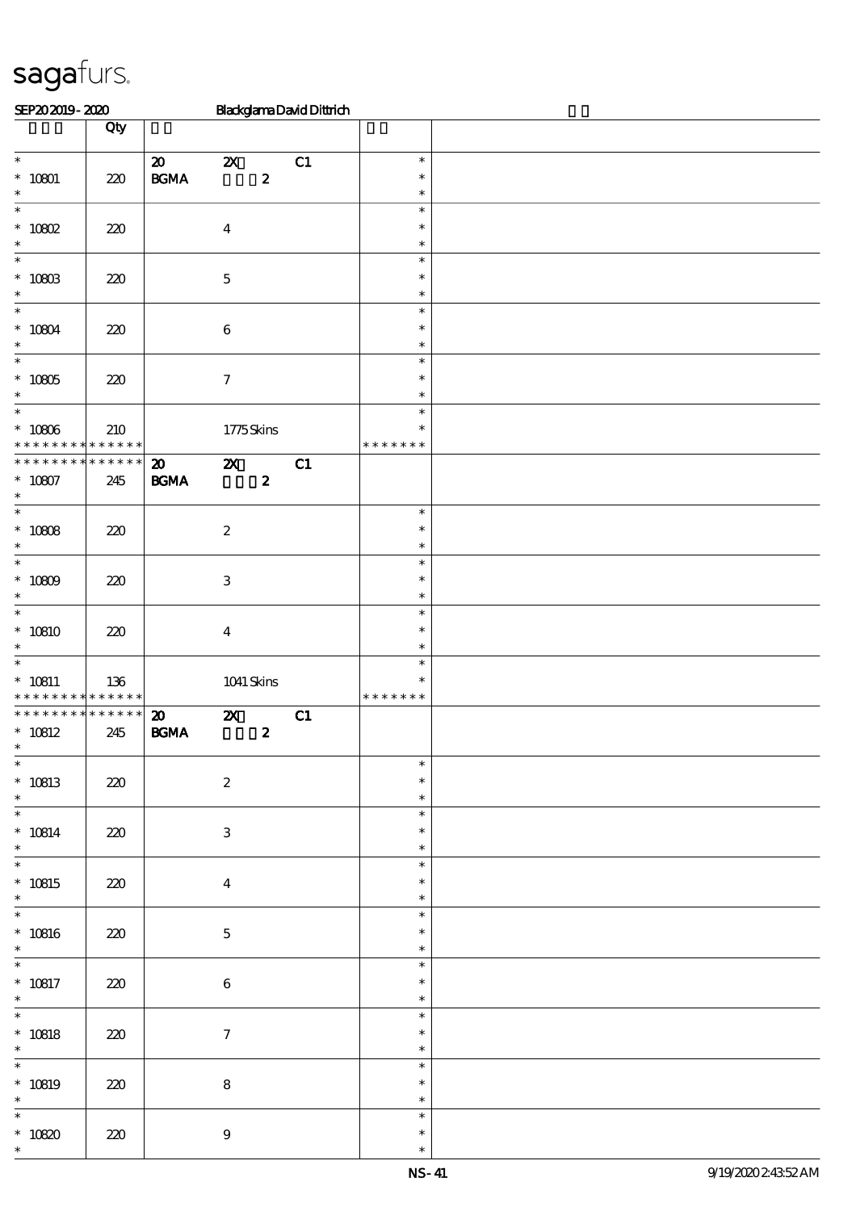| SEP202019-2020                                                          |                        |                                                  |                           |                  | <b>BlackglamaDavidDittrich</b> |                                      |  |
|-------------------------------------------------------------------------|------------------------|--------------------------------------------------|---------------------------|------------------|--------------------------------|--------------------------------------|--|
|                                                                         | Qty                    |                                                  |                           |                  |                                |                                      |  |
| $\overline{\phantom{0}}$<br>$* 10801$<br>$\ast$                         | $220$                  | $\boldsymbol{\mathsf{20}}$<br>$\mathbf{B G MA}$  | $\boldsymbol{\mathsf{z}}$ | $\boldsymbol{z}$ | C1                             | $\ast$<br>$\ast$<br>$\ast$           |  |
| $\ast$<br>$* 10802$<br>$\ast$                                           | 220                    |                                                  | $\boldsymbol{4}$          |                  |                                | $\ast$<br>$\ast$<br>$\ast$           |  |
| $\ast$<br>$^*$ 10803 $\,$<br>$\ast$                                     | 220                    |                                                  | $\mathbf 5$               |                  |                                | $\ast$<br>$\ast$<br>$\ast$           |  |
| $\ast$<br>$* 10804$<br>$\ast$                                           | 220                    |                                                  | $\bf 6$                   |                  |                                | $\ast$<br>$\ast$<br>$\ast$           |  |
| $\ast$<br>$^*$ 10805<br>$\ast$<br>$\overline{\phantom{0}}$              | 220                    |                                                  | $\boldsymbol{\tau}$       |                  |                                | $\ast$<br>$\ast$<br>$\ast$           |  |
| $^\ast$ 10806<br>* * * * * * * *                                        | 210<br>$* * * * * * *$ |                                                  | 1775Skins                 |                  |                                | $\ast$<br>$\ast$<br>* * * * * * *    |  |
| * * * * * * * * * * * * * *<br>$* 10807$<br>$\ast$<br>$\overline{\ast}$ | 245                    | $\boldsymbol{\mathfrak{D}}$<br>$\mathbf{B G MA}$ | $\boldsymbol{\mathsf{z}}$ | $\boldsymbol{z}$ | C1                             |                                      |  |
| $^*$ 10808 $\,$<br>$\ast$<br>$\ast$                                     | 220                    |                                                  | $\boldsymbol{2}$          |                  |                                | $\ast$<br>$\ast$<br>$\ast$           |  |
| $* 10809$<br>$\ast$<br>$\overline{\ast}$                                | 220                    |                                                  | $\,3\,$                   |                  |                                | $\ast$<br>$\ast$<br>$\ast$<br>$\ast$ |  |
| $*10810$<br>$\ast$<br>$\ast$                                            | $220$                  |                                                  | $\boldsymbol{4}$          |                  |                                | $\ast$<br>$\ast$<br>$\ast$           |  |
| $* 10811$<br>* * * * * * * * * * * * * *                                | 136                    |                                                  | $1041$ Skins              |                  |                                | ∗<br>* * * * * * *                   |  |
| * * * * * * * *<br>$* 10812$<br>$\mathbf{v}$<br>$\overline{\ast}$       | ******<br>245          | $\boldsymbol{\mathbf{z}}$<br>$\mathbf{B G MA}$   | $\boldsymbol{\mathsf{X}}$ | $\boldsymbol{z}$ | C1                             |                                      |  |
| $* 10813$<br>$\ast$<br>$\overline{\phantom{a}^*}$                       | 220                    |                                                  | $\boldsymbol{2}$          |                  |                                | $\ast$<br>$\ast$<br>$\ast$           |  |
| $^*$ 10814 $\,$<br>$\ast$<br>$\overline{\ast}$                          | 220                    |                                                  | $\ensuremath{\mathbf{3}}$ |                  |                                | $\ast$<br>$\ast$<br>$\ast$<br>$\ast$ |  |
| $* 10815$<br>$\ast$<br>$\overline{\phantom{0}}$                         | 220                    |                                                  | $\boldsymbol{4}$          |                  |                                | $\ast$<br>$\ast$<br>$\ast$           |  |
| $* 10816$<br>$\ast$<br>$\overline{\phantom{0}}$                         | 220                    |                                                  | $\mathbf{5}$              |                  |                                | $\ast$<br>$\ast$                     |  |
| $* 10817$<br>$\ast$<br>$\overline{\ast}$                                | 220                    |                                                  | $\bf 6$                   |                  |                                | $\ast$<br>$\ast$<br>$\ast$           |  |
| $* 10818$<br>$\ast$<br>$\overline{\phantom{0}}$                         | 220                    |                                                  | $\tau$                    |                  |                                | $\ast$<br>$\ast$<br>$\ast$           |  |
| $* 10819$<br>$\ast$                                                     | 220                    |                                                  | $\bf 8$                   |                  |                                | $\ast$<br>$\ast$<br>$\ast$           |  |
| $\ast$<br>$^\ast$ 10820<br>$\ast$                                       | 220                    |                                                  | $\boldsymbol{9}$          |                  |                                | $\ast$<br>$\ast$<br>$\ast$           |  |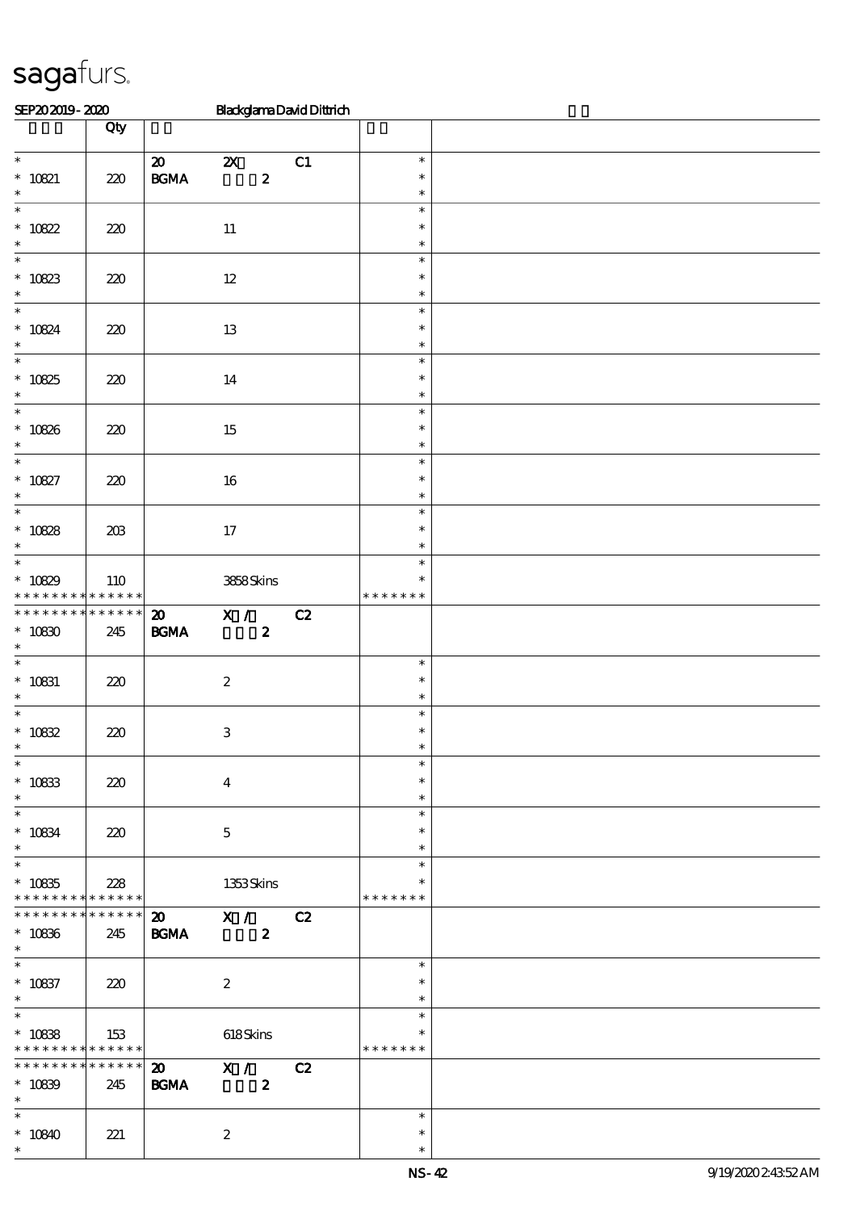| SEP202019-2020                                      |                 |                                                 | <b>BlackglamaDavidDittrich</b>                                       |    |                                   |  |
|-----------------------------------------------------|-----------------|-------------------------------------------------|----------------------------------------------------------------------|----|-----------------------------------|--|
|                                                     | Qty             |                                                 |                                                                      |    |                                   |  |
| $\overline{\phantom{0}}$<br>$* 10821$<br>$\ast$     | 220             | $\boldsymbol{\mathsf{20}}$<br>$\mathbf{B G MA}$ | $\boldsymbol{\mathsf{z}}$<br>$\pmb{2}$                               | C1 | $\ast$<br>$\ast$<br>$\ast$        |  |
| $\ast$<br>$* 10822$<br>$\ast$                       | 220             |                                                 | $11\,$                                                               |    | $\ast$<br>$\ast$<br>$\ast$        |  |
| $\ast$<br>$^\ast$ 10823<br>$\ast$                   | 220             |                                                 | $12\,$                                                               |    | $\ast$<br>$\ast$<br>$\ast$        |  |
| $\overline{\ast}$<br>$* 10824$<br>$\ast$            | 220             |                                                 | 13                                                                   |    | $\ast$<br>$\ast$<br>$\ast$        |  |
| $\overline{\ast}$<br>$* 10825$<br>$\ast$            | 220             |                                                 | 14                                                                   |    | $\ast$<br>$\ast$<br>$\ast$        |  |
| $\ast$<br>$* 10826$<br>$\ast$                       | 220             |                                                 | 15                                                                   |    | $\ast$<br>$\ast$<br>$\ast$        |  |
| $\overline{\ast}$<br>$* 10827$<br>$\ast$            | 220             |                                                 | $16\,$                                                               |    | $\ast$<br>$\ast$<br>$\ast$        |  |
| $\overline{\ast}$<br>$* 10828$<br>$\ast$            | 203             |                                                 | 17                                                                   |    | $\ast$<br>$\ast$<br>$\ast$        |  |
| $\ast$<br>$*10829$<br>* * * * * * * *               | 110<br>$******$ |                                                 | 3858Skins                                                            |    | $\ast$<br>$\ast$<br>* * * * * * * |  |
| * * * * * * * * * * * * * *<br>$* 10830$<br>$\ast$  | 245             | $\boldsymbol{\mathfrak{D}}$<br><b>BGMA</b>      | X /<br>$\boldsymbol{z}$                                              | C2 |                                   |  |
| $\ast$<br>$* 10831$<br>$\ast$                       | 220             |                                                 | $\boldsymbol{2}$                                                     |    | $\ast$<br>$\ast$<br>$\ast$        |  |
| $\ast$<br>$* 10832$<br>$\overline{\phantom{0}}$     | 220             |                                                 | $\,3\,$                                                              |    | $\ast$<br>$\ast$                  |  |
| $^\ast$ 10833<br>$\ast$                             | 220             |                                                 | $\boldsymbol{4}$                                                     |    | $\ast$<br>$\ast$<br>$\ast$        |  |
| $\overline{\phantom{0}}$<br>$^\ast$ 10834<br>$\ast$ | 220             |                                                 | $\mathbf 5$                                                          |    | $\ast$<br>$\ast$<br>$\ast$        |  |
| $\ast$<br>$* 10835$<br>* * * * * * * * * * * * * *  | 228             |                                                 | 1353Skins                                                            |    | $\ast$<br>$\ast$<br>* * * * * * * |  |
| * * * * * * * *<br>$^\ast$ 10836<br>$\ast$          | ******<br>245   | <b>BGMA</b>                                     | $\overline{20}$ $\overline{X}$ / $\overline{C2}$<br>$\boldsymbol{2}$ |    |                                   |  |
| $* 10837$<br>$\ast$                                 | 220             |                                                 | $\boldsymbol{2}$                                                     |    | $\ast$<br>∗<br>$\ast$             |  |
| $\ast$<br>$* 10838$<br>* * * * * * * * * * * * * *  | 153             |                                                 | 618Skins                                                             |    | $\ast$<br>* * * * * * *           |  |
| * * * * * * * * * * * * * *<br>$* 10839$<br>$*$     | 245             | $\boldsymbol{\mathsf{20}}$<br>$\mathbf{B G MA}$ | X / C2<br>$\overline{\mathbf{2}}$                                    |    |                                   |  |
| $*$<br>$*10840$<br>$\ast$                           | 221             |                                                 | $\boldsymbol{2}$                                                     |    | $\ast$<br>$\ast$<br>$\ast$        |  |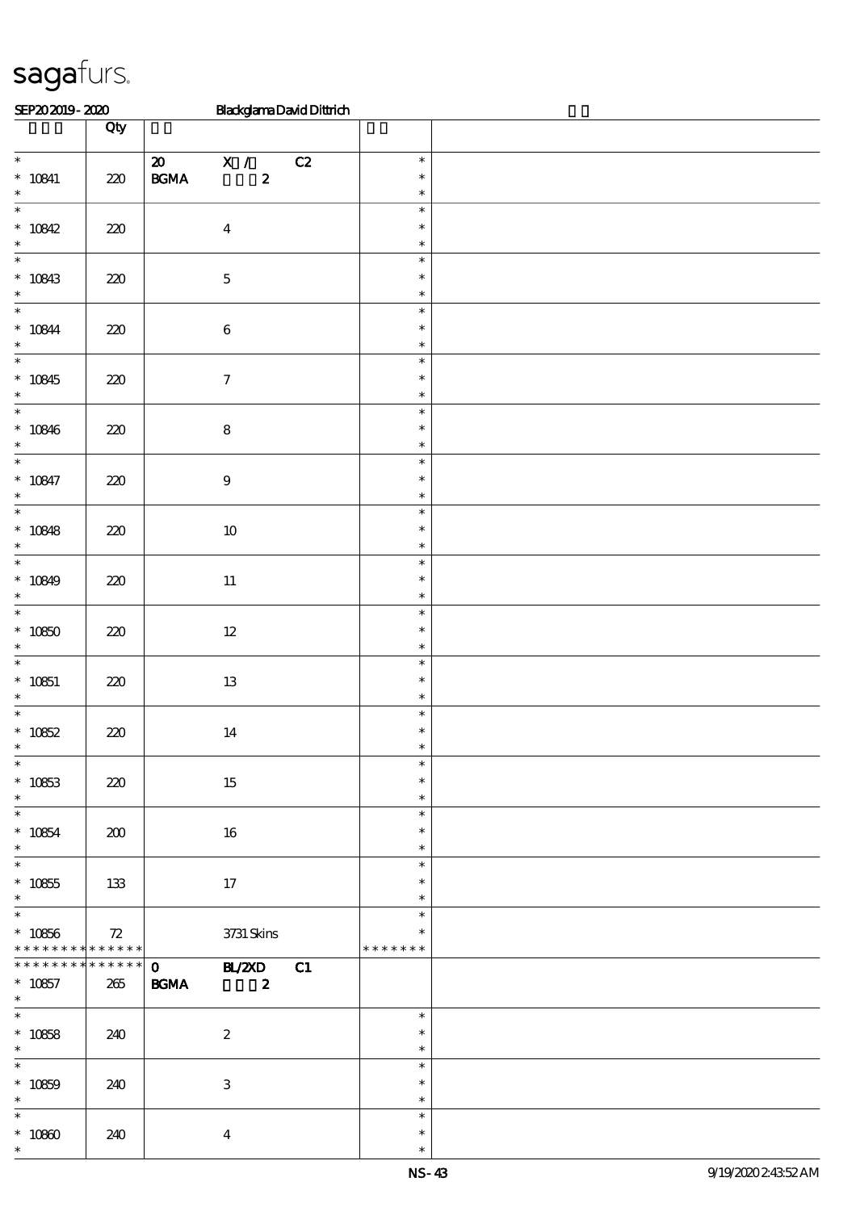| SEP202019-2020                                                             |       | <b>BlackglamaDavidDittrich</b>                                                                                  |    |                                   |  |  |  |  |
|----------------------------------------------------------------------------|-------|-----------------------------------------------------------------------------------------------------------------|----|-----------------------------------|--|--|--|--|
|                                                                            | Qty   |                                                                                                                 |    |                                   |  |  |  |  |
| $\overline{\phantom{0}}$<br>$* 10841$<br>$\ast$                            | $220$ | $\boldsymbol{\mathfrak{D}}$<br>$\mathbf{X}$ /<br>$\mathbf{B}\mathbf{G}\mathbf{M}\mathbf{A}$<br>$\boldsymbol{z}$ | C2 | $\ast$<br>$\ast$<br>$\ast$        |  |  |  |  |
| $\ast$<br>$* 10842$<br>$\ast$                                              | $220$ | $\boldsymbol{4}$                                                                                                |    | $\ast$<br>$\ast$<br>$\ast$        |  |  |  |  |
| $\ast$<br>$* 10843$<br>$\ast$                                              | 220   | $\bf 5$                                                                                                         |    | $\ast$<br>$\ast$<br>$\ast$        |  |  |  |  |
| $\ast$<br>$* 10844$<br>$\ast$                                              | $220$ | $\,6\,$                                                                                                         |    | $\ast$<br>$\ast$<br>$\ast$        |  |  |  |  |
| $\ast$<br>$* 10845$<br>$\ast$                                              | $220$ | $\boldsymbol{7}$                                                                                                |    | $\ast$<br>$\ast$<br>$\ast$        |  |  |  |  |
| $\ast$<br>$* 10846$<br>$\ast$                                              | 220   | $\bf 8$                                                                                                         |    | $\ast$<br>$\ast$<br>$\ast$        |  |  |  |  |
| $\ast$<br>$* 10847$<br>$\ast$                                              | 220   | $\boldsymbol{9}$                                                                                                |    | $\ast$<br>$\ast$<br>$\ast$        |  |  |  |  |
| $\ast$<br>$* 10848$<br>$\ast$                                              | 220   | $10\,$                                                                                                          |    | $\ast$<br>$\ast$<br>$\ast$        |  |  |  |  |
| $\ast$<br>$* 10849$<br>$\ast$                                              | 220   | $11\,$                                                                                                          |    | $\ast$<br>$\ast$<br>$\ast$        |  |  |  |  |
| $\ast$<br>$* 10850$<br>$\ast$                                              | 220   | $12\,$                                                                                                          |    | $\ast$<br>$\ast$<br>$\ast$        |  |  |  |  |
| $\ast$<br>$* 10851$<br>$\ast$                                              | 220   | $13\,$                                                                                                          |    | $\ast$<br>$\ast$<br>$\ast$        |  |  |  |  |
| $\ast$<br>$* 10852$<br>∗                                                   | 220   | 14                                                                                                              |    | $\ast$<br>$\ast$                  |  |  |  |  |
| $\ast$<br>$* 10853$<br>$\ast$                                              | 220   | 15                                                                                                              |    | $\ast$<br>$\ast$<br>$\ast$        |  |  |  |  |
| $\overline{\phantom{0}}$<br>$^*$ 10854 $\,$<br>$\ast$                      | 200   | 16                                                                                                              |    | $\ast$<br>$\ast$<br>$\ast$        |  |  |  |  |
| $\overline{\ast}$<br>$^\ast$ 10855<br>$\ast$                               | 133   | 17                                                                                                              |    | $\ast$<br>$\ast$<br>$\ast$        |  |  |  |  |
| $\overline{\phantom{0}}$<br>$^\ast$ 10856<br>* * * * * * * * * * * * * * * | 72    | 3731 Skins                                                                                                      |    | $\ast$<br>$\ast$<br>* * * * * * * |  |  |  |  |
| **************<br>$* 10857$<br>$\ast$                                      | 265   | <b>EL/2XD</b> C1<br>$\mathbf{O}$<br><b>BGMA</b><br>$\boldsymbol{z}$                                             |    |                                   |  |  |  |  |
| $\ast$<br>$* 10858$<br>$\ast$                                              | 240   | $\boldsymbol{z}$                                                                                                |    | $\ast$<br>$\ast$<br>$\ast$        |  |  |  |  |
| $\ast$<br>$* 10859$<br>$\ast$                                              | 240   | $\ensuremath{\mathbf{3}}$                                                                                       |    | $\ast$<br>$\ast$<br>$\ast$        |  |  |  |  |
| $\ast$<br>$* 10800$<br>$\ast$                                              | 240   | $\boldsymbol{4}$                                                                                                |    | $\ast$<br>$\ast$<br>$\ast$        |  |  |  |  |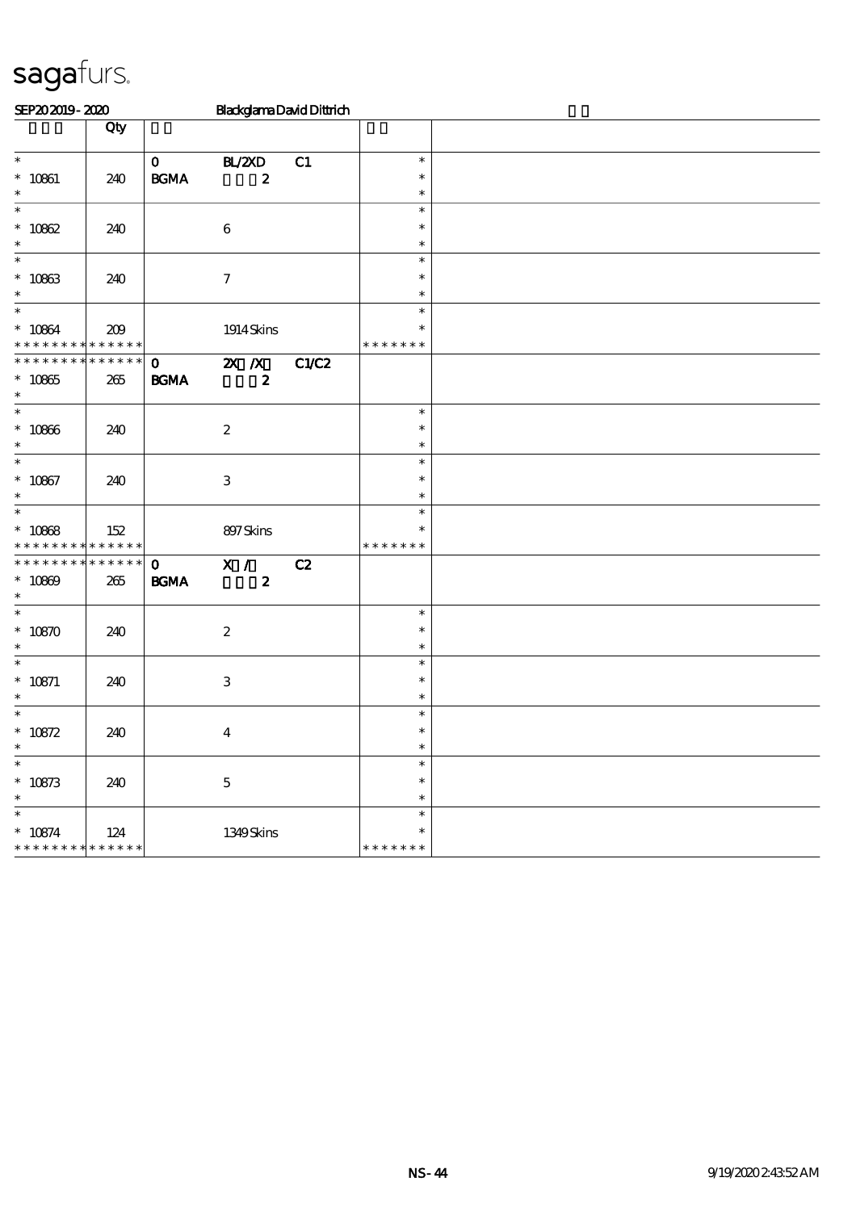| SEP202019-2020                             |                   |                   |                           |                  | <b>BlackglamaDavidDittrich</b> |                  |  |
|--------------------------------------------|-------------------|-------------------|---------------------------|------------------|--------------------------------|------------------|--|
|                                            | Qty               |                   |                           |                  |                                |                  |  |
|                                            |                   |                   |                           |                  |                                |                  |  |
| $\ast$                                     |                   | $\mathbf{O}$      | BL/2XD                    |                  | C1                             | $\ast$<br>$\ast$ |  |
| $* 10861$<br>$\ast$                        | 240               | $\mathbf{B G MA}$ |                           | $\boldsymbol{z}$ |                                | $\ast$           |  |
| $\ast$                                     |                   |                   |                           |                  |                                | $\ast$           |  |
| $* 10862$                                  | 240               |                   | $\bf 6$                   |                  |                                | $\ast$           |  |
| $\ast$                                     |                   |                   |                           |                  |                                | $\ast$           |  |
| $\ast$                                     |                   |                   |                           |                  |                                | $\ast$           |  |
| $* 10863$                                  | 240               |                   | $\boldsymbol{\tau}$       |                  |                                | $\ast$           |  |
| $\ast$<br>$\overline{\ast}$                |                   |                   |                           |                  |                                | $\ast$<br>$\ast$ |  |
| $* 10864$                                  | 209               |                   |                           |                  |                                | *                |  |
| * * *                                      | * * * * * * * * * |                   | 1914 Skins                |                  |                                | * * * * * * *    |  |
| **************                             |                   | $\mathbf{O}$      | $\mathbf{X}$ $\mathbf{X}$ |                  | C1/C2                          |                  |  |
| $^\ast$ 10865                              | 265               | <b>BGMA</b>       |                           | $\boldsymbol{2}$ |                                |                  |  |
| $\ast$                                     |                   |                   |                           |                  |                                |                  |  |
| $\ast$                                     |                   |                   |                           |                  |                                | $\ast$           |  |
| $* 10866$                                  | 240               |                   | $\boldsymbol{2}$          |                  |                                | $\ast$           |  |
| $\ast$<br>$\ast$                           |                   |                   |                           |                  |                                | $\ast$<br>$\ast$ |  |
| $* 10867$                                  | 240               |                   | $\,3\,$                   |                  |                                | $\ast$           |  |
| $\ast$                                     |                   |                   |                           |                  |                                | $\ast$           |  |
| $\overline{\phantom{0}}$                   |                   |                   |                           |                  |                                | $\ast$           |  |
| $* 10868$                                  | 152               |                   | 897Skins                  |                  |                                | $\ast$           |  |
| * * * * * * * * <mark>* * * * * * *</mark> |                   |                   |                           |                  |                                | * * * * * * *    |  |
| * * * * * * * * * * * * * *                |                   | $\mathbf{o}$      | X /                       |                  | C2                             |                  |  |
| $* 10809$<br>$\ast$                        | 265               | $\mathbf{B G MA}$ |                           | $\boldsymbol{z}$ |                                |                  |  |
| $\ast$                                     |                   |                   |                           |                  |                                | $\ast$           |  |
| $* 10870$                                  | 240               |                   | $\boldsymbol{2}$          |                  |                                | $\ast$           |  |
| $\ast$                                     |                   |                   |                           |                  |                                | $\ast$           |  |
| $\ast$                                     |                   |                   |                           |                  |                                | $\ast$           |  |
| $* 10871$                                  | 240               |                   | $\,3$                     |                  |                                | $\ast$           |  |
| $\ast$                                     |                   |                   |                           |                  |                                | $\ast$           |  |
| $\ast$                                     |                   |                   |                           |                  |                                | $\ast$<br>$\ast$ |  |
| $* 10872$<br>$\ast$                        | 240               |                   | $\boldsymbol{4}$          |                  |                                | $\ast$           |  |
| $\ast$                                     |                   |                   |                           |                  |                                | $\ast$           |  |
| $* 10873$                                  | 240               |                   | $\mathbf 5$               |                  |                                | $\ast$           |  |
| $\ast$                                     |                   |                   |                           |                  |                                | $\ast$           |  |
| $\ast$                                     |                   |                   |                           |                  |                                | $\ast$           |  |
| $* 10874$                                  | 124               |                   | 1349Skins                 |                  |                                | $\ast$           |  |
| * * * * * * * *                            | * * * * * *       |                   |                           |                  |                                | * * * * * * *    |  |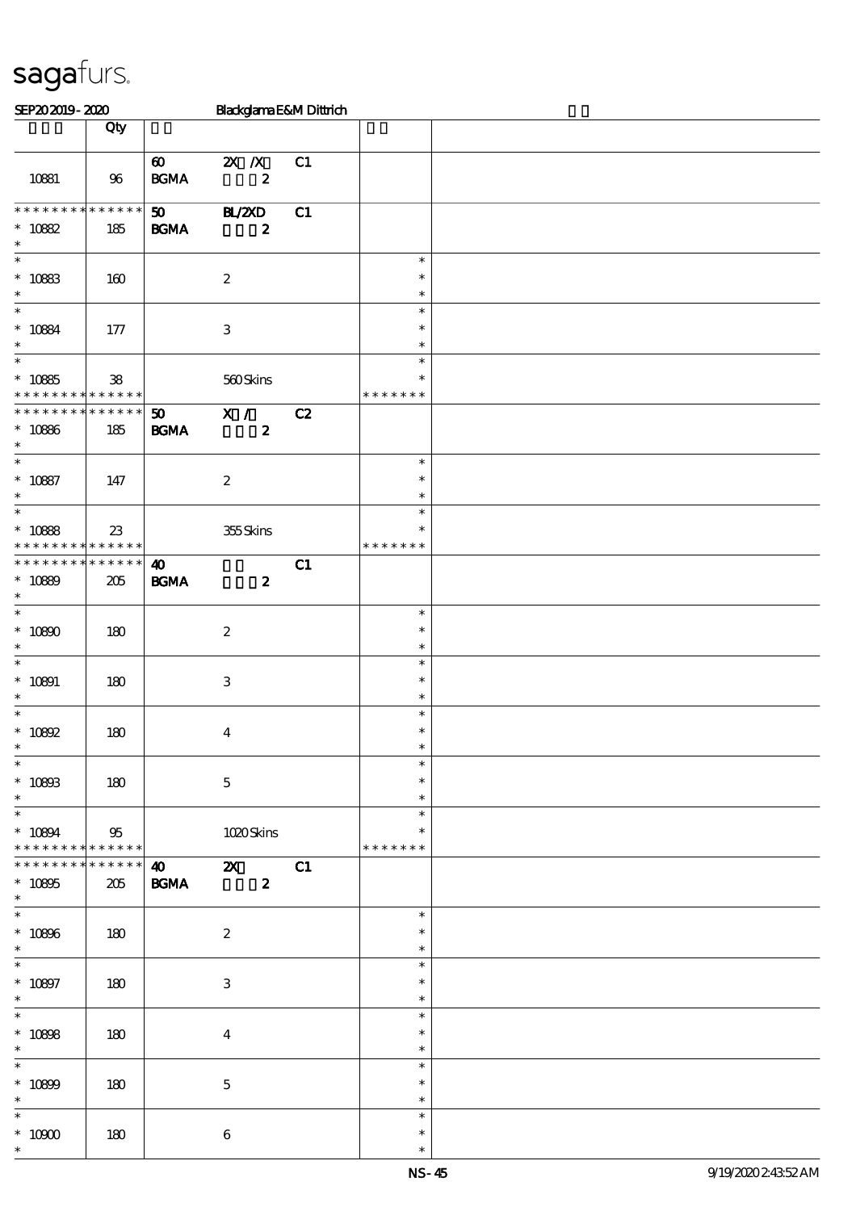| SEP202019-2020                             |             |                             | Blackglama E&M Dittrich   |    |                  |  |
|--------------------------------------------|-------------|-----------------------------|---------------------------|----|------------------|--|
|                                            | Qty         |                             |                           |    |                  |  |
|                                            |             |                             |                           |    |                  |  |
|                                            |             | $\boldsymbol{\omega}$       | $X$ $X$                   | C1 |                  |  |
| 10881                                      | 96          | $\mathbf{B G MA}$           | $\pmb{2}$                 |    |                  |  |
|                                            |             |                             |                           |    |                  |  |
| * * * * * * * * * * * * * *                |             | 50 <sub>o</sub>             | <b>HL/2XD</b>             | C1 |                  |  |
| $* 10882$                                  | 185         | $\mathbf{B G MA}$           | $\boldsymbol{2}$          |    |                  |  |
| $\ast$                                     |             |                             |                           |    |                  |  |
| $\ast$                                     |             |                             |                           |    | $\ast$           |  |
| $^\ast$ 10883                              | 160         |                             | $\boldsymbol{2}$          |    | $\ast$           |  |
|                                            |             |                             |                           |    | $\ast$           |  |
| $\overline{\phantom{0}}$                   |             |                             |                           |    | $\ast$           |  |
| $* 10884$                                  | 177         |                             | $\ensuremath{\mathbf{3}}$ |    | $\ast$           |  |
| $\ast$                                     |             |                             |                           |    | $\ast$           |  |
| $\overline{\ast}$                          |             |                             |                           |    | $\ast$           |  |
| $* 10885$                                  | ${\bf 38}$  |                             | 560Skins                  |    | $\ast$           |  |
| * * * * * * * * <mark>* * * * * *</mark>   |             |                             |                           |    | * * * * * * *    |  |
| * * * * * * * * * * * * * *                |             | $\boldsymbol{\mathfrak{D}}$ | $\overline{\mathbf{x}}$ / | C2 |                  |  |
| $* 10886$                                  | 185         | $\mathbf{B G MA}$           | $\boldsymbol{z}$          |    |                  |  |
| $\ast$                                     |             |                             |                           |    |                  |  |
| $\overline{\ast}$                          |             |                             |                           |    | $\ast$           |  |
| $* 10887$                                  | 147         |                             | $\boldsymbol{2}$          |    | $\ast$           |  |
| $\ast$                                     |             |                             |                           |    | $\ast$           |  |
| $\ast$                                     |             |                             |                           |    | $\ast$           |  |
| $* 10888$                                  | 23          |                             | 355Skins                  |    | $\ast$           |  |
| * * * * * * * * <mark>* * * * * * *</mark> |             |                             |                           |    | * * * * * * *    |  |
| * * * * * * * * * * * * * *                |             | $\boldsymbol{\omega}$       |                           | C1 |                  |  |
| $* 10890$                                  | 205         | $\mathbf{B G MA}$           | $\boldsymbol{z}$          |    |                  |  |
| $\ast$                                     |             |                             |                           |    |                  |  |
| $\overline{\ast}$                          |             |                             |                           |    | $\ast$           |  |
| $* 10800$                                  | 180         |                             | $\boldsymbol{2}$          |    | $\ast$           |  |
| $\ast$                                     |             |                             |                           |    | $\ast$           |  |
| $\ast$                                     |             |                             |                           |    | $\ast$           |  |
| $* 10891$                                  | 180         |                             | $\ensuremath{\mathbf{3}}$ |    | $\ast$           |  |
| $\ast$                                     |             |                             |                           |    | $\ast$           |  |
| $\ast$                                     |             |                             |                           |    | $\ast$           |  |
| $*$ 10892                                  | 180         |                             | $\boldsymbol{4}$          |    | $\ast$           |  |
| $\ast$                                     |             |                             |                           |    | $\ast$           |  |
| $\ast$                                     |             |                             |                           |    | $\ast$           |  |
| $^*$ 10893                                 | 180         |                             | $\mathbf 5$               |    | $\ast$           |  |
| $\ast$                                     |             |                             |                           |    | $\ast$           |  |
| $\ast$                                     |             |                             |                           |    | $\ast$           |  |
| $* 10894$                                  | $95\,$      |                             | 1020Skins                 |    | ∗                |  |
| * * * * * * * * * * * * * *                |             |                             |                           |    | * * * * * * *    |  |
| * * * * * * * *                            | * * * * * * |                             | $\sqrt{40}$ $\sqrt{2}$    | C1 |                  |  |
| $^\ast$ 10895                              | 205         | <b>BGMA</b>                 | $\boldsymbol{z}$          |    |                  |  |
| $\ast$<br>$\overline{\phantom{0}}$         |             |                             |                           |    | $\ast$           |  |
|                                            |             |                             |                           |    |                  |  |
| $* 10806$                                  | 180         |                             | $\boldsymbol{2}$          |    | ∗                |  |
| $\ast$<br>$\ast$                           |             |                             |                           |    | $\ast$           |  |
|                                            |             |                             |                           |    | $\ast$           |  |
| $* 10897$                                  | 180         |                             | $\ensuremath{\mathbf{3}}$ |    | $\ast$           |  |
| $\ast$<br>$\overline{\phantom{0}}$         |             |                             |                           |    | $\ast$           |  |
|                                            |             |                             |                           |    | $\ast$           |  |
| $* 10808$                                  | 180         |                             | $\boldsymbol{4}$          |    | $\ast$           |  |
| $\ast$<br>$\ast$                           |             |                             |                           |    | $\ast$           |  |
|                                            |             |                             |                           |    | $\ast$           |  |
| $* 10899$<br>$\ast$                        | 180         |                             | $\mathbf 5$               |    | $\ast$           |  |
| $\ast$                                     |             |                             |                           |    | $\ast$<br>$\ast$ |  |
|                                            |             |                             |                           |    |                  |  |
| $^\ast$ 10900                              | 180         |                             | $\bf 6$                   |    | $\ast$           |  |
| $\ast$                                     |             |                             |                           |    | $\ast$           |  |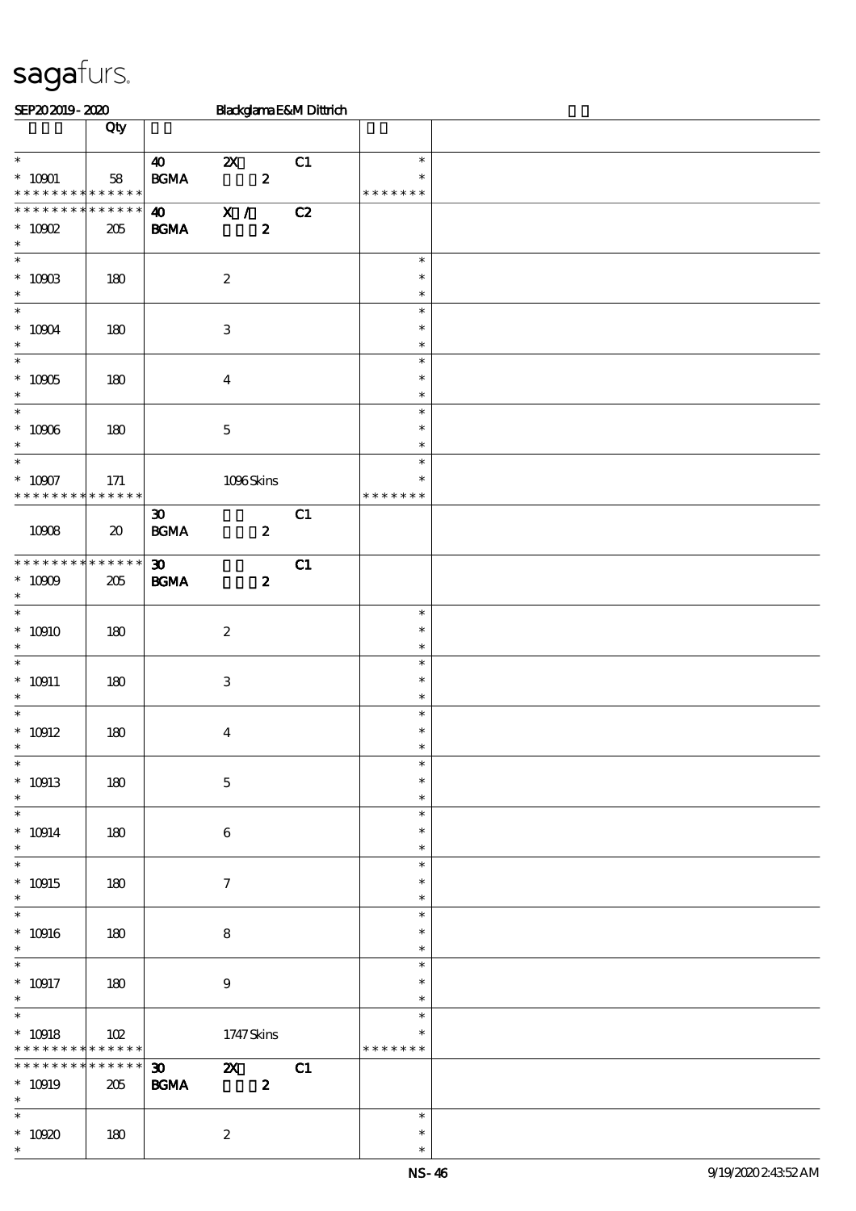| SEP202019-2020                                           |                                     |                                                                     |                           |                  | Blackglama E&M Dittrich |                                   |  |
|----------------------------------------------------------|-------------------------------------|---------------------------------------------------------------------|---------------------------|------------------|-------------------------|-----------------------------------|--|
|                                                          | Qty                                 |                                                                     |                           |                  |                         |                                   |  |
| $\ast$<br>$^*$ 10001 $\,$<br>* * * * * * * * * * * * * * | 58                                  | $\boldsymbol{\omega}$<br>$\mathbf{B}\mathbf{G}\mathbf{M}\mathbf{A}$ | $\boldsymbol{\mathsf{Z}}$ | $\boldsymbol{z}$ | C1                      | $\ast$<br>$\ast$<br>* * * * * * * |  |
| * * * * * * * * * * * * * *<br>$* 10002$<br>$\ast$       | 205                                 | $\boldsymbol{\omega}$<br><b>BGMA</b>                                | $\overline{\mathbf{X}$ /  | $\boldsymbol{z}$ | C2                      |                                   |  |
| $^\ast$ 10903<br>$\ast$                                  | 180                                 |                                                                     | $\boldsymbol{2}$          |                  |                         | $\ast$<br>$\ast$<br>$\ast$        |  |
| $\overline{\ast}$<br>$^\ast$ 10004<br>$\ast$             | 180                                 |                                                                     | $\ensuremath{\mathbf{3}}$ |                  |                         | $\ast$<br>$\ast$<br>$\ast$        |  |
| $\overline{\phantom{0}}$<br>$^*$ 10905 $\,$<br>$\ast$    | 180                                 |                                                                     | $\boldsymbol{4}$          |                  |                         | $\ast$<br>$\ast$<br>$\ast$        |  |
| $\overline{\phantom{0}}$<br>$^\ast$ 10906<br>$\ast$      | 180                                 |                                                                     | $\mathbf 5$               |                  |                         | $\ast$<br>$\ast$<br>$\ast$        |  |
| $\ast$<br>$^\ast$ 10907<br>* * * * * * * * * * * * * *   | 171                                 |                                                                     | 1096Skins                 |                  |                         | $\ast$<br>$\ast$<br>* * * * * * * |  |
| 10908                                                    | $\boldsymbol{\boldsymbol{\lambda}}$ | $\boldsymbol{\mathfrak{D}}$<br><b>BGMA</b>                          |                           | $\boldsymbol{z}$ | C1                      |                                   |  |
| * * * * * * * * * * * * * *<br>$^\ast$ 10009<br>$\ast$   | 205                                 | $\boldsymbol{\mathfrak{D}}$<br><b>BGMA</b>                          |                           | $\boldsymbol{z}$ | C1                      |                                   |  |
| $\overline{\ast}$<br>$* 10910$<br>$\ast$                 | 180                                 |                                                                     | $\boldsymbol{2}$          |                  |                         | $\ast$<br>$\ast$<br>$\ast$        |  |
| $\overline{\phantom{0}}$<br>$^*$ 10911<br>$\ast$         | 180                                 |                                                                     | $\,3$                     |                  |                         | $\ast$<br>$\ast$<br>$\ast$        |  |
| $*$<br>$^\ast$ 10912<br>$*$                              | 180                                 |                                                                     | $\boldsymbol{4}$          |                  |                         | $\ast$<br>$\ast$<br>$\ast$        |  |
| $\ast$<br>$* 10913$<br>$\ast$                            | 180                                 |                                                                     | $\mathbf 5$               |                  |                         | $\ast$<br>$\ast$<br>$\ast$        |  |
| $\ast$<br>$* 10914$<br>$\ast$                            | 180                                 |                                                                     | $\boldsymbol{6}$          |                  |                         | $\ast$<br>$\ast$<br>$\ast$        |  |
| $\ast$<br>$* 10915$<br>$\ast$                            | 180                                 |                                                                     | $\boldsymbol{\tau}$       |                  |                         | $\ast$<br>$\ast$<br>$\ast$        |  |
| $\ast$<br>$^*$ 10916 $\,$<br>$\ast$                      | 180                                 |                                                                     | $\bf 8$                   |                  |                         | $\ast$<br>$\ast$<br>$\ast$        |  |
| $\overline{\phantom{0}}$<br>$^*$ 10917<br>$\ast$         | 180                                 |                                                                     | $\boldsymbol{9}$          |                  |                         | $\ast$<br>$\ast$<br>$\ast$        |  |
| $\overline{\ast}$<br>$^*$ 10918<br>* * * * * * * *       | 102<br>* * * * * *                  |                                                                     | 1747 Skins                |                  |                         | $\ast$<br>∗<br>* * * * * * *      |  |
| * * * * * * * *<br>$* 10919$<br>$\ast$                   | * * * * * *<br>205                  | $\boldsymbol{\mathfrak{D}}$<br><b>BGMA</b>                          | $\boldsymbol{\mathsf{X}}$ | $\boldsymbol{z}$ | C1                      |                                   |  |
| $\ast$<br>$* 10920$<br>$\ast$                            | 180                                 |                                                                     | $\boldsymbol{2}$          |                  |                         | $\ast$<br>$\ast$<br>$\ast$        |  |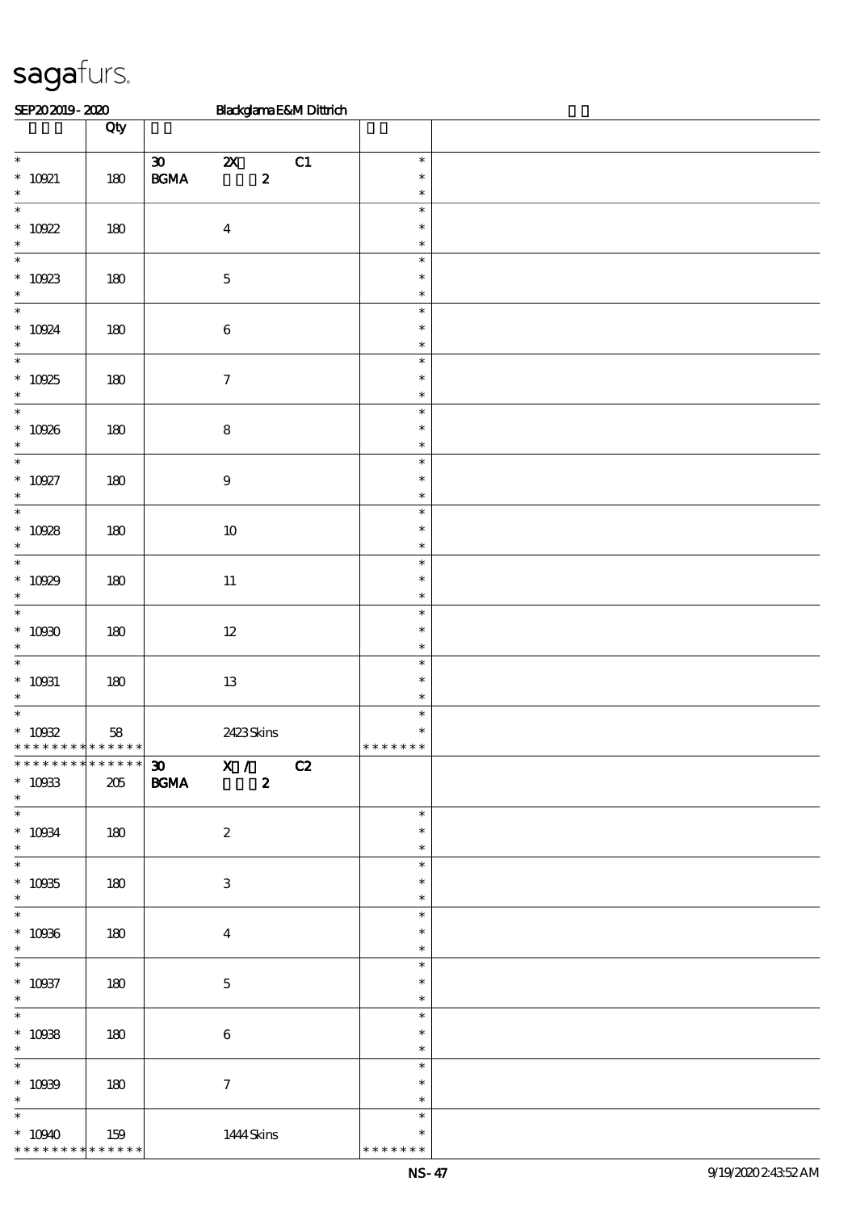| SEP202019-2020                                                             |     |                              |                                                 |                  | BlackglamaE&MDittrich |                                   |  |
|----------------------------------------------------------------------------|-----|------------------------------|-------------------------------------------------|------------------|-----------------------|-----------------------------------|--|
|                                                                            | Qty |                              |                                                 |                  |                       |                                   |  |
| $\overline{\phantom{0}}$                                                   |     | $\boldsymbol{\mathfrak{D}}$  | $\boldsymbol{\mathsf{Z}}$                       |                  | C1                    | $\ast$                            |  |
| $*$ 10021<br>$\ast$                                                        | 180 | $\mathbf{B G MA}$            |                                                 | $\boldsymbol{z}$ |                       | $\ast$<br>$\ast$                  |  |
| $\overline{\phantom{0}}$<br>$* 10922$                                      | 180 |                              | $\boldsymbol{4}$                                |                  |                       | $\ast$<br>$\ast$                  |  |
| $\ast$<br>$\ast$                                                           |     |                              |                                                 |                  |                       | $\ast$                            |  |
| $* 10923$<br>$\ast$                                                        | 180 |                              | $\mathbf 5$                                     |                  |                       | $\ast$<br>$\ast$<br>$\ast$        |  |
| $\ast$<br>$^*$ 10924 $\,$<br>$\ast$                                        | 180 |                              | $\,6\,$                                         |                  |                       | $\ast$<br>$\ast$<br>$\ast$        |  |
| $_{\ast}^{-}$<br>$* 10925$<br>$\ast$                                       | 180 |                              | $\boldsymbol{7}$                                |                  |                       | $\ast$<br>$\ast$<br>$\ast$        |  |
| $\overline{\phantom{0}}$<br>$* 10926$<br>$\ast$                            | 180 |                              | ${\bf 8}$                                       |                  |                       | $\ast$<br>$\ast$<br>$\ast$        |  |
| $\overline{\phantom{0}}$<br>$* 10927$<br>$\ast$                            | 180 |                              | $\boldsymbol{9}$                                |                  |                       | $\ast$<br>$\ast$<br>$\ast$        |  |
| $\overline{\phantom{1}}$<br>$* 10928$<br>$\ast$                            | 180 |                              | $10\,$                                          |                  |                       | $\ast$<br>$\ast$<br>$\ast$        |  |
| $\overline{\ast}$<br>$* 10929$<br>$\ast$                                   | 180 |                              | $11\,$                                          |                  |                       | $\ast$<br>$\ast$<br>$\ast$        |  |
| $\overline{\phantom{a}^*}$<br>$* 10000$<br>$\ast$                          | 180 |                              | $12\,$                                          |                  |                       | $\ast$<br>$\ast$<br>$\ast$        |  |
| $\overline{\phantom{a}^*}$<br>$^*$ 10031<br>$\ast$                         | 180 |                              | $13\,$                                          |                  |                       | $\ast$<br>$\ast$<br>$\ast$        |  |
| $\overline{\ast}$<br>$* 10002$<br>* * * * * * * * <mark>* * * * * *</mark> | 58  |                              | 2423Skins                                       |                  |                       | $\ast$<br>$\ast$<br>* * * * * * * |  |
| ******** <mark>*******</mark><br>$* 10033$<br>$\ast$                       | 205 | $30$ $X / C2$<br><b>BGMA</b> | $\overline{\mathbf{r}}$ $\overline{\mathbf{r}}$ |                  |                       |                                   |  |
| $^*$ 10034 $\,$<br>$\ast$                                                  | 180 |                              | $\boldsymbol{2}$                                |                  |                       | $\ast$<br>$\ast$<br>$\ast$        |  |
| $\overline{\phantom{0}}$<br>$^\ast$ 10035<br>$\ast$                        | 180 |                              | 3                                               |                  |                       | $\ast$<br>$\ast$<br>$\ast$        |  |
| $\overline{\phantom{a}}$<br>$^*$ 10036<br>$\ast$                           | 180 |                              | $\boldsymbol{4}$                                |                  |                       | $\ast$<br>$\ast$<br>$\ast$        |  |
| $\overline{\phantom{0}}$<br>$* 10037$<br>$\ast$                            | 180 |                              | $\mathbf{5}$                                    |                  |                       | $\ast$<br>$\ast$<br>$\ast$        |  |
| $\overline{\phantom{0}}$<br>$* 10038$<br>$\ast$                            | 180 |                              | $6\phantom{1}6$                                 |                  |                       | $\ast$<br>$\ast$<br>$\ast$        |  |
| $\overline{\phantom{0}}$<br>$* 10009$<br>$\ast$                            | 180 |                              | $\mathcal I$                                    |                  |                       | $\ast$<br>$\ast$<br>$\ast$        |  |
| $\ast$<br>$*10940$<br>* * * * * * * * * * * * * * *                        | 159 |                              | 1444 Skins                                      |                  |                       | $\ast$<br>$\ast$<br>* * * * * * * |  |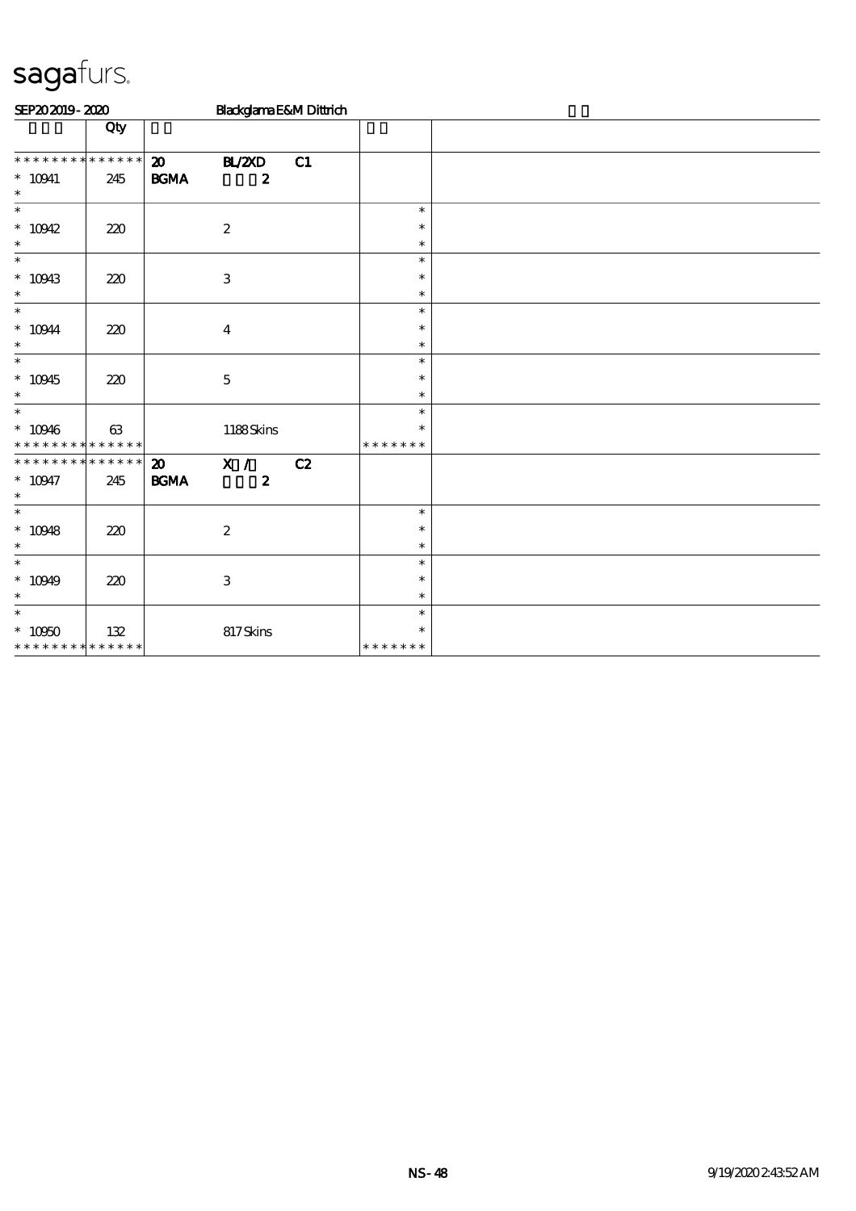| SEP202019-2020                           |     |                             | Blackglama E&M Dittrich |    |                         |  |  |  |  |  |  |
|------------------------------------------|-----|-----------------------------|-------------------------|----|-------------------------|--|--|--|--|--|--|
|                                          | Qty |                             |                         |    |                         |  |  |  |  |  |  |
| * * * * * * * * * * * * * *              |     | $\boldsymbol{\mathfrak{D}}$ | <b>BL/2XD</b>           | C1 |                         |  |  |  |  |  |  |
| $* 10941$<br>$\ast$                      | 245 | $\mathbf{B G MA}$           | $\boldsymbol{z}$        |    |                         |  |  |  |  |  |  |
| $\ast$                                   |     |                             |                         |    | $\ast$                  |  |  |  |  |  |  |
| $* 10942$<br>$\ast$                      | 220 |                             | $\boldsymbol{2}$        |    | $\ast$<br>$\ast$        |  |  |  |  |  |  |
| $\ast$                                   |     |                             |                         |    | $\ast$                  |  |  |  |  |  |  |
| $*10943$                                 | 220 |                             | $\mathbf{3}$            |    | $\ast$                  |  |  |  |  |  |  |
| $\ast$                                   |     |                             |                         |    | $\ast$                  |  |  |  |  |  |  |
| $\ast$                                   |     |                             |                         |    | $\ast$                  |  |  |  |  |  |  |
| $^*$ 10944 $\,$<br>$\ast$                | 220 |                             | $\boldsymbol{4}$        |    | $\ast$<br>$\ast$        |  |  |  |  |  |  |
| $\overline{\ast}$                        |     |                             |                         |    | $\ast$                  |  |  |  |  |  |  |
| $* 10945$                                | 220 |                             | $\mathbf 5$             |    | $\ast$                  |  |  |  |  |  |  |
| $\ast$                                   |     |                             |                         |    | $\ast$                  |  |  |  |  |  |  |
| $\ast$                                   |     |                             |                         |    | $\ast$                  |  |  |  |  |  |  |
| $* 10946$<br>* * * * * * * * * * * * * * | 63  |                             | $1188$ Skins            |    | $\ast$<br>* * * * * * * |  |  |  |  |  |  |
| * * * * * * * * * * * * * *              |     | $\boldsymbol{\mathfrak{D}}$ | X /                     | C2 |                         |  |  |  |  |  |  |
| $* 10947$<br>$\ast$                      | 245 | $\mathbf{B G MA}$           | $\boldsymbol{z}$        |    |                         |  |  |  |  |  |  |
| $\ast$                                   |     |                             |                         |    | $\ast$                  |  |  |  |  |  |  |
| $* 10948$                                | 220 |                             | $\boldsymbol{2}$        |    | $\ast$                  |  |  |  |  |  |  |
| $\ast$<br>$\ast$                         |     |                             |                         |    | $\ast$<br>$\ast$        |  |  |  |  |  |  |
| $* 10949$                                | 220 |                             | $\,3$                   |    | $\ast$                  |  |  |  |  |  |  |
| $\ast$                                   |     |                             |                         |    | $\ast$                  |  |  |  |  |  |  |
| $\ast$                                   |     |                             |                         |    | $\ast$                  |  |  |  |  |  |  |
| $^*$ 10950 $\,$                          | 132 |                             | 817Skins                |    | $\ast$                  |  |  |  |  |  |  |
| * * * * * * * * * * * * * *              |     |                             |                         |    | * * * * * * *           |  |  |  |  |  |  |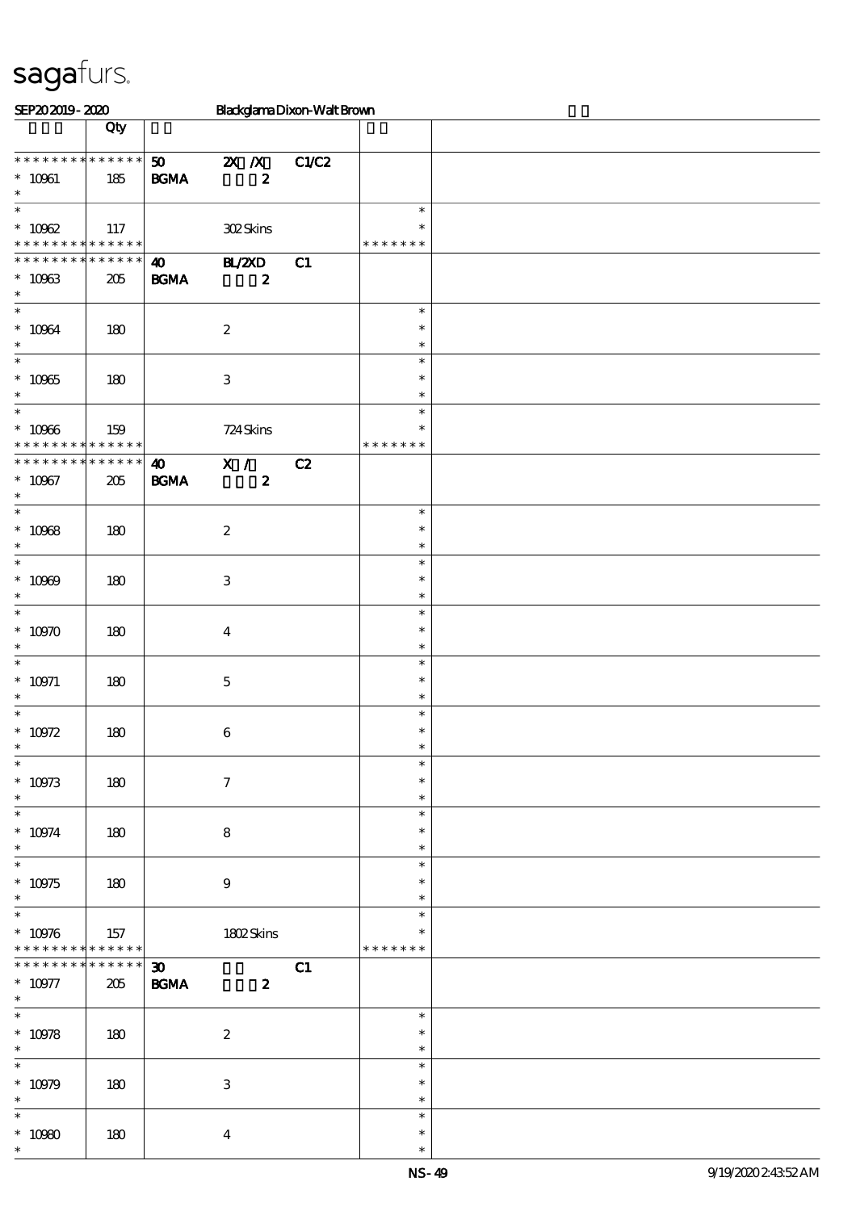| SEP202019-2020                                                                      |                            |                                                  |                             | Blackglama Dixon-Walt Brown |                                   |  |
|-------------------------------------------------------------------------------------|----------------------------|--------------------------------------------------|-----------------------------|-----------------------------|-----------------------------------|--|
|                                                                                     | Qty                        |                                                  |                             |                             |                                   |  |
| * * *<br>$^*$ 10961<br>$\ast$                                                       | * * * * * * * * * *<br>185 | 50<br>$\mathbf{B G MA}$                          | $X$ $X$<br>$\boldsymbol{z}$ | C1/C2                       |                                   |  |
| $\overline{\phantom{0}}$<br>$* 10062$<br>* * * * * * * * <mark>* * * * * * *</mark> | 117                        |                                                  | 302Skins                    |                             | $\ast$<br>* * * * * * *           |  |
| * * * * * * * * * * * * * *<br>$^\ast$ 10963<br>$\ast$                              | 205                        | $\boldsymbol{\omega}$<br><b>BGMA</b>             | B ZCD<br>$\pmb{2}$          | C1                          |                                   |  |
| $\ast$<br>$^\ast$ 10064<br>$\ast$                                                   | 180                        |                                                  | $\boldsymbol{2}$            |                             | $\ast$<br>$\ast$<br>$\ast$        |  |
| $\ast$<br>$* 10965$<br>$\ast$                                                       | 180                        |                                                  | $\,3$                       |                             | $\ast$<br>$\ast$<br>$\ast$        |  |
| $\overline{\phantom{0}}$<br>$^\ast$ 10966<br>* * * * * * * * * * * * * *            | 159                        |                                                  | 724 Skins                   |                             | $\ast$<br>$\ast$<br>* * * * * * * |  |
| * * * * * * * * * * * * * *<br>$* 10967$<br>$\ast$                                  | $205\,$                    | $\boldsymbol{\omega}$<br><b>BGMA</b>             | X /<br>$\boldsymbol{z}$     | C2                          |                                   |  |
| $\overline{\ast}$<br>$^\ast$ 10968<br>$\ast$                                        | 180                        |                                                  | $\boldsymbol{2}$            |                             | $\ast$<br>$\ast$<br>$\ast$        |  |
| $\ast$<br>$* 10969$<br>$\ast$                                                       | 180                        |                                                  | $\,3$                       |                             | $\ast$<br>$\ast$<br>$\ast$        |  |
| $\ast$<br>$*$ 10970<br>$\ast$                                                       | 180                        |                                                  | $\boldsymbol{4}$            |                             | $\ast$<br>$\ast$<br>$\ast$        |  |
| $\ast$<br>$^*$ 10971<br>$\ast$                                                      | 180                        |                                                  | $\mathbf 5$                 |                             | $\ast$<br>$\ast$<br>$\ast$        |  |
| $\ast$<br>$* 10972$<br>∗                                                            | 180                        |                                                  | $\boldsymbol{6}$            |                             | $\ast$<br>$\ast$                  |  |
| $\ast$<br>$^\ast$ 10973<br>$\ast$                                                   | 180                        |                                                  | $\boldsymbol{7}$            |                             | $\ast$<br>$\ast$<br>$\ast$        |  |
| $\overline{\phantom{0}}$<br>$^*$ 10974 $\,$<br>$\ast$                               | 180                        |                                                  | $\bf8$                      |                             | $\ast$<br>$\ast$<br>$\ast$        |  |
| $\overline{\ast}$<br>$^\ast$ 10975<br>$\ast$                                        | 180                        |                                                  | $\boldsymbol{9}$            |                             | $\ast$<br>$\ast$<br>$\ast$        |  |
| $\overline{\phantom{0}}$<br>$^*$ 10976 $\,$<br>* * * * * * * * * * * * * *          | 157                        |                                                  | 1802Skins                   |                             | $\ast$<br>$\ast$<br>* * * * * * * |  |
| * * * * * * * * * * * * * * *<br>$* 10977$<br>$\ast$                                | 205                        | $\boldsymbol{\mathfrak{D}}$<br>$\mathbf{B G MA}$ | $\boldsymbol{z}$            | C1                          |                                   |  |
| $\overline{\ast}$<br>$* 10978$<br>$\ast$                                            | 180                        |                                                  | $\boldsymbol{2}$            |                             | $\ast$<br>$\ast$<br>$\ast$        |  |
| $\overline{\phantom{a}^*}$<br>$^*$ 10979<br>$\ast$                                  | 180                        |                                                  | $\ensuremath{\mathbf{3}}$   |                             | $\ast$<br>$\ast$<br>$\ast$        |  |
| $\ast$<br>$^\ast$ 10980<br>$\ast$                                                   | 180                        |                                                  | $\boldsymbol{4}$            |                             | $\ast$<br>$\ast$<br>$\ast$        |  |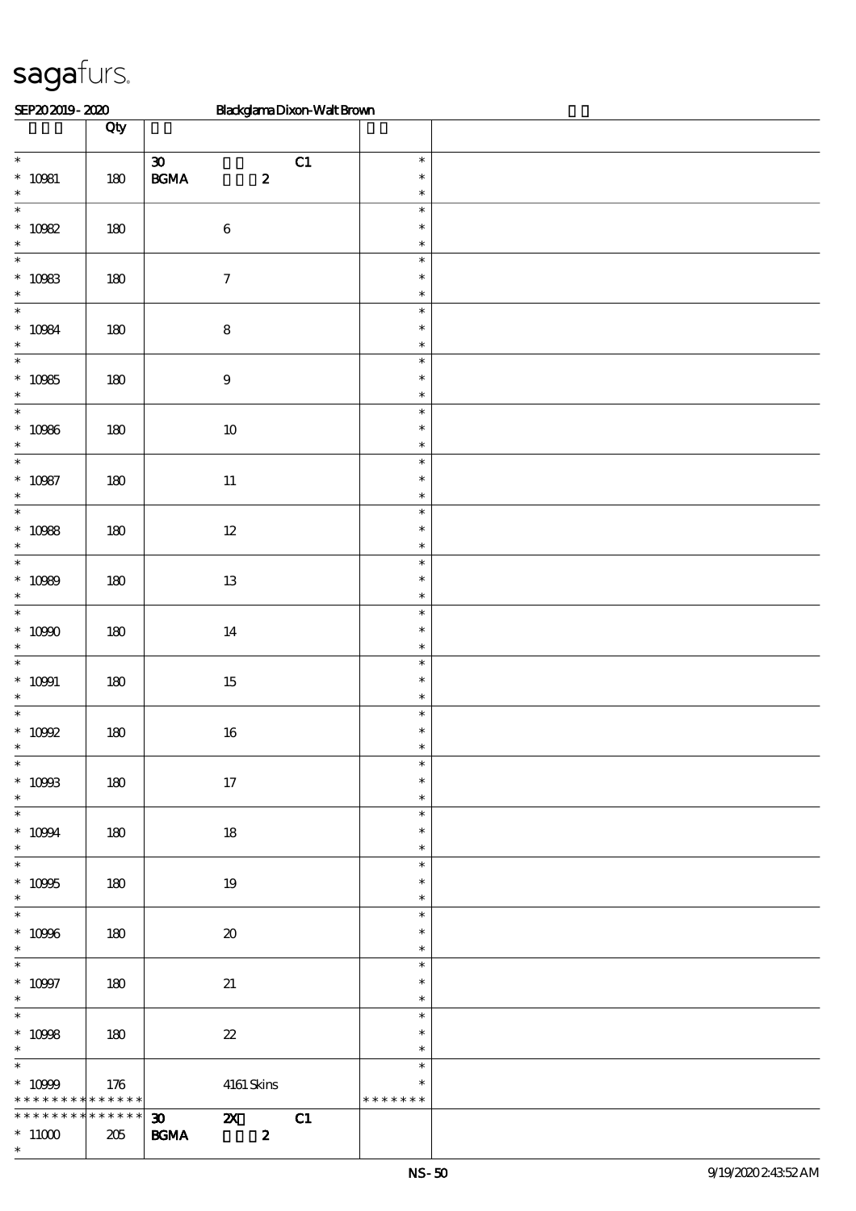| SEP202019-2020                  |         | Blackglama Dixon-Walt Brown                             |                  |  |
|---------------------------------|---------|---------------------------------------------------------|------------------|--|
|                                 | Qty     |                                                         |                  |  |
| $\overline{\phantom{0}}$        |         | $\boldsymbol{\mathfrak{D}}$<br>C1                       | $\ast$           |  |
| $^*$ 10981                      | $180$   | $\mathbf{B}\mathbf{G}\mathbf{M}\mathbf{A}$<br>$\pmb{2}$ | $\ast$           |  |
| $\ast$<br>$\ast$                |         |                                                         | $\ast$<br>$\ast$ |  |
| $^*$ 10982                      | $180\,$ | $\,6\,$                                                 | $\ast$           |  |
| $\ast$                          |         |                                                         | $\ast$           |  |
| $\ast$                          |         |                                                         | $\ast$           |  |
| $^\ast$ 10983<br>$\ast$         | 180     | $\boldsymbol{7}$                                        | $\ast$<br>$\ast$ |  |
| $\ast$                          |         |                                                         | $\ast$           |  |
| $* 10084$                       | 180     | $\bf 8$                                                 | $\ast$           |  |
| $\ast$                          |         |                                                         | $\ast$           |  |
| $\overline{\ast}$               |         |                                                         | $\ast$           |  |
| $^\ast$ 10985<br>$\ast$         | 180     | $\boldsymbol{9}$                                        | $\ast$<br>$\ast$ |  |
| $\overline{\phantom{0}}$        |         |                                                         | $\ast$           |  |
| $* 10986$                       | $180\,$ | $10\,$                                                  | $\ast$           |  |
| $\ast$                          |         |                                                         | $\ast$           |  |
| $\ast$                          |         |                                                         | $\ast$<br>$\ast$ |  |
| $* 10987$<br>$\ast$             | $180\,$ | $11\,$                                                  | $\ast$           |  |
| $\overline{\ast}$               |         |                                                         | $\ast$           |  |
| $^\ast$ 10988                   | 180     | $12\,$                                                  | $\ast$           |  |
| $\ast$<br>$\ast$                |         |                                                         | $\ast$<br>$\ast$ |  |
| $* 10989$                       | 180     | $13\,$                                                  | $\ast$           |  |
| $\ast$                          |         |                                                         | $\ast$           |  |
| $\ast$                          |         |                                                         | $\ast$           |  |
| $^\ast$ 10990                   | $180\,$ | 14                                                      | $\ast$           |  |
| $\ast$<br>$\ast$                |         |                                                         | $\ast$<br>$\ast$ |  |
| $* 10991$                       | 180     | $15\,$                                                  | $\ast$           |  |
| $\ast$                          |         |                                                         | $\ast$           |  |
| $\ast$                          |         |                                                         | $\ast$<br>$\ast$ |  |
| $^*$ 10092                      | $180\,$ | $16\,$                                                  | $\ast$           |  |
| $\overline{\phantom{0}}$        |         |                                                         | $\ast$           |  |
| $^*$ 10993                      | 180     | $17\,$                                                  | $\ast$           |  |
| $\ast$<br>$\ast$                |         |                                                         | $\ast$<br>$\ast$ |  |
| $^*$ 10994 $\,$                 | 180     | $18\,$                                                  | $\ast$           |  |
| $\ast$                          |         |                                                         | $\ast$           |  |
| $\ast$                          |         |                                                         | $\ast$           |  |
| $^\ast$ 10995<br>$\ast$         | 180     | 19                                                      | $\ast$<br>$\ast$ |  |
| $\overline{\phantom{0}}$        |         |                                                         | $\ast$           |  |
| $^\ast$ 10996                   | 180     | $\boldsymbol{\boldsymbol{\lambda}}$                     | $\ast$           |  |
| $\ast$                          |         |                                                         | $\ast$           |  |
| $\overline{\phantom{0}}$        |         |                                                         | $\ast$           |  |
| $^*$ 10997<br>$\ast$            | 180     | $21\,$                                                  | $\ast$<br>$\ast$ |  |
| $\overline{\phantom{a}^*}$      |         |                                                         | $\ast$           |  |
| $* 10998$                       | 180     | $\boldsymbol{\mathcal{Z}}$                              | $\ast$           |  |
| $\ast$<br>$\overline{\ast}$     |         |                                                         | $\ast$<br>$\ast$ |  |
| $^*$ 10999 $\,$                 | 176     | $4161\,$ Skins                                          | $\ast$           |  |
| * * * * * * * * * * * * * *     |         |                                                         | * * * * * * *    |  |
| * * * * * * * * * * * * * * *   |         | C1<br>$\boldsymbol{\mathfrak{D}}$<br>$\mathbf{x}$       |                  |  |
| $^*$ 11000 $^{\circ}$<br>$\ast$ | 205     | $\pmb{2}$<br>$\mathbf{B G MA}$                          |                  |  |
|                                 |         |                                                         |                  |  |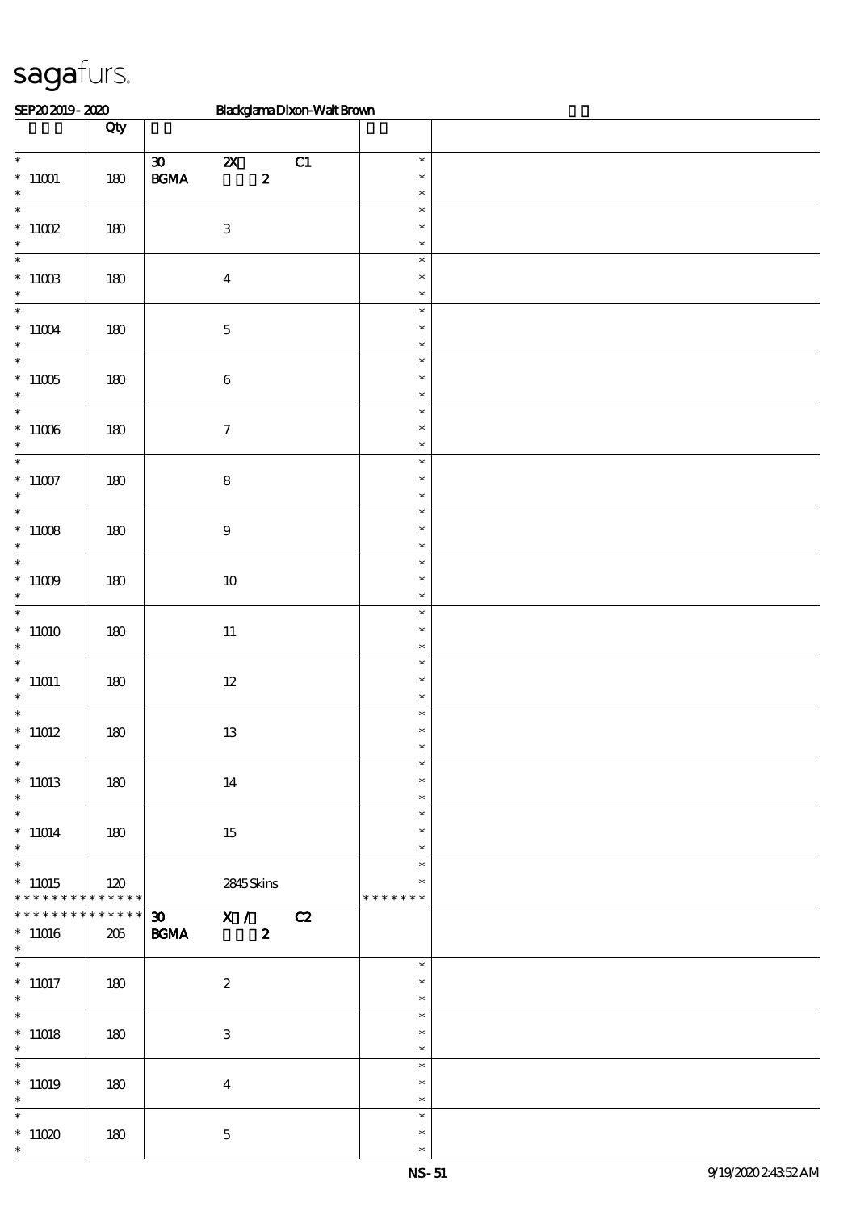| SEP202019-2020                                        |               | Blackglama Dixon-Walt Brown                                                                                                      |                                   |  |
|-------------------------------------------------------|---------------|----------------------------------------------------------------------------------------------------------------------------------|-----------------------------------|--|
|                                                       | Qty           |                                                                                                                                  |                                   |  |
| $\overline{\phantom{0}}$<br>$*$ 11001<br>$\ast$       | $180$         | C1<br>$\boldsymbol{\mathfrak{D}}$<br>$\boldsymbol{\mathsf{z}}$<br>$\mathbf{B}\mathbf{G}\mathbf{M}\mathbf{A}$<br>$\boldsymbol{z}$ | $\ast$<br>$\ast$<br>$\ast$        |  |
| $\ast$<br>$*11002$<br>$\ast$                          | 180           | $\,3$                                                                                                                            | $\ast$<br>$\ast$<br>$\ast$        |  |
| $\ast$<br>$^*$ 11003<br>$\ast$                        | 180           | $\boldsymbol{4}$                                                                                                                 | $\ast$<br>$\ast$<br>$\ast$        |  |
| $\ast$<br>$^*$ 11004 $\,$<br>$\ast$                   | 180           | $\mathbf 5$                                                                                                                      | $\ast$<br>$\ast$<br>$\ast$        |  |
| $\ast$<br>$^*$ 11005 $\,$<br>$\ast$                   | $180\,$       | $\bf 6$                                                                                                                          | $\ast$<br>$\ast$<br>$\ast$        |  |
| $\ast$<br>$^*$ 11006 $\,$<br>$\ast$                   | $180\,$       | $\boldsymbol{7}$                                                                                                                 | $\ast$<br>$\ast$<br>$\ast$        |  |
| $\overline{\phantom{a}^*}$<br>$^\ast$ 11007<br>$\ast$ | $180\,$       | $\bf 8$                                                                                                                          | $\ast$<br>$\ast$<br>$\ast$        |  |
| $\ast$<br>$^*$ 11008 $\,$<br>$\ast$                   | 180           | $\boldsymbol{9}$                                                                                                                 | $\ast$<br>$\ast$<br>$\ast$        |  |
| $\ast$<br>$^*$ 11009 $\,$<br>$\ast$                   | $180$         | $10\,$                                                                                                                           | $\ast$<br>$\ast$<br>$\ast$        |  |
| $\ast$<br>$*$ 11010 $\,$<br>$\ast$                    | $180$         | $11\,$                                                                                                                           | $\ast$<br>$\ast$<br>$\ast$        |  |
| $\ast$<br>$^*$ 11011<br>$\ast$                        | 180           | $12\,$                                                                                                                           | $\ast$<br>$\ast$<br>$\ast$        |  |
| $\ast$<br>$^*$ 11012 $\,$                             | 180           | $13\,$                                                                                                                           | $\ast$<br>$\ast$                  |  |
| $\overline{\phantom{0}}$<br>$*11013$<br>$\ast$        | 180           | 14                                                                                                                               | $\ast$<br>$\ast$<br>$\ast$        |  |
| $\overline{\phantom{0}}$<br>$*11014$<br>$\ast$        | 180           | 15                                                                                                                               | $\ast$<br>$\ast$<br>$\ast$        |  |
| $\ast$<br>$*11015$<br>* * * * * * * *                 | 120<br>****** | 2845 Skins                                                                                                                       | $\ast$<br>$\ast$<br>* * * * * * * |  |
| * * * * * * * *<br>$*11016$<br>$\ast$                 | ******<br>205 | $\overline{30}$ X / C2<br><b>BGMA</b><br>$\boldsymbol{z}$                                                                        |                                   |  |
| $*11017$<br>$\ast$                                    | 180           | $\boldsymbol{z}$                                                                                                                 | $\ast$<br>$\ast$<br>$\ast$        |  |
| $\overline{\ast}$<br>$*11018$<br>$\ast$               | 180           | 3                                                                                                                                | $\ast$<br>$\ast$<br>$\ast$        |  |
| $\overline{\phantom{0}}$<br>$*11019$<br>$\ast$        | 180           | $\bf{4}$                                                                                                                         | $\ast$<br>$\ast$<br>$\ast$        |  |
| $\ast$<br>$*$ 11020<br>$\ast$                         | 180           | $\mathbf 5$                                                                                                                      | $\ast$<br>$\ast$<br>$\ast$        |  |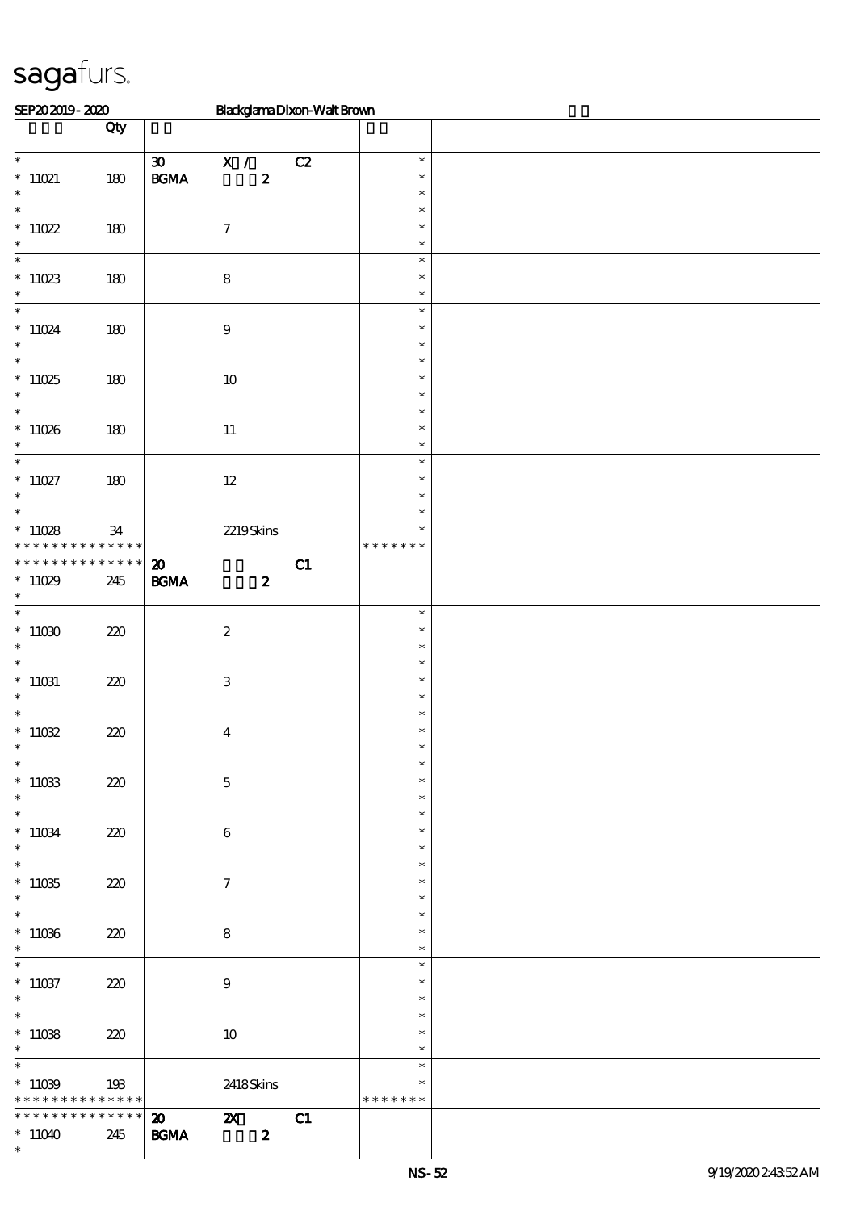| SEP202019-2020                                             |          |                             | BlackglamaDixon-WaltBrown |    |                  |  |
|------------------------------------------------------------|----------|-----------------------------|---------------------------|----|------------------|--|
|                                                            | Qty      |                             |                           |    |                  |  |
|                                                            |          |                             |                           |    |                  |  |
|                                                            |          | $\boldsymbol{\mathfrak{D}}$ | X /                       | C2 | $\ast$           |  |
| $*11021$<br>$\ast$                                         | 180      | $\mathbf{B G MA}$           | $\boldsymbol{z}$          |    | $\ast$<br>$\ast$ |  |
| $\ast$                                                     |          |                             |                           |    | $\ast$           |  |
| $^*$ 11022                                                 | 180      |                             | $\boldsymbol{7}$          |    | $\ast$           |  |
| $\ast$                                                     |          |                             |                           |    | $\ast$           |  |
| $\overline{\phantom{0}}$                                   |          |                             |                           |    | $\ast$           |  |
|                                                            | 180      |                             | $\bf 8$                   |    | $\ast$           |  |
| $^\ast$ 11023                                              |          |                             |                           |    | $\ast$           |  |
| $\overline{\ast}$                                          |          |                             |                           |    | $\ast$           |  |
| $*$ 11024 $\,$                                             | 180      |                             | $\boldsymbol{9}$          |    | $\ast$           |  |
| $\ast$                                                     |          |                             |                           |    | $\ast$           |  |
| $\overline{\ast}$                                          |          |                             |                           |    | $\ast$           |  |
| $*11025$<br>$\ast$                                         | 180      |                             | $10\,$                    |    | $\ast$<br>$\ast$ |  |
| $\overline{\phantom{0}}$                                   |          |                             |                           |    | $\ast$           |  |
| $*11026$                                                   | 180      |                             | $11\,$                    |    | $\ast$           |  |
| $\ast$                                                     |          |                             |                           |    | $\ast$           |  |
| $\overline{\phantom{0}}$                                   |          |                             |                           |    | $\ast$           |  |
| $* 11027$                                                  | 180      |                             | $12\,$                    |    | $\ast$           |  |
| $\ast$                                                     |          |                             |                           |    | $\ast$           |  |
| $\ast$                                                     |          |                             |                           |    | $\ast$           |  |
| $*11028$                                                   | 34       |                             | 2219Skins                 |    | $\ast$           |  |
| * * * * * * * * * * * * * *<br>* * * * * * * * * * * * * * |          |                             |                           |    | * * * * * * *    |  |
|                                                            |          | $\boldsymbol{\mathfrak{D}}$ |                           | C1 |                  |  |
| $*11029$<br>$\ast$                                         | 245      | <b>BGMA</b>                 | $\boldsymbol{z}$          |    |                  |  |
| $\overline{\ast}$                                          |          |                             |                           |    | $\ast$           |  |
| $*11030$                                                   | 220      |                             | $\boldsymbol{2}$          |    | $\ast$           |  |
| $\ast$                                                     |          |                             |                           |    | $\ast$           |  |
| $\ast$                                                     |          |                             |                           |    | $\ast$           |  |
| $^*$ 11031                                                 | 220      |                             | $\mathbf{3}$              |    | $\ast$           |  |
| $\ast$<br>$\overline{\phantom{0}}$                         |          |                             |                           |    | $\ast$           |  |
| $*11032$                                                   |          |                             |                           |    | $\ast$<br>$\ast$ |  |
| $\ast$                                                     | 220      |                             | $\boldsymbol{4}$          |    | $\ast$           |  |
| $\overline{\ast}$                                          |          |                             |                           |    | $\ast$           |  |
| $^*$ 11033                                                 | 220      |                             | $\mathbf 5$               |    | $\ast$           |  |
| $*$                                                        |          |                             |                           |    | $\ast$           |  |
| $\ast$                                                     |          |                             |                           |    | $\ast$           |  |
| $^*$ 11034 $\,$                                            | 220      |                             | $\bf 6$                   |    | $\ast$           |  |
| $\ast$                                                     |          |                             |                           |    | $\ast$           |  |
| $\ast$                                                     |          |                             |                           |    | $\ast$           |  |
| $^*$ 11035<br>$\ast$                                       | 220      |                             | $\tau$                    |    | $\ast$<br>$\ast$ |  |
| $\overline{\phantom{0}}$                                   |          |                             |                           |    | $\ast$           |  |
| $^\ast$ 11036                                              | 220      |                             | 8                         |    | $\ast$           |  |
| $\ast$                                                     |          |                             |                           |    | $\ast$           |  |
| $\overline{\ast}$                                          |          |                             |                           |    | $\ast$           |  |
| $^*$ 11037                                                 | 220      |                             | $\boldsymbol{9}$          |    | $\ast$           |  |
| $\ast$                                                     |          |                             |                           |    | $\ast$           |  |
| $\overline{\phantom{0}}$                                   |          |                             |                           |    | $\ast$           |  |
| $^*$ 11038                                                 | 220      |                             | $10\,$                    |    | $\ast$           |  |
| $*$<br>$\overline{\phantom{0}}$                            |          |                             |                           |    | $\ast$<br>$\ast$ |  |
|                                                            |          |                             |                           |    | ∗                |  |
| $*11039$<br>* * * * * * * * <mark>* * * * * * *</mark>     | 193      |                             | 2418Skins                 |    | * * * * * * *    |  |
| * * * * * * * *                                            | $******$ | $\boldsymbol{\mathsf{20}}$  | $\mathbf{x}$              | C1 |                  |  |
| $*11040$                                                   | 245      | <b>BGMA</b>                 | $\boldsymbol{z}$          |    |                  |  |
| $\ast$                                                     |          |                             |                           |    |                  |  |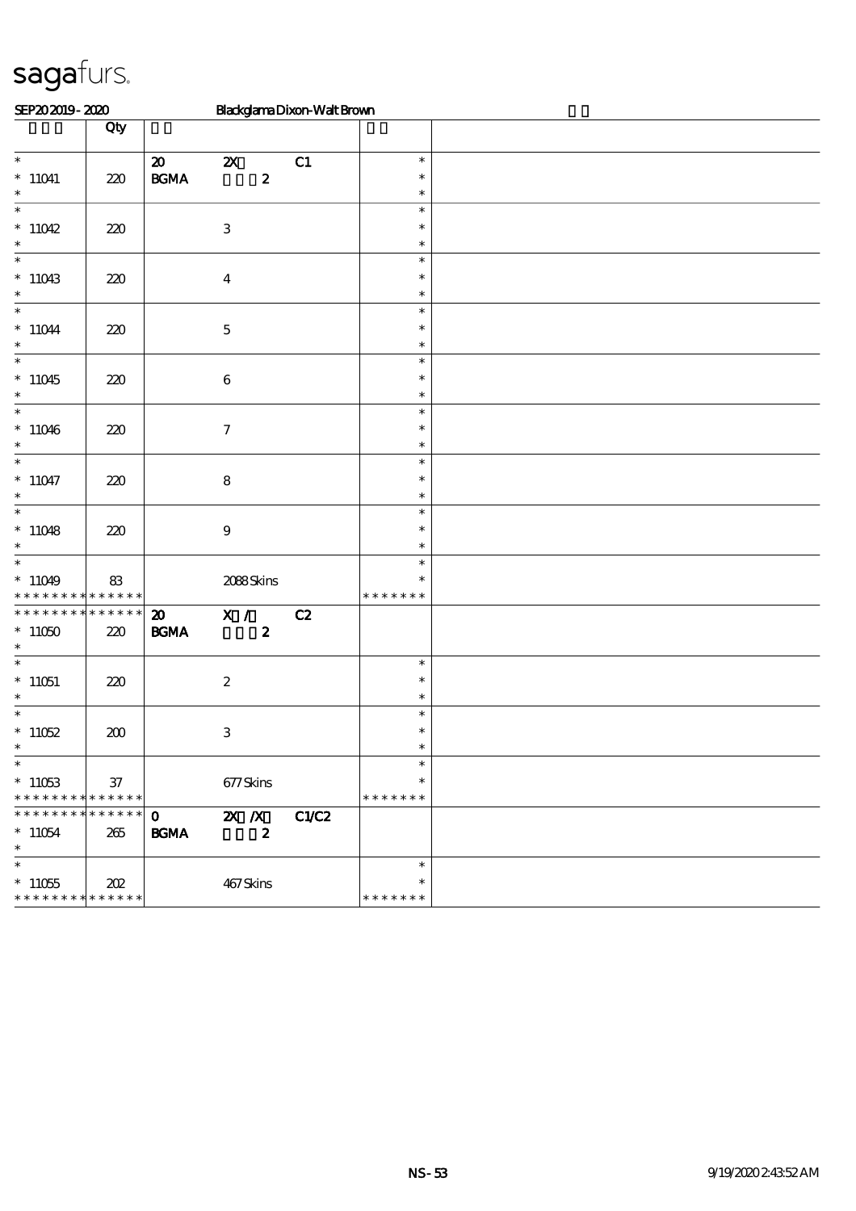| SEP202019-2020                                                      |         |                                            | Blackglama Dixon-Walt Brown                   |       |                                   |  |
|---------------------------------------------------------------------|---------|--------------------------------------------|-----------------------------------------------|-------|-----------------------------------|--|
|                                                                     | Qty     |                                            |                                               |       |                                   |  |
| $\ast$<br>$*11041$<br>$\ast$                                        | 220     | $\boldsymbol{\mathfrak{D}}$<br><b>BGMA</b> | $\boldsymbol{\mathsf{Z}}$<br>$\boldsymbol{z}$ | C1    | $\ast$<br>$\ast$<br>$\ast$        |  |
| $\ast$<br>$*11042$<br>$\ast$                                        | 220     |                                            | $\ensuremath{\mathbf{3}}$                     |       | $\ast$<br>$\ast$<br>$\ast$        |  |
| $\ast$<br>$*11043$<br>$\ast$                                        | 220     |                                            | $\boldsymbol{4}$                              |       | $\ast$<br>$\ast$<br>$\ast$        |  |
| $\ast$<br>$^*$ 11044 $\,$<br>$\ast$                                 | 220     |                                            | $\mathbf 5$                                   |       | $\ast$<br>$\ast$<br>$\ast$        |  |
| $\ast$<br>$*11045$<br>$\ast$                                        | 220     |                                            | $\,6\,$                                       |       | $\ast$<br>$\ast$<br>$\ast$        |  |
| $\ast$<br>$*11046$<br>$\ast$                                        | 220     |                                            | $\boldsymbol{\tau}$                           |       | $\ast$<br>$\ast$<br>$\ast$        |  |
| $\overline{\phantom{a}^*}$<br>$*11047$<br>$\ast$                    | 220     |                                            | ${\bf 8}$                                     |       | $\ast$<br>$\ast$<br>$\ast$        |  |
| $\overline{\ast}$<br>$*11048$<br>$\ast$                             | 220     |                                            | $\bf{9}$                                      |       | $\ast$<br>$\ast$<br>$\ast$        |  |
| $\ast$<br>$*11049$<br>* * * * * * * * * * * * * *                   | 83      |                                            | 2088Skins                                     |       | $\ast$<br>$\ast$<br>* * * * * * * |  |
| * * * * * * * * * * * * * *<br>$*11050$<br>$\ast$                   | 220     | $\boldsymbol{\mathfrak{D}}$<br><b>BGMA</b> | $\overline{\mathbf{x}}$ /<br>$\boldsymbol{z}$ | C2    |                                   |  |
| $\ast$<br>$*11051$<br>$\ast$                                        | 220     |                                            | $\boldsymbol{z}$                              |       | $\ast$<br>$\ast$<br>$\ast$        |  |
| $\ast$<br>$*11052$<br>∗                                             | 200     |                                            | $\ensuremath{\mathsf{3}}$                     |       | $\ast$<br>$\ast$<br>∗             |  |
| $\ast$<br>$*11053$<br>* * * * * * * * * * * * * *                   | $37\,$  |                                            | 677Skins                                      |       | $\ast$<br>$\ast$<br>* * * * * * * |  |
| * * * * * * * * * * * * * *<br>$*11054$<br>$\ast$                   | $265\,$ | $\mathbf 0$<br><b>BGMA</b>                 | $X$ $N$<br>$\boldsymbol{z}$                   | C1/C2 |                                   |  |
| $\overline{\ast}$<br>$^*$ 11055 $\,$<br>* * * * * * * * * * * * * * | 202     |                                            | 467Skins                                      |       | $\ast$<br>$\ast$<br>* * * * * * * |  |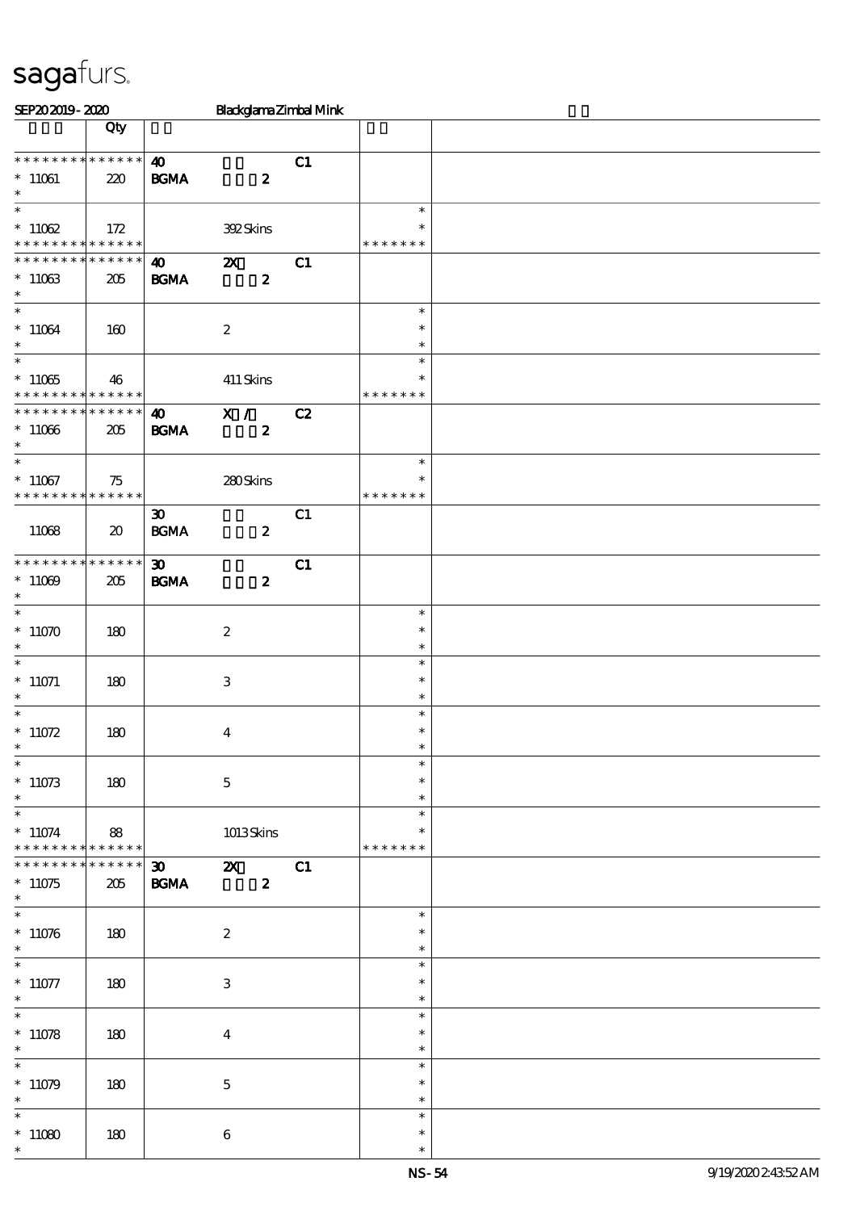| SEP202019-2020                          |                             |                             | Blackglama Zimbal Mink    |    |               |  |
|-----------------------------------------|-----------------------------|-----------------------------|---------------------------|----|---------------|--|
|                                         | Qty                         |                             |                           |    |               |  |
|                                         |                             |                             |                           |    |               |  |
| * * * * * * * * * * * * * *             |                             | $\boldsymbol{\omega}$       |                           | C1 |               |  |
| $^*$ 11061 $\,$                         | 220                         | <b>BGMA</b>                 | $\boldsymbol{2}$          |    |               |  |
| $\ast$<br>$\overline{\ast}$             |                             |                             |                           |    | $\ast$        |  |
|                                         |                             |                             |                           |    | $\ast$        |  |
| $*11062$<br>* * * * * * * * * * * * * * | 172                         |                             | 392Skins                  |    | * * * * * * * |  |
| * * * * * * * * * * * * * *             |                             | $\boldsymbol{\omega}$       | $\boldsymbol{\mathsf{X}}$ | C1 |               |  |
| $*11063$                                | 205                         | <b>BGMA</b>                 | $\boldsymbol{z}$          |    |               |  |
| $\ast$                                  |                             |                             |                           |    |               |  |
| $\overline{\ast}$                       |                             |                             |                           |    | $\ast$        |  |
| $*11064$                                | 160                         |                             | $\boldsymbol{2}$          |    | $\ast$        |  |
| $\ast$                                  |                             |                             |                           |    | $\ast$        |  |
| $\overline{\phantom{0}}$                |                             |                             |                           |    | $\ast$        |  |
| $^*$ 11065 $\,$                         | 46                          |                             | $411$ Skins               |    | $\ast$        |  |
| * * * * * * * * * * * * * *             |                             |                             |                           |    | * * * * * * * |  |
| * * * * * * * * * * * * * * *           |                             | $\boldsymbol{\omega}$       | $\mathbf{X}$ /            | C2 |               |  |
| $*11066$                                | 205                         | <b>BGMA</b>                 | $\boldsymbol{z}$          |    |               |  |
| $\ast$                                  |                             |                             |                           |    |               |  |
|                                         |                             |                             |                           |    | $\ast$        |  |
| $*11067$                                | 75                          |                             | $280$ Skins               |    | $\ast$        |  |
| * * * * * * * * * * * * * *             |                             |                             |                           |    | * * * * * * * |  |
|                                         |                             | $\boldsymbol{\mathfrak{D}}$ |                           | C1 |               |  |
| 11068                                   | $\boldsymbol{\mathfrak{D}}$ | <b>BGMA</b>                 | $\boldsymbol{z}$          |    |               |  |
| * * * * * * * * * * * * * * *           |                             |                             |                           |    |               |  |
|                                         |                             | $\boldsymbol{\mathfrak{D}}$ |                           | C1 |               |  |
| $*11009$<br>$\ast$                      | 205                         | <b>BGMA</b>                 | $\boldsymbol{z}$          |    |               |  |
| $\overline{\ast}$                       |                             |                             |                           |    | $\ast$        |  |
| $*11070$                                | 180                         |                             | $\boldsymbol{2}$          |    | $\ast$        |  |
| $\ast$                                  |                             |                             |                           |    | $\ast$        |  |
| $\ast$                                  |                             |                             |                           |    | $\ast$        |  |
| $*11071$                                | 180                         |                             | $\,3\,$                   |    | $\ast$        |  |
| $\ast$                                  |                             |                             |                           |    | $\ast$        |  |
|                                         |                             |                             |                           |    | $\ast$        |  |
| $*11072$                                | 180                         |                             | $\boldsymbol{4}$          |    | $\ast$        |  |
| $*$                                     |                             |                             |                           |    | $\ast$        |  |
| $\ast$                                  |                             |                             |                           |    | $\ast$        |  |
| $*11073$                                | 180                         |                             | $\bf 5$                   |    | $\ast$        |  |
| $\ast$                                  |                             |                             |                           |    | $\ast$        |  |
| $\ast$                                  |                             |                             |                           |    | $\ast$        |  |
| $*11074$                                | 88                          |                             | 1013Skins                 |    | $\ast$        |  |
| * * * * * * * * * * * * * *             | * * * * * *                 |                             |                           |    | * * * * * * * |  |
| * * * * * * * *                         |                             | $30 -$                      | $\mathbf{z}$              | C1 |               |  |
| $*11075$<br>$\ast$                      | 205                         | <b>BGMA</b>                 | $\boldsymbol{z}$          |    |               |  |
| $\overline{\phantom{0}}$                |                             |                             |                           |    | $\ast$        |  |
| $*11076$                                | 180                         |                             | $\boldsymbol{2}$          |    | $\ast$        |  |
| $\ast$                                  |                             |                             |                           |    | $\ast$        |  |
| $\ast$                                  |                             |                             |                           |    | $\ast$        |  |
| $*11077$                                | 180                         |                             | $\,3$                     |    | $\ast$        |  |
| $\ast$                                  |                             |                             |                           |    | $\ast$        |  |
| $\overline{\ast}$                       |                             |                             |                           |    | $\ast$        |  |
| $*11078$                                | 180                         |                             | $\boldsymbol{4}$          |    | $\ast$        |  |
| $\ast$                                  |                             |                             |                           |    | $\ast$        |  |
| $\ast$                                  |                             |                             |                           |    | $\ast$        |  |
| $*11079$                                | 180                         |                             | $\mathbf 5$               |    | $\ast$        |  |
| $\ast$                                  |                             |                             |                           |    | $\ast$        |  |
| $\ast$                                  |                             |                             |                           |    | $\ast$        |  |
| $*11080$                                | 180                         |                             | $\bf 6$                   |    | $\ast$        |  |
|                                         |                             |                             |                           |    | $\ast$        |  |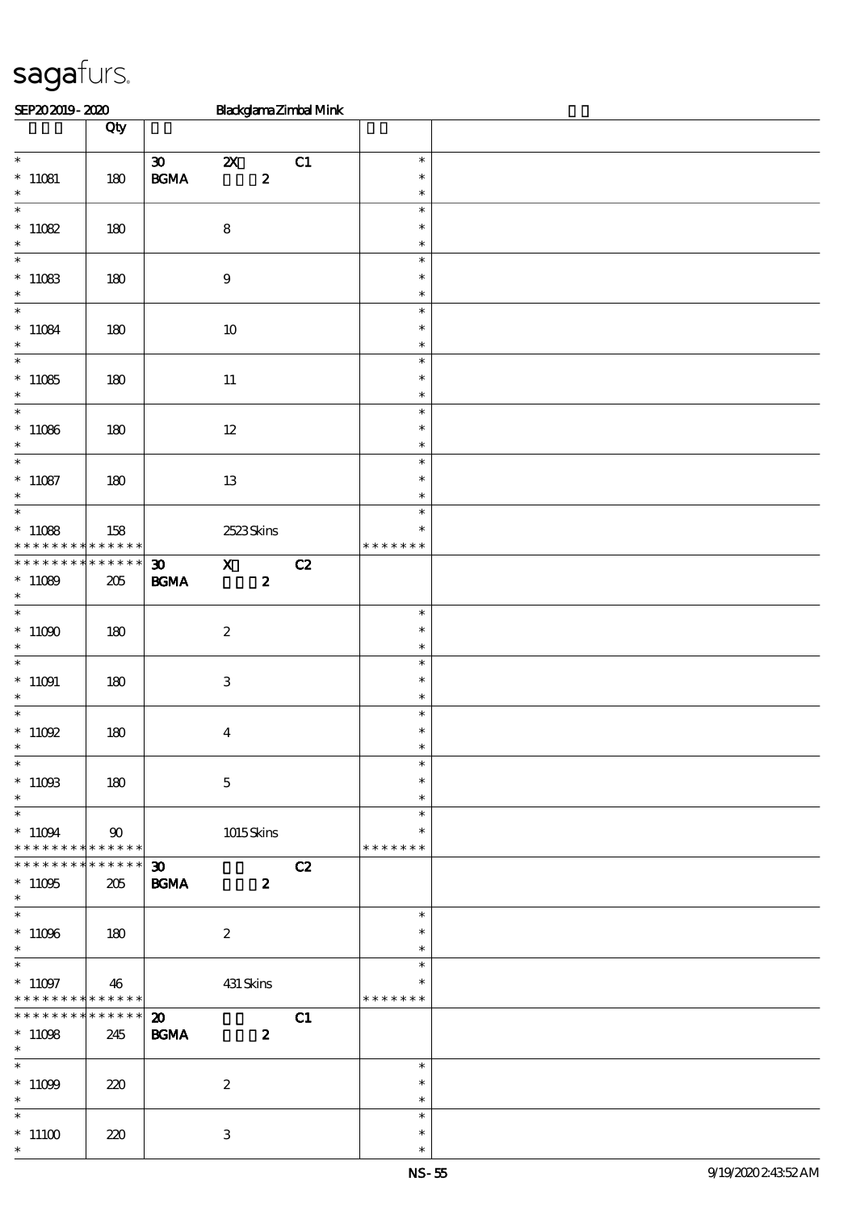| SEP202019-2020                                    |                    |                                                  | BlackglamaZimbalMink                          |    |                                   |  |
|---------------------------------------------------|--------------------|--------------------------------------------------|-----------------------------------------------|----|-----------------------------------|--|
|                                                   | Qty                |                                                  |                                               |    |                                   |  |
| $\ast$<br>$*11081$<br>$\ast$                      | $180\,$            | $\boldsymbol{\mathfrak{D}}$<br>$\mathbf{B G MA}$ | $\boldsymbol{\mathsf{z}}$<br>$\boldsymbol{2}$ | C1 | $\ast$<br>$\ast$<br>$\ast$        |  |
| $\overline{\ast}$<br>$^\ast$ 11082<br>$\ast$      | 180                |                                                  | $\bf 8$                                       |    | $\ast$<br>$\ast$<br>$\ast$        |  |
| $\overline{\ast}$<br>$*11083$<br>$\ast$           | 180                |                                                  | $\boldsymbol{9}$                              |    | $\ast$<br>$\ast$<br>$\ast$        |  |
| $\ast$<br>$*11084$<br>$\ast$                      | 180                |                                                  | $10\,$                                        |    | $\ast$<br>$\ast$<br>$\ast$        |  |
| $\overline{\phantom{a}^*}$<br>$*11085$<br>$\ast$  | 180                |                                                  | $11\,$                                        |    | $\ast$<br>$\ast$<br>$\ast$        |  |
| $\overline{\ast}$<br>$*11086$<br>$\ast$           | 180                |                                                  | $12\,$                                        |    | $\ast$<br>$\ast$<br>$\ast$        |  |
| $\ast$<br>$*11087$<br>$\ast$                      | 180                |                                                  | $13\,$                                        |    | $\ast$<br>$\ast$<br>$\ast$        |  |
| $\ast$<br>$*11088$<br>* * * * * * * *             | 158<br>******      |                                                  | 2523Skins                                     |    | $\ast$<br>$\ast$<br>* * * * * * * |  |
| * * * * * * * *<br>$*11089$<br>$\ast$             | * * * * * *<br>205 | $\boldsymbol{\mathfrak{D}}$<br>$\mathbf{B G MA}$ | $\mathbf{x}$<br>$\boldsymbol{z}$              | C2 |                                   |  |
| $\ast$<br>$*11000$<br>$\ast$                      | 180                |                                                  | $\boldsymbol{2}$                              |    | $\ast$<br>$\ast$<br>$\ast$        |  |
| $\ast$<br>$*11091$<br>$\ast$                      | $180\,$            |                                                  | $\ensuremath{\mathbf{3}}$                     |    | $\ast$<br>$\ast$<br>$\ast$        |  |
| $^*$ 11092 $\,$<br>$*$                            | 180                |                                                  | $\boldsymbol{4}$                              |    | $\ast$<br>$\ast$<br>$\ast$        |  |
| $\ast$<br>$^*$ 11093<br>$\ast$<br>$\ast$          | 180                |                                                  | $\mathbf 5$                                   |    | $\ast$<br>$\ast$<br>$\ast$        |  |
| $*11094$<br>* * * * * * * * * * * * * * *         | 90<br>$******$     |                                                  | 1015Skins                                     |    | $\ast$<br>$\ast$<br>* * * * * * * |  |
| * * * * * * * *<br>$*11095$<br>$\ast$             | 205                | $\boldsymbol{\mathfrak{D}}$<br><b>BGMA</b>       | $\boldsymbol{z}$                              | C2 |                                   |  |
| $^*$ 11096 $\,$<br>$\ast$                         | 180                |                                                  | $\boldsymbol{2}$                              |    | $\ast$<br>$\ast$<br>$\ast$        |  |
| $\ast$<br>$*11097$<br>* * * * * * * * * * * * * * | 46                 |                                                  | 431 Skins                                     |    | $\ast$<br>$\ast$<br>* * * * * * * |  |
| * * * * * * * *<br>$*11098$<br>$*$ and $*$        | ******<br>245      | $\boldsymbol{\mathfrak{D}}$<br><b>BGMA</b>       | $\boldsymbol{z}$                              | C1 |                                   |  |
| $\ast$<br>$^*$ 11099 $\,$<br>$\ast$               | 220                |                                                  | $\boldsymbol{2}$                              |    | $\ast$<br>$\ast$<br>$\ast$        |  |
| $\ast$<br>$^*$ 11100 $\,$<br>$\ast$               | 220                |                                                  | $\ensuremath{\mathbf{3}}$                     |    | $\ast$<br>$\ast$<br>$\ast$        |  |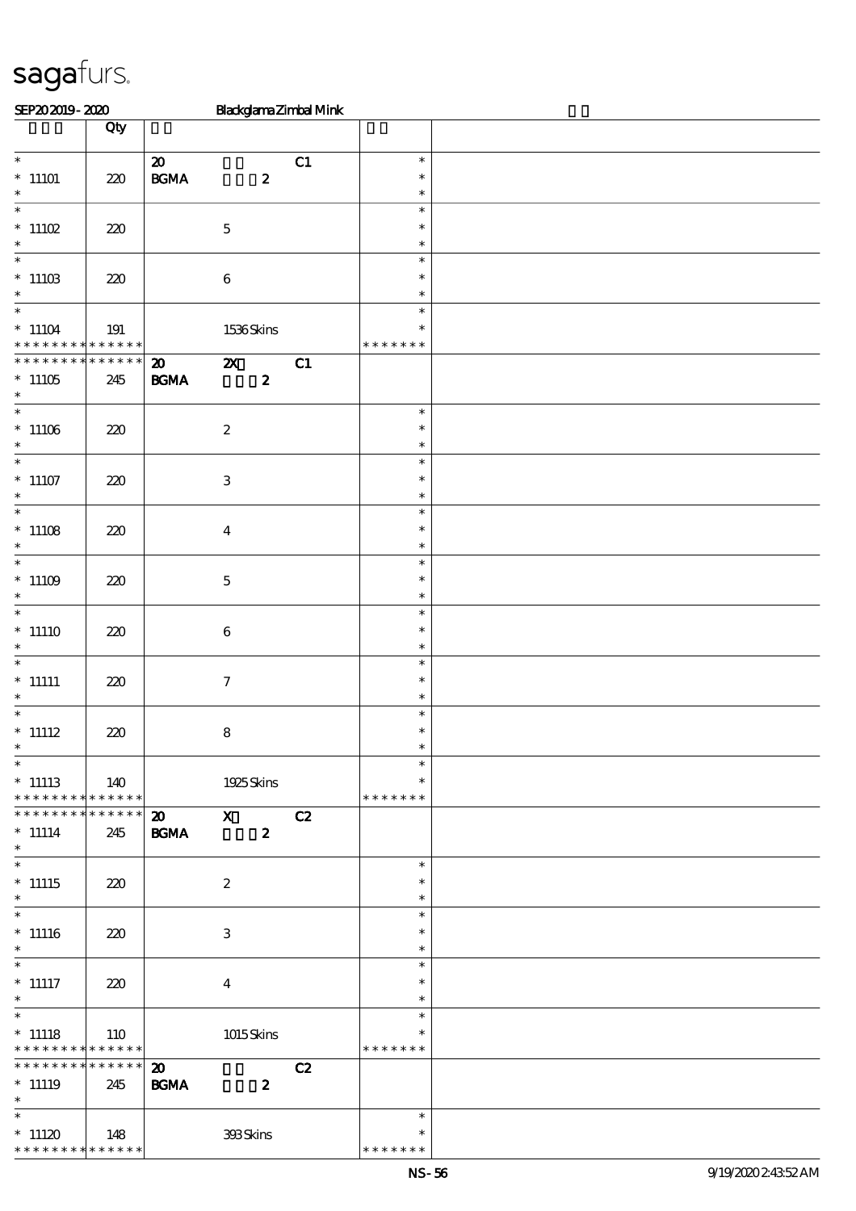| SEP202019-2020                             |                                      |                             |                           |                  | Blackglama Zimbal Mink |                  |  |
|--------------------------------------------|--------------------------------------|-----------------------------|---------------------------|------------------|------------------------|------------------|--|
|                                            | Qty                                  |                             |                           |                  |                        |                  |  |
|                                            |                                      |                             |                           |                  |                        |                  |  |
| $\overline{\phantom{0}}$                   |                                      | $\boldsymbol{\mathfrak{D}}$ |                           |                  | C1                     | $\ast$           |  |
| $*11101$                                   | 220                                  | $\mathbf{B G MA}$           |                           | $\boldsymbol{z}$ |                        | $\ast$           |  |
| $\ast$<br>$\overline{\phantom{0}}$         |                                      |                             |                           |                  |                        | $\ast$           |  |
|                                            |                                      |                             |                           |                  |                        | $\ast$<br>$\ast$ |  |
| $*11102$<br>$\ast$                         | 220                                  |                             | $\mathbf 5$               |                  |                        | $\ast$           |  |
| $\ast$                                     |                                      |                             |                           |                  |                        | $\ast$           |  |
| $^*$ 11103                                 | 220                                  |                             | $\,6\,$                   |                  |                        | $\ast$           |  |
| $\ast$                                     |                                      |                             |                           |                  |                        | $\ast$           |  |
| $\overline{\ast}$                          |                                      |                             |                           |                  |                        | $\ast$           |  |
| $^*$ 11104 $\,$                            | 191                                  |                             | 1536Skins                 |                  |                        | $\ast$           |  |
| * * *                                      | * * * * * <mark>* * * * * * *</mark> |                             |                           |                  |                        | * * * * * * *    |  |
| * * * * * * *                              | * * * * * *                          | $\boldsymbol{\mathfrak{D}}$ | $\boldsymbol{\mathsf{X}}$ |                  | CL                     |                  |  |
| $*11105$                                   | 245                                  | <b>BGMA</b>                 |                           | $\boldsymbol{z}$ |                        |                  |  |
| $\ast$                                     |                                      |                             |                           |                  |                        |                  |  |
| $\overline{\phantom{0}}$                   |                                      |                             |                           |                  |                        | $\ast$           |  |
| $^*$ 11106 $\,$                            | 220                                  |                             | $\boldsymbol{2}$          |                  |                        | $\ast$           |  |
| $\ast$<br>$\overline{\ast}$                |                                      |                             |                           |                  |                        | $\ast$           |  |
|                                            |                                      |                             |                           |                  |                        | $\ast$<br>$\ast$ |  |
| $^*$ 11107<br>$\ast$                       | 220                                  |                             | $\ensuremath{\mathbf{3}}$ |                  |                        | $\ast$           |  |
| $\overline{\phantom{0}}$                   |                                      |                             |                           |                  |                        | $\ast$           |  |
| $*11108$                                   | 220                                  |                             | $\boldsymbol{4}$          |                  |                        | $\ast$           |  |
| $\ast$                                     |                                      |                             |                           |                  |                        | $\ast$           |  |
| $\ast$                                     |                                      |                             |                           |                  |                        | $\ast$           |  |
| $*11109$                                   | 220                                  |                             | $\mathbf 5$               |                  |                        | $\ast$           |  |
| $\ast$                                     |                                      |                             |                           |                  |                        | $\ast$           |  |
| $\ast$                                     |                                      |                             |                           |                  |                        | $\ast$           |  |
| $*11110$                                   | 220                                  |                             | $\,6$                     |                  |                        | $\ast$           |  |
| $\ast$                                     |                                      |                             |                           |                  |                        | $\ast$           |  |
| $\ast$                                     |                                      |                             |                           |                  |                        | $\ast$           |  |
| $^*$ 11111<br>$\ast$                       | 220                                  |                             | $\tau$                    |                  |                        | $\ast$           |  |
| $\ast$                                     |                                      |                             |                           |                  |                        | $\ast$<br>$\ast$ |  |
| $*$ 11112                                  | 220                                  |                             | $\bf 8$                   |                  |                        | $\ast$           |  |
| $\ast$                                     |                                      |                             |                           |                  |                        |                  |  |
| $\overline{\phantom{0}}$                   |                                      |                             |                           |                  |                        | $\ast$           |  |
| $*$ 11113                                  | 140                                  |                             | 1925Skins                 |                  |                        | $\ast$           |  |
| * * * * * * * * * * * * * *                |                                      |                             |                           |                  |                        | * * * * * * *    |  |
| * * * * * * * * * * * * * *                |                                      | $\boldsymbol{\mathsf{20}}$  | $\mathbf{X}$              |                  | C2                     |                  |  |
| $*$ 11114                                  | 245                                  | $\mathbf{B G MA}$           |                           | $\boldsymbol{z}$ |                        |                  |  |
| $*$                                        |                                      |                             |                           |                  |                        |                  |  |
| $\overline{\ast}$                          |                                      |                             |                           |                  |                        | $\ast$           |  |
| $^*$ 11115<br>$\ast$                       | 220                                  |                             | $\boldsymbol{2}$          |                  |                        | $\ast$<br>$\ast$ |  |
| $\ast$                                     |                                      |                             |                           |                  |                        | $\ast$           |  |
| $^*$ 11116                                 | 220                                  |                             | 3                         |                  |                        | $\ast$           |  |
| $\ast$                                     |                                      |                             |                           |                  |                        | $\ast$           |  |
| $\overline{\phantom{0}}$                   |                                      |                             |                           |                  |                        | $\ast$           |  |
| $^*$ 11117                                 | 220                                  |                             | $\bf{4}$                  |                  |                        | $\ast$           |  |
| $\ast$                                     |                                      |                             |                           |                  |                        | $\ast$           |  |
| $*$                                        |                                      |                             |                           |                  |                        | $\ast$           |  |
| $*$ 11118                                  | 110                                  |                             | $1015$ Skins              |                  |                        | $\ast$           |  |
| * * * * * * * * <mark>* * * * * * *</mark> |                                      |                             |                           |                  |                        | * * * * * * *    |  |
| * * * * * * * * * * * * * *                |                                      | $\boldsymbol{\mathbf{z}}$   |                           |                  | C2                     |                  |  |
| $*$ 11119                                  | 245                                  | <b>BGMA</b>                 |                           | $\boldsymbol{z}$ |                        |                  |  |
| $*$<br>$\overline{\ast}$                   |                                      |                             |                           |                  |                        |                  |  |
| $*11120$                                   |                                      |                             |                           |                  |                        | $\ast$           |  |
| * * * * * * * * * * * * * *                | 148                                  |                             | 393Skins                  |                  |                        | * * * * * * *    |  |
|                                            |                                      |                             |                           |                  |                        |                  |  |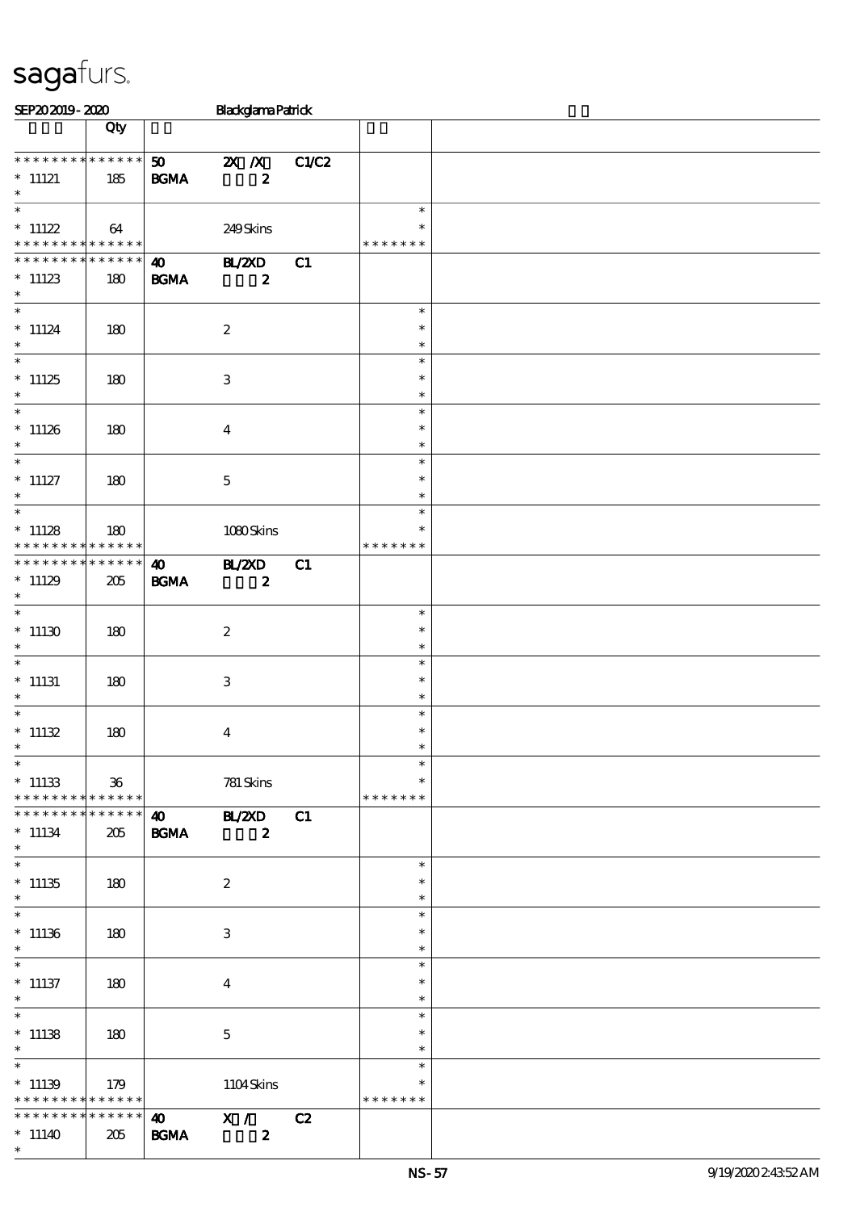| SEP202019-2020                                                |             |                                          | <b>Blackglama Patrick</b>          |       |                         |  |
|---------------------------------------------------------------|-------------|------------------------------------------|------------------------------------|-------|-------------------------|--|
|                                                               | Qty         |                                          |                                    |       |                         |  |
|                                                               |             |                                          |                                    |       |                         |  |
| * * * * * * * * * * * * * *                                   |             | 50                                       | $X$ $X$                            | C1/C2 |                         |  |
| $*$ 11121<br>$\ast$                                           | 185         | $\mathbf{B G MA}$                        | $\boldsymbol{z}$                   |       |                         |  |
| $\ast$                                                        |             |                                          |                                    |       | $\ast$                  |  |
| $*$ 11122                                                     |             |                                          |                                    |       | $\ast$                  |  |
| * * * * * * * * * * * * * *                                   | 64          |                                          | 249Skins                           |       | * * * * * * *           |  |
| * * * * * * * * * * * * * *                                   |             | $\boldsymbol{\omega}$                    | <b>HAZXD</b>                       | C1    |                         |  |
| $*11123$                                                      | 180         | <b>BGMA</b>                              | $\boldsymbol{z}$                   |       |                         |  |
| $\ast$                                                        |             |                                          |                                    |       |                         |  |
| $\overline{\ast}$                                             |             |                                          |                                    |       | $\ast$                  |  |
| $*$ 11124                                                     | 180         |                                          | $\boldsymbol{2}$                   |       | $\ast$                  |  |
| $\ast$                                                        |             |                                          |                                    |       | $\ast$                  |  |
| $\overline{\phantom{0}}$                                      |             |                                          |                                    |       | $\ast$                  |  |
| $*11125$                                                      | 180         |                                          | $\,3\,$                            |       | $\ast$                  |  |
| $\ast$                                                        |             |                                          |                                    |       | $\ast$                  |  |
| $\overline{\phantom{0}}$                                      |             |                                          |                                    |       | $\ast$                  |  |
| $*11126$                                                      | 180         |                                          | $\bf{4}$                           |       | $\ast$                  |  |
| $\ast$                                                        |             |                                          |                                    |       | $\ast$                  |  |
| $\overline{\ast}$                                             |             |                                          |                                    |       | $\ast$                  |  |
| $*$ 11127                                                     | 180         |                                          | $\mathbf 5$                        |       | $\ast$                  |  |
| $\ast$                                                        |             |                                          |                                    |       | $\ast$                  |  |
| $\ast$                                                        |             |                                          |                                    |       | $\ast$                  |  |
| $*$ 11128                                                     | 180         |                                          | 1080Skins                          |       | $\ast$                  |  |
| * * * * * * * * * * * * * * *                                 |             |                                          |                                    |       | * * * * * * *           |  |
| * * * * * * * *                                               | * * * * * * | $\boldsymbol{\omega}$                    | <b>HZZD</b>                        | C1    |                         |  |
| $*11129$                                                      | 205         | $\mathbf{B G MA}$                        | $\boldsymbol{z}$                   |       |                         |  |
| $\ast$<br>$\overline{\ast}$                                   |             |                                          |                                    |       |                         |  |
|                                                               |             |                                          |                                    |       | $\ast$                  |  |
| $*11130$<br>$\ast$                                            | 180         |                                          | $\boldsymbol{2}$                   |       | $\ast$<br>$\ast$        |  |
| $\ast$                                                        |             |                                          |                                    |       | $\ast$                  |  |
|                                                               |             |                                          |                                    |       | $\ast$                  |  |
| $*$ 11131<br>$\ast$                                           | 180         |                                          | 3                                  |       | $\ast$                  |  |
|                                                               |             |                                          |                                    |       | $\ast$                  |  |
| $*$ 11132                                                     | 180         |                                          | $\boldsymbol{4}$                   |       | $\ast$                  |  |
| $*$                                                           |             |                                          |                                    |       | $\ast$                  |  |
| $\ast$                                                        |             |                                          |                                    |       | $\ast$                  |  |
| $*11133$                                                      | 36          |                                          | 781 Skins                          |       | $\ast$                  |  |
| * * * * * * * * * * * * * * *                                 |             |                                          |                                    |       | * * * * * * *           |  |
| * * * * * * * * * * * * * * *                                 |             |                                          | $\overline{40}$ BL/2XD             | C1    |                         |  |
| $*11134$                                                      | 205         | <b>BGMA</b>                              | $\boldsymbol{z}$                   |       |                         |  |
| $*$                                                           |             |                                          |                                    |       |                         |  |
| $\overline{\ast}$                                             |             |                                          |                                    |       | $\ast$                  |  |
| $*11135$                                                      | 180         |                                          | $\boldsymbol{2}$                   |       | $\ast$                  |  |
| $\ast$                                                        |             |                                          |                                    |       | $\ast$                  |  |
|                                                               |             |                                          |                                    |       | $\ast$                  |  |
| $*11136$                                                      | 180         |                                          | 3                                  |       | $\ast$                  |  |
| $\ast$                                                        |             |                                          |                                    |       | $\ast$                  |  |
|                                                               |             |                                          |                                    |       | $\ast$                  |  |
| $*$ 11137                                                     | 180         |                                          | $\boldsymbol{4}$                   |       | $\ast$                  |  |
| $*$<br>$\overline{\ast}$                                      |             |                                          |                                    |       | $\ast$                  |  |
|                                                               |             |                                          |                                    |       | $\ast$                  |  |
| $*$ 11138<br>$\ast$                                           | 180         |                                          | $\mathbf 5$                        |       | $\ast$                  |  |
| $\overline{\ast}$                                             |             |                                          |                                    |       | $\ast$<br>$\ast$        |  |
|                                                               |             |                                          |                                    |       |                         |  |
| $* 11139$                                                     | 179         |                                          | 1104Skins                          |       | $\ast$<br>* * * * * * * |  |
| * * * * * * * * <mark>* * * * * * *</mark><br>* * * * * * * * | ******      |                                          |                                    | C2    |                         |  |
|                                                               |             | $\bullet$ $\bullet$<br>$\mathbf{B G MA}$ | $\mathbf{X}$ /<br>$\boldsymbol{z}$ |       |                         |  |
| $*11140$<br>$\ast$                                            | 205         |                                          |                                    |       |                         |  |
|                                                               |             |                                          |                                    |       |                         |  |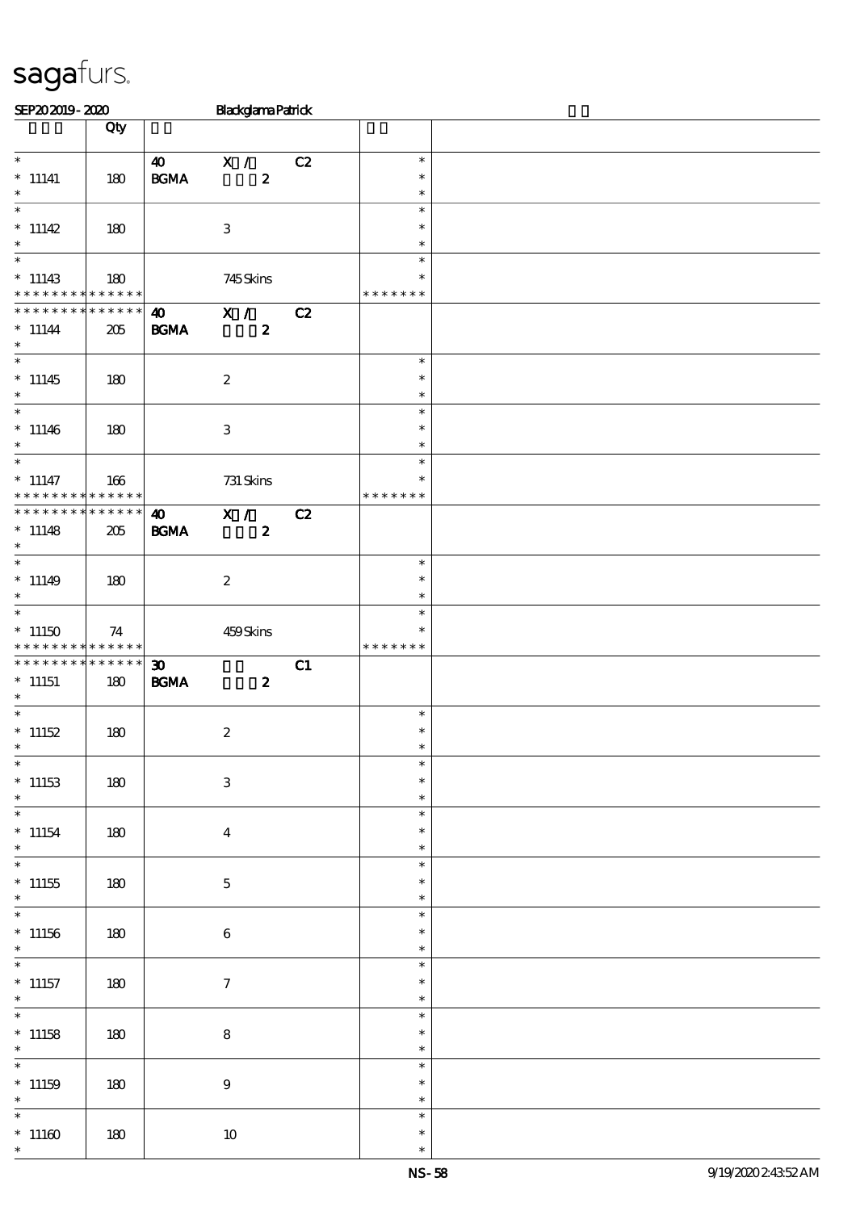| SEP202019-2020                          |                 |                             | <b>Blackglama Patrick</b> |    |                  |  |
|-----------------------------------------|-----------------|-----------------------------|---------------------------|----|------------------|--|
|                                         | Qty             |                             |                           |    |                  |  |
|                                         |                 |                             |                           |    |                  |  |
| $*$                                     |                 | $\boldsymbol{\omega}$       | X /                       | C2 | $\ast$           |  |
| $^*$ 11141                              | 180             | $\mathbf{B G MA}$           | $\pmb{2}$                 |    | $\ast$           |  |
| $\ast$                                  |                 |                             |                           |    | $\ast$           |  |
| $\overline{\ast}$                       |                 |                             |                           |    | $\ast$           |  |
| $* 11142$                               | 180             |                             | $\,3\,$                   |    | $\ast$           |  |
| $\ast$                                  |                 |                             |                           |    | $\ast$           |  |
| $\overline{\phantom{0}}$                |                 |                             |                           |    | $\ast$           |  |
| $*11143$                                | 180             |                             | 745Skins                  |    | $\ast$           |  |
| * * * * * * * * * * * * * *             |                 |                             |                           |    | * * * * * * *    |  |
| * * * * * * * *                         | $* * * * * * *$ | $\boldsymbol{\omega}$       | X /                       | C2 |                  |  |
| $* 11144$                               | 205             | <b>BGMA</b>                 | $\boldsymbol{z}$          |    |                  |  |
| $\ast$                                  |                 |                             |                           |    |                  |  |
|                                         |                 |                             |                           |    | $\ast$           |  |
| $*11145$                                | 180             |                             | $\boldsymbol{2}$          |    | $\ast$           |  |
| $\ast$                                  |                 |                             |                           |    | $\ast$           |  |
| $\overline{\phantom{0}}$                |                 |                             |                           |    | $\ast$           |  |
| $*11146$                                | 180             |                             | $\,3\,$                   |    | $\ast$           |  |
| $\ast$                                  |                 |                             |                           |    | $\ast$           |  |
|                                         |                 |                             |                           |    | $\ast$           |  |
| $*$ 11147                               | 166             |                             | 731 Skins                 |    | $\ast$           |  |
| * * * * * * * *                         | $* * * * * * *$ |                             |                           |    | * * * * * * *    |  |
| * * * * * * * *                         | ******          | $\boldsymbol{\omega}$       |                           | C2 |                  |  |
|                                         |                 |                             | X /                       |    |                  |  |
| $* 11148$<br>$\ast$                     | 205             | <b>BGMA</b>                 | $\boldsymbol{z}$          |    |                  |  |
| $\overline{\phantom{0}}$                |                 |                             |                           |    | $\ast$           |  |
|                                         |                 |                             |                           |    | $\ast$           |  |
| $* 11149$<br>$\ast$                     | 180             |                             | $\boldsymbol{2}$          |    | $\ast$           |  |
| $\overline{\ast}$                       |                 |                             |                           |    | $\ast$           |  |
|                                         |                 |                             |                           |    | $\ast$           |  |
| $*11150$<br>* * * * * * * * * * * * * * | 74              |                             | 459Skins                  |    | * * * * * * *    |  |
| * * * * * * * *                         | ******          |                             |                           |    |                  |  |
|                                         |                 | $\boldsymbol{\mathfrak{D}}$ |                           | C1 |                  |  |
| $*$ 11151<br>$\ast$                     | 180             | $\mathbf{B G MA}$           | $\boldsymbol{z}$          |    |                  |  |
|                                         |                 |                             |                           |    | $\ast$           |  |
| $*$ 11152                               |                 |                             |                           |    | $\ast$           |  |
| $\ast$                                  | 180             |                             | $\boldsymbol{2}$          |    | $\ast$           |  |
| $\ast$                                  |                 |                             |                           |    | $\ast$           |  |
| $*11153$                                |                 |                             |                           |    | $\ast$           |  |
| $\ast$                                  | 180             |                             | $\,3$                     |    | $\ast$           |  |
| $\ast$                                  |                 |                             |                           |    | $\ast$           |  |
|                                         |                 |                             |                           |    |                  |  |
| $*11154$<br>$\ast$                      | 180             |                             | $\bf{4}$                  |    | $\ast$           |  |
| $\ast$                                  |                 |                             |                           |    | $\ast$           |  |
|                                         |                 |                             |                           |    | $\ast$<br>$\ast$ |  |
| $^*$ 11155                              | 180             |                             | $\mathbf 5$               |    |                  |  |
| $\ast$<br>$\overline{\phantom{0}}$      |                 |                             |                           |    | $\ast$<br>$\ast$ |  |
|                                         |                 |                             |                           |    |                  |  |
| $*11156$<br>$\ast$                      | 180             |                             | $\,6\,$                   |    | $\ast$           |  |
| $\overline{\ast}$                       |                 |                             |                           |    | $\ast$           |  |
|                                         |                 |                             |                           |    | $\ast$           |  |
| $*$ 11157                               | 180             |                             | $\boldsymbol{\tau}$       |    | $\ast$           |  |
| $\ast$<br>$\overline{\phantom{0}}$      |                 |                             |                           |    | $\ast$           |  |
|                                         |                 |                             |                           |    | $\ast$           |  |
| $*$ 11158                               | 180             |                             | $\bf8$                    |    | $\ast$           |  |
| $\ast$<br>$\overline{\ast}$             |                 |                             |                           |    | $\ast$           |  |
|                                         |                 |                             |                           |    | $\ast$           |  |
| $*11159$                                | 180             |                             | $\boldsymbol{9}$          |    | $\ast$           |  |
| $\ast$                                  |                 |                             |                           |    | $\ast$           |  |
| $\ast$                                  |                 |                             |                           |    | $\ast$           |  |
| $^*$ 11160 $\,$                         | 180             |                             | $10\,$                    |    | $\ast$           |  |
| $\ast$                                  |                 |                             |                           |    | $\ast$           |  |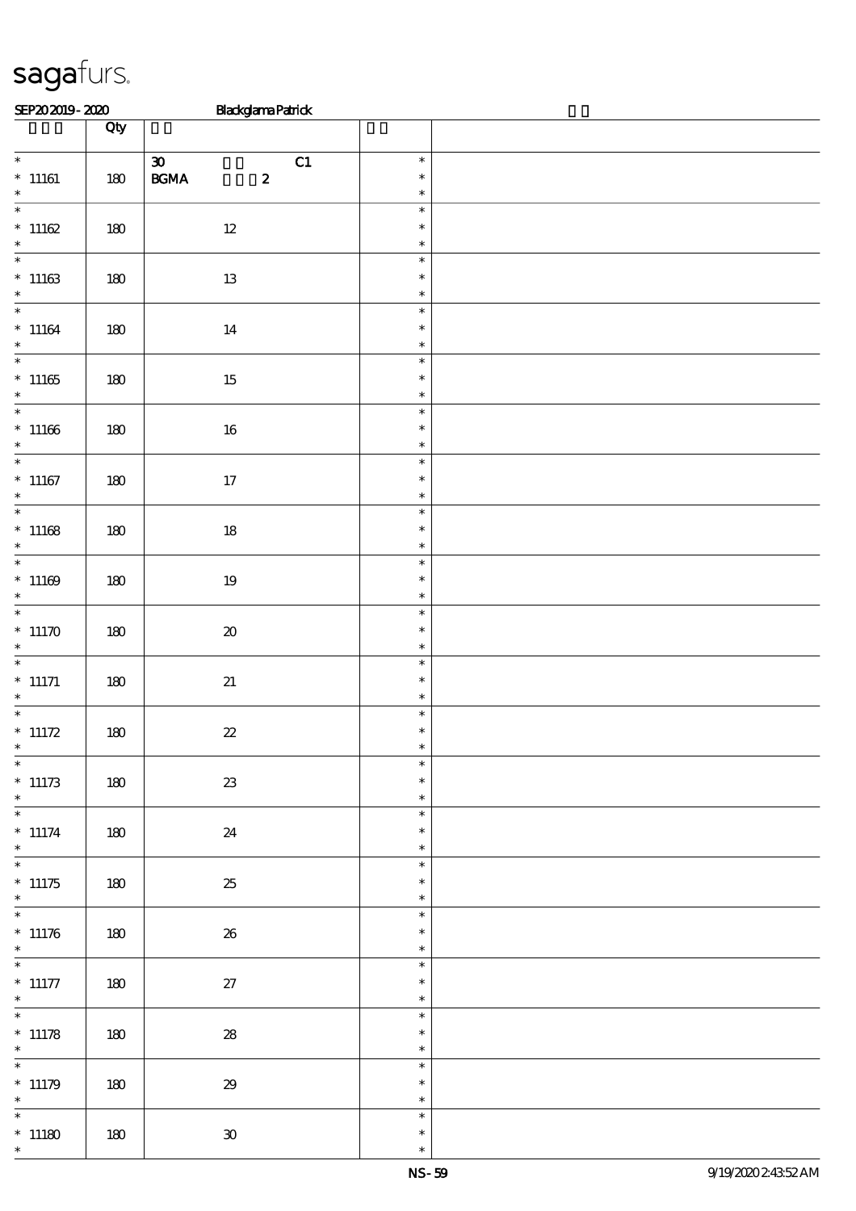| SEP202019-2020                                           |         | <b>Blackglama Patrick</b>                                           |                                      |  |
|----------------------------------------------------------|---------|---------------------------------------------------------------------|--------------------------------------|--|
|                                                          | Qty     |                                                                     |                                      |  |
| $\overline{\ast}$<br>$*$ 11161<br>$\ast$                 | $180\,$ | $\boldsymbol{\mathfrak{D}}$<br>C1<br>$\mathbf{B G MA}$<br>$\pmb{2}$ | $\ast$<br>$\ast$<br>$\ast$           |  |
| $\overline{\phantom{0}}$<br>$*11162$<br>$\ast$           | $180\,$ | $12\,$                                                              | $\ast$<br>$\ast$<br>$\ast$           |  |
| $*11163$<br>$\ast$                                       | 180     | 13                                                                  | $\ast$<br>$\ast$<br>$\ast$           |  |
| $*11164$<br>$\ast$                                       | 180     | 14                                                                  | $\ast$<br>$\ast$<br>$\ast$           |  |
| $\overline{\phantom{0}}$<br>$*11165$<br>$*$              | 180     | $15\,$                                                              | $\ast$<br>$\ast$<br>$\ast$           |  |
| $\overline{\phantom{0}}$<br>$*11166$<br>$\ast$           | 180     | 16                                                                  | $\ast$<br>$\ast$<br>$\ast$           |  |
| $\overline{\phantom{0}}$<br>$*$ 11167<br>$\ast$          | $180\,$ | 17                                                                  | $\ast$<br>$\ast$<br>$\ast$           |  |
| $\overline{\ast}$<br>$*11168$<br>$\ast$                  | 180     | $18\,$                                                              | $\ast$<br>$\ast$<br>$\ast$           |  |
| $*11169$<br>$\ast$                                       | $180\,$ | 19                                                                  | $\ast$<br>$\ast$<br>$\ast$           |  |
| * $11170$<br>$\ast$<br>$*$                               | $180\,$ | $\pmb{\mathcal{X}}$                                                 | $\ast$<br>$\ast$<br>$\ast$           |  |
| $*$ 11171<br>$*$                                         | $180\,$ | $2\!1$                                                              | $\ast$<br>$\ast$<br>$\ast$           |  |
| * $11172$<br>$*$                                         | $180\,$ | $2\!2$                                                              | $\ast$<br>$\ast$<br>$\ast$           |  |
| $\ast$<br>$*11173$<br>$\ast$<br>$\overline{\phantom{0}}$ | 180     | ${\bf Z}3$                                                          | $\ast$<br>$\ast$<br>$\ast$           |  |
| $* 11174$<br>$\ast$                                      | 180     | 24                                                                  | $\ast$<br>$\ast$<br>$\ast$<br>$\ast$ |  |
| $*11175$<br>$\ast$<br>$\overline{\phantom{0}}$           | 180     | 25                                                                  | $\ast$<br>$\ast$<br>$\ast$           |  |
| $* 11176$<br>$\ast$<br>$\overline{\phantom{0}}$          | 180     | ${\bf 26}$                                                          | $\ast$<br>$\ast$                     |  |
| $*$ 11177<br>$*$<br>$\overline{\phantom{0}}$             | 180     | 27                                                                  | $\ast$<br>$\ast$<br>$\ast$<br>$\ast$ |  |
| $* 11178$<br>$\ast$<br>$\ast$                            | 180     | ${\bf 28}$                                                          | $\ast$<br>$\ast$<br>$\ast$           |  |
| $* 11179$<br>$\ast$<br>$\ast$                            | 180     | $29\,$                                                              | $\ast$<br>$\ast$<br>$\ast$           |  |
| $*11180$<br>$\ast$                                       | 180     | $\mathbf{30}$                                                       | $\ast$<br>$\ast$                     |  |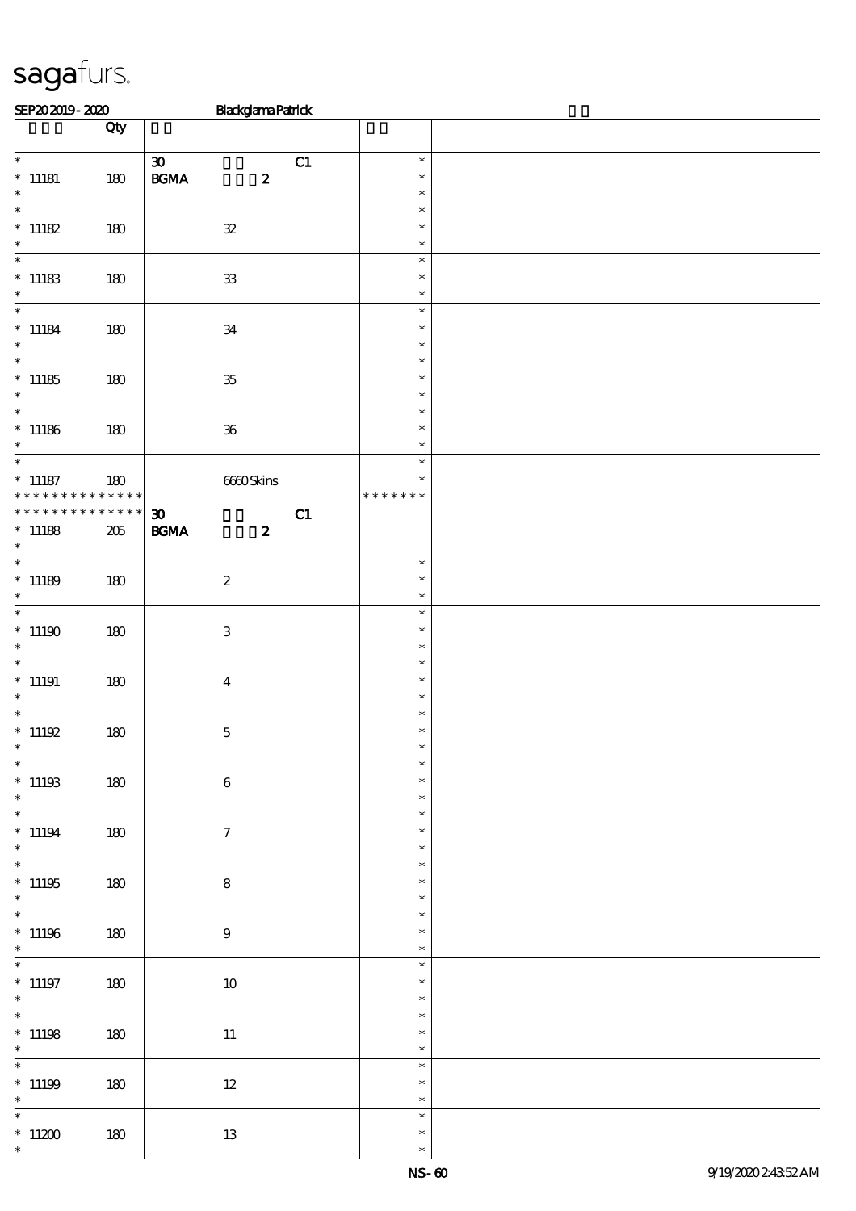| SEP202019-2020                                           |                    | <b>Blackglama Patrick</b>                                      |    |                                   |  |
|----------------------------------------------------------|--------------------|----------------------------------------------------------------|----|-----------------------------------|--|
|                                                          | Qty                |                                                                |    |                                   |  |
| $\overline{\phantom{0}}$<br>$*$ 11181                    | 180                | $\boldsymbol{\mathfrak{D}}$<br>$\mathbf{B G MA}$<br>$\pmb{2}$  | C1 | $\ast$<br>$\ast$                  |  |
| $*$                                                      |                    |                                                                |    | $\ast$                            |  |
| $\overline{\phantom{0}}$<br>$*$ 11182<br>$\ast$          | 180                | ${\bf 3\!}$                                                    |    | $\ast$<br>$\ast$<br>$\ast$        |  |
| $\overline{\ast}$<br>$^\ast$ 11183<br>$\ast$             | 180                | ${\bf 3}$                                                      |    | $\ast$<br>$\ast$<br>$\ast$        |  |
| $\overline{\phantom{0}}$<br>$^*$ 11184 $\,$<br>$\ast$    | 180                | $3\!4$                                                         |    | $\ast$<br>$\ast$<br>$\ast$        |  |
| $\overline{\phantom{0}}$<br>$*11185$<br>$\ast$           | 180                | ${\bf 35}$                                                     |    | $\ast$<br>$\ast$<br>$\ast$        |  |
| $*$ 11186<br>$\ast$                                      | 180                | ${\bf 36}$                                                     |    | $\ast$<br>$\ast$<br>$\ast$        |  |
| $\overline{\phantom{0}}$<br>$*$ 11187<br>* * * * * * * * | 180<br>* * * * * * | 6660Skins                                                      |    | $\ast$<br>$\ast$<br>* * * * * * * |  |
| * * * * * * * * * * * * * *<br>$*$ 11188<br>$*$          | 205                | $\boldsymbol{\mathfrak{D}}$<br><b>BGMA</b><br>$\boldsymbol{z}$ | C1 |                                   |  |
| $\overline{\phantom{0}}$<br>$*11189$<br>$\ast$           | 180                | $\boldsymbol{2}$                                               |    | $\ast$<br>$\ast$<br>$\ast$        |  |
| $\overline{\ast}$<br>$^*$ 11190 $\,$<br>$\ast$           | 180                | $\ensuremath{\mathbf{3}}$                                      |    | $\ast$<br>$\ast$<br>$\ast$        |  |
| $\overline{\phantom{0}}$<br>$*$ 11191<br>$\ast$          | 180                | $\boldsymbol{4}$                                               |    | $\ast$<br>$\ast$<br>$\ast$        |  |
| $\overline{\ast}$<br>$* 11192$<br>$\ast$                 | $180\,$            | $\mathbf 5$                                                    |    | $\ast$<br>$\ast$                  |  |
| $\overline{\phantom{0}}$<br>$^*$ 11193<br>$\ast$         | 180                | $\,6\,$                                                        |    | $\ast$<br>$\ast$<br>$\ast$        |  |
| $\overline{\phantom{0}}$<br>$* 11194$<br>$*$             | 180                | $\tau$                                                         |    | $\ast$<br>$\ast$<br>$\ast$        |  |
| $\overline{\ast}$<br>$^*$ 11195<br>$\ast$                | 180                | $\bf 8$                                                        |    | $\ast$<br>$\ast$<br>$\ast$        |  |
| $\overline{\phantom{0}}$<br>$^*$ 11196 $\,$<br>$\ast$    | 180                | $9\phantom{.0}$                                                |    | $\ast$<br>$\ast$<br>$\ast$        |  |
| $\overline{\phantom{0}}$<br>$*$ 11197<br>$\ast$          | 180                | 10                                                             |    | $\ast$<br>$\ast$<br>$\ast$        |  |
| $*$ 11198<br>$\ast$                                      | 180                | $11\,$                                                         |    | $\ast$<br>$\ast$<br>$\ast$        |  |
| $\overline{\phantom{0}}$<br>$*$ 11199<br>$\ast$          | 180                | $12\,$                                                         |    | $\ast$<br>$\ast$<br>$\ast$        |  |
| $\overline{\phantom{0}}$<br>$^\ast$ 11200<br>$\ast$      | $180\,$            | $1\!3$                                                         |    | $\ast$<br>$\ast$<br>$\ast$        |  |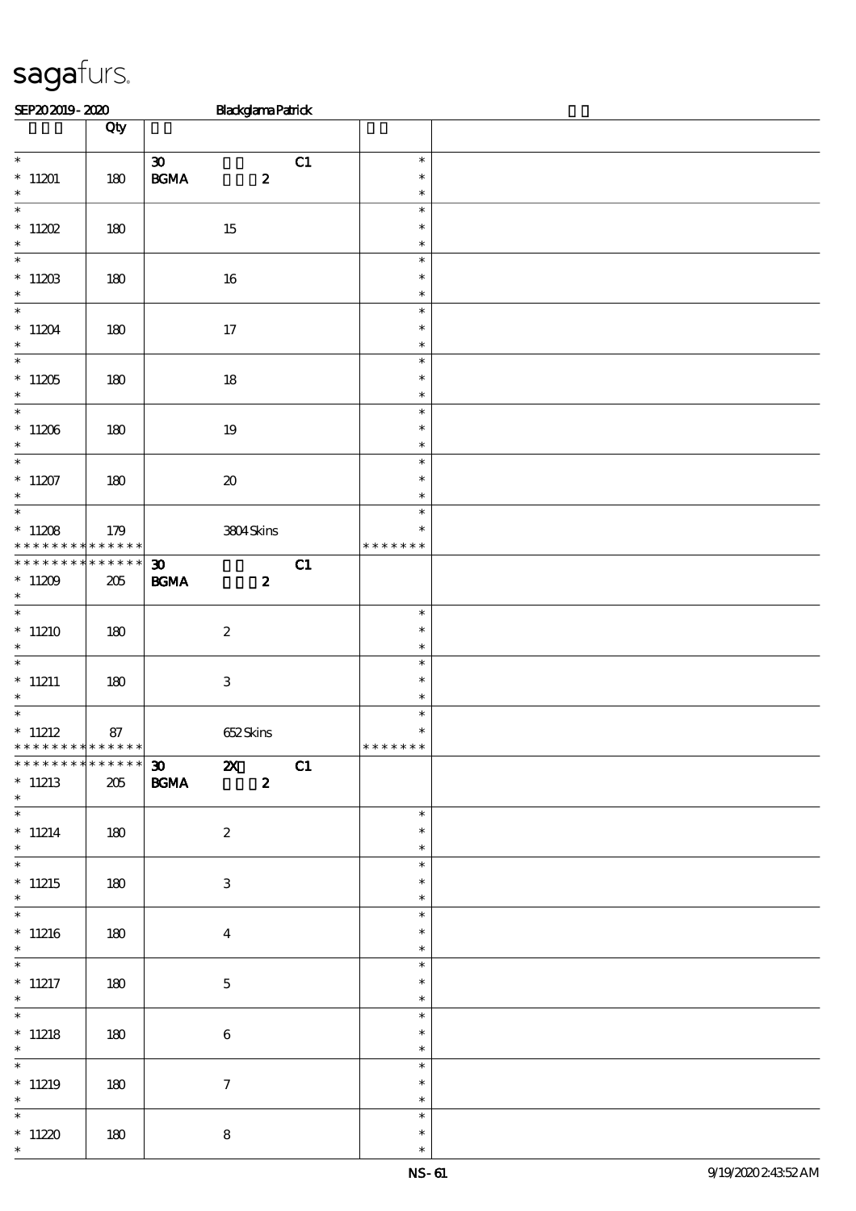| SEP202019-2020                                               |                    | <b>Blackglama Patrick</b>                                      |    |                                   |  |
|--------------------------------------------------------------|--------------------|----------------------------------------------------------------|----|-----------------------------------|--|
|                                                              | Qty                |                                                                |    |                                   |  |
| $\overline{\phantom{0}}$<br>$*$ 11201<br>$\ast$              | 180                | $\boldsymbol{\mathfrak{D}}$<br>$\mathbf{B G MA}$<br>$\pmb{2}$  | C1 | $\ast$<br>$\ast$<br>$\ast$        |  |
| $\overline{\ast}$<br>$*11202$<br>$\ast$                      | 180                | $15\,$                                                         |    | $\ast$<br>$\ast$<br>$\ast$        |  |
| $\overline{\phantom{0}}$<br>$_{\ast}^{*}$ 11203              | 180                | 16                                                             |    | $\ast$<br>$\ast$<br>$\ast$        |  |
| $\overline{\phantom{0}}$<br>$*11204$<br>$\ast$               | 180                | $17$                                                           |    | $\ast$<br>$\ast$<br>$\ast$        |  |
| $\overline{\phantom{0}}$<br>$*11205$<br>$\ast$               | 180                | $18\,$                                                         |    | $\ast$<br>$\ast$<br>$\ast$        |  |
| $\overline{\phantom{0}}$<br>$^\ast$ 11206<br>$\ast$          | 180                | $19\,$                                                         |    | $\ast$<br>$\ast$<br>$\ast$        |  |
| $\overline{\ast}$<br>$*11207$<br>$\ast$                      | 180                | $\pmb{\mathcal{X}}$                                            |    | $\ast$<br>$\ast$<br>$\ast$        |  |
| $\overline{\ast}$<br>$*11208$<br>* * * * * * * * * * * * * * | 179                | 3804Skins                                                      |    | $\ast$<br>$\ast$<br>* * * * * * * |  |
| * * * * * * * *<br>$^*$ 11209 $\,$<br>$\ast$                 | * * * * * *<br>205 | $\boldsymbol{\mathfrak{D}}$<br><b>BGMA</b><br>$\boldsymbol{z}$ | C1 |                                   |  |
| $\overline{\phantom{0}}$<br>$*11210$<br>$\ast$               | 180                | $\boldsymbol{2}$                                               |    | $\ast$<br>$\ast$<br>$\ast$        |  |
| $\overline{\phantom{0}}$<br>$*11211$<br>$\ast$               | 180                | $\ensuremath{\mathbf{3}}$                                      |    | $\ast$<br>$\ast$<br>$\ast$        |  |
| $*$ 11212<br>* * * * * * * * * * * * * *                     | 87                 | 652Skins                                                       |    | $\ast$<br>$\ast$<br>* * * * * * * |  |
| * * * * * * * * * * * * * * *<br>$*11213$<br>$*$             | 205                | $30 \quad x$<br>$\boldsymbol{z}$<br><b>BGMA</b>                | C1 |                                   |  |
| $\overline{\ast}$<br>$*11214$<br>$*$                         | 180                | $\boldsymbol{z}$                                               |    | $\ast$<br>$\ast$<br>$\ast$        |  |
| $\overline{\ast}$<br>$*11215$<br>$\ast$                      | 180                | 3                                                              |    | $\ast$<br>$\ast$<br>$\ast$        |  |
| $*11216$<br>$\ast$                                           | 180                | $\boldsymbol{4}$                                               |    | $\ast$<br>$\ast$<br>$\ast$        |  |
| $*$ 11217<br>$*$                                             | 180                | $\mathbf{5}$                                                   |    | $\ast$<br>$\ast$<br>$\ast$        |  |
| $*11218$<br>$\ast$                                           | 180                | $\bf 6$                                                        |    | $\ast$<br>$\ast$<br>$\ast$        |  |
| $*11219$<br>$*$ and $*$                                      | 180                | $\tau$                                                         |    | $\ast$<br>$\ast$<br>$\ast$        |  |
| $\ast$<br>$*11220$<br>$\ast$                                 | 180                | ${\bf 8}$                                                      |    | $\ast$<br>$\ast$<br>$\ast$        |  |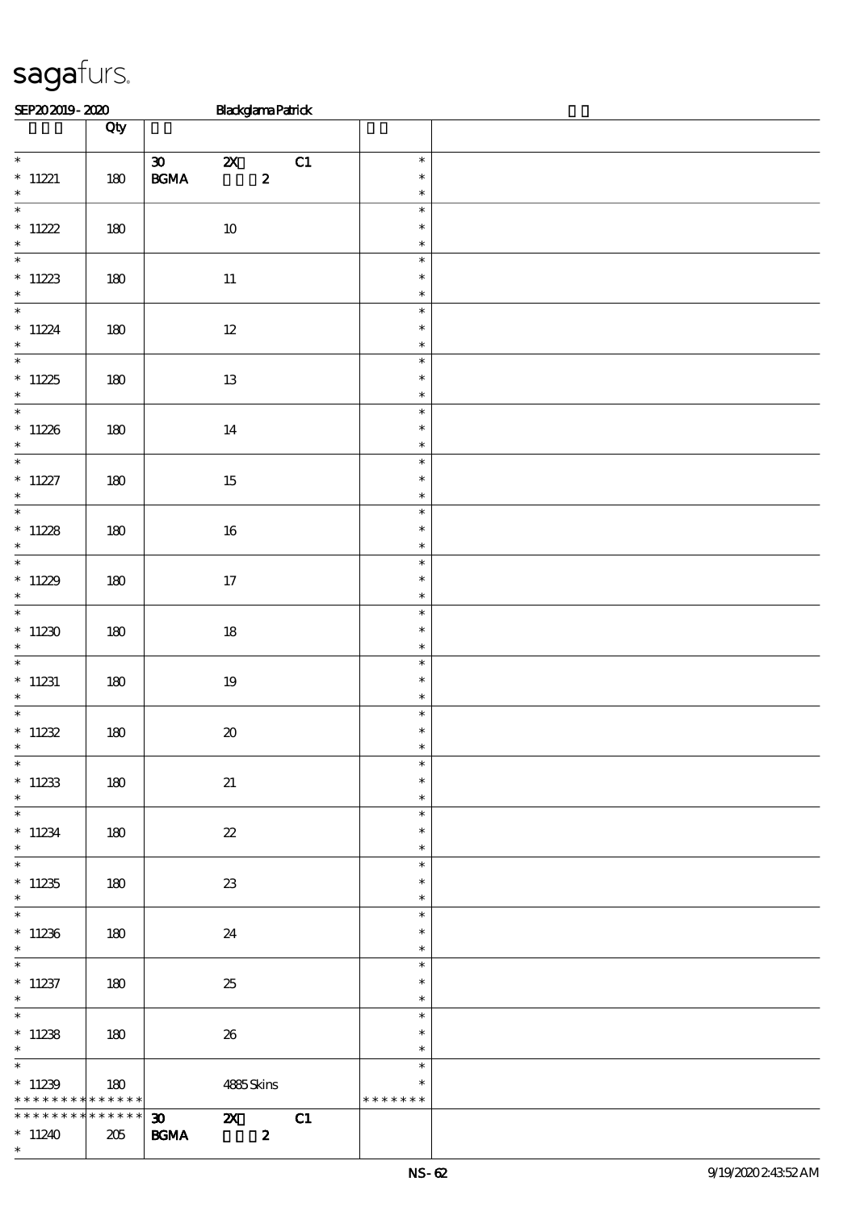| SEP202019-2020 |     |                             | <b>Blackglama Patrick</b> |   |     |        |  |
|----------------|-----|-----------------------------|---------------------------|---|-----|--------|--|
|                |     |                             |                           |   |     |        |  |
| $\ast$         |     | $\boldsymbol{\mathfrak{D}}$ | $\boldsymbol{\mathsf{Z}}$ |   | C.1 | $\ast$ |  |
| $*11221$       | 180 | <b>BGMA</b>                 |                           | 2 |     | $\ast$ |  |
| $\ast$         |     |                             |                           |   |     | $\ast$ |  |
| $\ast$         |     |                             |                           |   |     | $\ast$ |  |

| $*11221$<br>$\ast$                                         | 180                | $\boldsymbol{z}$<br><b>BGMA</b>                                  | $\ast$<br>$\ast$                     |  |
|------------------------------------------------------------|--------------------|------------------------------------------------------------------|--------------------------------------|--|
| $\overline{\ast}$<br>$* 11222$<br>$\ast$                   | 180                | $10\,$                                                           | $\ast$<br>$\ast$<br>$\ast$           |  |
| $\underset{*}{\ast}$ 11223                                 | $180\,$            | $11\,$                                                           | $\ast$<br>$\ast$<br>$\ast$           |  |
| $* 11224$<br>$\ast$                                        | 180                | $12\,$                                                           | $\ast$<br>$\ast$<br>$\ast$           |  |
| $\overline{\phantom{0}}$<br>$^\ast$ 11225<br>$\ast$        | 180                | $13\,$                                                           | $\ast$<br>$\ast$<br>$\ast$           |  |
| $*11226$<br>$\ast$                                         | 180                | $14\,$                                                           | $\ast$<br>$\ast$<br>$\ast$           |  |
| $\overline{\ast}$<br>$^\ast$ 11227<br>$\ast$               | $180\,$            | 15                                                               | $\ast$<br>$\ast$<br>$\ast$           |  |
| * 11228<br>* *                                             | 180                | 16                                                               | $\ast$<br>$\ast$<br>$\ast$           |  |
| $*11229$<br>$\ast$                                         | 180                | 17                                                               | $\ast$<br>$\ast$<br>$\ast$           |  |
| $*11230$<br>$\ast$<br>$\overline{\phantom{0}}$             | 180                | $18\,$                                                           | $\ast$<br>$\ast$<br>$\ast$           |  |
| $*$ 11231<br>$*$                                           | $180\,$            | $19\,$                                                           | $\ast$<br>$\ast$<br>$\ast$           |  |
| $^*$ 11232<br>$\ast$                                       | 180                | $\pmb{\mathcal{X}}$                                              | $\ast$<br>$\ast$<br>$\ast$           |  |
| $\ast$<br>$*11233$<br>$\ast$                               | $180\,$            | $2\!1$                                                           | $\ast$<br>$\ast$<br>$\ast$           |  |
| $\ast$<br>$*11234$<br>$\ast$<br>$\overline{\ast}$          | $180\,$            | $2\!2$                                                           | $\ast$<br>$\ast$<br>$\ast$           |  |
| $*11235$<br>$\ast$<br>$\ast$                               | 180                | $2\!3$                                                           | $\ast$<br>$\ast$<br>$\ast$<br>$\ast$ |  |
| $*11236$<br>$\ast$<br>$\overline{\phantom{0}}$             | 180                | 24                                                               | $\ast$<br>$\ast$<br>$\ast$           |  |
| $*$ 11237<br>$*$<br>$\overline{\phantom{0}}$               | 180                | 25                                                               | $\ast$<br>$\ast$<br>$\ast$           |  |
| $*11238$<br>$\ast$<br>$\ast$                               | 180                | ${\bf 26}$                                                       | $\ast$<br>$\ast$<br>$\ast$           |  |
| $*11239$<br>* * * * * * * * * * * * * *<br>* * * * * * * * | 180<br>* * * * * * | 4885Skins                                                        | $\ast$<br>* * * * * * *              |  |
| $*11240$<br>$\ast$                                         | 205                | $\mathbf{x}$<br>C1<br>$30 - 1$<br>$\pmb{2}$<br>$\mathbf{B G MA}$ |                                      |  |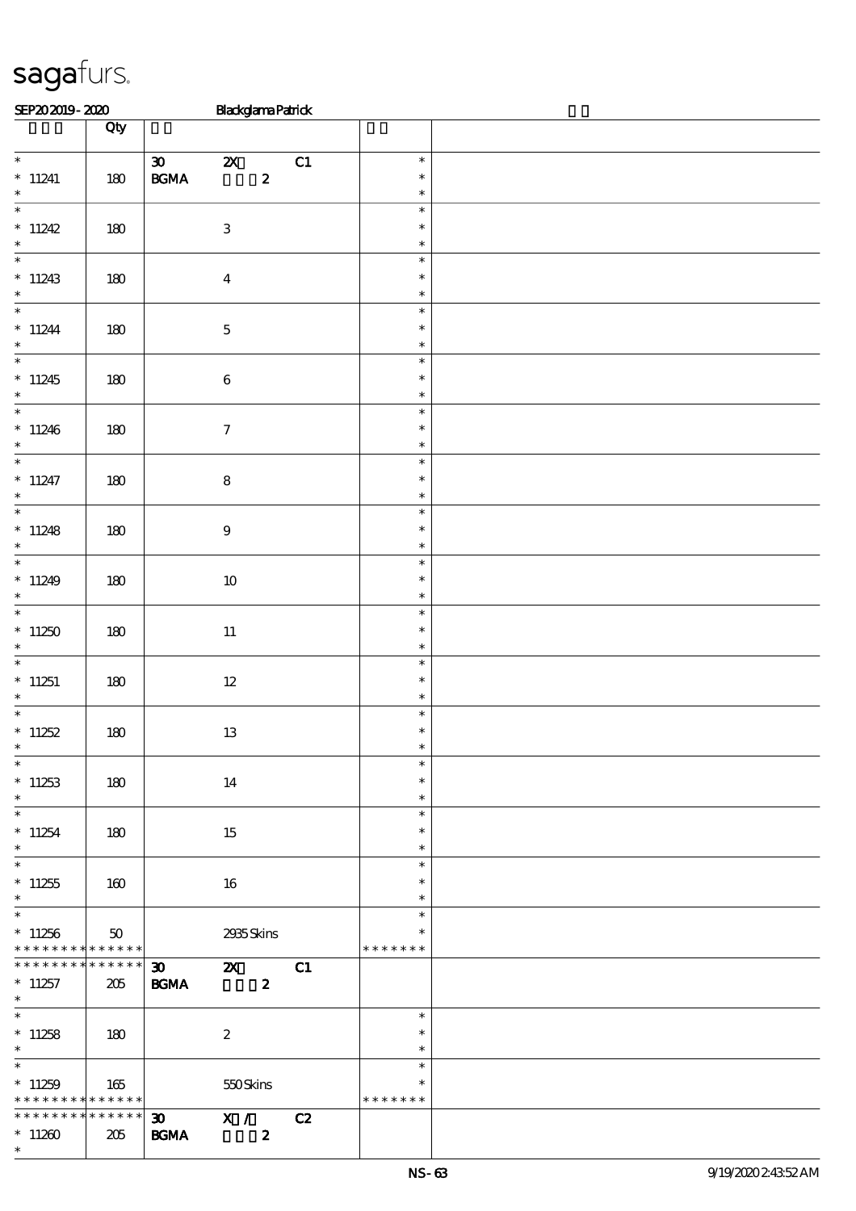| SEP202019-2020 | <b>Blackglama Patrick</b> |
|----------------|---------------------------|
|                |                           |

|                                                                                    | Qty                    |                                                                                                   |                                   |  |
|------------------------------------------------------------------------------------|------------------------|---------------------------------------------------------------------------------------------------|-----------------------------------|--|
| $\ast$<br>$*$ 11241<br>$\ast$                                                      | 180                    | $\infty$ and $\infty$<br>$\boldsymbol{\mathsf{Z}}$<br>C1<br>$\boldsymbol{z}$<br>$\mathbf{B G MA}$ | $\ast$<br>$\ast$<br>$\ast$        |  |
| * $11242$<br>$\ast$                                                                | 180                    | $\ensuremath{\mathbf{3}}$                                                                         | $\ast$<br>$\ast$<br>$\ast$        |  |
| $*11243$<br>$\ast$                                                                 | 180                    | $\boldsymbol{4}$                                                                                  | $\ast$<br>$\ast$<br>$\ast$        |  |
| $*$<br>$*11244$<br>$\ast$                                                          | 180                    | $\mathbf 5$                                                                                       | $\ast$<br>$\ast$<br>$\ast$        |  |
| $*$<br>$*11245$<br>$\ast$                                                          | 180                    | $\bf 6$                                                                                           | $\ast$<br>$\ast$<br>$\ast$        |  |
| $*11246$<br>$\ast$                                                                 | 180                    | $\boldsymbol{7}$                                                                                  | $\ast$<br>$\ast$<br>$\ast$        |  |
| $\overline{\ast}$<br>$* 11247$<br>$\ast$                                           | 180                    | ${\bf 8}$                                                                                         | $\ast$<br>$\ast$<br>$\ast$        |  |
| $*11248$<br>$\ast$                                                                 | 180                    | $\boldsymbol{9}$                                                                                  | $\ast$<br>$\ast$<br>$\ast$        |  |
| * $11249$<br>$\ast$                                                                | 180                    | $10\,$                                                                                            | $\ast$<br>$\ast$<br>$\ast$        |  |
| $*$<br>$*11250$<br>$\ast$                                                          | 180                    | $11\,$                                                                                            | $\ast$<br>$\ast$<br>$\ast$        |  |
| $*11251$<br>$\ast$                                                                 | 180                    | $12\,$                                                                                            | $\ast$<br>$\ast$<br>$\ast$        |  |
| $*$<br>* $11252$<br>$\ast$                                                         | $180\,$                | 13                                                                                                | $\ast$<br>$\ast$<br>$\ast$        |  |
| $\ast$<br>$*11253$<br>$\ast$                                                       | 180                    | 14                                                                                                | $\ast$<br>$\ast$<br>$\ast$        |  |
| $\ast$<br>$*11254$<br>$*$                                                          | 180                    | 15                                                                                                | $\ast$<br>$\ast$<br>$\ast$        |  |
| $*$<br>$*11255$<br>$\ast$                                                          | 160                    | 16                                                                                                | $\ast$<br>$\ast$<br>$\ast$        |  |
| $*$<br>$*11256$<br>* * * * * * * * * * * * * *                                     | 50                     | 2935Skins                                                                                         | $\ast$<br>$\ast$<br>* * * * * * * |  |
| * * * * * * * *<br>$*11257$<br>$\ast$                                              | $* * * * * * *$<br>205 | 30 <sub>o</sub><br>C1<br>$\mathbf{X}$<br><b>BGMA</b><br>$\boldsymbol{z}$                          |                                   |  |
| $*11258$<br>$\ast$                                                                 | 180                    | $\boldsymbol{2}$                                                                                  | $\ast$<br>$\ast$<br>$\ast$        |  |
| $\overline{\phantom{0}}$<br>$*11259$<br>* * * * * * * * <mark>* * * * * * *</mark> | 165                    | 550Skins                                                                                          | $\ast$<br>$\ast$<br>* * * * * * * |  |
| * * * * * * * *<br>$*11260$<br>$\ast$                                              | $* * * * * * *$<br>205 | X /<br>C2<br>$30 -$<br><b>BGMA</b><br>$\boldsymbol{z}$                                            |                                   |  |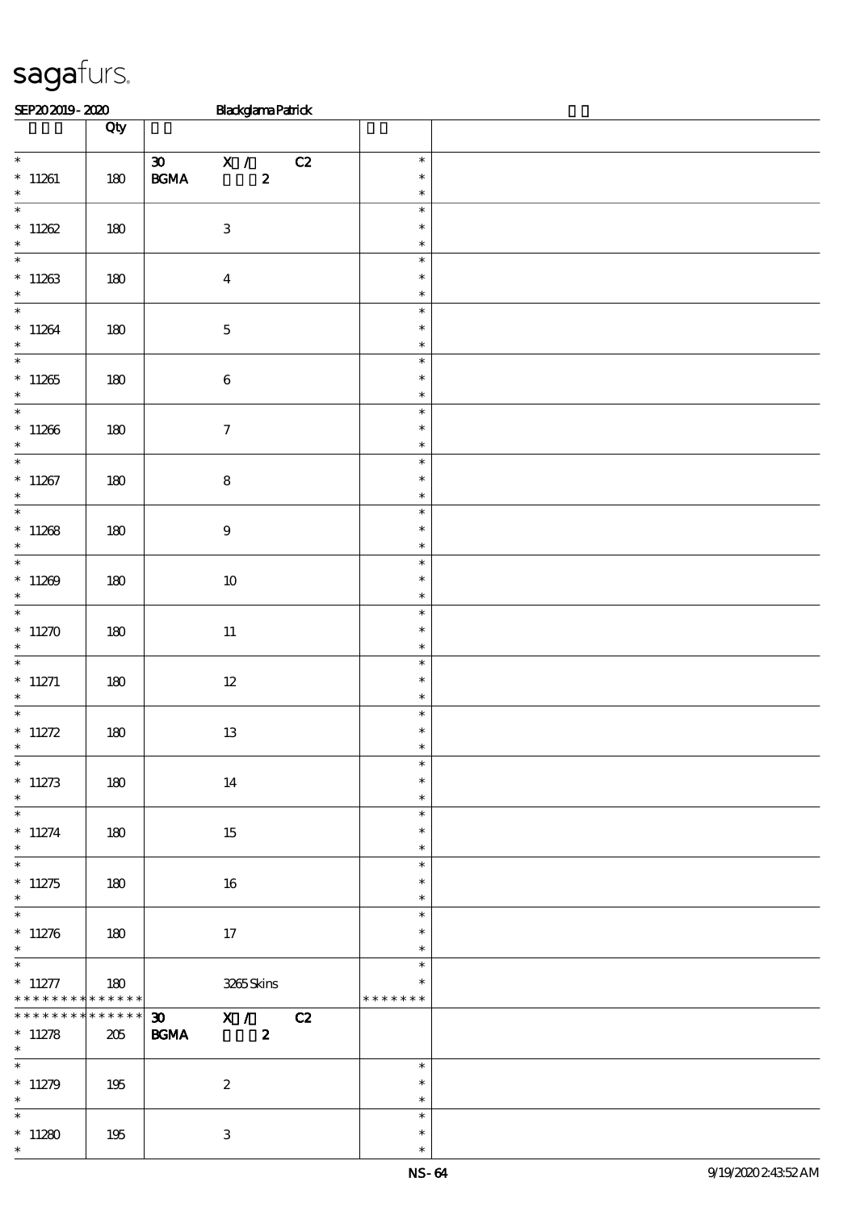| SEP202019-2020 | <b>Blackglama Patrick</b> |
|----------------|---------------------------|
|                |                           |

|                                                             | Qty                    |                                                                                |                                   |  |
|-------------------------------------------------------------|------------------------|--------------------------------------------------------------------------------|-----------------------------------|--|
| $\overline{\ast}$<br>$*11261$<br>$\ast$                     | 180                    | 30 X / C2<br>$\mathbf{B}\mathbf{G}\mathbf{M}\mathbf{A}$<br>$\boldsymbol{z}$    | $\ast$<br>$\ast$<br>$\ast$        |  |
| $*11262$<br>$\ast$                                          | 180                    | $\,3$                                                                          | $\ast$<br>$\ast$<br>$\ast$        |  |
| $\begin{array}{cc} * & 11263 \\ * & \end{array}$            | $180$                  | $\boldsymbol{4}$                                                               | $\ast$<br>$\ast$<br>$\ast$        |  |
| * 11264                                                     | 180                    | $\mathbf 5$                                                                    | $\ast$<br>$\ast$<br>$\ast$        |  |
| $\overline{\ast}$<br>$^\ast$ 11265<br>$\ast$                | 180                    | $\bf 6$                                                                        | $\ast$<br>$\ast$<br>$\ast$        |  |
| $\overline{\phantom{0}}$<br>$^\ast$ 11266<br>$\ast$         | 180                    | $\boldsymbol{7}$                                                               | $\ast$<br>$\ast$<br>$\ast$        |  |
| $\overline{\ast}$<br>$*11267$<br>$\ast$                     | 180                    | $\bf 8$                                                                        | $\ast$<br>$\ast$<br>$\ast$        |  |
| $*11268$<br>$\ast$                                          | 180                    | $\boldsymbol{9}$                                                               | $\ast$<br>$\ast$<br>$\ast$        |  |
| $\overline{\phantom{0}}$<br>$*11269$<br>$\ast$              | 180                    | $10\,$                                                                         | $\ast$<br>$\ast$<br>$\ast$        |  |
| $*$<br>$*11270$<br>$\ast$                                   | 180                    | $11\,$                                                                         | $\ast$<br>$\ast$<br>$\ast$        |  |
| $\overline{\ast}$<br>$*$ 11271<br>$\ast$                    | 180                    | $12\,$                                                                         | $\ast$<br>$\ast$<br>$\ast$        |  |
| * $11272$<br>$\ast$                                         | $180$                  | $13\,$                                                                         | $\ast$<br>$\ast$<br>$\ast$        |  |
| $*$<br>$*11273$<br>$\ast$<br>$\overline{\phantom{0}}$       | 180                    | 14                                                                             | $\ast$<br>$\ast$<br>$\ast$        |  |
| $* 11274$<br>$\ast$<br>$\overline{\phantom{0}}$             | 180                    | 15                                                                             | $\ast$<br>$\ast$<br>$\ast$        |  |
| $*11275$<br>$\ast$<br>$\overline{\phantom{0}}$              | 180                    | 16                                                                             | $\ast$<br>$\ast$<br>$\ast$        |  |
| $*11276$<br>$\ast$                                          | 180                    | 17                                                                             | $\ast$<br>$\ast$<br>$\ast$        |  |
| $* 11277$<br>* * * * * * * * * * * * * *<br>* * * * * * * * | 180                    | 3265Skins                                                                      | $\ast$<br>$\ast$<br>* * * * * * * |  |
| $*11278$<br>$*$<br>$\overline{\phantom{0}}$                 | $* * * * * * *$<br>205 | X / C2<br>$\boldsymbol{\mathfrak{D}}$<br>$\mathbf{B G MA}$<br>$\boldsymbol{z}$ | $\ast$                            |  |
| $*11279$<br>$\ast$<br>$\ast$                                | 195                    | $\boldsymbol{2}$                                                               | $\ast$<br>$\ast$                  |  |
| $^\ast$ 11280<br>$\ast$                                     | 195                    | $\ensuremath{\mathbf{3}}$                                                      | $\ast$<br>$\ast$<br>$\ast$        |  |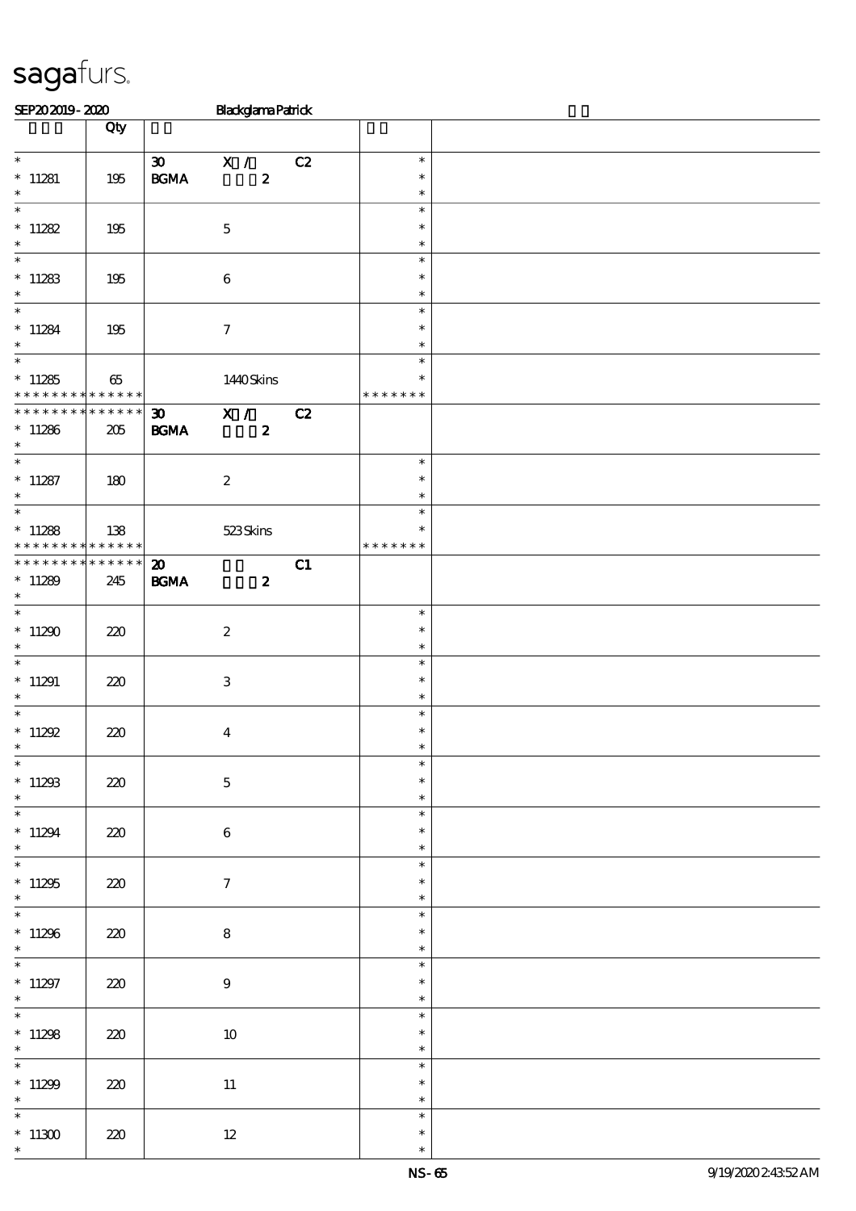| SEP202019-2020                                                      |     |                                                  | <b>Blackglama Patrick</b>  |    |                                      |  |
|---------------------------------------------------------------------|-----|--------------------------------------------------|----------------------------|----|--------------------------------------|--|
|                                                                     | Qty |                                                  |                            |    |                                      |  |
| $*$ 11281<br>$\ast$                                                 | 195 | $\boldsymbol{\mathfrak{D}}$<br>$\mathbf{B G MA}$ | X /<br>$\boldsymbol{2}$    | C2 | $\ast$<br>$\ast$<br>$\ast$           |  |
| $\overline{\phantom{0}}$<br>* $11282$<br>$\ast$                     | 195 |                                                  | $\mathbf 5$                |    | $\ast$<br>$\ast$<br>$\ast$           |  |
| $*11283$<br>$\ast$                                                  | 195 |                                                  | $\bf 6$                    |    | $\ast$<br>$\ast$<br>$\ast$           |  |
| $\overline{\ast}$<br>$*11284$<br>$\ast$                             | 195 |                                                  | $\boldsymbol{\tau}$        |    | $\ast$<br>$\ast$<br>$\ast$           |  |
| $\overline{\phantom{0}}$<br>$*11285$<br>* * * * * * * * * * * * * * | 65  |                                                  | 1440Skins                  |    | $\ast$<br>$\ast$<br>* * * * * * *    |  |
| * * * * * * * * * * * * * * *<br>$*11286$<br>$*$                    | 205 | $\boldsymbol{\mathfrak{D}}$<br>$\mathbf{B G MA}$ | X / C2<br>$\boldsymbol{z}$ |    |                                      |  |
| $*$<br>$* 11287$<br>$\ast$                                          | 180 |                                                  | $\boldsymbol{2}$           |    | $\ast$<br>$\ast$<br>$\ast$           |  |
| $\overline{\ast}$<br>$*11288$<br>* * * * * * * * * * * * * * *      | 138 |                                                  | 523Skins                   |    | $\ast$<br>$\ast$<br>* * * * * * *    |  |
| * * * * * * * * * * * * * * *<br>$*11289$<br>$\ast$<br>$*$          | 245 | $\boldsymbol{\mathfrak{D}}$<br>$\mathbf{B G MA}$ | $\boldsymbol{z}$           | C1 |                                      |  |
| $*11290$<br>$\ast$<br>$\overline{\ast}$                             | 220 |                                                  | $\boldsymbol{2}$           |    | $\ast$<br>$\ast$<br>$\ast$           |  |
| $*11291$<br>$\ast$<br>$\overline{\ast}$                             | 220 |                                                  | $\ensuremath{\mathsf{3}}$  |    | $\ast$<br>$\ast$<br>$\ast$<br>$\ast$ |  |
| * $11292$<br>$*$<br>$\ast$                                          | 220 |                                                  | $\boldsymbol{4}$           |    | $\ast$<br>$\ast$<br>$\ast$           |  |
| $*11293$<br>$\ast$<br>$\overline{\ast}$                             | 220 |                                                  | $\bf 5$                    |    | $\ast$<br>$\ast$<br>$\ast$           |  |
| $*11294$<br>$\ast$<br>$\overline{\ast}$                             | 220 |                                                  | $\,6\,$                    |    | $\ast$<br>$\ast$<br>$\ast$           |  |
| $*11295$<br>$\ast$<br>$\overline{\ast}$                             | 220 |                                                  | $\tau$                     |    | $\ast$<br>$\ast$<br>$\ast$           |  |
| $*11296$<br>$\ast$<br>$\ast$                                        | 220 |                                                  | 8                          |    | $\ast$<br>$\ast$<br>$\ast$           |  |
| $*11297$<br>$\ast$<br>$\overline{\phantom{0}}$                      | 220 |                                                  | $\boldsymbol{9}$           |    | $\ast$<br>$\ast$<br>$\ast$           |  |
| $*11298$<br>$\ast$<br>$\ast$                                        | 220 |                                                  | $10\,$                     |    | $\ast$<br>$\ast$<br>$\ast$           |  |
| $*11299$<br>$\ast$                                                  | 220 |                                                  | $11\,$                     |    | $\ast$<br>$\ast$                     |  |
| $\ast$<br>$^*$ 11300 $\,$                                           | 220 |                                                  | $12\,$                     |    | $\ast$<br>$\ast$<br>$\ast$           |  |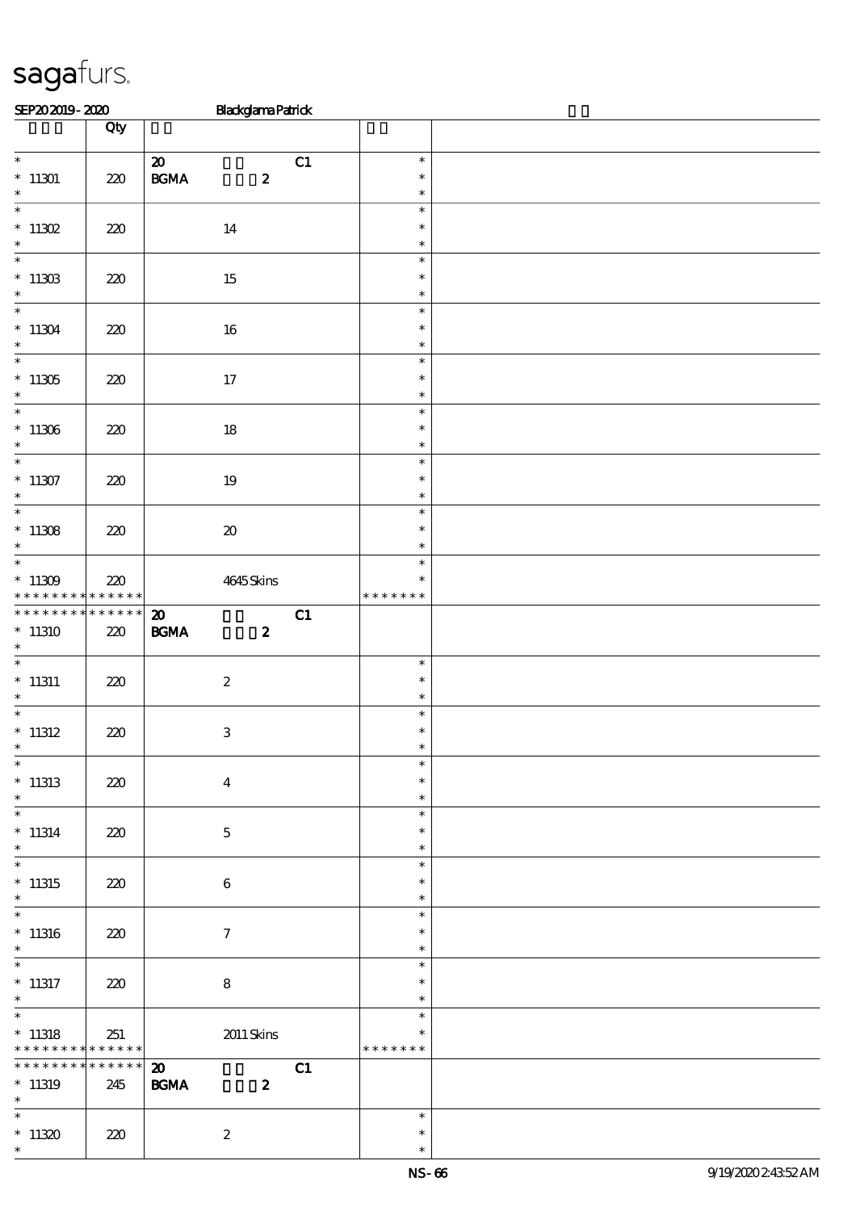| SEP202019-2020                                          |                        | <b>Blackglama Patrick</b>                                                                    |                                   |  |
|---------------------------------------------------------|------------------------|----------------------------------------------------------------------------------------------|-----------------------------------|--|
|                                                         | Qty                    |                                                                                              |                                   |  |
| $*$ 11301<br>$\ast$                                     | $220$                  | $\boldsymbol{\mathfrak{D}}$<br>C1<br>$\mathbf{B}\mathbf{G}\mathbf{M}\mathbf{A}$<br>$\pmb{2}$ | $\ast$<br>$\ast$<br>$\ast$        |  |
| $\overline{\ast}$<br>$*$ 11302                          | $220$                  | 14                                                                                           | $\ast$<br>$\ast$                  |  |
| $\ast$<br>$\ast$<br>$^*$ 11308 $\,$                     | 220                    | 15                                                                                           | $\ast$<br>$\ast$<br>$\ast$        |  |
| $\ast$<br>$\overline{\phantom{0}}$                      |                        |                                                                                              | $\ast$<br>$\ast$<br>$\ast$        |  |
| $*11304$<br>$\ast$<br>$\overline{\ast}$                 | 220                    | $16\,$                                                                                       | $\ast$<br>$\ast$                  |  |
| $^*$ 11305<br>$\ast$<br>$\overline{\phantom{0}}$        | 220                    | 17                                                                                           | $\ast$<br>$\ast$<br>$\ast$        |  |
| $^\ast$ 11306<br>$\ast$                                 | 220                    | $18\,$                                                                                       | $\ast$<br>$\ast$                  |  |
| $\overline{\phantom{0}}$<br>$^*$ 11307<br>$\ast$        | 220                    | $19\,$                                                                                       | $\ast$<br>$\ast$<br>$\ast$        |  |
| $\overline{\ast}$<br>$^*$ 11308 $\,$<br>$\ast$          | 220                    | $\pmb{\mathcal{X}}$                                                                          | $\ast$<br>$\ast$<br>$\ast$        |  |
| $\ast$<br>$^*$ 11309 $\,$<br>* * * * * * * *            | 220<br>$* * * * * * *$ | 4645Skins                                                                                    | $\ast$<br>$\ast$<br>* * * * * * * |  |
| * * * * * * * *                                         | * * * * * *            | C1<br>$\boldsymbol{\mathfrak{D}}$                                                            |                                   |  |
| $*11310$<br>$\ast$                                      | 220                    | $\mathbf{B G MA}$<br>$\boldsymbol{z}$                                                        |                                   |  |
| $\overline{\phantom{0}}$<br>$*11311$<br>$\ast$          | 220                    | $\boldsymbol{2}$                                                                             | $\ast$<br>$\ast$<br>$\ast$        |  |
| $\overline{\phantom{0}}$<br>$*$ 11312<br>$\star$ .      | $220$                  | $\,3\,$                                                                                      | $\ast$<br>$\ast$<br>$\star$       |  |
| $\overline{\ast}$<br>$*11313$<br>$\ast$                 | 220                    | $\boldsymbol{4}$                                                                             | $\ast$<br>$\ast$<br>$\ast$        |  |
| $\ast$<br>$* 11314$<br>$\ast$                           | 220                    | $\mathbf 5$                                                                                  | $\ast$<br>$\ast$<br>$\ast$        |  |
| $\ast$<br>$*11315$                                      | 220                    | 6                                                                                            | $\ast$<br>$\ast$                  |  |
| $\ast$<br>$\overline{\ast}$<br>$*11316$                 | 220                    | $\tau$                                                                                       | $\ast$<br>$\ast$<br>$\ast$        |  |
| $\ast$<br>$\overline{\phantom{0}}$<br>$*$ 11317         | 220                    | ${\bf 8}$                                                                                    | $\ast$<br>$\ast$<br>$\ast$        |  |
| $\ast$<br>$\overline{\ast}$                             |                        |                                                                                              | $\ast$<br>$\ast$                  |  |
| $*$ 11318<br>* * * * * * * * <mark>* * * * * * *</mark> | 251                    | 2011 Skins                                                                                   | ∗<br>* * * * * * *                |  |
| * * * * * * * *<br>$*11319$<br>$*$                      | $* * * * * * *$<br>245 | $\boldsymbol{\mathfrak{D}}$<br>C1<br>$\mathbf{B G MA}$<br>$\boldsymbol{z}$                   |                                   |  |
| $\ast$<br>$*11320$<br>$\ast$                            | 220                    | $\boldsymbol{2}$                                                                             | $\ast$<br>$\ast$<br>$\ast$        |  |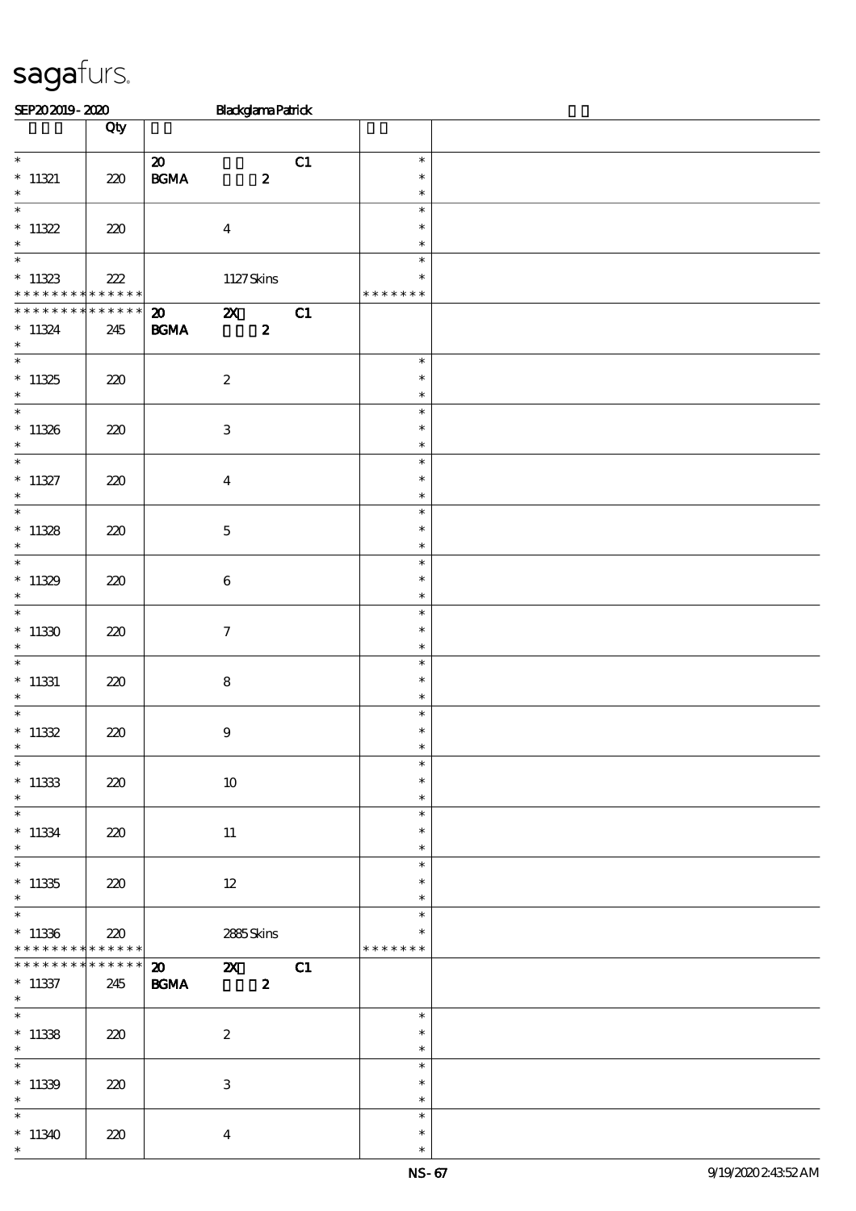| SEP202019-2020                     |                    | <b>Blackglama Patrick</b>                                                             |                  |  |
|------------------------------------|--------------------|---------------------------------------------------------------------------------------|------------------|--|
|                                    | Qty                |                                                                                       |                  |  |
|                                    |                    | $\boldsymbol{\mathfrak{D}}$                                                           | C1<br>$\ast$     |  |
| $*11321$                           | 220                | $\mathbf{B G MA}$<br>$\pmb{2}$                                                        | $\ast$           |  |
| $\ast$                             |                    |                                                                                       | $\ast$           |  |
| $\overline{\ast}$                  |                    |                                                                                       | $\ast$           |  |
| $*11322$<br>$\ast$                 | 220                | $\boldsymbol{4}$                                                                      | $\ast$<br>$\ast$ |  |
| $\ast$                             |                    |                                                                                       | $\ast$           |  |
| $*11323$                           | 222                | 1127Skins                                                                             | $\ast$           |  |
| * * * * * * * * * * * * * *        |                    |                                                                                       | * * * * * * *    |  |
| * * * * * * *<br>$*11324$          | * * * * * *<br>245 | $\boldsymbol{\mathsf{z}}$<br>$\boldsymbol{\mathfrak{D}}$<br>B GMA<br>$\boldsymbol{z}$ | C1               |  |
| $\ast$                             |                    |                                                                                       |                  |  |
| $\overline{\ast}$                  |                    |                                                                                       | $\ast$           |  |
| $*11325$                           | $220$              | $\boldsymbol{2}$                                                                      | $\ast$           |  |
| $\ast$<br>$\overline{\phantom{0}}$ |                    |                                                                                       | $\ast$<br>$\ast$ |  |
| $*11326$                           | 220                | $\,3$                                                                                 | $\ast$           |  |
| $\ast$                             |                    |                                                                                       | $\ast$           |  |
| $\overline{\phantom{0}}$           |                    |                                                                                       | $\ast$           |  |
| $* 11327$<br>$\ast$                | 220                | $\boldsymbol{4}$                                                                      | $\ast$<br>$\ast$ |  |
| $\overline{\ast}$                  |                    |                                                                                       | $\ast$           |  |
| $*11328$                           | 220                | $\mathbf 5$                                                                           | $\ast$           |  |
| $\ast$                             |                    |                                                                                       | $\ast$           |  |
| $\ast$                             |                    |                                                                                       | $\ast$           |  |
| $*11329$<br>$\ast$                 | 220                | $\bf 6$                                                                               | $\ast$<br>$\ast$ |  |
| $\overline{\ast}$                  |                    |                                                                                       | $\ast$           |  |
| $*11330$                           | 220                | $\tau$                                                                                | $\ast$           |  |
| $\ast$<br>$\overline{\ast}$        |                    |                                                                                       | $\ast$           |  |
| $*$ 11331                          | 220                | ${\bf 8}$                                                                             | $\ast$<br>$\ast$ |  |
| $\ast$                             |                    |                                                                                       | $\ast$           |  |
| $\overline{\ast}$                  |                    |                                                                                       | $\ast$           |  |
| $^\ast$ 11332<br>$\star$           | $220$              | $\boldsymbol{9}$                                                                      | $\ast$<br>$\ast$ |  |
| $\ast$                             |                    |                                                                                       | $\ast$           |  |
| $*11333$                           | 220                | $10\,$                                                                                | $\ast$           |  |
| $\ast$                             |                    |                                                                                       | $\ast$           |  |
| $\overline{\phantom{0}}$           |                    |                                                                                       | $\ast$           |  |
| $* 11334$<br>$\ast$                | 220                | $11\,$                                                                                | $\ast$<br>$\ast$ |  |
| $\overline{\ast}$                  |                    |                                                                                       | $\ast$           |  |
| $*11335$                           | 220                | $12 \,$                                                                               | $\ast$           |  |
| $\ast$<br>$\overline{\phantom{0}}$ |                    |                                                                                       | $\ast$           |  |
| $*11336$                           | 220                | 2885Skins                                                                             | $\ast$<br>$\ast$ |  |
| * * * * * * * * * * * * * * *      |                    |                                                                                       | * * * * * * *    |  |
| * * * * * * * *                    | $******$           | $\boldsymbol{\omega}$<br>$\mathbf{X}$                                                 | C1               |  |
| $*11337$<br>$\ast$                 | 245                | <b>BGMA</b><br>$\boldsymbol{z}$                                                       |                  |  |
| $*$                                |                    |                                                                                       | $\ast$           |  |
| $*11338$                           | 220                | $\boldsymbol{2}$                                                                      | $\ast$           |  |
| $*$                                |                    |                                                                                       | $\ast$           |  |
| $\overline{\phantom{0}}$           |                    |                                                                                       | $\ast$           |  |
| $*11339$<br>$\ast$                 | 220                | $\,3$                                                                                 | $\ast$<br>$\ast$ |  |
| $\ast$                             |                    |                                                                                       | $\ast$           |  |
| $*11340$                           | 220                | $\bf{4}$                                                                              | $\ast$           |  |
| $\ast$                             |                    |                                                                                       | $\ast$           |  |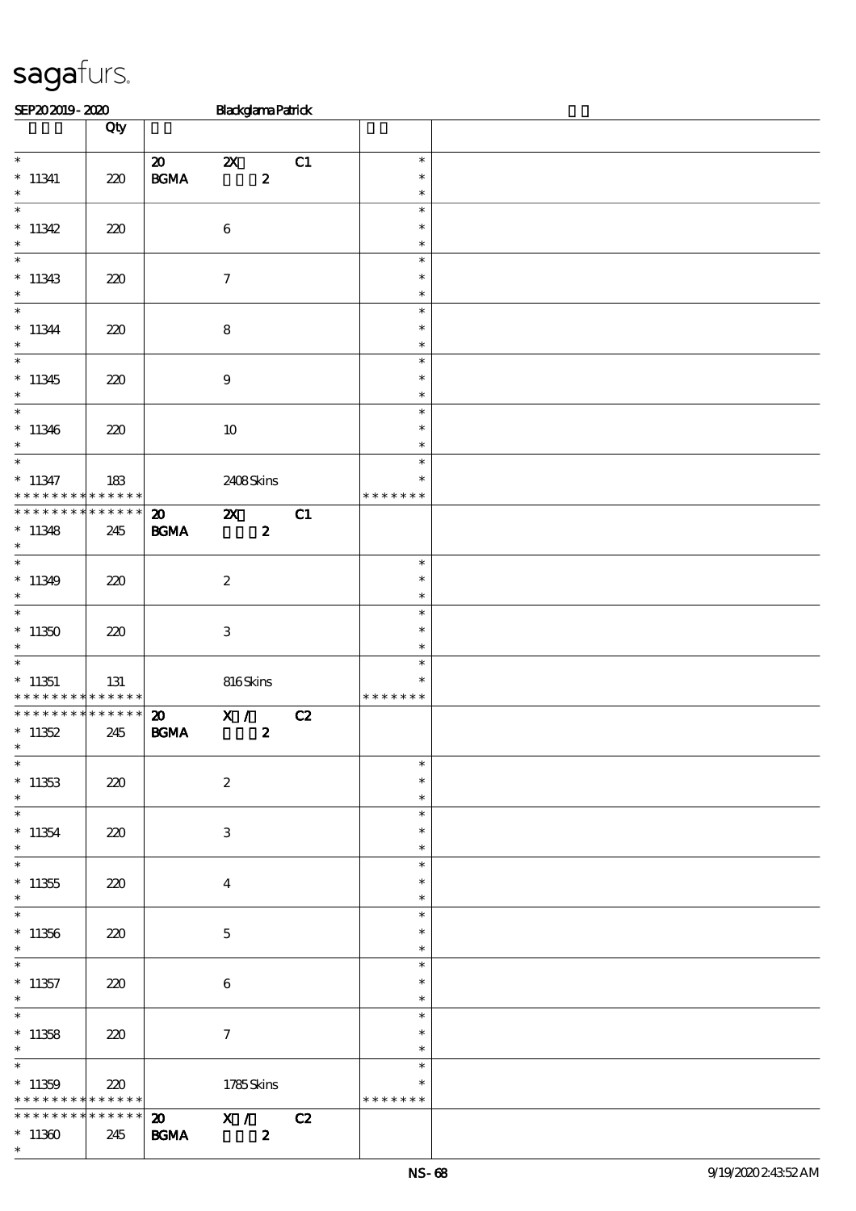| SEP202019-2020                                                            |                 |                             | <b>Blackglama Patrick</b> |    |                  |  |
|---------------------------------------------------------------------------|-----------------|-----------------------------|---------------------------|----|------------------|--|
|                                                                           | Qty             |                             |                           |    |                  |  |
|                                                                           |                 |                             |                           |    |                  |  |
| $*$                                                                       |                 | $\boldsymbol{\mathfrak{D}}$ | $\boldsymbol{\mathsf{X}}$ | C1 | $\ast$           |  |
| $*11341$                                                                  | 220             | <b>BGMA</b>                 | $\boldsymbol{z}$          |    | $\ast$           |  |
| $\ast$                                                                    |                 |                             |                           |    | $\ast$           |  |
| $\overline{\phantom{0}}$                                                  |                 |                             |                           |    | $\ast$           |  |
| * $11342$                                                                 | 220             |                             | $\boldsymbol{6}$          |    | $\ast$           |  |
| $\ast$                                                                    |                 |                             |                           |    | $\ast$           |  |
|                                                                           |                 |                             |                           |    | $\ast$           |  |
| $*11343$                                                                  | 220             |                             | $\tau$                    |    | $\ast$           |  |
| $\ast$                                                                    |                 |                             |                           |    | $\ast$           |  |
| $\overline{\phantom{0}}$                                                  |                 |                             |                           |    | $\ast$           |  |
| $*11344$                                                                  | 220             |                             | $\bf 8$                   |    | $\ast$           |  |
| $\ast$                                                                    |                 |                             |                           |    | $\ast$           |  |
| $\overline{\phantom{0}}$                                                  |                 |                             |                           |    | $\ast$           |  |
| $*11345$                                                                  | 220             |                             | $\boldsymbol{9}$          |    | $\ast$           |  |
| $*$                                                                       |                 |                             |                           |    | $\ast$           |  |
|                                                                           |                 |                             |                           |    | $\ast$           |  |
| $*11346$                                                                  | 220             |                             | 10                        |    | $\ast$           |  |
| $\ast$<br>$*$                                                             |                 |                             |                           |    | $\ast$           |  |
|                                                                           |                 |                             |                           |    | $\ast$           |  |
| $*11347$                                                                  | 183             |                             | 2408Skins                 |    | $\ast$           |  |
| * * * * * * * * <mark>* * * * * *</mark><br>* * * * * * * * * * * * * * * |                 |                             |                           |    | * * * * * * *    |  |
|                                                                           |                 | $\boldsymbol{\mathfrak{D}}$ | $\mathbf{x}$              | C1 |                  |  |
| $*11348$                                                                  | 245             | <b>BGMA</b>                 | $\boldsymbol{z}$          |    |                  |  |
| $\ast$                                                                    |                 |                             |                           |    |                  |  |
|                                                                           |                 |                             |                           |    | $\ast$           |  |
| $*11349$<br>$\ast$                                                        | 220             |                             | $\boldsymbol{2}$          |    | $\ast$<br>$\ast$ |  |
| $\overline{\ast}$                                                         |                 |                             |                           |    | $\ast$           |  |
|                                                                           |                 |                             |                           |    | $\ast$           |  |
| $*11350$<br>$\ast$                                                        | 220             |                             | $\,3$                     |    | $\ast$           |  |
|                                                                           |                 |                             |                           |    | $\ast$           |  |
| $*11351$                                                                  | 131             |                             | 816Skins                  |    | $\ast$           |  |
| * * * * * * * * <mark>* * * * * * *</mark>                                |                 |                             |                           |    | * * * * * * *    |  |
| * * * * * * * * <mark>* * * * * * *</mark>                                |                 | $\boldsymbol{\mathfrak{D}}$ | X /                       | C2 |                  |  |
| * $11352$                                                                 | 245             | <b>BGMA</b>                 | $\boldsymbol{z}$          |    |                  |  |
| $\ast$                                                                    |                 |                             |                           |    |                  |  |
| $\ast$                                                                    |                 |                             |                           |    | $\ast$           |  |
| $*11353$                                                                  | 220             |                             | $\boldsymbol{2}$          |    | $\ast$           |  |
| $\ast$                                                                    |                 |                             |                           |    | $\ast$           |  |
| $\ast$                                                                    |                 |                             |                           |    | $\ast$           |  |
| $*11354$                                                                  | 220             |                             | 3                         |    | $\ast$           |  |
| $\ast$                                                                    |                 |                             |                           |    | $\ast$           |  |
| $\overline{\phantom{0}}$                                                  |                 |                             |                           |    | $\ast$           |  |
| $*11355$                                                                  | 220             |                             | $\overline{\mathbf{4}}$   |    | $\ast$           |  |
| $\ast$                                                                    |                 |                             |                           |    | $\ast$           |  |
| $\overline{\ast}$                                                         |                 |                             |                           |    | $\ast$           |  |
| $*11356$                                                                  | 220             |                             | $\mathbf 5$               |    | $\ast$           |  |
| $\ast$                                                                    |                 |                             |                           |    | $\ast$           |  |
| $*$                                                                       |                 |                             |                           |    | $\ast$           |  |
| $*11357$                                                                  | 220             |                             | $\boldsymbol{6}$          |    | $\ast$           |  |
| $\ast$                                                                    |                 |                             |                           |    | $\ast$           |  |
| $*$                                                                       |                 |                             |                           |    | $\ast$           |  |
| $*11358$                                                                  | 220             |                             | $\tau$                    |    | $\ast$           |  |
| $\ast$                                                                    |                 |                             |                           |    | $\ast$           |  |
|                                                                           |                 |                             |                           |    | $\ast$           |  |
| $*11359$                                                                  | 220             |                             | 1785Skins                 |    | $\ast$           |  |
| * * * * * * * *                                                           | $***$ * * * * * |                             |                           |    | * * * * * * *    |  |
| * * * * * * * *                                                           | ******          |                             | $\overline{20}$ X / C2    |    |                  |  |
| $*11360$                                                                  | 245             | <b>BGMA</b>                 | $\boldsymbol{z}$          |    |                  |  |
| $\ast$                                                                    |                 |                             |                           |    |                  |  |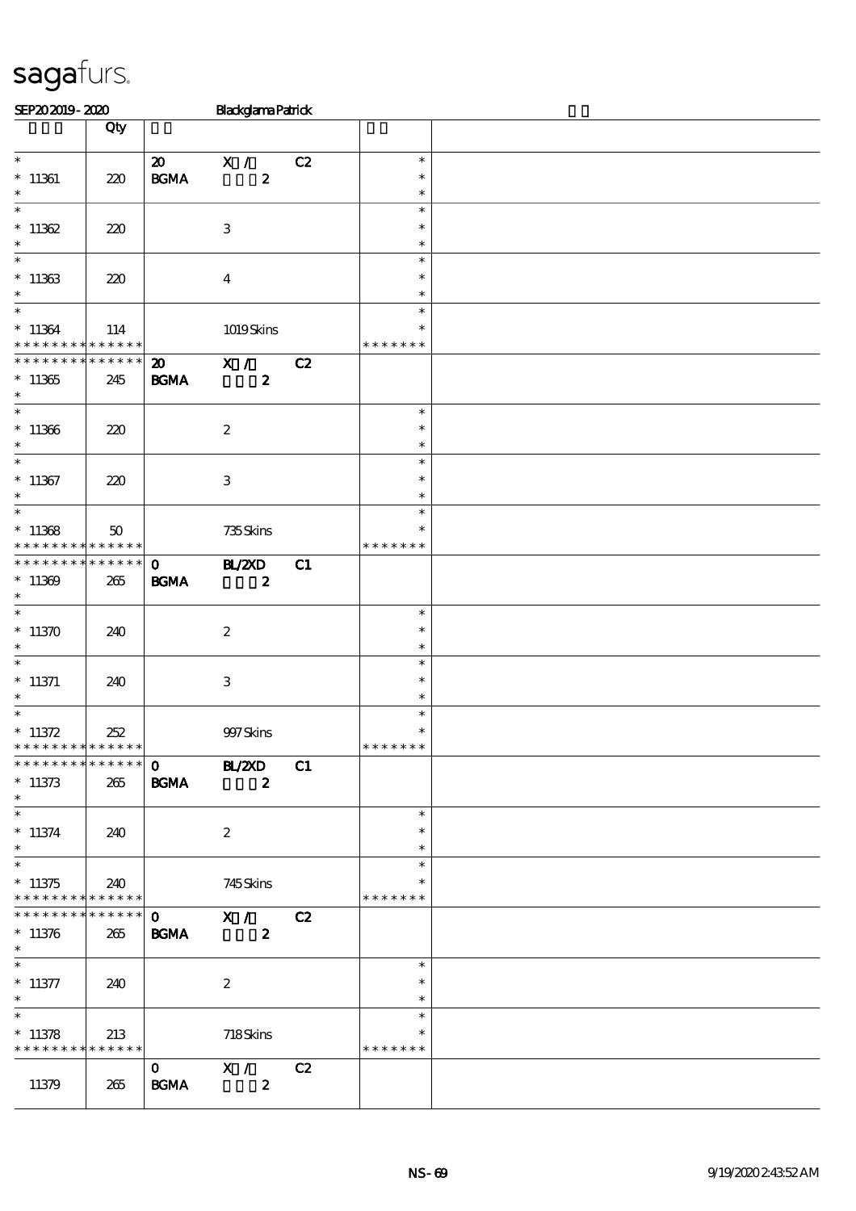| SEP202019-2020                                                      |                        |                                                  | <b>Blackglama Patrick</b>             |    |                                   |  |
|---------------------------------------------------------------------|------------------------|--------------------------------------------------|---------------------------------------|----|-----------------------------------|--|
|                                                                     | Qty                    |                                                  |                                       |    |                                   |  |
| $\overline{\phantom{0}}$<br>$* 11361$<br>$\ast$                     | 220                    | $\boldsymbol{\mathfrak{D}}$<br>$\mathbf{B G MA}$ | X /<br>$\boldsymbol{z}$               | C2 | $\ast$<br>$\ast$<br>$\ast$        |  |
| $\ast$<br>$*11362$<br>$\ast$                                        | 220                    |                                                  | $\ensuremath{\mathbf{3}}$             |    | $\ast$<br>$\ast$<br>$\ast$        |  |
| $\ast$<br>$*11363$<br>$\ast$                                        | 220                    |                                                  | $\boldsymbol{4}$                      |    | $\ast$<br>$\ast$<br>$\ast$        |  |
| $\ast$<br>$*11364$<br>* * * * * * * *                               | 114<br>* * * * * *     |                                                  | 1019Skins                             |    | $\ast$<br>$\ast$<br>* * * * * * * |  |
| * * * * * * *<br>$*11365$<br>$\ast$                                 | * * * * * *<br>245     | $\boldsymbol{\mathfrak{D}}$<br><b>BGMA</b>       | X /<br>$\boldsymbol{z}$               | C2 |                                   |  |
| $\overline{\phantom{0}}$<br>$*11366$<br>$\ast$                      | 220                    |                                                  | $\boldsymbol{2}$                      |    | $\ast$<br>$\ast$<br>$\ast$        |  |
| $\overline{\ast}$<br>$*11367$<br>$\ast$                             | 220                    |                                                  | $\ensuremath{\mathbf{3}}$             |    | $\ast$<br>$\ast$<br>$\ast$        |  |
| $\overline{\ast}$<br>$*11368$<br>* * * * * * * *                    | 50<br>* * * * * *      |                                                  | 735Skins                              |    | $\ast$<br>$\ast$<br>* * * * * * * |  |
| * * * * * * * *<br>$*11369$<br>$\ast$                               | * * * * * *<br>265     | $\mathbf 0$<br>$\mathbf{B G MA}$                 | B ZCD<br>$\boldsymbol{z}$             | C1 |                                   |  |
| $\ast$<br>$*11370$<br>$\ast$                                        | 240                    |                                                  | $\boldsymbol{z}$                      |    | $\ast$<br>$\ast$<br>$\ast$        |  |
| $\ast$<br>$*$ 11371<br>$\ast$                                       | 240                    |                                                  | $\,3$                                 |    | $\ast$<br>$\ast$<br>$\ast$        |  |
| $\ast$<br>$* 11372$<br>* * * * * * * * <mark>* * * * * *</mark>     | 252                    |                                                  | 997 Skins                             |    | $\ast$<br>$\ast$<br>* * * * * * * |  |
| **************<br>$*11373$<br>$\ast$                                | 265                    | <b>BGMA</b>                                      | $0$ BL/2XD<br>$\overline{\mathbf{z}}$ | C1 |                                   |  |
| $\overline{\phantom{0}}$<br>$*11374$<br>$*$                         | 240                    |                                                  | $\boldsymbol{2}$                      |    | $\ast$<br>$\ast$<br>$\ast$        |  |
| $*11375$<br>* * * * * * * * * * * * * * *                           | 240                    |                                                  | 745Skins                              |    | $\ast$<br>$\ast$<br>* * * * * * * |  |
| * * * * * * * *<br>$*11376$<br>$\ast$                               | $* * * * * * *$<br>265 | $\mathbf{O}$<br><b>BGMA</b>                      | X / C2<br>$\boldsymbol{2}$            |    |                                   |  |
| $\overline{\phantom{0}}$<br>$*$ 11377<br>$\ast$                     | 240                    |                                                  | $\boldsymbol{2}$                      |    | $\ast$<br>$\ast$<br>$\ast$        |  |
| $\overline{\phantom{0}}$<br>$*11378$<br>* * * * * * * * * * * * * * | 213                    |                                                  | $718S$ kins                           |    | $\ast$<br>∗<br>* * * * * * *      |  |
| 11379                                                               | 265                    | $\mathbf{O}$<br><b>BGMA</b>                      | X / C2<br>$\overline{\mathbf{2}}$     |    |                                   |  |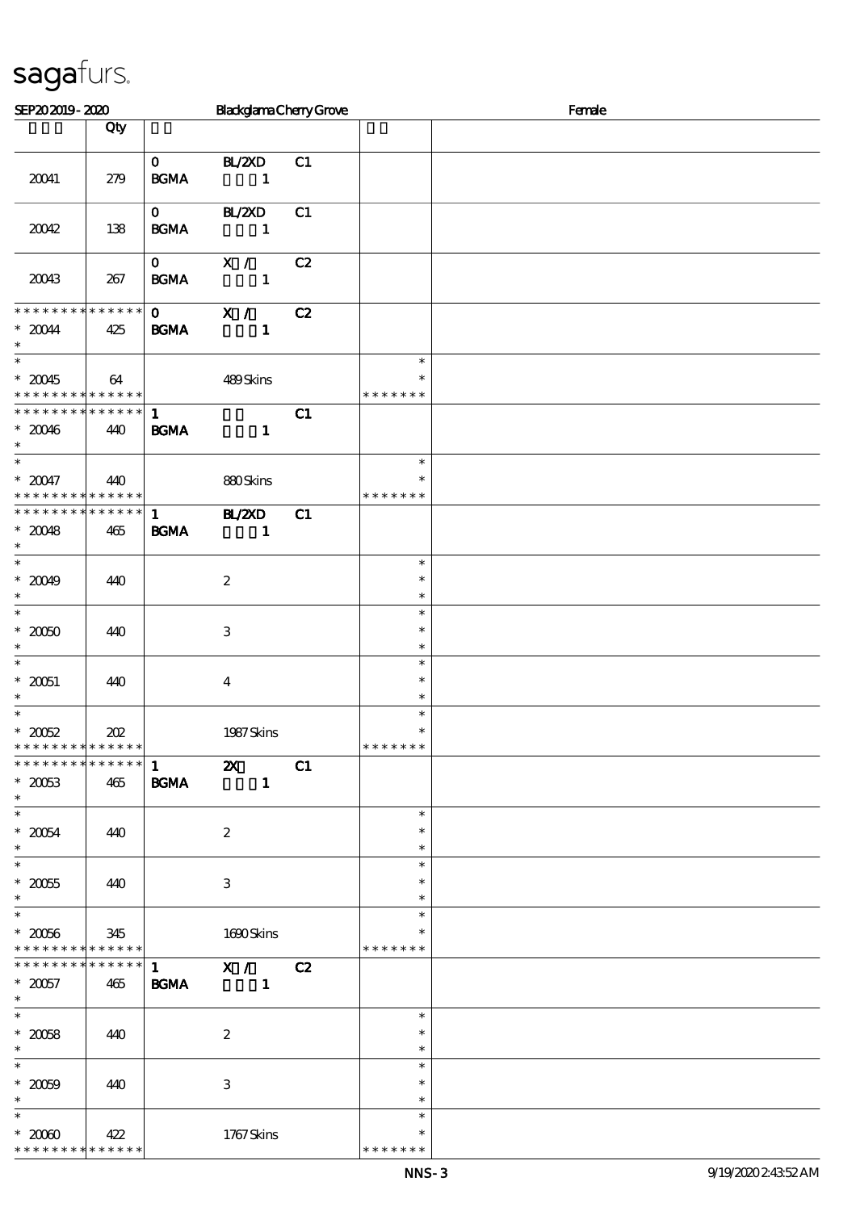| SEP202019-2020                                                      |                    |                                                                                                                                                                                                                                                                                                                 | <b>BlackglamaChenyGrove</b>                                                                                                                                                                                                                                                                                                                                                                                                                                                            |    |                                   | Female |  |  |
|---------------------------------------------------------------------|--------------------|-----------------------------------------------------------------------------------------------------------------------------------------------------------------------------------------------------------------------------------------------------------------------------------------------------------------|----------------------------------------------------------------------------------------------------------------------------------------------------------------------------------------------------------------------------------------------------------------------------------------------------------------------------------------------------------------------------------------------------------------------------------------------------------------------------------------|----|-----------------------------------|--------|--|--|
|                                                                     | Qty                |                                                                                                                                                                                                                                                                                                                 |                                                                                                                                                                                                                                                                                                                                                                                                                                                                                        |    |                                   |        |  |  |
| 20041                                                               | 279                | <b>BGMA</b>                                                                                                                                                                                                                                                                                                     | $0$ BL/2XD<br>$\mathbf{1}$                                                                                                                                                                                                                                                                                                                                                                                                                                                             | C1 |                                   |        |  |  |
| 20042                                                               | 138                | $\mathbf{0}$<br><b>BGMA</b>                                                                                                                                                                                                                                                                                     | BL/2XD<br>$\sim$ $\sim$ 1                                                                                                                                                                                                                                                                                                                                                                                                                                                              | C1 |                                   |        |  |  |
| 20043                                                               | 267                | $\mathbf{0}$<br><b>BGMA</b>                                                                                                                                                                                                                                                                                     | X /<br>$\overline{\phantom{a}}$ $\overline{\phantom{a}}$ $\overline{\phantom{a}}$ $\overline{\phantom{a}}$ $\overline{\phantom{a}}$ $\overline{\phantom{a}}$ $\overline{\phantom{a}}$ $\overline{\phantom{a}}$ $\overline{\phantom{a}}$ $\overline{\phantom{a}}$ $\overline{\phantom{a}}$ $\overline{\phantom{a}}$ $\overline{\phantom{a}}$ $\overline{\phantom{a}}$ $\overline{\phantom{a}}$ $\overline{\phantom{a}}$ $\overline{\phantom{a}}$ $\overline{\phantom{a}}$ $\overline{\$ | C2 |                                   |        |  |  |
| **************<br>$^\ast$ 20044<br>$\ast$                           | 425                | $\mathbf 0$<br><b>BGMA</b>                                                                                                                                                                                                                                                                                      | $\mathbf{X}$ /<br>$\mathbf{1}$                                                                                                                                                                                                                                                                                                                                                                                                                                                         | C2 |                                   |        |  |  |
| $\ast$<br>$*20045$<br>* * * * * * * * * * * * * *                   | 64                 |                                                                                                                                                                                                                                                                                                                 | 489Skins                                                                                                                                                                                                                                                                                                                                                                                                                                                                               |    | $\ast$<br>$\ast$<br>* * * * * * * |        |  |  |
| * * * * * * * * * * * * * *<br>$*20046$<br>$\ast$<br>$*$            | 440                | $\mathbf{1}$<br>BGMA                                                                                                                                                                                                                                                                                            | $\mathbf{1}$                                                                                                                                                                                                                                                                                                                                                                                                                                                                           | C1 |                                   |        |  |  |
| $*20047$<br>* * * * * * * * * * * * * *                             | 440                |                                                                                                                                                                                                                                                                                                                 | 880Skins                                                                                                                                                                                                                                                                                                                                                                                                                                                                               |    | $\ast$<br>* * * * * * *           |        |  |  |
| * * * * * * * * * * * * * *<br>$*20048$<br>$\ast$                   | 465                | $\mathbf{1}$ and $\mathbf{1}$ and $\mathbf{1}$ and $\mathbf{1}$ and $\mathbf{1}$ and $\mathbf{1}$ and $\mathbf{1}$ and $\mathbf{1}$ and $\mathbf{1}$ and $\mathbf{1}$ and $\mathbf{1}$ and $\mathbf{1}$ and $\mathbf{1}$ and $\mathbf{1}$ and $\mathbf{1}$ and $\mathbf{1}$ and $\mathbf{1}$ and<br><b>BGMA</b> | <b>HL/ZXD</b><br>$\mathbf{1}$                                                                                                                                                                                                                                                                                                                                                                                                                                                          | C1 |                                   |        |  |  |
| $* 20049$<br>$\ast$<br>$\overline{\phantom{0}}$                     | 440                |                                                                                                                                                                                                                                                                                                                 | $\boldsymbol{2}$                                                                                                                                                                                                                                                                                                                                                                                                                                                                       |    | $\ast$<br>$\ast$<br>$\ast$        |        |  |  |
| $^\ast$ 20060<br>$\ast$                                             | 440                |                                                                                                                                                                                                                                                                                                                 | $\,3$                                                                                                                                                                                                                                                                                                                                                                                                                                                                                  |    | $\ast$<br>$\ast$<br>$\ast$        |        |  |  |
| $\ast$<br>$^\ast$ 20051<br>$\ast$                                   | 440                |                                                                                                                                                                                                                                                                                                                 | $\boldsymbol{4}$                                                                                                                                                                                                                                                                                                                                                                                                                                                                       |    | $\ast$<br>$\ast$<br>$\ast$        |        |  |  |
| $\ast$<br>$^\ast$ 20052<br>* * * * * * * * <mark>* * * * * *</mark> | 202                |                                                                                                                                                                                                                                                                                                                 | 1987 Skins                                                                                                                                                                                                                                                                                                                                                                                                                                                                             |    | $\ast$<br>$\ast$<br>* * * * * * * |        |  |  |
| * * * * * * * * * * * * * *<br>$*2003$<br>$\ast$                    | 465                | $\mathbf{1}$<br><b>BGMA</b>                                                                                                                                                                                                                                                                                     | $\boldsymbol{\mathsf{z}}$<br>$\mathbf{1}$                                                                                                                                                                                                                                                                                                                                                                                                                                              | C1 |                                   |        |  |  |
| $\overline{\ast}$<br>$*20054$<br>$\ast$<br>$\overline{\phantom{0}}$ | 440                |                                                                                                                                                                                                                                                                                                                 | $\boldsymbol{2}$                                                                                                                                                                                                                                                                                                                                                                                                                                                                       |    | $\ast$<br>$\ast$<br>$\ast$        |        |  |  |
| $^\ast$ 20055<br>$\ast$                                             | 440                |                                                                                                                                                                                                                                                                                                                 | $\ensuremath{\mathbf{3}}$                                                                                                                                                                                                                                                                                                                                                                                                                                                              |    | $\ast$<br>$\ast$<br>$\ast$        |        |  |  |
| $\overline{\phantom{0}}$<br>$^\ast$ 20056<br>* * * * * * * *        | 345<br>* * * * * * |                                                                                                                                                                                                                                                                                                                 | 1690Skins                                                                                                                                                                                                                                                                                                                                                                                                                                                                              |    | $\ast$<br>* * * * * * *           |        |  |  |
| * * * * * * * *<br>$^\ast$ 20057<br>$\ast$                          | * * * * * *<br>465 | $\mathbf{1}$<br><b>BGMA</b>                                                                                                                                                                                                                                                                                     | $\overline{\mathbf{x}}$ /<br>$\mathbf{1}$                                                                                                                                                                                                                                                                                                                                                                                                                                              | C2 |                                   |        |  |  |
| $\ast$<br>$^\ast$ 20058<br>$\ast$                                   | 440                |                                                                                                                                                                                                                                                                                                                 | $\boldsymbol{2}$                                                                                                                                                                                                                                                                                                                                                                                                                                                                       |    | $\ast$<br>$\ast$<br>$\ast$        |        |  |  |
| $\overline{\ast}$<br>$^\ast$ 20059<br>$\ast$                        | 440                |                                                                                                                                                                                                                                                                                                                 | $\ensuremath{\mathbf{3}}$                                                                                                                                                                                                                                                                                                                                                                                                                                                              |    | $\ast$<br>$\ast$<br>$\ast$        |        |  |  |
| $\ast$<br>$*2000$<br>* * * * * * * * * * * * * *                    | 422                |                                                                                                                                                                                                                                                                                                                 | 1767Skins                                                                                                                                                                                                                                                                                                                                                                                                                                                                              |    | $\ast$<br>$\ast$<br>* * * * * * * |        |  |  |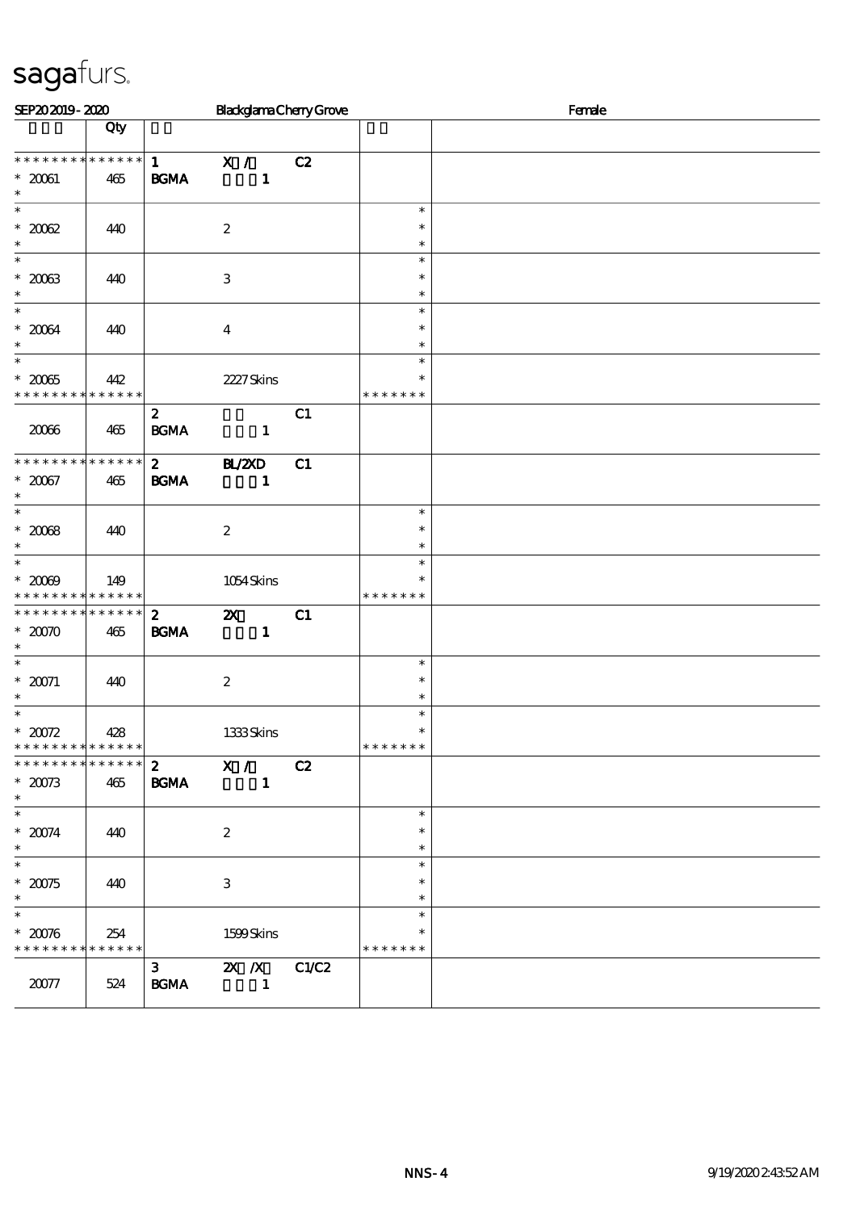| SEP202019-2020                                                    |     |                                                              | <b>BlackglamaChenyGrove</b>               |       | Female                            |  |  |
|-------------------------------------------------------------------|-----|--------------------------------------------------------------|-------------------------------------------|-------|-----------------------------------|--|--|
|                                                                   | Qty |                                                              |                                           |       |                                   |  |  |
| * * * * * * * * * * * * * *<br>$^\ast$ 20061<br>$\ast$            | 465 | 1<br><b>BGMA</b>                                             | $\overline{X}$<br>$\mathbf{1}$            | C2    |                                   |  |  |
| $\ast$<br>$^\ast$ 2002<br>$\ast$                                  | 440 |                                                              | $\boldsymbol{z}$                          |       | $\ast$<br>$\ast$<br>$\ast$        |  |  |
| $\ast$<br>$*2003$<br>$\ast$                                       | 440 |                                                              | 3                                         |       | $\ast$<br>$\ast$<br>$\ast$        |  |  |
| $\ast$<br>$^\ast$ 20034<br>$\ast$                                 | 440 |                                                              | $\overline{4}$                            |       | $\ast$<br>$\ast$<br>$\ast$        |  |  |
| $\ast$<br>$^\ast$ 20065<br>* * * * * * * * * * * * * *            | 442 |                                                              | 2227 Skins                                |       | $\ast$<br>$\ast$<br>* * * * * * * |  |  |
| 2006                                                              | 465 | $\mathbf{2}$<br>$\mathbf{B}\mathbf{G}\mathbf{M}\mathbf{A}$   | $\blacksquare$                            | C1    |                                   |  |  |
| * * * * * * * * * * * * * *<br>$* 20067$<br>$\ast$                | 465 | $2^{\circ}$<br><b>BGMA</b>                                   | <b>HL/2XD</b><br>$\mathbf{1}$             | C1    |                                   |  |  |
| $\ast$<br>$^\ast$ 2008<br>$\ast$                                  | 440 |                                                              | $\boldsymbol{2}$                          |       | $\ast$<br>$\ast$<br>$\ast$        |  |  |
| $\ast$<br>$^*$ 2009<br>* * * * * * * * <mark>* * * * * * *</mark> | 149 |                                                              | 1054Skins                                 |       | $\ast$<br>$\ast$<br>* * * * * * * |  |  |
| * * * * * * * * * * * * * *<br>$* 2000$<br>$\ast$                 | 465 | $\boldsymbol{2}$<br><b>BGMA</b>                              | $\boldsymbol{\mathsf{z}}$<br>$\mathbf{1}$ | C1    |                                   |  |  |
| $\overline{\phantom{0}}$<br>$* 20071$<br>$\ast$                   | 440 |                                                              | $\boldsymbol{z}$                          |       | $\ast$<br>$\ast$<br>$\ast$        |  |  |
| $\ast$<br>$^*$ 20072<br>* * * * * * * * * * * * * *               | 428 |                                                              | 1333Skins                                 |       | $\ast$<br>$\ast$<br>* * * * * * * |  |  |
| * * * * * * * * * * * * * *<br>$* 20073$<br>$\ast$                | 465 | $\mathbf{2}$<br><b>BGMA</b>                                  | $\overline{\mathbf{x}}$ /<br>$\mathbf{1}$ | C2    |                                   |  |  |
| $\ast$<br>$^\ast$ 20074<br>$\ast$                                 | 440 |                                                              | $\boldsymbol{2}$                          |       | $\ast$<br>$\ast$<br>$\ast$        |  |  |
| $\ast$<br>$* 20075$<br>$\ast$                                     | 440 |                                                              | $\,3$                                     |       | $\ast$<br>$\ast$<br>$\ast$        |  |  |
| $\overline{\ast}$<br>$^*$ 20076<br>* * * * * * * * * * * * * *    | 254 |                                                              | 1599Skins                                 |       | $\ast$<br>$\ast$<br>* * * * * * * |  |  |
| $20077$                                                           | 524 | 3 <sub>1</sub><br>$\mathbf{B}\mathbf{G}\mathbf{M}\mathbf{A}$ | $\mathbf{X}$ $\mathbf{X}$<br>$\mathbf{1}$ | C1/C2 |                                   |  |  |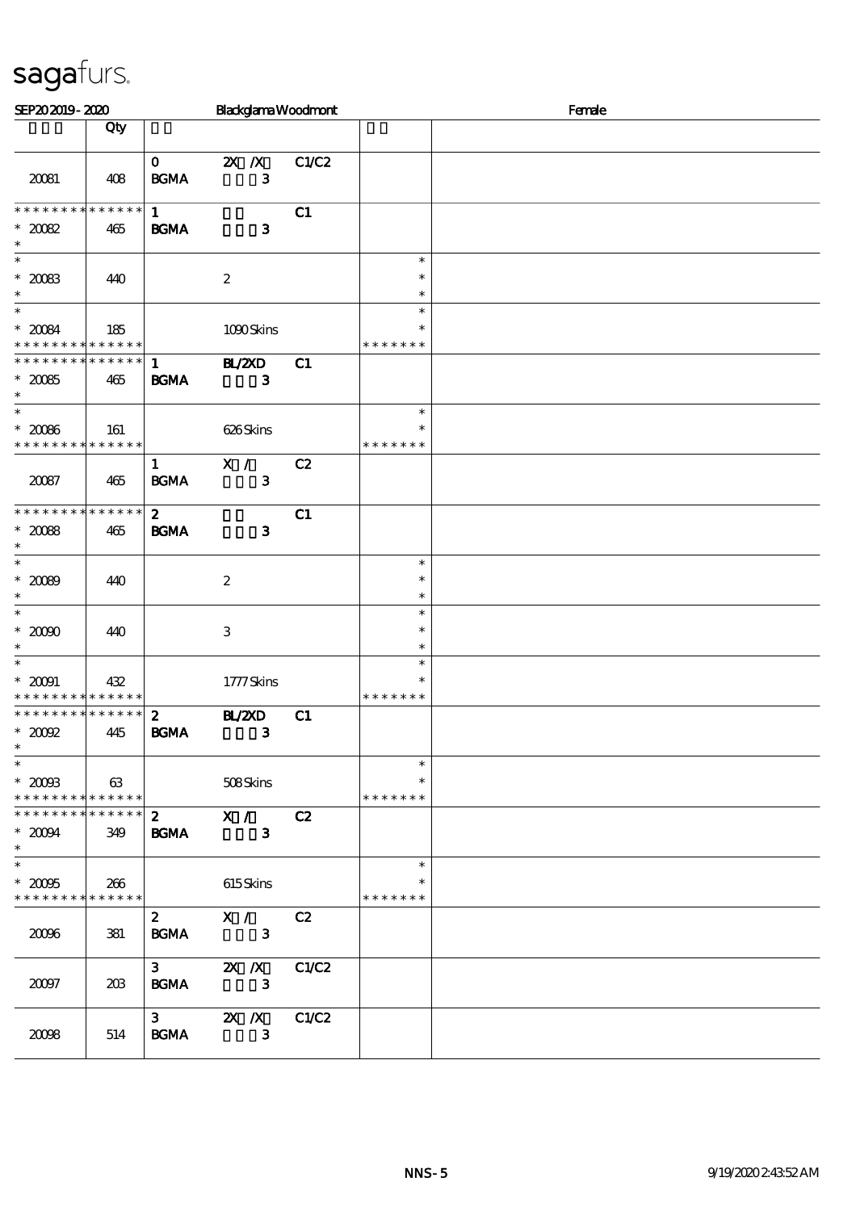| SEP202019-2020                                                    |     |                                 |                               | <b>Blackglama Woodmont</b> |                                   | Female |
|-------------------------------------------------------------------|-----|---------------------------------|-------------------------------|----------------------------|-----------------------------------|--------|
|                                                                   | Qty |                                 |                               |                            |                                   |        |
| 20081                                                             | 408 | $\mathbf{O}$<br><b>BGMA</b>     | $X$ $X$<br>$\mathbf{3}$       | C1/C2                      |                                   |        |
| * * * * * * * * * * * * * *<br>$*2002$<br>$\ast$                  | 465 | $\mathbf{1}$<br><b>BGMA</b>     | $\mathbf{3}$                  | C1                         |                                   |        |
| $\ast$<br>$*20083$<br>$\ast$<br>$\overline{\ast}$                 | 440 |                                 | $\boldsymbol{2}$              |                            | $\ast$<br>$\ast$<br>$\ast$        |        |
| $^\ast$ 20084<br>* * * * * * * * * * * * * *                      | 185 |                                 | 1090Skins                     |                            | $\ast$<br>∗<br>* * * * * * *      |        |
| ******** <mark>******</mark><br>$^\ast$ 20085<br>$\ast$           | 465 | $\mathbf{1}$<br><b>BGMA</b>     | BL/ZXD<br>$\mathbf{3}$        | C1                         |                                   |        |
| $\ast$<br>$^*$ 20086 $^{\circ}$<br>* * * * * * * * * * * * * *    | 161 |                                 | 626Skins                      |                            | $\ast$<br>$\ast$<br>* * * * * * * |        |
| 20087                                                             | 465 | $\mathbf{1}$<br><b>BCMA</b>     | X /<br>3                      | C2                         |                                   |        |
| * * * * * * * * * * * * * *<br>$^\ast$ 2008<br>$\ast$             | 465 | $\mathbf{z}$<br><b>BGMA</b>     | $\mathbf{3}$                  | C1                         |                                   |        |
| $\ast$<br>$* 2000$<br>$\ast$                                      | 440 |                                 | $\boldsymbol{2}$              |                            | $\ast$<br>$\ast$<br>$\ast$        |        |
| $\overline{\phantom{0}}$<br>$^\ast$ 2000<br>$\ast$                | 440 |                                 | $\,3$                         |                            | $\ast$<br>$\ast$<br>$\ast$        |        |
| $\overline{\ast}$<br>$^\ast$ 20091<br>* * * * * * * * * * * * * * | 432 |                                 | 1777Skins                     |                            | $\ast$<br>$\ast$<br>* * * * * * * |        |
| * * * * * * * * * * * * * *<br>$*2002$<br>$\ast$                  | 445 | $\boldsymbol{z}$<br><b>BGMA</b> | <b>H_/2XD</b><br>$\mathbf{3}$ | C1                         |                                   |        |
| $\ast$<br>$^\ast$ 2008<br>* * * * * * * * * * * * * *             | 63  |                                 | 508Skins                      |                            | $\ast$<br>$\ast$<br>* * * * * * * |        |
| * * * * * * * * * * * * * *<br>$*2004$<br>$\ast$                  | 349 | $\mathbf{z}$<br><b>BGMA</b>     | X /<br>$\mathbf{3}$           | C2                         |                                   |        |
| $\overline{\ast}$<br>$^\ast$ 2006<br>* * * * * * * * * * * * * *  | 266 |                                 | 615Skins                      |                            | $\ast$<br>$\ast$<br>* * * * * * * |        |
| 2006                                                              | 381 | $\boldsymbol{z}$<br><b>BGMA</b> | X /<br>$\mathbf{3}$           | C2                         |                                   |        |
| 20097                                                             | 203 | 3 <sub>1</sub><br><b>BGMA</b>   | $X$ $N$<br>$\mathbf{3}$       | C1/C2                      |                                   |        |
| 2008                                                              | 514 | $3^{\circ}$<br><b>BGMA</b>      | $X \, X$<br>$\mathbf{3}$      | C1/C2                      |                                   |        |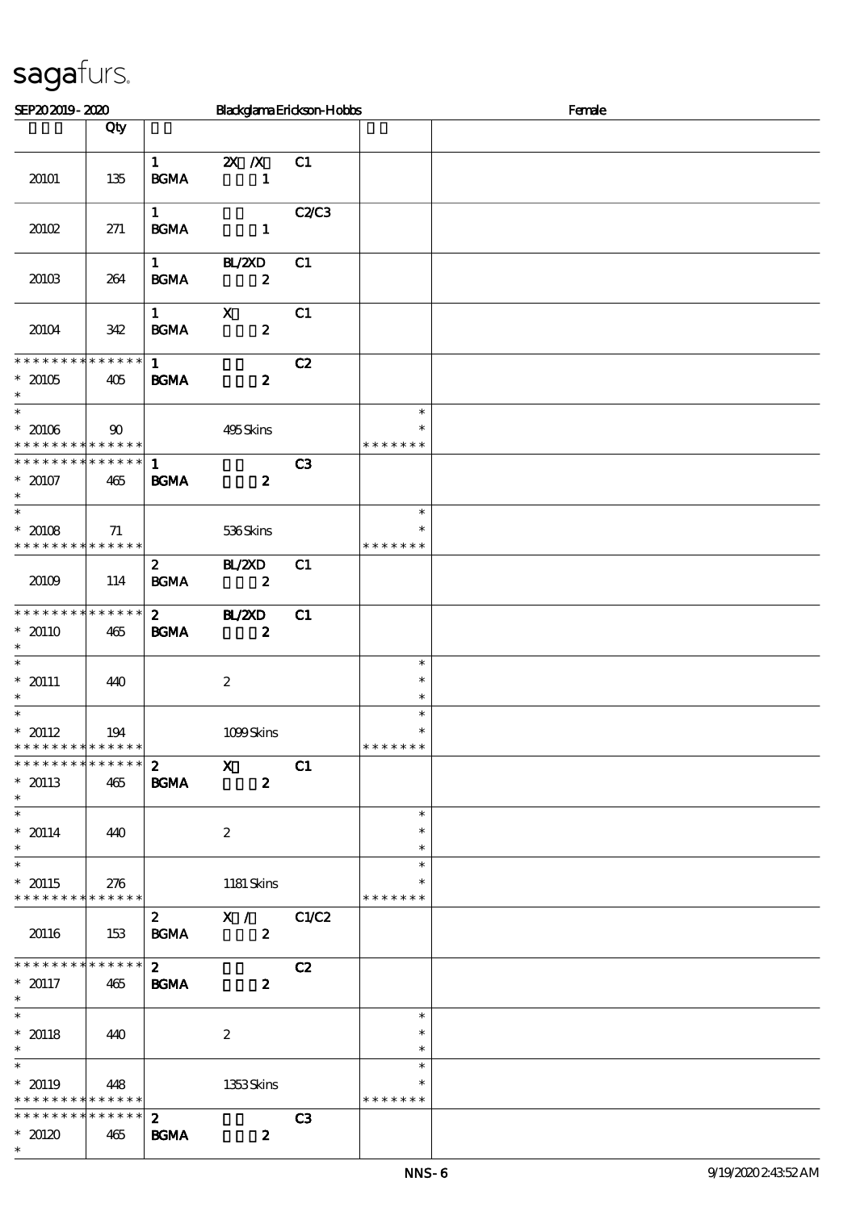| SEP202019-2020                                                                      |               |                                       | Blackglama Erickson-Hobbs          |       |                                   | Female |
|-------------------------------------------------------------------------------------|---------------|---------------------------------------|------------------------------------|-------|-----------------------------------|--------|
|                                                                                     | Qty           |                                       |                                    |       |                                   |        |
| 20101                                                                               | 135           | $1 \quad \blacksquare$<br><b>BGMA</b> | $2X$ /X<br>$\mathbf{1}$            | C1    |                                   |        |
| 20102                                                                               | 271           | $\mathbf{1}$<br><b>BGMA</b>           | $\sim$ 1                           | C2C3  |                                   |        |
| 20103                                                                               | 264           | $1 \qquad \qquad$<br>BGMA             | BL/2XD<br>$\boldsymbol{z}$         | C1    |                                   |        |
| 20104                                                                               | 342           | $1 \quad$<br><b>BGMA</b>              | $\mathbf x$<br>$\boldsymbol{z}$    | C1    |                                   |        |
| * * * * * * * * * * * * * *<br>$* 20105$<br>$\ast$                                  | 405           | $1 \quad$<br><b>BGMA</b>              | $\boldsymbol{z}$                   | C2    |                                   |        |
| $\overline{\phantom{0}}$<br>$* 20106$<br>* * * * * * * * <mark>* * * * * * *</mark> | $90^{\circ}$  |                                       | 495Skins                           |       | $\ast$<br>$\ast$<br>* * * * * * * |        |
| * * * * * * * * * * * * * *<br>$* 20107$<br>$\ast$                                  | 465           | $\mathbf{1}$<br><b>BGMA</b>           | $\boldsymbol{z}$                   | C3    |                                   |        |
| $\overline{\ }$<br>$* 20108$<br>* * * * * * * * * * * * * *                         | 71            |                                       | 536Skins                           |       | $\ast$<br>$\ast$<br>* * * * * * * |        |
| 20109                                                                               | 114           | $\mathbf{2}$<br>BGMA                  | <b>BL/2XD</b><br>$\boldsymbol{z}$  | C1    |                                   |        |
| * * * * * * * * * * * * * *<br>$* 20110$<br>$\ast$                                  | 465           | $\mathbf{2}$<br><b>BGMA</b>           | <b>HL/2XD</b><br>$\boldsymbol{z}$  | C1    |                                   |        |
| $\ast$<br>$* 20111$<br>$\ast$                                                       | 440           |                                       | $\boldsymbol{2}$                   |       | $\ast$<br>$\ast$<br>$\ast$        |        |
| $\ast$<br>$* 20112$<br>* * * * * * * * <mark>* * * * * * *</mark>                   | 194           |                                       | 1099Skins                          |       | $\ast$<br>$\ast$<br>* * * * * * * |        |
| * * * * * * * * * * * * * *<br>$* 20113$<br>$\ast$                                  | 465           | $\boldsymbol{z}$<br><b>BGMA</b>       | $\mathbf{x}$<br>$\boldsymbol{z}$   | C1    |                                   |        |
| $\overline{\phantom{0}}$<br>$* 20114$<br>$\ast$                                     | 440           |                                       | $\boldsymbol{2}$                   |       | $\ast$<br>$\ast$<br>$\ast$        |        |
| $\overline{\phantom{0}}$<br>$* 20115$<br>* * * * * * * * * * * * * *                | 276           |                                       | 1181 Skins                         |       | $\ast$<br>$\ast$<br>* * * * * * * |        |
| 20116                                                                               | 153           | $\mathbf{z}$<br><b>BGMA</b>           | $\mathbf{X}$ /<br>$\boldsymbol{z}$ | C1/C2 |                                   |        |
| * * * * * * * * * * * * * *<br>$* 20117$<br>$\ast$                                  | 465           | $\mathbf{z}$<br><b>BGMA</b>           | $\boldsymbol{z}$                   | C2    |                                   |        |
| $\ast$<br>$* 20118$<br>$\ast$                                                       | 440           |                                       | $\boldsymbol{2}$                   |       | $\ast$<br>$\ast$<br>$\ast$        |        |
| $\overline{\phantom{0}}$<br>$* 20119$<br>* * * * * * * * * * * * * *                | 448           |                                       | 1353Skins                          |       | $\ast$<br>$\ast$<br>* * * * * * * |        |
| * * * * * * * *<br>$*20120$<br>$\ast$                                               | ******<br>465 | $\boldsymbol{z}$<br><b>BGMA</b>       | $\boldsymbol{z}$                   | C3    |                                   |        |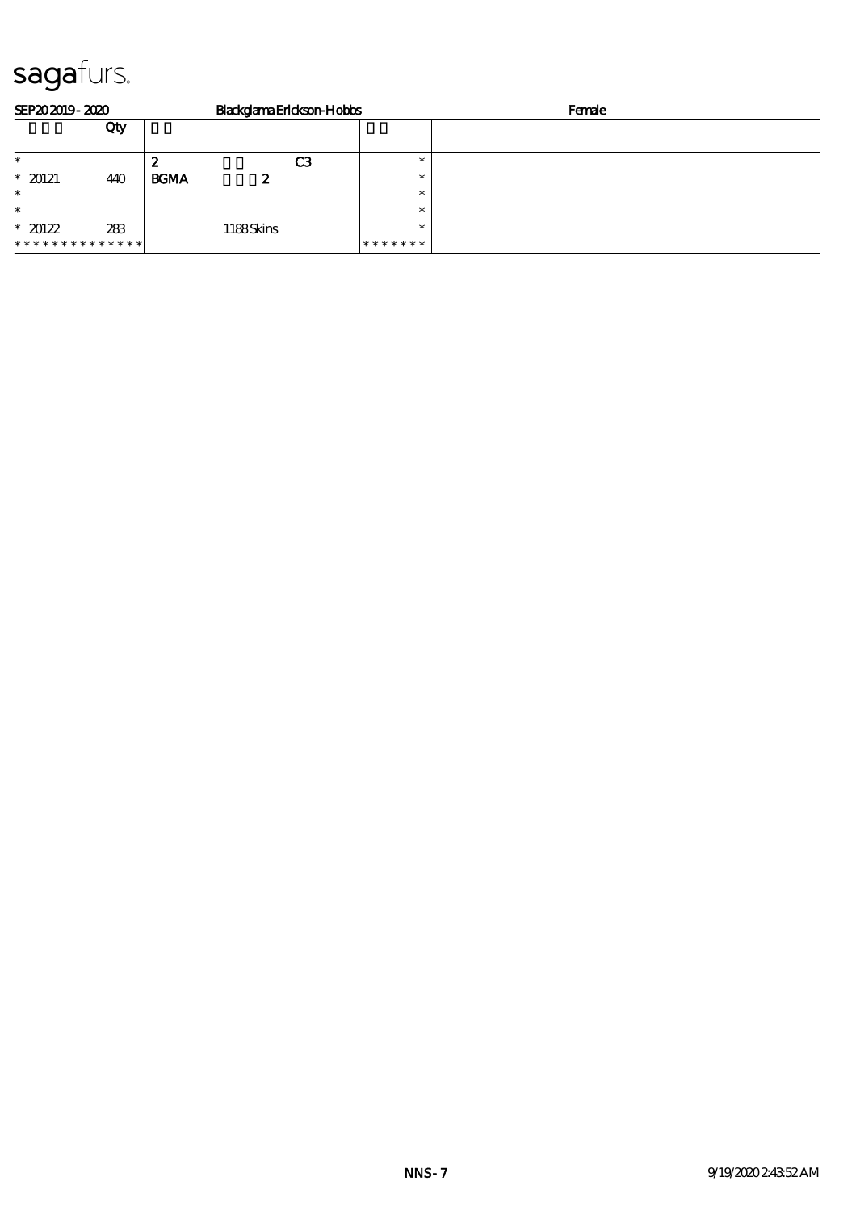| SEP202019-2020              |     | BlackglamaErickson-Hobbs |                | Female |  |  |
|-----------------------------|-----|--------------------------|----------------|--------|--|--|
|                             | Qty |                          |                |        |  |  |
| $\ast$                      |     | 2                        | C <sub>3</sub> |        |  |  |
| $*20121$                    | 440 | <b>BGMA</b><br>2         | $\ast$         |        |  |  |
| $\ast$                      |     |                          | $\ast$         |        |  |  |
| $\ast$                      |     |                          | $\ast$         |        |  |  |
| $*20122$                    | 283 | 1188Skins                | $\ast$         |        |  |  |
| * * * * * * * * * * * * * * |     |                          | *******        |        |  |  |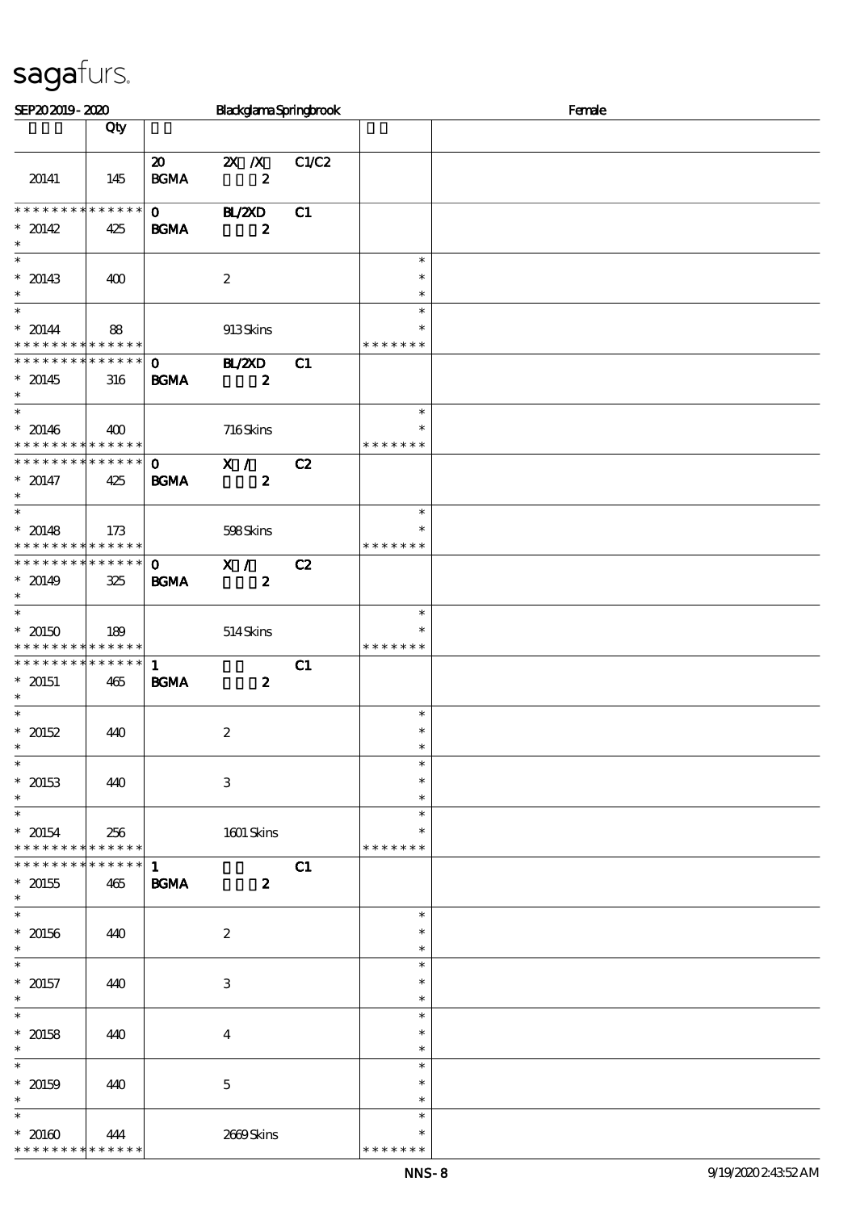| SEP202019-2020                                                                   |                    | BlackglamaSpringbrook                      |                                               |       | Female                            |  |
|----------------------------------------------------------------------------------|--------------------|--------------------------------------------|-----------------------------------------------|-------|-----------------------------------|--|
|                                                                                  | Qty                |                                            |                                               |       |                                   |  |
| 20141                                                                            | 145                | $\boldsymbol{\mathfrak{D}}$<br><b>BGMA</b> | $\mathbf{X}$ $\mathbf{X}$<br>$\boldsymbol{z}$ | C1/C2 |                                   |  |
| * * * * * * * *<br>$* 20142$<br>$\ast$                                           | $******$<br>425    | $\mathbf{0}$<br><b>BGMA</b>                | <b>HL/2XD</b><br>$\boldsymbol{z}$             | C1    |                                   |  |
| $\overline{\phantom{0}}$<br>$* 20143$<br>$\ast$                                  | 400                |                                            | $\boldsymbol{2}$                              |       | $\ast$<br>$\ast$<br>$\ast$        |  |
| $\overline{\phantom{0}}$<br>$* 20144$<br>* * * * * * * * * * * * * *             | 88                 |                                            | 913Skins                                      |       | $\ast$<br>$\ast$<br>* * * * * * * |  |
| * * * * * * * * * * * * * * *<br>$* 20145$<br>$\ast$<br>$\overline{\phantom{0}}$ | 316                | $\mathbf{O}$<br><b>BGMA</b>                | <b>H_/2XD</b><br>$\boldsymbol{z}$             | C1    |                                   |  |
| $* 20146$<br>* * * * * * * * <mark>* * * * * * *</mark>                          | 400                |                                            | 716Skins                                      |       | $\ast$<br>$\ast$<br>* * * * * * * |  |
| * * * * * * * * * * * * * * *<br>$* 20147$<br>$\ast$<br>$\overline{\phantom{0}}$ | 425                | $\mathbf{O}$<br><b>BGMA</b>                | X /<br>$\boldsymbol{z}$                       | C2    |                                   |  |
| $* 20148$<br>* * * * * * * * * * * * * *                                         | 173                |                                            | 598Skins                                      |       | $\ast$<br>$\ast$<br>* * * * * * * |  |
| * * * * * * * * * * * * * * *<br>$* 20149$<br>$\ast$<br>$\overline{\ast}$        | 325                | $\mathbf{O}$<br><b>BGMA</b>                | X /<br>$\boldsymbol{z}$                       | C2    |                                   |  |
| $*20150$<br>* * * * * * * * * * * * * *                                          | 189                |                                            | 514Skins                                      |       | $\ast$<br>$\ast$<br>* * * * * * * |  |
| * * * * * * * * * * * * * *<br>$* 20151$<br>$\ast$                               | 465                | $\mathbf{1}$<br><b>BGMA</b>                | $\boldsymbol{z}$                              | C1    |                                   |  |
| $\ast$<br>$* 20152$<br>$\ast$<br>$\ast$                                          | 440                |                                            | $\boldsymbol{2}$                              |       | $\ast$<br>$\ast$<br>$\ast$        |  |
| $* 20153$<br>$\ast$<br>$\ast$                                                    | 440                |                                            | $\,3$                                         |       | $\ast$<br>$\ast$<br>$\ast$        |  |
| $* 20154$<br>* * * * * * * * * * * * * *                                         | 256                |                                            | $1601$ Skins                                  |       | $\ast$<br>$\ast$<br>* * * * * * * |  |
| * * * * * * * *<br>$* 20155$<br>$\ast$<br>$\overline{\ast}$                      | * * * * * *<br>465 | $\mathbf{1}$<br><b>BGMA</b>                | $\boldsymbol{z}$                              | C1    |                                   |  |
| $^\ast$ 20156<br>$\ast$                                                          | 440                |                                            | $\boldsymbol{2}$                              |       | $\ast$<br>$\ast$<br>$\ast$        |  |
| $\ast$<br>$* 20157$<br>$\ast$                                                    | 440                |                                            | $\,3$                                         |       | $\ast$<br>$\ast$<br>$\ast$        |  |
| $\ast$<br>$* 20158$<br>$\ast$                                                    | 440                |                                            | $\boldsymbol{4}$                              |       | $\ast$<br>$\ast$<br>$\ast$        |  |
| $\ast$<br>$* 20159$<br>$\ast$                                                    | 440                |                                            | $\mathbf 5$                                   |       | $\ast$<br>$\ast$<br>$\ast$        |  |
| $\ast$<br>$* 20160$<br>* * * * * * * *                                           | 444<br>* * * * * * |                                            | 2669Skins                                     |       | $\ast$<br>*<br>* * * * * *        |  |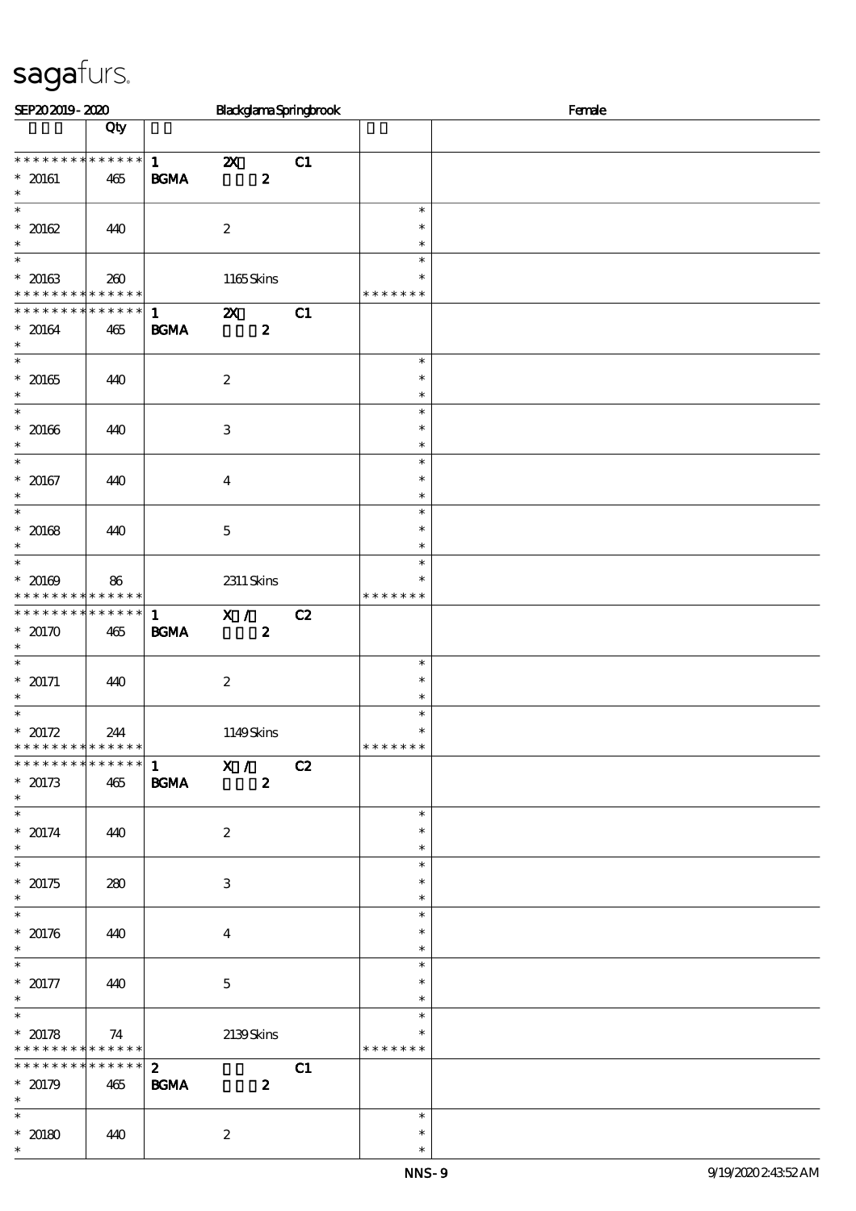| SEP202019-2020                                                                      |                        |                                   |                           |                  | BlackglamaSpringbrook |                                                 | Female |
|-------------------------------------------------------------------------------------|------------------------|-----------------------------------|---------------------------|------------------|-----------------------|-------------------------------------------------|--------|
|                                                                                     | Qty                    |                                   |                           |                  |                       |                                                 |        |
| * * * * * * * * * * * * * *<br>$* 20161$<br>$\ast$                                  | 465                    | $\mathbf{1}$<br>$\mathbf{B G MA}$ | $\boldsymbol{\mathsf{X}}$ | $\boldsymbol{z}$ | C1                    |                                                 |        |
| $\overline{\ast}$<br>$* 20162$<br>$\ast$                                            | 440                    |                                   | $\boldsymbol{2}$          |                  |                       | $\ast$<br>$\ast$<br>$\ast$                      |        |
| $\overline{\phantom{0}}$<br>$* 20163$<br>* * * * * * * * <mark>* * * * * * *</mark> | 260                    |                                   | 1165Skins                 |                  |                       | $\ast$<br>$\ast$<br>* * * * * * *               |        |
| * * * * * * *<br>$* 20164$<br>$\ast$                                                | $* * * * * * *$<br>465 | $\mathbf{1}$<br>$\mathbf{B G MA}$ | $\boldsymbol{\mathsf{X}}$ | $\boldsymbol{2}$ | C1                    |                                                 |        |
| $\overline{\phantom{0}}$<br>$* 20165$<br>$\ast$                                     | 440                    |                                   | $\boldsymbol{2}$          |                  |                       | $\ast$<br>$\ast$<br>$\ast$                      |        |
| $\ast$<br>$* 20166$<br>$\ast$                                                       | 440                    |                                   | $\,3\,$                   |                  |                       | $\ast$<br>$\ast$<br>$\ast$                      |        |
| $\overline{\ast}$<br>$* 20167$<br>$\ast$                                            | 440                    |                                   | $\boldsymbol{4}$          |                  |                       | $\ast$<br>$\ast$<br>$\ast$                      |        |
| $\overline{\phantom{0}}$<br>$* 20168$<br>$\ast$                                     | 440                    |                                   | $\mathbf 5$               |                  |                       | $\ast$<br>$\ast$<br>$\ast$                      |        |
| $\overline{\phantom{0}}$<br>$* 20169$<br>* * * * * * * *                            | 86<br>* * * * * *      |                                   | $2311$ Skins              |                  |                       | $\ast$<br>$\ast$<br>* * * *<br>$\ast$<br>$\ast$ |        |
| * * * * * * * * * * * * * *<br>$*$ 20170 $\,$<br>$\ast$                             | 465                    | $\mathbf{1}$<br>$\mathbf{B G MA}$ | X /                       | $\boldsymbol{z}$ | C2                    |                                                 |        |
| $\overline{\ast}$<br>$* 20171$<br>$\ast$                                            | 440                    |                                   | $\boldsymbol{2}$          |                  |                       | $\ast$<br>$\ast$<br>$\ast$                      |        |
| $\ast$<br>$* 20172$<br>* * * * * * * * <mark>* * * * * *</mark>                     | 244                    |                                   | 1149Skins                 |                  |                       | $\ast$<br>$\ast$<br>* * * * * * *               |        |
| * * * * * * * *<br>$*20173$<br>$\ast$                                               | ******<br>465          | <b>BGMA</b>                       | $\overline{1}$ X /        | $\boldsymbol{z}$ | C2                    |                                                 |        |
| $* 20174$<br>$\ast$                                                                 | 440                    |                                   | $\boldsymbol{2}$          |                  |                       | $\ast$<br>$\ast$<br>$\ast$                      |        |
| $* 20175$<br>$\ast$                                                                 | 280                    |                                   | $\,3\,$                   |                  |                       | $\ast$<br>$\ast$<br>$\ast$                      |        |
| $\overline{\ast}$<br>$* 20176$<br>$\ast$                                            | 440                    |                                   | $\boldsymbol{4}$          |                  |                       | $\ast$<br>$\ast$<br>$\ast$                      |        |
| $\overline{\phantom{0}}$<br>$* 20177$<br>$\ast$                                     | 440                    |                                   | $\mathbf 5$               |                  |                       | $\ast$<br>$\ast$<br>$\ast$                      |        |
| $\ast$<br>$* 20178$<br>* * * * * * * * * * * * * * *                                | 74                     |                                   | 2139Skins                 |                  |                       | $\ast$<br>$\ast$<br>* * * * * * *               |        |
| * * * * * * * *<br>$* 20179$<br>$\ast$                                              | $* * * * * * *$<br>465 | $\mathbf{z}$<br><b>BGMA</b>       |                           | $\boldsymbol{z}$ | C1                    |                                                 |        |
| $*$<br>$* 20180$<br>$\ast$                                                          | 440                    |                                   | $\boldsymbol{2}$          |                  |                       | $\ast$<br>$\ast$<br>$\ast$                      |        |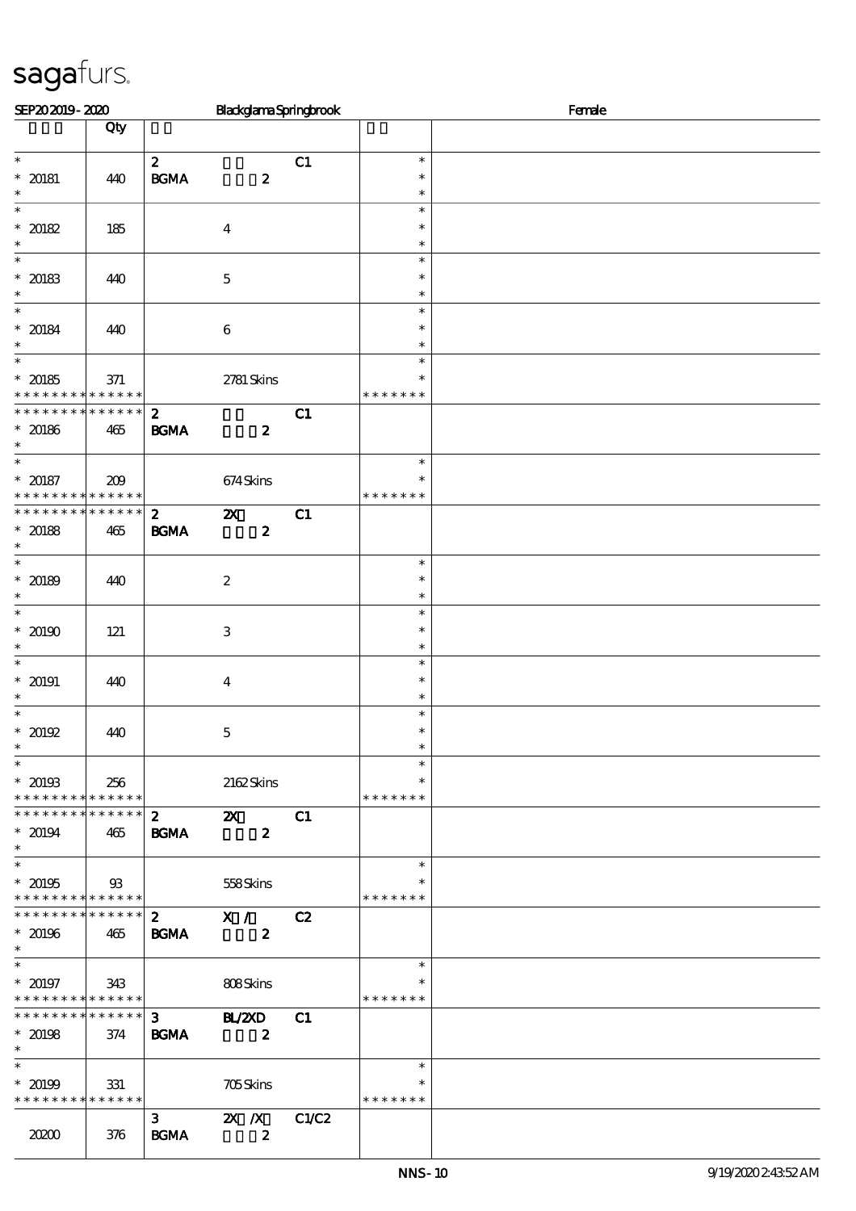| Qty<br>$\ast$<br>$\mathbf{z}$<br>C1<br>$\ast$<br>$* 20181$<br>$\mathbf{B}\mathbf{G}\mathbf{M}\mathbf{A}$<br>$\boldsymbol{z}$<br>$\ast$<br>440<br>$\ast$<br>$\ast$<br>$*20182$<br>185<br>$\ast$<br>$\boldsymbol{4}$<br>$\ast$<br>$\ast$<br>$\ast$<br>$\ast$<br>$* 20183$<br>$\mathbf 5$<br>$\ast$<br>440<br>$\ast$<br>$\overline{\ast}$<br>$\ast$<br>$* 20184$<br>$\,6\,$<br>440<br>$\ast$<br>$\ast$<br>$\ast$<br>$\ast$<br>$* 20185$<br>2781 Skins<br>371<br>$\ast$<br>* * * * * * * * * * * * * *<br>* * * * * * *<br>* * * * * * * * * * * * * *<br>$\mathbf{z}$<br>C1<br>$* 20186$<br><b>BGMA</b><br>$\boldsymbol{z}$<br>465<br>$\ast$<br>$\ast$<br>674Skins<br>209<br>* * * * * * * * <mark>* * * * * *</mark><br>* * * * * * *<br>* * * * * * * * * * * * * *<br>$\mathbf{z}$<br>$\boldsymbol{\mathsf{X}}$<br>C1<br><b>BGMA</b><br>$\boldsymbol{z}$<br>$* 20188$<br>465<br>$\ast$<br>$\boldsymbol{2}$<br>440<br>$\ast$<br>$\ast$<br>$\ast$<br>$\overline{\ast}$<br>$\ast$<br>$^*$ 20190 $\,$<br>$\,3$<br>$\ast$<br>121<br>$\ast$<br>$\ast$<br>$* 20191$<br>$\ast$<br>440<br>$\boldsymbol{4}$<br>$\ast$<br>$\ast$<br>$\ast$<br>$*20192$<br>$\ast$<br>440<br>$\mathbf 5$<br>$\ast$<br>$\overline{\phantom{0}}$<br>$\ast$<br>$* 20193$<br>2162Skins<br>256<br>$\ast$<br>* * * * * * * * * * * * * *<br>* * * * * * *<br>* * * * * * * * * * * * * * *<br>$\boldsymbol{z}$<br>$\boldsymbol{\mathsf{X}}$<br>C1<br><b>BGMA</b><br>$\boldsymbol{z}$<br>465<br>$\ast$<br>$* 20195$<br>$93$<br>558Skins<br>$\ast$<br>* * * * * * * * * * * * * *<br>* * * * * * *<br>* * * * * * * * * * * * * * *<br>$\overline{\mathbf{x}}$ /<br>$2^{\circ}$<br>C2<br><b>BGMA</b><br>$\boldsymbol{z}$<br>465<br>$\overline{\phantom{0}}$<br>$\ast$<br>$* 20197$<br>808Skins<br>343<br>$\ast$<br>* * * * * * * * <mark>* * * * * * *</mark><br>* * * * * * *<br>* * * * * * * * * * * * * *<br>3 <sup>1</sup><br>B/20<br>C1<br><b>BGMA</b><br>374<br>$\overline{\mathbf{z}}$<br>$\ast$<br>$\ast$<br>$* 20199$<br><b>705Skins</b><br>331<br>$\ast$<br>* * * * * * * * * * * * * *<br>* * * * * * *<br>3 <sup>1</sup><br>$\mathbf{X}$ $\mathbf{X}$<br>C1/C2<br><b>BGMA</b><br>20200<br>$\boldsymbol{z}$<br>376 | SEP202019-2020           |  | BlackglamaSpringbrook |  | Female |
|-------------------------------------------------------------------------------------------------------------------------------------------------------------------------------------------------------------------------------------------------------------------------------------------------------------------------------------------------------------------------------------------------------------------------------------------------------------------------------------------------------------------------------------------------------------------------------------------------------------------------------------------------------------------------------------------------------------------------------------------------------------------------------------------------------------------------------------------------------------------------------------------------------------------------------------------------------------------------------------------------------------------------------------------------------------------------------------------------------------------------------------------------------------------------------------------------------------------------------------------------------------------------------------------------------------------------------------------------------------------------------------------------------------------------------------------------------------------------------------------------------------------------------------------------------------------------------------------------------------------------------------------------------------------------------------------------------------------------------------------------------------------------------------------------------------------------------------------------------------------------------------------------------------------------------------------------------------------------------------------------------------------------------------------------------------------------------------------------------------------------------------------------------------------------------------------|--------------------------|--|-----------------------|--|--------|
|                                                                                                                                                                                                                                                                                                                                                                                                                                                                                                                                                                                                                                                                                                                                                                                                                                                                                                                                                                                                                                                                                                                                                                                                                                                                                                                                                                                                                                                                                                                                                                                                                                                                                                                                                                                                                                                                                                                                                                                                                                                                                                                                                                                           |                          |  |                       |  |        |
|                                                                                                                                                                                                                                                                                                                                                                                                                                                                                                                                                                                                                                                                                                                                                                                                                                                                                                                                                                                                                                                                                                                                                                                                                                                                                                                                                                                                                                                                                                                                                                                                                                                                                                                                                                                                                                                                                                                                                                                                                                                                                                                                                                                           |                          |  |                       |  |        |
|                                                                                                                                                                                                                                                                                                                                                                                                                                                                                                                                                                                                                                                                                                                                                                                                                                                                                                                                                                                                                                                                                                                                                                                                                                                                                                                                                                                                                                                                                                                                                                                                                                                                                                                                                                                                                                                                                                                                                                                                                                                                                                                                                                                           |                          |  |                       |  |        |
|                                                                                                                                                                                                                                                                                                                                                                                                                                                                                                                                                                                                                                                                                                                                                                                                                                                                                                                                                                                                                                                                                                                                                                                                                                                                                                                                                                                                                                                                                                                                                                                                                                                                                                                                                                                                                                                                                                                                                                                                                                                                                                                                                                                           | $\ast$                   |  |                       |  |        |
|                                                                                                                                                                                                                                                                                                                                                                                                                                                                                                                                                                                                                                                                                                                                                                                                                                                                                                                                                                                                                                                                                                                                                                                                                                                                                                                                                                                                                                                                                                                                                                                                                                                                                                                                                                                                                                                                                                                                                                                                                                                                                                                                                                                           | $\overline{\ast}$        |  |                       |  |        |
|                                                                                                                                                                                                                                                                                                                                                                                                                                                                                                                                                                                                                                                                                                                                                                                                                                                                                                                                                                                                                                                                                                                                                                                                                                                                                                                                                                                                                                                                                                                                                                                                                                                                                                                                                                                                                                                                                                                                                                                                                                                                                                                                                                                           |                          |  |                       |  |        |
|                                                                                                                                                                                                                                                                                                                                                                                                                                                                                                                                                                                                                                                                                                                                                                                                                                                                                                                                                                                                                                                                                                                                                                                                                                                                                                                                                                                                                                                                                                                                                                                                                                                                                                                                                                                                                                                                                                                                                                                                                                                                                                                                                                                           |                          |  |                       |  |        |
|                                                                                                                                                                                                                                                                                                                                                                                                                                                                                                                                                                                                                                                                                                                                                                                                                                                                                                                                                                                                                                                                                                                                                                                                                                                                                                                                                                                                                                                                                                                                                                                                                                                                                                                                                                                                                                                                                                                                                                                                                                                                                                                                                                                           |                          |  |                       |  |        |
|                                                                                                                                                                                                                                                                                                                                                                                                                                                                                                                                                                                                                                                                                                                                                                                                                                                                                                                                                                                                                                                                                                                                                                                                                                                                                                                                                                                                                                                                                                                                                                                                                                                                                                                                                                                                                                                                                                                                                                                                                                                                                                                                                                                           | $\ast$                   |  |                       |  |        |
|                                                                                                                                                                                                                                                                                                                                                                                                                                                                                                                                                                                                                                                                                                                                                                                                                                                                                                                                                                                                                                                                                                                                                                                                                                                                                                                                                                                                                                                                                                                                                                                                                                                                                                                                                                                                                                                                                                                                                                                                                                                                                                                                                                                           |                          |  |                       |  |        |
|                                                                                                                                                                                                                                                                                                                                                                                                                                                                                                                                                                                                                                                                                                                                                                                                                                                                                                                                                                                                                                                                                                                                                                                                                                                                                                                                                                                                                                                                                                                                                                                                                                                                                                                                                                                                                                                                                                                                                                                                                                                                                                                                                                                           |                          |  |                       |  |        |
|                                                                                                                                                                                                                                                                                                                                                                                                                                                                                                                                                                                                                                                                                                                                                                                                                                                                                                                                                                                                                                                                                                                                                                                                                                                                                                                                                                                                                                                                                                                                                                                                                                                                                                                                                                                                                                                                                                                                                                                                                                                                                                                                                                                           | $\overline{\ast}$        |  |                       |  |        |
|                                                                                                                                                                                                                                                                                                                                                                                                                                                                                                                                                                                                                                                                                                                                                                                                                                                                                                                                                                                                                                                                                                                                                                                                                                                                                                                                                                                                                                                                                                                                                                                                                                                                                                                                                                                                                                                                                                                                                                                                                                                                                                                                                                                           |                          |  |                       |  |        |
|                                                                                                                                                                                                                                                                                                                                                                                                                                                                                                                                                                                                                                                                                                                                                                                                                                                                                                                                                                                                                                                                                                                                                                                                                                                                                                                                                                                                                                                                                                                                                                                                                                                                                                                                                                                                                                                                                                                                                                                                                                                                                                                                                                                           |                          |  |                       |  |        |
|                                                                                                                                                                                                                                                                                                                                                                                                                                                                                                                                                                                                                                                                                                                                                                                                                                                                                                                                                                                                                                                                                                                                                                                                                                                                                                                                                                                                                                                                                                                                                                                                                                                                                                                                                                                                                                                                                                                                                                                                                                                                                                                                                                                           |                          |  |                       |  |        |
|                                                                                                                                                                                                                                                                                                                                                                                                                                                                                                                                                                                                                                                                                                                                                                                                                                                                                                                                                                                                                                                                                                                                                                                                                                                                                                                                                                                                                                                                                                                                                                                                                                                                                                                                                                                                                                                                                                                                                                                                                                                                                                                                                                                           |                          |  |                       |  |        |
|                                                                                                                                                                                                                                                                                                                                                                                                                                                                                                                                                                                                                                                                                                                                                                                                                                                                                                                                                                                                                                                                                                                                                                                                                                                                                                                                                                                                                                                                                                                                                                                                                                                                                                                                                                                                                                                                                                                                                                                                                                                                                                                                                                                           | $\ast$                   |  |                       |  |        |
|                                                                                                                                                                                                                                                                                                                                                                                                                                                                                                                                                                                                                                                                                                                                                                                                                                                                                                                                                                                                                                                                                                                                                                                                                                                                                                                                                                                                                                                                                                                                                                                                                                                                                                                                                                                                                                                                                                                                                                                                                                                                                                                                                                                           | $* 20187$                |  |                       |  |        |
|                                                                                                                                                                                                                                                                                                                                                                                                                                                                                                                                                                                                                                                                                                                                                                                                                                                                                                                                                                                                                                                                                                                                                                                                                                                                                                                                                                                                                                                                                                                                                                                                                                                                                                                                                                                                                                                                                                                                                                                                                                                                                                                                                                                           |                          |  |                       |  |        |
|                                                                                                                                                                                                                                                                                                                                                                                                                                                                                                                                                                                                                                                                                                                                                                                                                                                                                                                                                                                                                                                                                                                                                                                                                                                                                                                                                                                                                                                                                                                                                                                                                                                                                                                                                                                                                                                                                                                                                                                                                                                                                                                                                                                           |                          |  |                       |  |        |
|                                                                                                                                                                                                                                                                                                                                                                                                                                                                                                                                                                                                                                                                                                                                                                                                                                                                                                                                                                                                                                                                                                                                                                                                                                                                                                                                                                                                                                                                                                                                                                                                                                                                                                                                                                                                                                                                                                                                                                                                                                                                                                                                                                                           | $\ast$                   |  |                       |  |        |
|                                                                                                                                                                                                                                                                                                                                                                                                                                                                                                                                                                                                                                                                                                                                                                                                                                                                                                                                                                                                                                                                                                                                                                                                                                                                                                                                                                                                                                                                                                                                                                                                                                                                                                                                                                                                                                                                                                                                                                                                                                                                                                                                                                                           | $\overline{\phantom{0}}$ |  |                       |  |        |
|                                                                                                                                                                                                                                                                                                                                                                                                                                                                                                                                                                                                                                                                                                                                                                                                                                                                                                                                                                                                                                                                                                                                                                                                                                                                                                                                                                                                                                                                                                                                                                                                                                                                                                                                                                                                                                                                                                                                                                                                                                                                                                                                                                                           | $* 20189$                |  |                       |  |        |
|                                                                                                                                                                                                                                                                                                                                                                                                                                                                                                                                                                                                                                                                                                                                                                                                                                                                                                                                                                                                                                                                                                                                                                                                                                                                                                                                                                                                                                                                                                                                                                                                                                                                                                                                                                                                                                                                                                                                                                                                                                                                                                                                                                                           |                          |  |                       |  |        |
|                                                                                                                                                                                                                                                                                                                                                                                                                                                                                                                                                                                                                                                                                                                                                                                                                                                                                                                                                                                                                                                                                                                                                                                                                                                                                                                                                                                                                                                                                                                                                                                                                                                                                                                                                                                                                                                                                                                                                                                                                                                                                                                                                                                           |                          |  |                       |  |        |
|                                                                                                                                                                                                                                                                                                                                                                                                                                                                                                                                                                                                                                                                                                                                                                                                                                                                                                                                                                                                                                                                                                                                                                                                                                                                                                                                                                                                                                                                                                                                                                                                                                                                                                                                                                                                                                                                                                                                                                                                                                                                                                                                                                                           | $\ast$                   |  |                       |  |        |
|                                                                                                                                                                                                                                                                                                                                                                                                                                                                                                                                                                                                                                                                                                                                                                                                                                                                                                                                                                                                                                                                                                                                                                                                                                                                                                                                                                                                                                                                                                                                                                                                                                                                                                                                                                                                                                                                                                                                                                                                                                                                                                                                                                                           | $\ast$                   |  |                       |  |        |
|                                                                                                                                                                                                                                                                                                                                                                                                                                                                                                                                                                                                                                                                                                                                                                                                                                                                                                                                                                                                                                                                                                                                                                                                                                                                                                                                                                                                                                                                                                                                                                                                                                                                                                                                                                                                                                                                                                                                                                                                                                                                                                                                                                                           |                          |  |                       |  |        |
|                                                                                                                                                                                                                                                                                                                                                                                                                                                                                                                                                                                                                                                                                                                                                                                                                                                                                                                                                                                                                                                                                                                                                                                                                                                                                                                                                                                                                                                                                                                                                                                                                                                                                                                                                                                                                                                                                                                                                                                                                                                                                                                                                                                           | $\ast$                   |  |                       |  |        |
|                                                                                                                                                                                                                                                                                                                                                                                                                                                                                                                                                                                                                                                                                                                                                                                                                                                                                                                                                                                                                                                                                                                                                                                                                                                                                                                                                                                                                                                                                                                                                                                                                                                                                                                                                                                                                                                                                                                                                                                                                                                                                                                                                                                           |                          |  |                       |  |        |
|                                                                                                                                                                                                                                                                                                                                                                                                                                                                                                                                                                                                                                                                                                                                                                                                                                                                                                                                                                                                                                                                                                                                                                                                                                                                                                                                                                                                                                                                                                                                                                                                                                                                                                                                                                                                                                                                                                                                                                                                                                                                                                                                                                                           | $\ast$                   |  |                       |  |        |
|                                                                                                                                                                                                                                                                                                                                                                                                                                                                                                                                                                                                                                                                                                                                                                                                                                                                                                                                                                                                                                                                                                                                                                                                                                                                                                                                                                                                                                                                                                                                                                                                                                                                                                                                                                                                                                                                                                                                                                                                                                                                                                                                                                                           |                          |  |                       |  |        |
|                                                                                                                                                                                                                                                                                                                                                                                                                                                                                                                                                                                                                                                                                                                                                                                                                                                                                                                                                                                                                                                                                                                                                                                                                                                                                                                                                                                                                                                                                                                                                                                                                                                                                                                                                                                                                                                                                                                                                                                                                                                                                                                                                                                           |                          |  |                       |  |        |
|                                                                                                                                                                                                                                                                                                                                                                                                                                                                                                                                                                                                                                                                                                                                                                                                                                                                                                                                                                                                                                                                                                                                                                                                                                                                                                                                                                                                                                                                                                                                                                                                                                                                                                                                                                                                                                                                                                                                                                                                                                                                                                                                                                                           |                          |  |                       |  |        |
|                                                                                                                                                                                                                                                                                                                                                                                                                                                                                                                                                                                                                                                                                                                                                                                                                                                                                                                                                                                                                                                                                                                                                                                                                                                                                                                                                                                                                                                                                                                                                                                                                                                                                                                                                                                                                                                                                                                                                                                                                                                                                                                                                                                           | $* 20194$                |  |                       |  |        |
|                                                                                                                                                                                                                                                                                                                                                                                                                                                                                                                                                                                                                                                                                                                                                                                                                                                                                                                                                                                                                                                                                                                                                                                                                                                                                                                                                                                                                                                                                                                                                                                                                                                                                                                                                                                                                                                                                                                                                                                                                                                                                                                                                                                           | $\ast$                   |  |                       |  |        |
|                                                                                                                                                                                                                                                                                                                                                                                                                                                                                                                                                                                                                                                                                                                                                                                                                                                                                                                                                                                                                                                                                                                                                                                                                                                                                                                                                                                                                                                                                                                                                                                                                                                                                                                                                                                                                                                                                                                                                                                                                                                                                                                                                                                           |                          |  |                       |  |        |
|                                                                                                                                                                                                                                                                                                                                                                                                                                                                                                                                                                                                                                                                                                                                                                                                                                                                                                                                                                                                                                                                                                                                                                                                                                                                                                                                                                                                                                                                                                                                                                                                                                                                                                                                                                                                                                                                                                                                                                                                                                                                                                                                                                                           |                          |  |                       |  |        |
|                                                                                                                                                                                                                                                                                                                                                                                                                                                                                                                                                                                                                                                                                                                                                                                                                                                                                                                                                                                                                                                                                                                                                                                                                                                                                                                                                                                                                                                                                                                                                                                                                                                                                                                                                                                                                                                                                                                                                                                                                                                                                                                                                                                           |                          |  |                       |  |        |
|                                                                                                                                                                                                                                                                                                                                                                                                                                                                                                                                                                                                                                                                                                                                                                                                                                                                                                                                                                                                                                                                                                                                                                                                                                                                                                                                                                                                                                                                                                                                                                                                                                                                                                                                                                                                                                                                                                                                                                                                                                                                                                                                                                                           | $*20196$                 |  |                       |  |        |
|                                                                                                                                                                                                                                                                                                                                                                                                                                                                                                                                                                                                                                                                                                                                                                                                                                                                                                                                                                                                                                                                                                                                                                                                                                                                                                                                                                                                                                                                                                                                                                                                                                                                                                                                                                                                                                                                                                                                                                                                                                                                                                                                                                                           | $\ast$                   |  |                       |  |        |
|                                                                                                                                                                                                                                                                                                                                                                                                                                                                                                                                                                                                                                                                                                                                                                                                                                                                                                                                                                                                                                                                                                                                                                                                                                                                                                                                                                                                                                                                                                                                                                                                                                                                                                                                                                                                                                                                                                                                                                                                                                                                                                                                                                                           |                          |  |                       |  |        |
|                                                                                                                                                                                                                                                                                                                                                                                                                                                                                                                                                                                                                                                                                                                                                                                                                                                                                                                                                                                                                                                                                                                                                                                                                                                                                                                                                                                                                                                                                                                                                                                                                                                                                                                                                                                                                                                                                                                                                                                                                                                                                                                                                                                           |                          |  |                       |  |        |
|                                                                                                                                                                                                                                                                                                                                                                                                                                                                                                                                                                                                                                                                                                                                                                                                                                                                                                                                                                                                                                                                                                                                                                                                                                                                                                                                                                                                                                                                                                                                                                                                                                                                                                                                                                                                                                                                                                                                                                                                                                                                                                                                                                                           |                          |  |                       |  |        |
|                                                                                                                                                                                                                                                                                                                                                                                                                                                                                                                                                                                                                                                                                                                                                                                                                                                                                                                                                                                                                                                                                                                                                                                                                                                                                                                                                                                                                                                                                                                                                                                                                                                                                                                                                                                                                                                                                                                                                                                                                                                                                                                                                                                           | $* 20198$                |  |                       |  |        |
|                                                                                                                                                                                                                                                                                                                                                                                                                                                                                                                                                                                                                                                                                                                                                                                                                                                                                                                                                                                                                                                                                                                                                                                                                                                                                                                                                                                                                                                                                                                                                                                                                                                                                                                                                                                                                                                                                                                                                                                                                                                                                                                                                                                           | $\ast$                   |  |                       |  |        |
|                                                                                                                                                                                                                                                                                                                                                                                                                                                                                                                                                                                                                                                                                                                                                                                                                                                                                                                                                                                                                                                                                                                                                                                                                                                                                                                                                                                                                                                                                                                                                                                                                                                                                                                                                                                                                                                                                                                                                                                                                                                                                                                                                                                           |                          |  |                       |  |        |
|                                                                                                                                                                                                                                                                                                                                                                                                                                                                                                                                                                                                                                                                                                                                                                                                                                                                                                                                                                                                                                                                                                                                                                                                                                                                                                                                                                                                                                                                                                                                                                                                                                                                                                                                                                                                                                                                                                                                                                                                                                                                                                                                                                                           |                          |  |                       |  |        |
|                                                                                                                                                                                                                                                                                                                                                                                                                                                                                                                                                                                                                                                                                                                                                                                                                                                                                                                                                                                                                                                                                                                                                                                                                                                                                                                                                                                                                                                                                                                                                                                                                                                                                                                                                                                                                                                                                                                                                                                                                                                                                                                                                                                           |                          |  |                       |  |        |
|                                                                                                                                                                                                                                                                                                                                                                                                                                                                                                                                                                                                                                                                                                                                                                                                                                                                                                                                                                                                                                                                                                                                                                                                                                                                                                                                                                                                                                                                                                                                                                                                                                                                                                                                                                                                                                                                                                                                                                                                                                                                                                                                                                                           |                          |  |                       |  |        |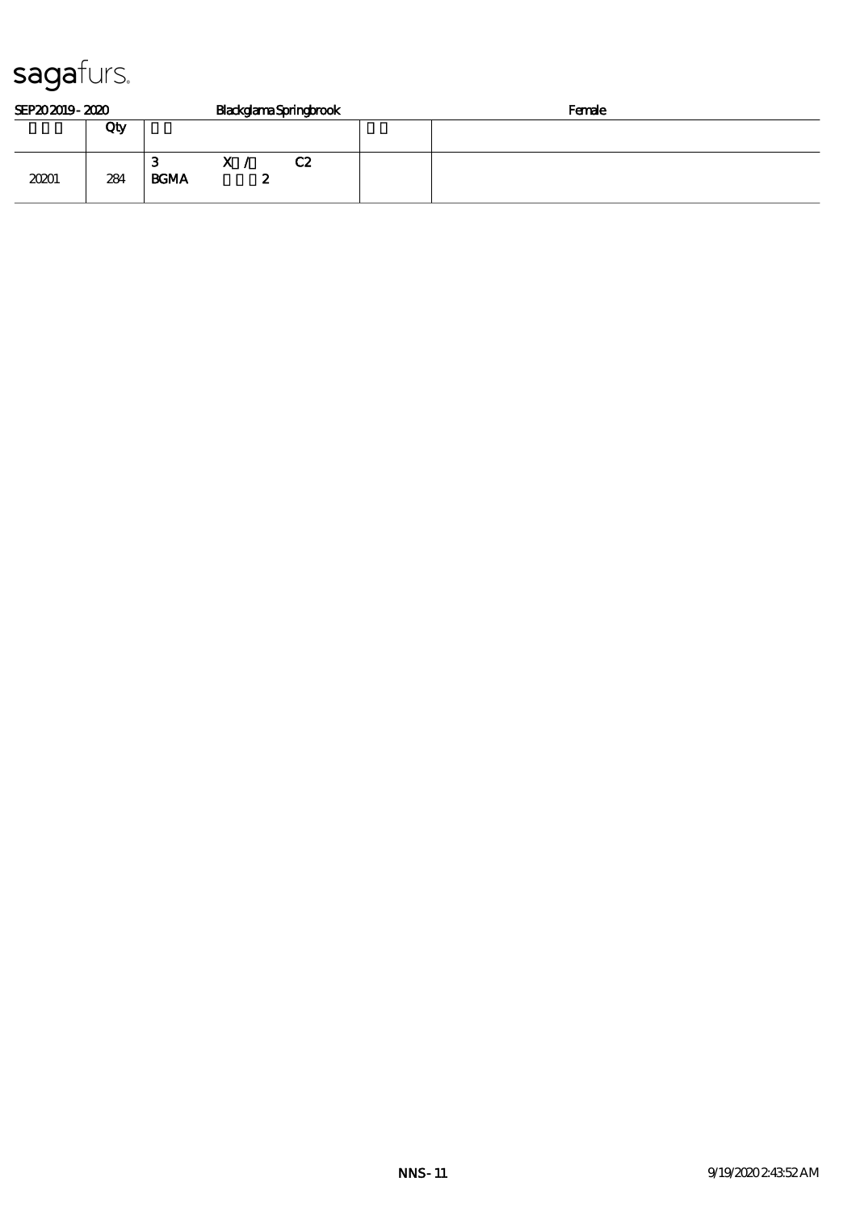| SEP202019-2020 |     |                  | BlackglamaSpringbrook |    | Female |  |
|----------------|-----|------------------|-----------------------|----|--------|--|
|                | Qty |                  |                       |    |        |  |
| 20201          | 284 | з<br><b>BGMA</b> | $\mathbf{x}$<br>F.    | C2 |        |  |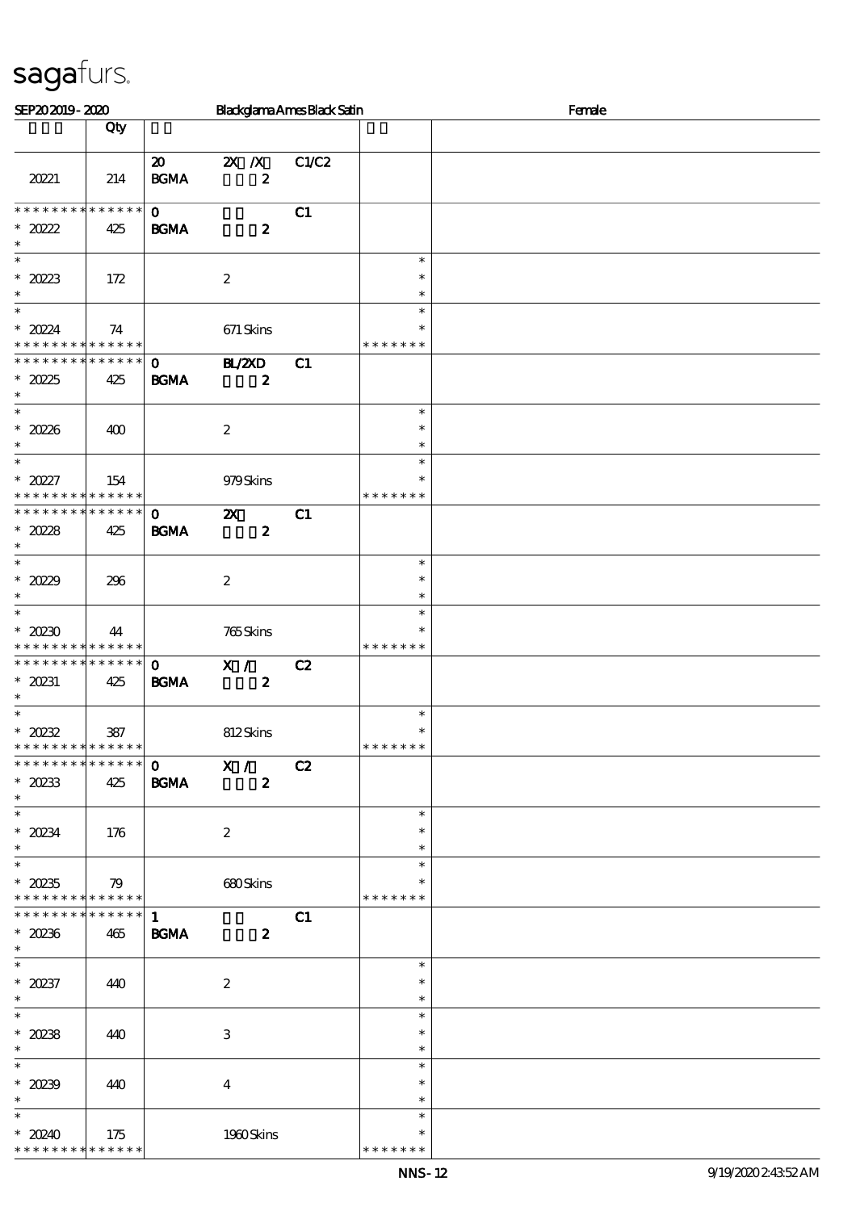| SEP202019-2020                                                               |                    |                                            |                                               | <b>Blackglama Ames Black Satin</b> |                                   | Female |
|------------------------------------------------------------------------------|--------------------|--------------------------------------------|-----------------------------------------------|------------------------------------|-----------------------------------|--------|
|                                                                              | Qty                |                                            |                                               |                                    |                                   |        |
| 20221                                                                        | 214                | $\boldsymbol{\mathfrak{D}}$<br><b>BGMA</b> | $\mathbf{X}$ $\mathbf{X}$<br>$\boldsymbol{z}$ | C1/C2                              |                                   |        |
| * * * * * * * *<br>$*20222$<br>$\ast$                                        | * * * * * *<br>425 | $\mathbf 0$<br><b>BGMA</b>                 | $\boldsymbol{z}$                              | C1                                 |                                   |        |
| $\overline{\phantom{0}}$<br>$*2023$<br>$\ast$                                | 172                |                                            | $\boldsymbol{2}$                              |                                    | $\ast$<br>$\ast$<br>$\ast$        |        |
| $\overline{\ast}$<br>$* 2024$<br>* * * * * * * * * * * * * *                 | 74                 |                                            | 671 Skins                                     |                                    | $\ast$<br>$\ast$<br>* * * * * * * |        |
| * * * * * * * * * * * * * *<br>$*2025$<br>$\ast$                             | 425                | $\mathbf{O}$<br><b>BGMA</b>                | <b>H_/2XD</b><br>$\boldsymbol{z}$             | C1                                 |                                   |        |
| $\ast$<br>$*2028$<br>$\ast$                                                  | 400                |                                            | $\boldsymbol{2}$                              |                                    | $\ast$<br>$\ast$<br>$\ast$        |        |
| $\overline{\ast}$<br>$* 20227$<br>* * * * * * * * <mark>* * * * * * *</mark> | 154                |                                            | 979Skins                                      |                                    | $\ast$<br>$\ast$<br>* * * * * * * |        |
| * * * * * * * * * * * * * *<br>$*2028$<br>$\ast$                             | 425                | $\mathbf 0$<br><b>BGMA</b>                 | $\boldsymbol{\alpha}$<br>$\boldsymbol{z}$     | C1                                 |                                   |        |
| $\overline{\ast}$<br>* $2029$<br>$\ast$                                      | 296                |                                            | $\boldsymbol{2}$                              |                                    | $\ast$<br>$\ast$<br>$\ast$        |        |
| $\overline{\ast}$<br>$*20230$<br>* * * * * * * * * * * * * *                 | 44                 |                                            | 765Skins                                      |                                    | $\ast$<br>$\ast$<br>* * * * * * * |        |
| * * * * * * * * * * * * * *<br>$* 20231$<br>$\ast$                           | 425                | $\mathbf 0$<br><b>BGMA</b>                 | X /<br>$\boldsymbol{z}$                       | C2                                 |                                   |        |
| $\ast$<br>$*20232$<br>* * * * * * * * <mark>* * * * * *</mark>               | 387                |                                            | 812Skins                                      |                                    | $\ast$<br>$\ast$<br>* * * * * * * |        |
| * * * * * * * * * * * * * * *<br>$*20233$<br>$\ast$                          | 425                | <b>BGMA</b>                                | $\overline{0}$ X /<br>$\boldsymbol{2}$        | C2                                 |                                   |        |
| $*20234$<br>$\ast$<br>$\overline{\phantom{0}}$                               | 176                |                                            | $\boldsymbol{2}$                              |                                    | $\ast$<br>$\ast$<br>$\ast$        |        |
| $^\ast$ 20235<br>* * * * * * * * * * * * * * *                               | 79                 |                                            | 680Skins                                      |                                    | $\ast$<br>$\ast$<br>* * * * * * * |        |
| * * * * * * * * * * * * * * *<br>$*20236$<br>$\ast$                          | 465                | $\mathbf{1}$<br><b>BGMA</b>                | $\boldsymbol{z}$                              | C1                                 |                                   |        |
| $\ast$<br>$* 20237$<br>$\ast$                                                | 440                |                                            | $\boldsymbol{2}$                              |                                    | $\ast$<br>$\ast$<br>$\ast$        |        |
| $\ast$<br>$^*$ 20238<br>$\ast$                                               | 440                |                                            | 3                                             |                                    | $\ast$<br>$\ast$<br>$\ast$        |        |
| $\overline{\phantom{0}}$<br>$*20239$<br>$\ast$                               | 440                |                                            | $\overline{\mathbf{4}}$                       |                                    | $\ast$<br>$\ast$<br>$\ast$        |        |
| $\ast$<br>$*20240$<br>* * * * * * * * * * * * * *                            | 175                |                                            | 1980Skins                                     |                                    | $\ast$<br>*<br>* * * * * * *      |        |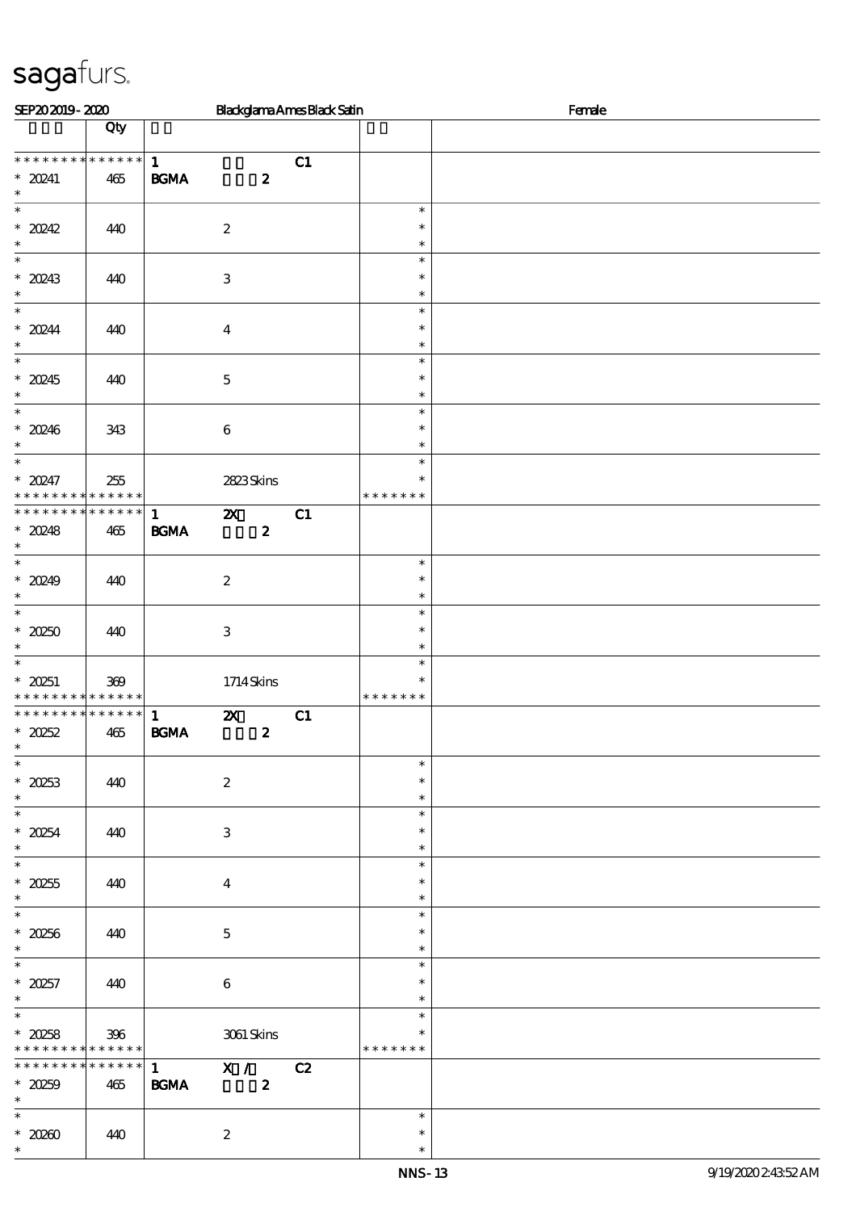| SEP202019-2020                                                                |                                   |                                   |                           |                  | <b>Blackglama Ames Black Satin</b> |                                   | Female |
|-------------------------------------------------------------------------------|-----------------------------------|-----------------------------------|---------------------------|------------------|------------------------------------|-----------------------------------|--------|
|                                                                               | Qty                               |                                   |                           |                  |                                    |                                   |        |
| * * * * * * * * * * * * * *<br>$* 20241$<br>$\ast$                            | $465$                             | $\mathbf{1}$<br><b>BGMA</b>       |                           | $\boldsymbol{z}$ | C1                                 |                                   |        |
| $\overline{\ast}$<br>$* 20242$<br>$\ast$                                      | 440                               |                                   | $\boldsymbol{2}$          |                  |                                    | $\ast$<br>$\ast$<br>$\ast$        |        |
| $\overline{\phantom{0}}$<br>$* 20243$<br>$\ast$                               | 440                               |                                   | $\,3\,$                   |                  |                                    | $\ast$<br>$\ast$<br>$\ast$        |        |
| $\overline{\ast}$<br>$* 20244$<br>$\ast$                                      | 440                               |                                   | $\boldsymbol{4}$          |                  |                                    | $\ast$<br>$\ast$<br>$\ast$        |        |
| $\overline{\ast}$<br>$* 20245$<br>$\ast$                                      | 440                               |                                   | $\mathbf 5$               |                  |                                    | $\ast$<br>$\ast$<br>$\ast$        |        |
| $\ast$<br>* 20246<br>$\ast$                                                   | 343                               |                                   | $\,6\,$                   |                  |                                    | $\ast$<br>$\ast$<br>$\ast$        |        |
| $\overline{\ast}$<br>$* 20247$<br>* * * * * * * *                             | 255<br>* * * * * *                |                                   | 2823Skins                 |                  |                                    | $\ast$<br>$\ast$<br>* * * * * * * |        |
| * * * * * * * *<br>$*20248$<br>$\ast$                                         | $\ast\ast\ast\ast\ast\ast$<br>465 | $\mathbf{1}$<br><b>BGMA</b>       | $\boldsymbol{\mathsf{z}}$ | $\boldsymbol{z}$ | C1                                 |                                   |        |
| $\overline{\ast}$<br>$* 20249$<br>$\ast$                                      | 440                               |                                   | $\boldsymbol{2}$          |                  |                                    | $\ast$<br>$\ast$<br>$\ast$        |        |
| $\overline{\ast}$<br>$*20250$<br>$\ast$                                       | 440                               |                                   | $\,3\,$                   |                  |                                    | $\ast$<br>$\ast$<br>$\ast$        |        |
| $\ast$<br>$* 20251$<br>* * * * * * * * * * * * * *                            | 369                               |                                   | 1714Skins                 |                  |                                    | $\ast$<br>$\ast$<br>* * * * * * * |        |
| * * * * * * * * * * * * * *<br>$*20252$<br>$\ast$<br>$\overline{\phantom{0}}$ | 465                               | $\mathbf{1}$<br>$\mathbf{B G MA}$ | $\boldsymbol{\mathsf{z}}$ | $\pmb{2}$        | C1                                 |                                   |        |
| $* 20253$<br>$\ast$                                                           | 440                               |                                   | $\boldsymbol{2}$          |                  |                                    | $\ast$<br>$\ast$<br>$\ast$        |        |
| $\overline{\ast}$<br>$* 20254$<br>$\ast$                                      | 440                               |                                   | $\,3$                     |                  |                                    | $\ast$<br>$\ast$<br>$\ast$        |        |
| $\overline{\ast}$<br>$^\ast$ 20255<br>$\ast$                                  | 440                               |                                   | $\boldsymbol{4}$          |                  |                                    | $\ast$<br>$\ast$<br>$\ast$        |        |
| $\overline{\ast}$<br>$* 20256$<br>$\ast$                                      | 440                               |                                   | $\mathbf 5$               |                  |                                    | $\ast$<br>$\ast$<br>$\ast$        |        |
| $\overline{\ast}$<br>$* 20257$<br>$\ast$                                      | 440                               |                                   | $\,6\,$                   |                  |                                    | $\ast$<br>$\ast$<br>$\ast$        |        |
| $\ast$<br>$*20258$<br>* * * * * * * *                                         | 396<br>$\ast\ast\ast\ast\ast\ast$ |                                   | $3061\,$ Skins            |                  |                                    | $\ast$<br>$\ast$<br>* * * * * * * |        |
| * * * * * * * *<br>$*20259$<br>$\ast$                                         | * * * * * *<br>465                | $\mathbf{1}$<br><b>BGMA</b>       | X /                       | $\boldsymbol{z}$ | C2                                 |                                   |        |
| $\ast$<br>$^\ast$ 20260<br>$\ast$                                             | 440                               |                                   | $\boldsymbol{2}$          |                  |                                    | $\ast$<br>$\ast$<br>$\ast$        |        |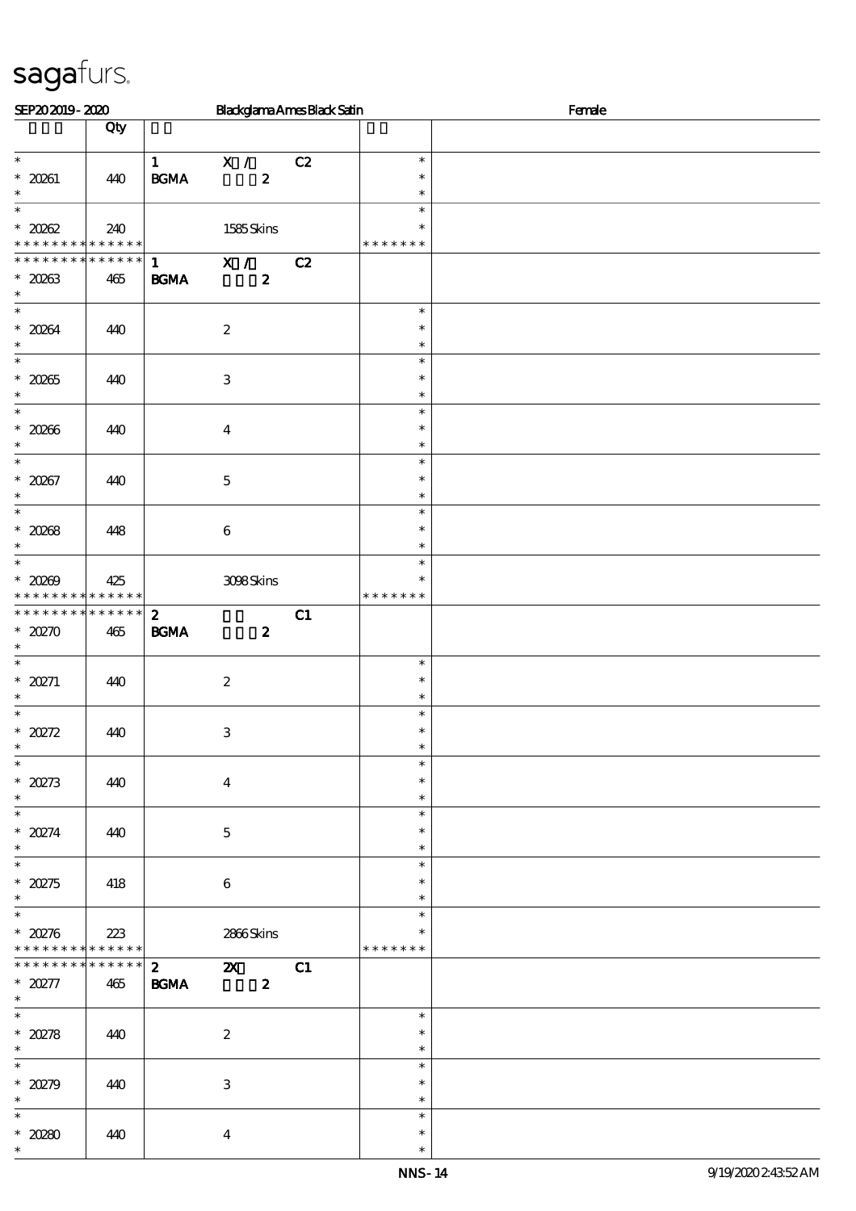| SEP202019-2020                                                       |                    |                                   |                                               | <b>Blackglama Ames Black Satin</b> |                                   | Female |
|----------------------------------------------------------------------|--------------------|-----------------------------------|-----------------------------------------------|------------------------------------|-----------------------------------|--------|
|                                                                      | Qty                |                                   |                                               |                                    |                                   |        |
| $\ast$<br>$* 20261$                                                  | 440                | $\mathbf{1}$<br><b>BGMA</b>       | X /<br>$\boldsymbol{z}$                       | C2                                 | $\ast$<br>$\ast$                  |        |
| $\ast$<br>$\overline{\ast}$                                          |                    |                                   |                                               |                                    | $\ast$<br>$\ast$                  |        |
| $* 20002$<br>* * * * * * * * <mark>* * * * * * *</mark>              | 240                |                                   | 1585Skins                                     |                                    | ∗<br>* * * * * * *                |        |
| * * * * * * * *                                                      | * * * * * *        | $\mathbf{1}$                      | X /                                           | C2                                 |                                   |        |
| $*20263$<br>$\ast$<br>$\overline{\ast}$                              | 465                | <b>BGMA</b>                       | $\boldsymbol{z}$                              |                                    |                                   |        |
| $* 2084$<br>$\ast$                                                   | 440                | $\boldsymbol{2}$                  |                                               |                                    | $\ast$<br>$\ast$<br>$\ast$        |        |
| $\overline{\ast}$<br>$^\ast$ 20265<br>$\ast$                         | 440                | $\,3$                             |                                               |                                    | $\ast$<br>$\ast$<br>$\ast$        |        |
| $\ast$<br>$* 2006$                                                   | 440                | $\boldsymbol{4}$                  |                                               |                                    | $\ast$<br>$\ast$                  |        |
| $\overline{\ast}$<br>$* 20267$                                       | 440                | $\mathbf 5$                       |                                               |                                    | $\ast$<br>$\ast$<br>$\ast$        |        |
| $\ast$<br>$\overline{\phantom{0}}$                                   |                    |                                   |                                               |                                    | $\ast$<br>$\ast$                  |        |
| $* 20268$<br>$\ast$                                                  | 448                | $\,6\,$                           |                                               |                                    | $\ast$<br>$\ast$                  |        |
| $\overline{\phantom{0}}$<br>$* 20209$<br>* * * * * * * * * * * * * * | 425                |                                   | 308Skins                                      |                                    | $\ast$<br>$\ast$<br>* * * * * * * |        |
| * * * * * * * * * * * * * *<br>$*20270$<br>$\ast$                    | 465                | $\boldsymbol{2}$<br><b>BGMA</b>   | $\boldsymbol{z}$                              | C1                                 |                                   |        |
| $\ast$<br>* $20271$<br>$\ast$                                        | 440                | $\boldsymbol{2}$                  |                                               |                                    | $\ast$<br>$\ast$<br>$\ast$        |        |
| $\ast$<br>$\hspace{0.1cm}^*$ 20272<br>$\ast$                         | 440                | $\,3$                             |                                               |                                    | $\ast$<br>$\ast$<br>$\ast$        |        |
| $\overline{\phantom{0}}$<br>$*20273$<br>$\ast$                       | 440                | $\boldsymbol{4}$                  |                                               |                                    | $\ast$<br>$\ast$<br>$\ast$        |        |
| $\overline{\phantom{0}}$<br>* $20274$<br>$\ast$                      | 440                | $\mathbf 5$                       |                                               |                                    | $\ast$<br>$\ast$<br>$\ast$        |        |
| $\overline{\phantom{0}}$<br>$*2275$                                  | 418                | $\bf 6$                           |                                               |                                    | $\ast$<br>$\ast$<br>$\ast$        |        |
| $\overline{\phantom{0}}$<br>$*20276$<br>* * * * * * * *              | 223<br>* * * * * * |                                   | 2866Skins                                     |                                    | $\ast$<br>$\ast$<br>* * * * * * * |        |
| ******** <mark>*******</mark><br>$*20277$                            | 465                | $\mathbf{2}$<br>$\mathbf{B G MA}$ | $\boldsymbol{\mathsf{Z}}$<br>$\boldsymbol{z}$ | C1                                 |                                   |        |
| $\ast$<br>$\overline{\phantom{0}}$                                   |                    |                                   |                                               |                                    | $\ast$                            |        |
| $^\ast$ 20278                                                        | 440                | $\boldsymbol{2}$                  |                                               |                                    | $\ast$<br>$\ast$                  |        |
| $\overline{\phantom{0}}$<br>$*20279$<br>$\ast$                       | 440                | 3                                 |                                               |                                    | $\ast$<br>$\ast$<br>$\ast$        |        |
| $\ast$<br>$* 20280$<br>$\ast$                                        | 440                | $\boldsymbol{4}$                  |                                               |                                    | $\ast$<br>$\ast$<br>$\ast$        |        |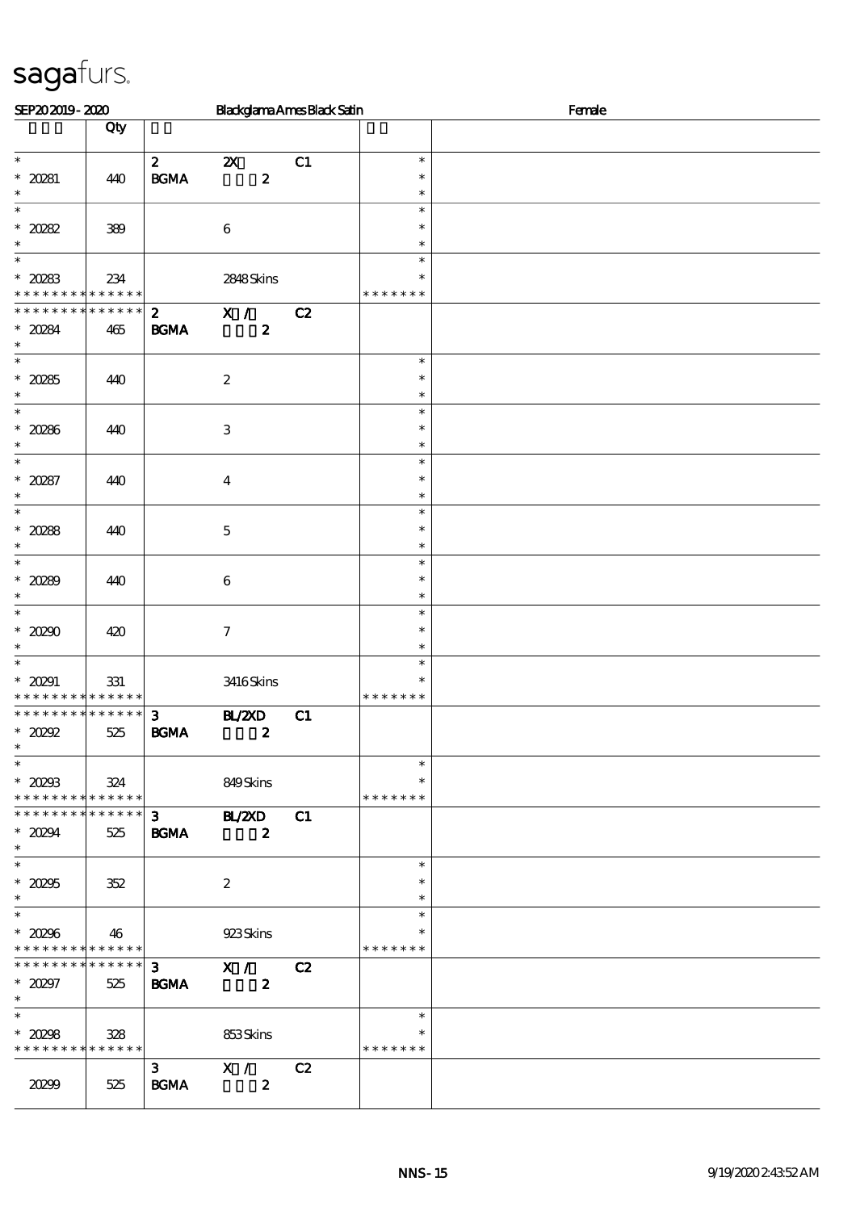| SEP202019-2020                                                            |             |                                            |                                  | <b>Blackglama Ames Black Satin</b> |                  | Female |
|---------------------------------------------------------------------------|-------------|--------------------------------------------|----------------------------------|------------------------------------|------------------|--------|
|                                                                           | Qty         |                                            |                                  |                                    |                  |        |
| $\ast$                                                                    |             | $\boldsymbol{z}$                           | $\boldsymbol{\mathsf{Z}}$        | C1                                 | $\ast$           |        |
| $* 20281$                                                                 | 440         | $\mathbf{B}\mathbf{G}\mathbf{M}\mathbf{A}$ | $\boldsymbol{z}$                 |                                    | $\ast$           |        |
| $\ast$<br>$\ast$                                                          |             |                                            |                                  |                                    | $\ast$<br>$\ast$ |        |
| $\hspace{0.1cm}^*$ 20282                                                  | 389         |                                            | $\,6\,$                          |                                    | $\ast$           |        |
| $\ast$<br>$\overline{\phantom{0}}$                                        |             |                                            |                                  |                                    | $\ast$           |        |
| $\hspace{0.1cm}^*$ 20283                                                  | 234         |                                            | 2848Skins                        |                                    | $\ast$<br>$\ast$ |        |
| * * * * * * * * <mark>* * * * * *</mark> *                                |             |                                            |                                  |                                    | * * * * * * *    |        |
| * * * * * * * *                                                           | * * * * * * | $\mathbf{2}$                               | $\mathbf{X}$ /                   | C2                                 |                  |        |
| $*20284$<br>$\ast$                                                        | 465         | $\mathbf{B G MA}$                          | $\boldsymbol{z}$                 |                                    |                  |        |
| $\ast$                                                                    |             |                                            |                                  |                                    | $\ast$           |        |
| $^\ast$ 20285                                                             | 440         |                                            | $\boldsymbol{2}$                 |                                    | $\ast$           |        |
| $\ast$<br>$\ast$                                                          |             |                                            |                                  |                                    | $\ast$<br>$\ast$ |        |
| $* 20286$                                                                 | 440         |                                            | $\,3$                            |                                    | $\ast$           |        |
| $\ast$<br>$\overline{\ast}$                                               |             |                                            |                                  |                                    | $\ast$<br>$\ast$ |        |
| $* 20287$                                                                 | 440         |                                            | $\boldsymbol{4}$                 |                                    | $\ast$           |        |
| $\ast$                                                                    |             |                                            |                                  |                                    | $\ast$           |        |
| $\ast$<br>$*20288$                                                        |             |                                            |                                  |                                    | $\ast$<br>$\ast$ |        |
| $\ast$                                                                    | 440         |                                            | $\mathbf 5$                      |                                    | $\ast$           |        |
| $\overline{\phantom{0}}$                                                  |             |                                            |                                  |                                    | $\ast$           |        |
| $* 20289$<br>$\ast$                                                       | 440         |                                            | $\,6\,$                          |                                    | $\ast$<br>$\ast$ |        |
| $\overline{\phantom{0}}$                                                  |             |                                            |                                  |                                    | $\ast$           |        |
| $* 20200$                                                                 | 420         |                                            | $\boldsymbol{7}$                 |                                    | $\ast$           |        |
| $\ast$<br>$\ast$                                                          |             |                                            |                                  |                                    | $\ast$<br>$\ast$ |        |
| $* 20291$                                                                 | 331         |                                            | 3416Skins                        |                                    | $\ast$           |        |
| * * * * * * * * <mark>* * * * * *</mark> *<br>* * * * * * * * * * * * * * |             | $\mathbf{3}$                               |                                  |                                    | * * * * * * *    |        |
| $*20292$                                                                  | 525         | $\mathbf{B G MA}$                          | B ZCD<br>$\boldsymbol{z}$        | C1                                 |                  |        |
| $\ast$<br>$\overline{\phantom{a}^*}$                                      |             |                                            |                                  |                                    |                  |        |
| $*20293$                                                                  | 324         |                                            | 849Skins                         |                                    | $\ast$<br>$\ast$ |        |
| * * * * * * * * * * * * * *                                               |             |                                            |                                  |                                    | * * * * * * *    |        |
| * * * * * * * * * * * * * *                                               |             | $3^{\circ}$                                | B/20                             | C1                                 |                  |        |
| $* 20294$<br>$\ast$                                                       | 525         | <b>BGMA</b>                                | $\sim$ 2                         |                                    |                  |        |
|                                                                           |             |                                            |                                  |                                    | $\ast$           |        |
| $^\ast$ 20295                                                             | 352         |                                            | $\boldsymbol{2}$                 |                                    | $\ast$           |        |
| $\ast$<br>$\overline{\phantom{0}}$                                        |             |                                            |                                  |                                    | $\ast$<br>$\ast$ |        |
| $^\ast$ 20296                                                             | 46          |                                            | 923Skins                         |                                    | $\ast$           |        |
| * * * * * * * * * * * * * *<br>* * * * * * * * * * * * * * *              |             |                                            |                                  |                                    | * * * * * * *    |        |
| $* 20297$                                                                 | 525         | <b>BGMA</b>                                | $3 \times 1$<br>$\boldsymbol{z}$ | C2                                 |                  |        |
| $\ast$                                                                    |             |                                            |                                  |                                    |                  |        |
| $\ast$<br>$* 20298$                                                       |             |                                            |                                  |                                    | $\ast$<br>$\ast$ |        |
| * * * * * * * * * * * * * * *                                             | 328         |                                            | 853Skins                         |                                    | * * * * * * *    |        |
|                                                                           |             |                                            | 3 X / C2                         |                                    |                  |        |
| 20299                                                                     | 525         | <b>BGMA</b>                                | $\boldsymbol{2}$                 |                                    |                  |        |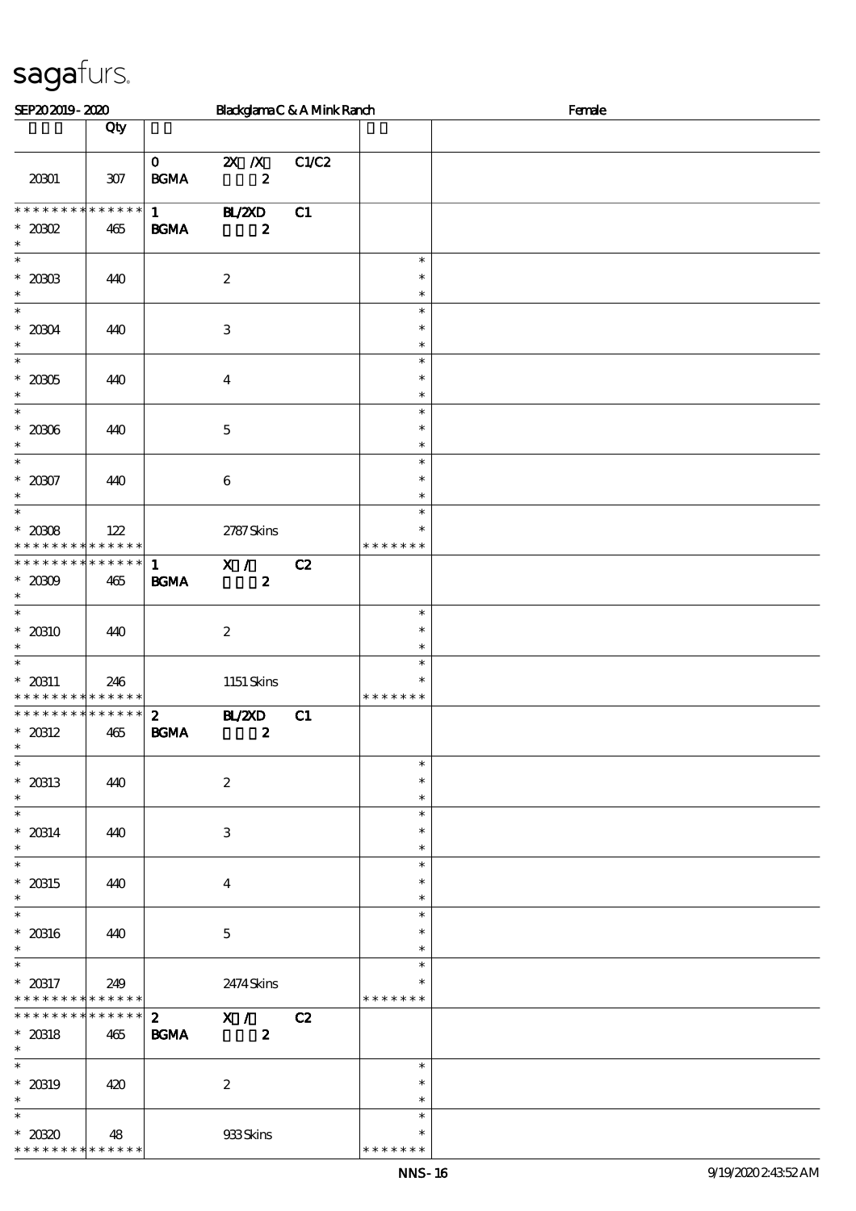| SEP202019-2020                                               |                        |                                             | BlackglamaC&AMinkRanch                        |       |                                   | Female |
|--------------------------------------------------------------|------------------------|---------------------------------------------|-----------------------------------------------|-------|-----------------------------------|--------|
|                                                              | Qty                    |                                             |                                               |       |                                   |        |
| 20301                                                        | $307$                  | $\mathbf{0}$<br>$\mathbf{B G MA}$           | $X$ $X$<br>$\boldsymbol{z}$                   | C1/C2 |                                   |        |
| * * * * * * * *<br>$^\ast$ 2002<br>$\ast$                    | ******<br>465          | $1 \quad \blacksquare$<br>$\mathbf{B G MA}$ | <b>HL/2XD</b><br>$\boldsymbol{z}$             | C1    |                                   |        |
| $\overline{\phantom{0}}$<br>$^\ast$ 2003<br>$\ast$           | 440                    |                                             | $\boldsymbol{2}$                              |       | $\ast$<br>$\ast$<br>$\ast$        |        |
| $\overline{\ast}$<br>$^*$ 20004 $\,$<br>$\ast$               | 440                    |                                             | $\ensuremath{\mathbf{3}}$                     |       | $\ast$<br>$\ast$<br>$\ast$        |        |
| $\ast$<br>$^\ast$ 2005<br>$\ast$                             | 440                    |                                             | $\boldsymbol{4}$                              |       | $\ast$<br>$\ast$<br>$\ast$        |        |
| $\ast$<br>$^\ast$ 2006<br>$\ast$                             | 440                    |                                             | $\mathbf 5$                                   |       | $\ast$<br>$\ast$<br>$\ast$        |        |
| $\overline{\ast}$<br>$* 20007$<br>$\ast$                     | 440                    |                                             | $\boldsymbol{6}$                              |       | $\ast$<br>$\ast$<br>$\ast$        |        |
| $\overline{\ast}$<br>$*20008$<br>* * * * * * * * * * * * * * | 122                    |                                             | 2787Skins                                     |       | $\ast$<br>$\ast$<br>* * * * * * * |        |
| * * * * * * * * * * * * * * *<br>$*2000$<br>$\ast$           | 465                    | $\mathbf{1}$<br>$\mathbf{B G MA}$           | $\overline{\mathbf{x}}$ /<br>$\boldsymbol{z}$ | C2    |                                   |        |
| $\overline{\ast}$<br>$*20310$<br>$\ast$                      | 440                    |                                             | $\boldsymbol{2}$                              |       | $\ast$<br>$\ast$<br>$\ast$        |        |
| $\ast$<br>$* 20311$<br>* * * * * * * * * * * * * * *         | 246                    |                                             | $1151$ Skins                                  |       | $\ast$<br>$\ast$<br>* * * * * * * |        |
| * * * * * * * * * * * * * * *<br>$* 20312$<br>$\ast$         | 465                    | $\boldsymbol{z}$<br><b>BGMA</b>             | <b>H_/2XD</b><br>$\boldsymbol{z}$             | C1    |                                   |        |
| $\overline{\ast}$<br>$*$ 20313<br>$\ast$                     | 440                    |                                             | $\boldsymbol{2}$                              |       | $\ast$<br>$\ast$<br>$\ast$        |        |
| $\overline{\phantom{0}}$<br>$* 20314$<br>$\ast$              | 440                    |                                             | 3                                             |       | $\ast$<br>$\ast$<br>$\ast$        |        |
| $\ast$<br>$* 20315$<br>$\ast$                                | 440                    |                                             | $\overline{4}$                                |       | $\ast$<br>$\ast$<br>$\ast$        |        |
| $\overline{\ast}$<br>$\,^*$ 20316<br>$\ast$                  | 440                    |                                             | $\mathbf 5$                                   |       | $\ast$<br>$\ast$<br>$\ast$        |        |
| $\ast$<br>$* 20317$<br>******** <mark>*******</mark>         | 249                    |                                             | 2474Skins                                     |       | $\ast$<br>$\ast$<br>* * * * * * * |        |
| * * * * * * * *<br>$^\ast$ 20318<br>$\ast$                   | $* * * * * * *$<br>465 | <b>BGMA</b>                                 | 2 X / C2<br>$\boldsymbol{z}$                  |       |                                   |        |
| $\overline{\ast}$<br>$* 20319$<br>$\ast$                     | 420                    |                                             | $\boldsymbol{2}$                              |       | $\ast$<br>$\ast$<br>$\ast$        |        |
| $\ast$<br>$*2030$<br>* * * * * * * *                         | 48<br>* * * * * *      |                                             | 933Skins                                      |       | $\ast$<br>$\ast$<br>* * * * * * * |        |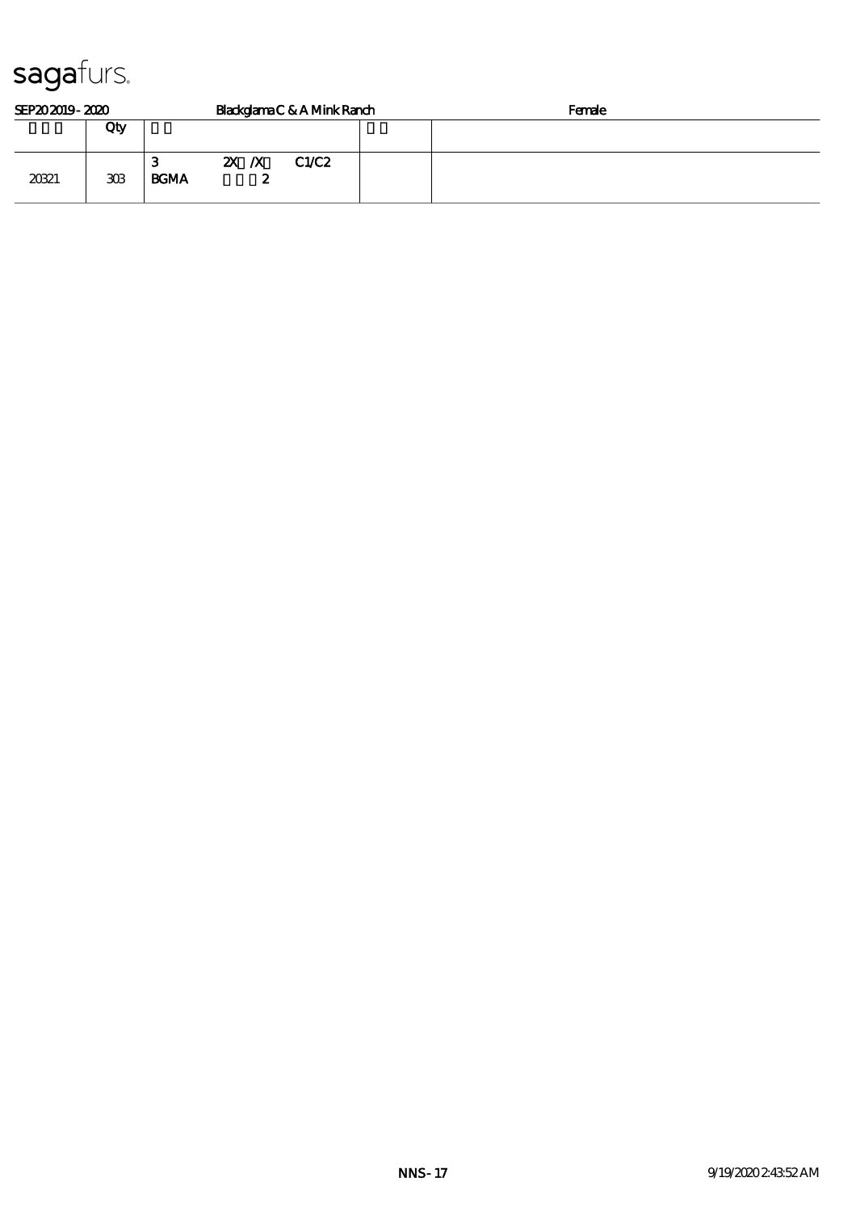| SEP202019-2020 |                 | Blackglama C & A Mink Ranch |  |           |       |  | Female |
|----------------|-----------------|-----------------------------|--|-----------|-------|--|--------|
|                | Qty             |                             |  |           |       |  |        |
| 20321          | 30 <sup>3</sup> | З<br><b>BGMA</b>            |  | ZX X<br>∼ | C1/C2 |  |        |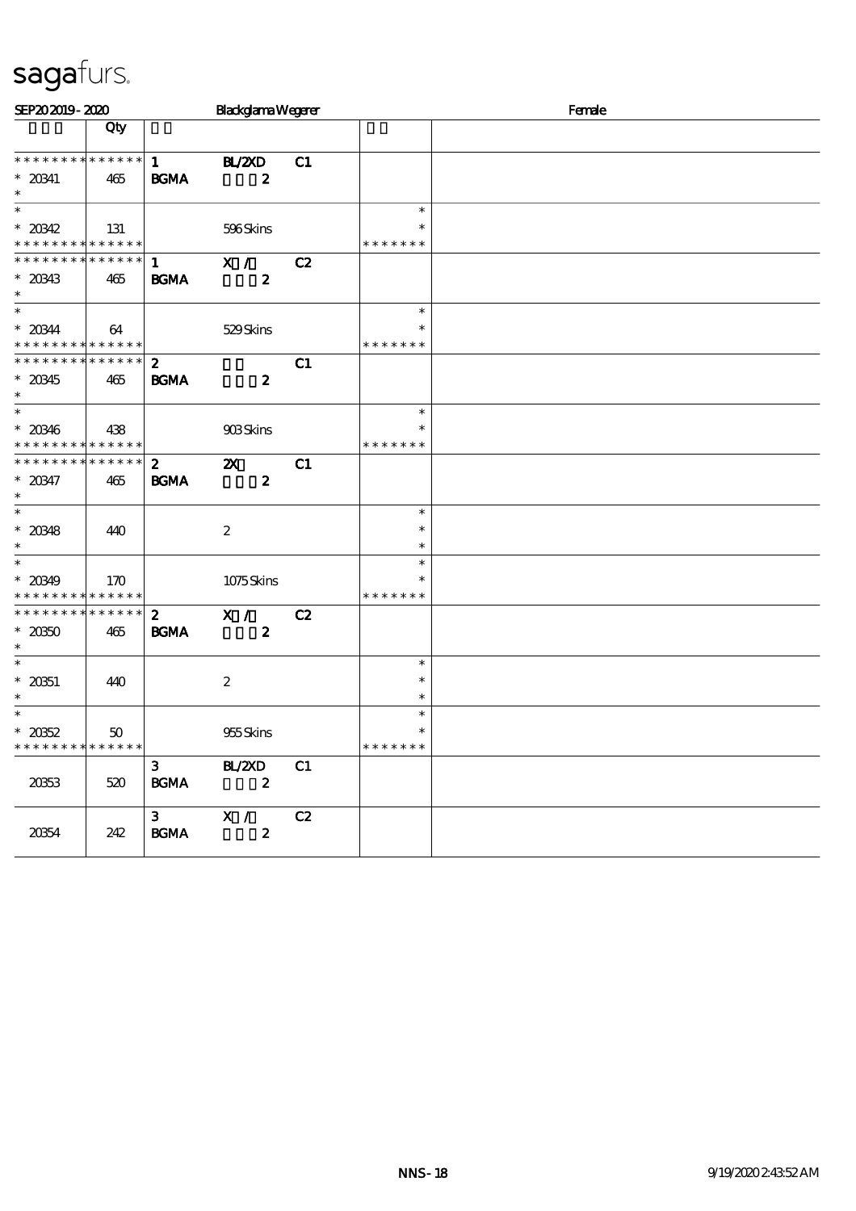| SEP202019-2020                                                                     |     |                                 | <b>Blackglama Wegerer</b>                     |    |                                   | Female |  |  |
|------------------------------------------------------------------------------------|-----|---------------------------------|-----------------------------------------------|----|-----------------------------------|--------|--|--|
|                                                                                    | Qty |                                 |                                               |    |                                   |        |  |  |
| **************<br>$^\ast$ 20341<br>$\ast$                                          | 465 | 1<br><b>BGMA</b>                | <b>H_/2XD</b><br>$\boldsymbol{z}$             | C1 |                                   |        |  |  |
| $\ast$<br>$* 20342$<br>* * * * * * * * * * * * * *                                 | 131 |                                 | 596Skins                                      |    | $\ast$<br>*<br>* * * * * * *      |        |  |  |
| * * * * * * * * * * * * * * *<br>$*$ 20343<br>$\ast$                               | 465 | $\mathbf{1}$<br><b>BGMA</b>     | X /<br>$\boldsymbol{z}$                       | C2 |                                   |        |  |  |
| $\ast$<br>$* 20344$<br>* * * * * * * * * * * * * *                                 | 64  |                                 | 529Skins                                      |    | $\ast$<br>*<br>* * * * * * *      |        |  |  |
| * * * * * * * * * * * * * *<br>$* 20345$<br>$\ast$                                 | 465 | $\mathbf{z}$<br><b>BGMA</b>     | $\boldsymbol{z}$                              | C1 |                                   |        |  |  |
| $\ast$<br>$* 20346$<br>* * * * * * * * <mark>* * * * * * *</mark>                  | 438 |                                 | 908Skins                                      |    | $\ast$<br>* * * * * * *           |        |  |  |
| * * * * * * * * * * * * * * *<br>$* 20347$<br>$\ast$                               | 465 | $\mathbf{2}$<br><b>BGMA</b>     | $\boldsymbol{\mathsf{Z}}$<br>$\boldsymbol{2}$ | C1 |                                   |        |  |  |
| $\ast$<br>$* 20348$<br>$\ast$                                                      | 440 |                                 | $\boldsymbol{2}$                              |    | $\ast$<br>$\ast$<br>$\ast$        |        |  |  |
| $\overline{\ast}$<br>$* 20349$<br>* * * * * * * * * * * * * *                      | 170 |                                 | 1075Skins                                     |    | $\ast$<br>$\ast$<br>* * * * * * * |        |  |  |
| * * * * * * * * * * * * * * *<br>$* 2050$<br>$\ast$                                | 465 | $\boldsymbol{z}$<br><b>BGMA</b> | X /<br>$\boldsymbol{z}$                       | C2 |                                   |        |  |  |
| $\ast$<br>$* 20351$<br>$\ast$                                                      | 440 |                                 | $\boldsymbol{2}$                              |    | $\ast$<br>$\ast$<br>$\ast$        |        |  |  |
| $\overline{\phantom{0}}$<br>$* 2052$<br>* * * * * * * * <mark>* * * * * * *</mark> | 50  |                                 | 955Skins                                      |    | $\ast$<br>$\ast$<br>* * * * * * * |        |  |  |
| 2063                                                                               | 520 | 3 <sup>7</sup><br><b>BGMA</b>   | <b>BL/ZXD</b><br>$\overline{\mathbf{z}}$      | C1 |                                   |        |  |  |
| 20354                                                                              | 242 | $3^{\circ}$<br><b>BGMA</b>      | X /<br>$\boldsymbol{z}$                       | C2 |                                   |        |  |  |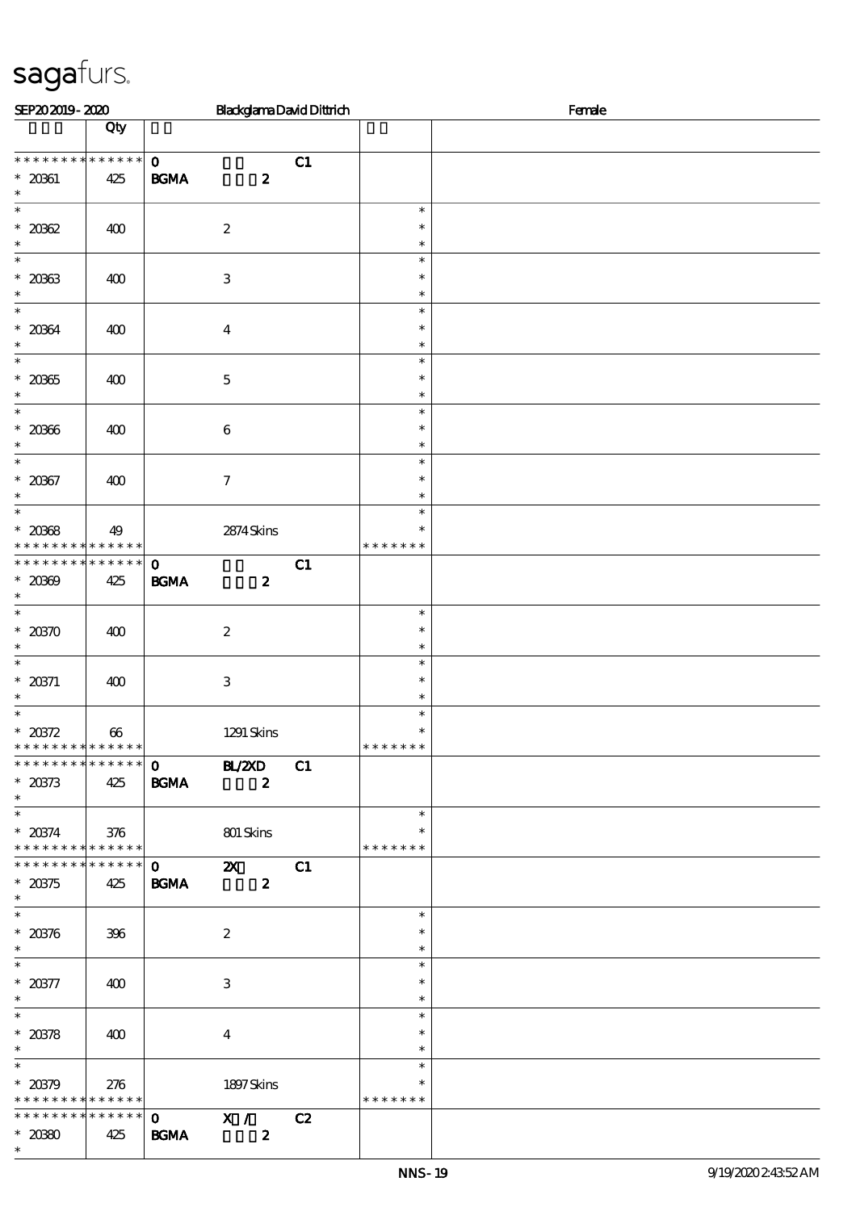| SEP202019-2020                                                       |                    |                             | <b>BlackglamaDavidDittrich</b>                |    | Female                                    |  |  |  |  |
|----------------------------------------------------------------------|--------------------|-----------------------------|-----------------------------------------------|----|-------------------------------------------|--|--|--|--|
|                                                                      | Qty                |                             |                                               |    |                                           |  |  |  |  |
| * * * * * * * * * * * * * *<br>$* 20361$<br>$\ast$                   | 425                | $\mathbf{o}$<br><b>BGMA</b> | $\boldsymbol{z}$                              | C1 |                                           |  |  |  |  |
| $\ast$<br>$* 2082$<br>$\ast$                                         | 400                |                             | $\boldsymbol{2}$                              |    | $\ast$<br>$\ast$<br>$\ast$                |  |  |  |  |
| $\overline{\phantom{0}}$<br>$* 20363$<br>$\ast$                      | 400                |                             | $\,3$                                         |    | $\ast$<br>$\ast$<br>$\ast$                |  |  |  |  |
| $\overline{\ast}$<br>$* 20364$<br>$\ast$                             | 400                |                             | $\boldsymbol{4}$                              |    | $\ast$<br>$\ast$<br>$\ast$                |  |  |  |  |
| $\ast$<br>$^\ast$ 20365<br>$\ast$                                    | 400                |                             | $\mathbf 5$                                   |    | $\ast$<br>$\ast$<br>$\ast$                |  |  |  |  |
| $\ast$<br>$* 20006$<br>$\ast$                                        | 400                |                             | $\,6\,$                                       |    | $\ast$<br>$\ast$<br>$\ast$                |  |  |  |  |
| $\overline{\ast}$<br>$* 20067$<br>$\ast$                             | 400                |                             | $\boldsymbol{7}$                              |    | $\ast$<br>$\ast$<br>$\ast$                |  |  |  |  |
| $\ast$<br>$* 20008$<br>* * * * * * * *                               | 49<br>* * * * * *  |                             | 2874Skins                                     |    | $\ast$<br>$\ast$<br>* * * * * *<br>$\ast$ |  |  |  |  |
| * * * * * * * *<br>$* 2000$<br>$\ast$                                | * * * * * *<br>425 | $\mathbf{o}$<br><b>BGMA</b> | $\boldsymbol{z}$                              | C1 |                                           |  |  |  |  |
| $\overline{\ast}$<br>$*20370$<br>$\ast$                              | 400                |                             | $\boldsymbol{2}$                              |    | $\ast$<br>$\ast$<br>$\ast$                |  |  |  |  |
| $\ast$<br>* $20371$<br>$\ast$                                        | 400                |                             | $\,3$                                         |    | $\ast$<br>$\ast$<br>$\ast$                |  |  |  |  |
| $\ast$<br>$* 20372$<br>* * * * * * * * <mark>* * * * * * *</mark>    | 66                 |                             | 1291 Skins                                    |    | $\ast$<br>$\ast$<br>* * * * * * *         |  |  |  |  |
| * * * * * * * * * * * * * *<br>$* 20373$<br>$\ast$                   | 425                | $0$ BL/2XD<br><b>BGMA</b>   | $\boldsymbol{z}$                              | C1 |                                           |  |  |  |  |
| $* 20374$<br>* * * * * * * * * * * * * *                             | 376                |                             | 801 Skins                                     |    | $\ast$<br>$\ast$<br>* * * * * * *         |  |  |  |  |
| * * * * * * * * * * * * * *<br>$* 20375$<br>$\ast$                   | 425                | $\mathbf{O}$<br><b>BGMA</b> | $\boldsymbol{\mathsf{Z}}$<br>$\boldsymbol{z}$ | C1 |                                           |  |  |  |  |
| $\overline{\phantom{0}}$<br>$^\ast$ 20376<br>$\ast$                  | 396                |                             | $\boldsymbol{2}$                              |    | $\ast$<br>$\ast$<br>$\ast$                |  |  |  |  |
| $\overline{\ast}$<br>$^\ast$ 20377<br>$\ast$                         | 400                |                             | $\ensuremath{\mathbf{3}}$                     |    | $\ast$<br>$\ast$<br>$\ast$                |  |  |  |  |
| $\ast$<br>* $20378$<br>$\ast$                                        | 400                |                             | $\boldsymbol{4}$                              |    | $\ast$<br>$\ast$<br>$\ast$                |  |  |  |  |
| $\overline{\phantom{0}}$<br>$* 20379$<br>* * * * * * * * * * * * * * | 276                |                             | 1897Skins                                     |    | $\ast$<br>∗<br>* * * * * * *              |  |  |  |  |
| * * * * * * * * * * * * * *<br>$* 2080$<br>$\ast$                    | 425                | $\mathbf{O}$<br><b>BGMA</b> | X /<br>$\boldsymbol{z}$                       | C2 |                                           |  |  |  |  |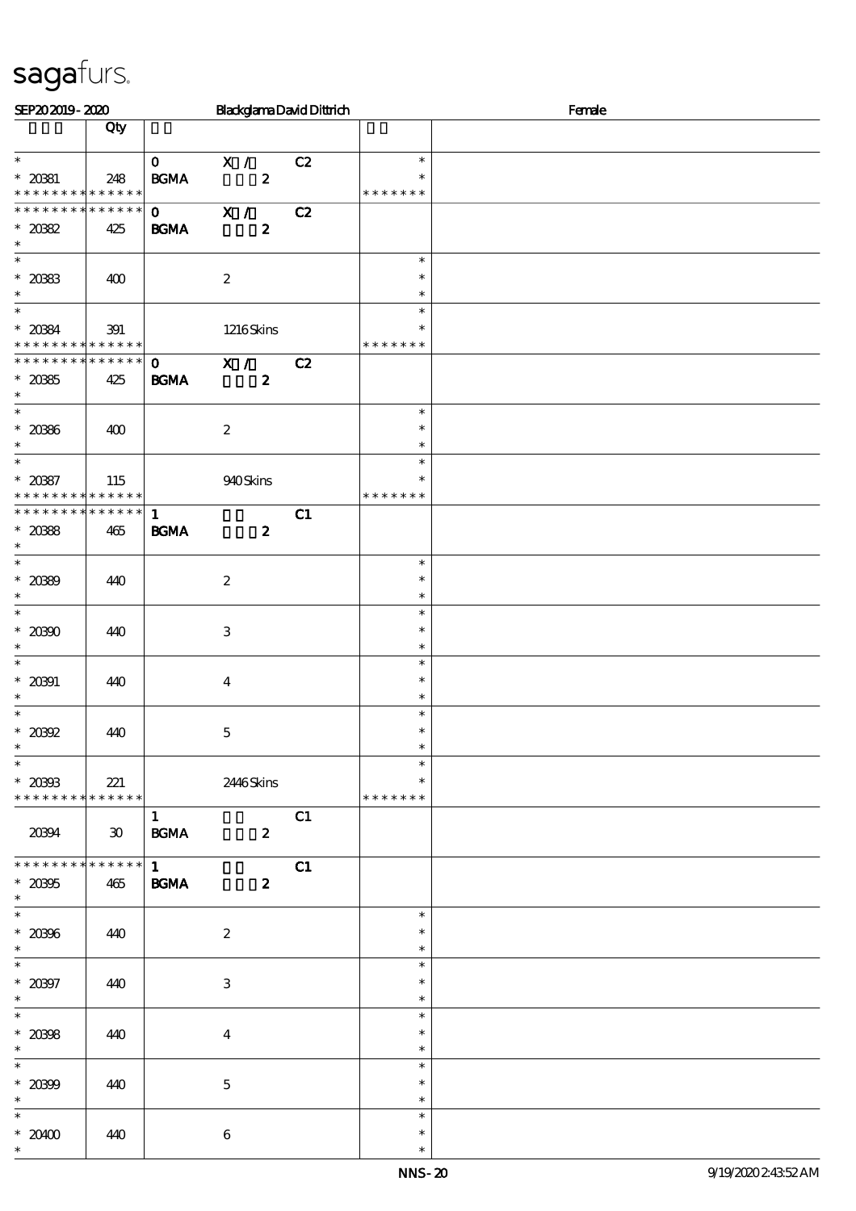| SEP202019-2020                                                      |                             |                                              | <b>BlackglamaDavidDittrich</b>                |    |                                   | Female |
|---------------------------------------------------------------------|-----------------------------|----------------------------------------------|-----------------------------------------------|----|-----------------------------------|--------|
|                                                                     | Qty                         |                                              |                                               |    |                                   |        |
| $\ast$<br>$* 20331$<br>* * * * * * * * <mark>* * * * * * *</mark>   | 248                         | $\mathbf{O}$<br>$\mathbf{B G MA}$            | X /<br>$\boldsymbol{z}$                       | C2 | $\ast$<br>∗<br>* * * * * * *      |        |
| * * * * * * * * * * * * * * *<br>$*2082$<br>$\ast$                  | 425                         | $\mathbf{0}$<br><b>BGMA</b>                  | $\overline{\mathbf{x}}$ /<br>$\boldsymbol{z}$ | C2 |                                   |        |
| $\overline{\phantom{0}}$<br>$^\ast$ 2083<br>$\ast$                  | 400                         |                                              | $\boldsymbol{2}$                              |    | $\ast$<br>$\ast$<br>$\ast$        |        |
| $\overline{\ast}$<br>$* 2084$<br>* * * * * * * * * * * * * *        | 391                         |                                              | 1216Skins                                     |    | $\ast$<br>* * * * * * *           |        |
| * * * * * * * * * * * * * * *<br>$^\ast$ 20385<br>$\ast$            | 425                         | $\mathbf{O}$ and $\mathbf{O}$<br><b>BGMA</b> | X /<br>$\boldsymbol{z}$                       | C2 |                                   |        |
| $\overline{\ast}$<br>$^\ast$ 2086<br>$\ast$                         | 400                         |                                              | $\boldsymbol{2}$                              |    | $\ast$<br>$\ast$<br>$\ast$        |        |
| $\ast$<br>$* 2087$<br>* * * * * * * * * * * * * *                   | 115                         |                                              | 940Skins                                      |    | $\ast$<br>$\ast$<br>* * * * * * * |        |
| * * * * * * * * * * * * * * *<br>$* 2088$<br>$\ast$                 | 465                         | $\mathbf{1}$<br><b>BGMA</b>                  | $\boldsymbol{z}$                              | C1 |                                   |        |
| $* 2089$<br>$\ast$                                                  | 440                         |                                              | $\boldsymbol{2}$                              |    | $\ast$<br>$\ast$<br>$\ast$        |        |
| $\overline{\phantom{0}}$<br>$^\ast$ 20300<br>$\ast$                 | 440                         |                                              | $\,3$                                         |    | $\ast$<br>$\ast$<br>$\ast$        |        |
| $\ast$<br>$* 20001$<br>$\ast$                                       | 440                         |                                              | $\overline{\mathbf{4}}$                       |    | $\ast$<br>$\ast$<br>$\ast$        |        |
| $\ast$<br>$^\ast$ 20392<br>$\ast$                                   | 440                         |                                              | $\mathbf 5$                                   |    | $\ast$<br>$\ast$<br>$\ast$        |        |
| $\overline{\phantom{0}}$<br>$*20903$<br>* * * * * * * * * * * * * * | 221                         |                                              | 2446Skins                                     |    | $\ast$<br>* * * * * * *           |        |
| 20394                                                               | $\boldsymbol{\mathfrak{D}}$ | $\mathbf{1}$<br><b>BGMA</b>                  | $\boldsymbol{2}$                              | C1 |                                   |        |
| * * * * * * * * * * * * * *<br>$^\ast$ 20395<br>$\ast$              | 465                         | $\mathbf{1}$<br><b>BGMA</b>                  | $\boldsymbol{z}$                              | C1 |                                   |        |
| $\overline{\ast}$<br>$^\ast$ 20396<br>$\ast$                        | 440                         |                                              | $\boldsymbol{2}$                              |    | $\ast$<br>$\ast$<br>$\ast$        |        |
| $\overline{\ast}$<br>$* 20007$<br>$\ast$                            | 440                         |                                              | $\,3\,$                                       |    | $\ast$<br>$\ast$<br>$\ast$        |        |
| $\overline{\phantom{0}}$<br>$^\ast$ 2098<br>$\ast$                  | 440                         |                                              | $\boldsymbol{4}$                              |    | $\ast$<br>$\ast$<br>$\ast$        |        |
| $\ast$<br>$* 2000$<br>$\ast$                                        | 440                         |                                              | $\mathbf 5$                                   |    | $\ast$<br>$\ast$<br>$\ast$        |        |
| $\ast$<br>$*20400$<br>$\ast$                                        | 440                         |                                              | $\bf 6$                                       |    | $\ast$<br>$\ast$<br>$\ast$        |        |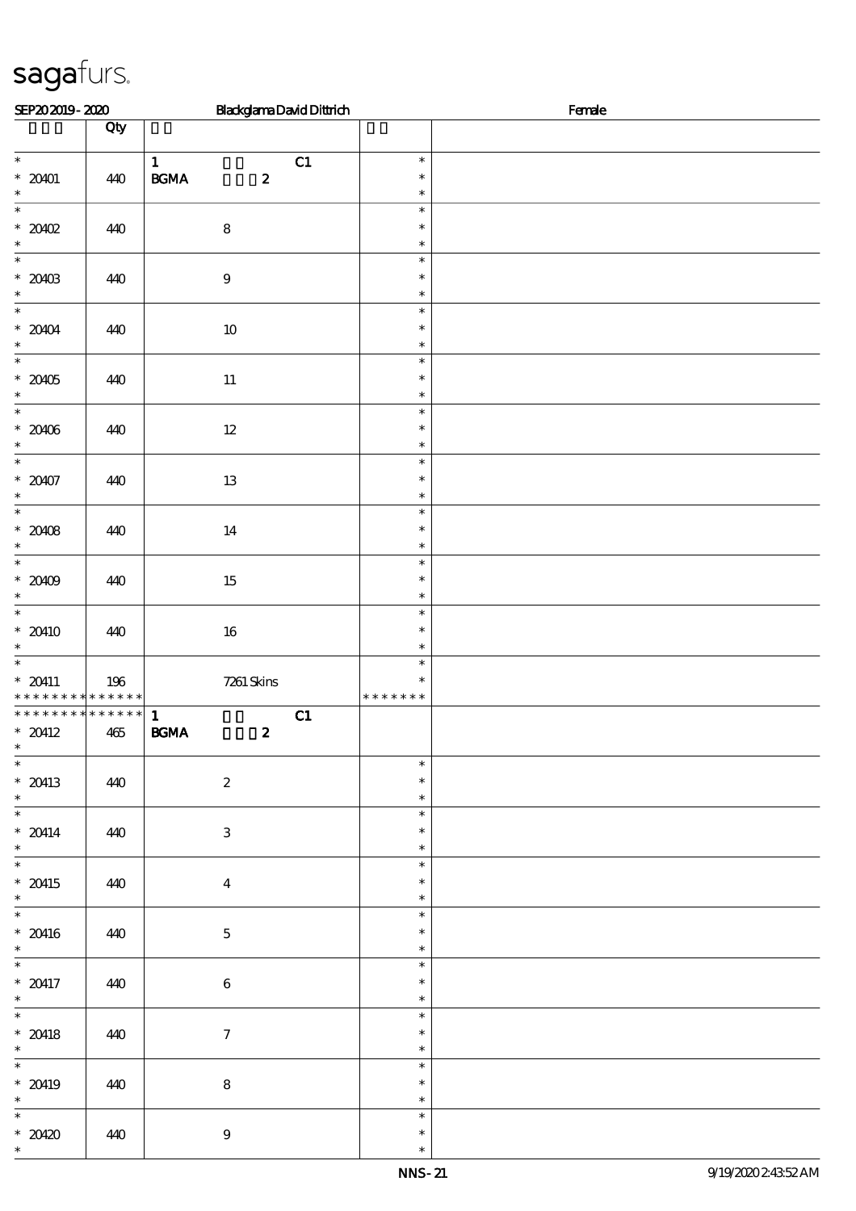| SEP202019-2020                                                              |     | <b>BlackglamaDavidDittrich</b>                              |                                   | Female |
|-----------------------------------------------------------------------------|-----|-------------------------------------------------------------|-----------------------------------|--------|
|                                                                             | Qty |                                                             |                                   |        |
| $\overline{\phantom{0}}$<br>$* 20401$<br>$\ast$                             | 440 | $\mathbf{1}$<br>C1<br>$\mathbf{B G MA}$<br>$\boldsymbol{z}$ | $\ast$<br>$\ast$<br>$\ast$        |        |
| $\ast$<br>$*2002$<br>$\ast$                                                 | 440 | $\bf 8$                                                     | $\ast$<br>$\ast$<br>$\ast$        |        |
| $\overline{\phantom{0}}$<br>$* 20403$<br>$\ast$                             | 440 | $\boldsymbol{9}$                                            | $\ast$<br>$\ast$<br>$\ast$        |        |
| $\overline{\phantom{0}}$<br>$^\ast$ 20104<br>$\ast$                         | 440 | $10\,$                                                      | $\ast$<br>$\ast$<br>$\ast$        |        |
| $\ast$<br>$* 20405$<br>$\ast$                                               | 440 | $11\,$                                                      | $\ast$<br>$\ast$<br>$\ast$        |        |
| $\overline{\phantom{0}}$<br>$^\ast$ 20406<br>$\ast$                         | 440 | $12\,$                                                      | $\ast$<br>$\ast$<br>$\ast$        |        |
| $\overline{\ast}$<br>$* 20407$<br>$\ast$                                    | 440 | $13\,$                                                      | $\ast$<br>$\ast$<br>$\ast$        |        |
| $\overline{\ast}$<br>$* 2008$<br>$\ast$                                     | 440 | $14\,$                                                      | $\ast$<br>$\ast$<br>$\ast$        |        |
| $\overline{\phantom{0}}$<br>$* 20409$<br>$\ast$                             | 440 | $15\,$                                                      | $\ast$<br>$\ast$<br>$\ast$        |        |
| $\overline{\phantom{0}}$<br>$* 20410$<br>$\ast$                             | 440 | $16\,$                                                      | $\ast$<br>$\ast$<br>$\ast$        |        |
| $\overline{\ast}$<br>$* 20411$<br>* * * * * * * * * * * * * * *             | 196 | $7261$ Skins                                                | $\ast$<br>$\ast$<br>* * * * * * * |        |
| ******** <mark>*******</mark><br>$* 20412$<br>$\ast$<br>$\overline{\ast}$   | 465 | $\mathbf{1}$<br>C1<br>$\mathbf{B G MA}$<br>$\pmb{2}$        |                                   |        |
| $*20413$<br>$\ast$<br>$\overline{\phantom{0}}$                              | 440 | $\boldsymbol{2}$                                            | $\ast$<br>$\ast$<br>$\ast$        |        |
| $* 20414$<br>$\ast$<br>$\overline{\phantom{0}}$                             | 440 | $\ensuremath{\mathbf{3}}$                                   | $\ast$<br>$\ast$<br>$\ast$        |        |
| $* 20415$<br>$\ast$<br>$\overline{\phantom{a}^*}$                           | 440 | $\boldsymbol{4}$                                            | $\ast$<br>$\ast$<br>$\ast$        |        |
| $* 20416$<br>$\ast$                                                         | 440 | $\mathbf 5$                                                 | $\ast$<br>$\ast$<br>$\ast$        |        |
| $\overline{\phantom{0}}$<br>$* 20417$<br>$\ast$<br>$\overline{\phantom{0}}$ | 440 | $\bf 6$                                                     | $\ast$<br>$\ast$<br>$\ast$        |        |
| $* 20418$<br>$\ast$<br>$\overline{\phantom{0}}$                             | 440 | $\tau$                                                      | $\ast$<br>$\ast$<br>$\ast$        |        |
| $*20419$<br>$\ast$                                                          | 440 | 8                                                           | $\ast$<br>$\ast$<br>$\ast$        |        |
| $\overline{\ast}$<br>$* 20420$<br>$\ast$                                    | 440 | $\boldsymbol{9}$                                            | $\ast$<br>$\ast$<br>$\ast$        |        |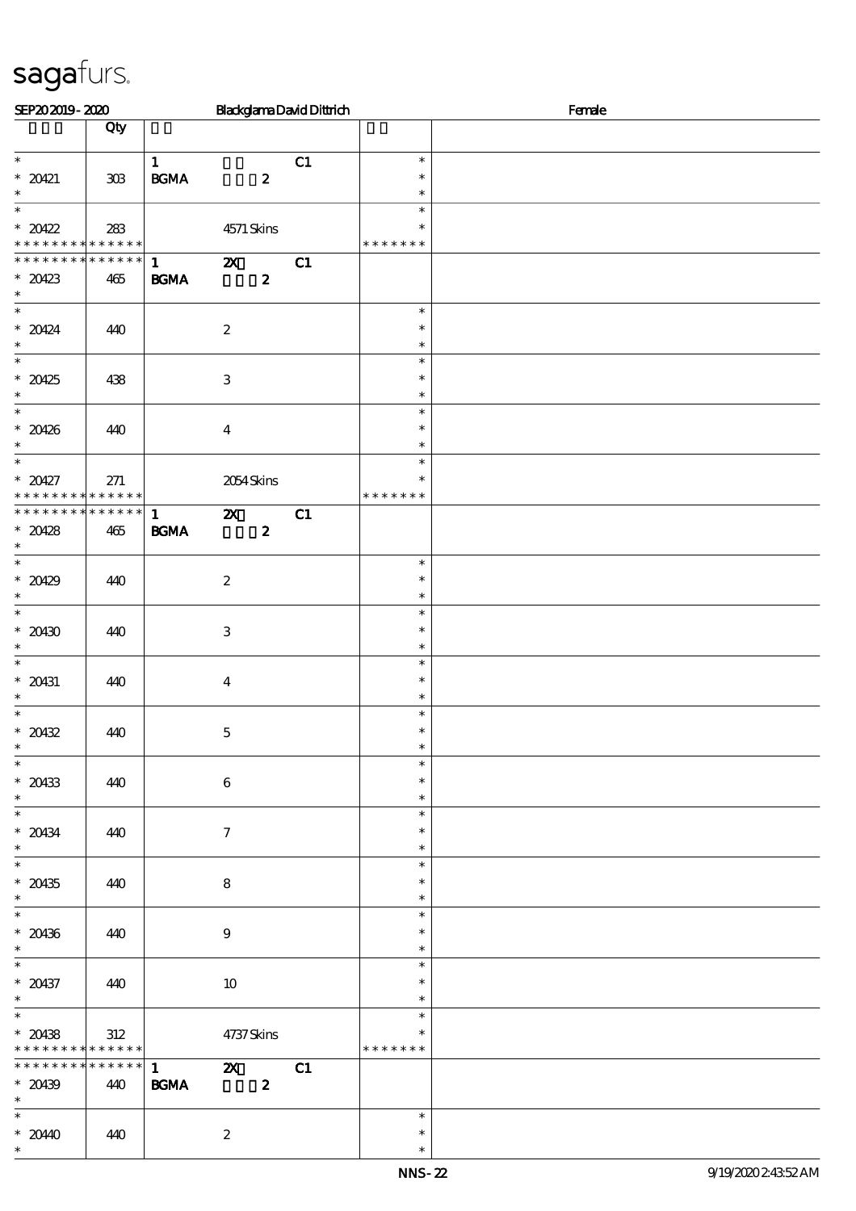| SEP202019-2020                 |                    |                   |                           |                  | <b>BlackglamaDavidDittrich</b> | Female           |  |  |  |
|--------------------------------|--------------------|-------------------|---------------------------|------------------|--------------------------------|------------------|--|--|--|
|                                | Qty                |                   |                           |                  |                                |                  |  |  |  |
| $\ast$                         |                    | $\mathbf{1}$      |                           |                  | C1                             | $\ast$           |  |  |  |
| $* 20421$                      | 308                | $\mathbf{B G MA}$ |                           | $\boldsymbol{z}$ |                                | $\ast$           |  |  |  |
| $\ast$<br>$\overline{\ast}$    |                    |                   |                           |                  |                                | $\ast$<br>$\ast$ |  |  |  |
| $* 20422$                      | 283                |                   | 4571 Skins                |                  |                                | $\ast$           |  |  |  |
| * * * * * * * * * * * * * *    |                    |                   |                           |                  |                                | * * * * * * *    |  |  |  |
| * * * * * * * *                | * * * * * *        | $\mathbf{1}$      | $\mathbf{x}$              |                  | C1                             |                  |  |  |  |
| $*20423$<br>$\ast$             | 465                | BGMA              |                           | $\pmb{2}$        |                                |                  |  |  |  |
|                                |                    |                   |                           |                  |                                | $\ast$           |  |  |  |
| $* 20424$<br>$\ast$            | 440                |                   | $\boldsymbol{2}$          |                  |                                | $\ast$<br>$\ast$ |  |  |  |
| $\overline{\phantom{0}}$       |                    |                   |                           |                  |                                | $\ast$           |  |  |  |
| $*20425$                       | 438                |                   | $\,3$                     |                  |                                | $\ast$           |  |  |  |
| $\ast$<br>$\ast$               |                    |                   |                           |                  |                                | $\ast$<br>$\ast$ |  |  |  |
| $* 20426$                      | 440                |                   | $\boldsymbol{4}$          |                  |                                | $\ast$           |  |  |  |
| $\ast$                         |                    |                   |                           |                  |                                | $\ast$           |  |  |  |
| $\overline{\ast}$              |                    |                   |                           |                  |                                | $\ast$<br>$\ast$ |  |  |  |
| $* 20427$<br>* * * * * * * *   | 271<br>* * * * * * |                   | 2054Skins                 |                  |                                | * * * * * * *    |  |  |  |
| * * * * * * * *                | $* * * * * * *$    | $\mathbf{1}$      | $\boldsymbol{\mathsf{X}}$ |                  | C1                             |                  |  |  |  |
| $* 20428$<br>$\ast$            | 465                | <b>BGMA</b>       |                           | $\boldsymbol{z}$ |                                |                  |  |  |  |
|                                |                    |                   |                           |                  |                                | $\ast$           |  |  |  |
| $* 20429$                      | 440                |                   | $\boldsymbol{2}$          |                  |                                | $\ast$           |  |  |  |
| $\ast$<br>$\overline{\ast}$    |                    |                   |                           |                  |                                | $\ast$<br>$\ast$ |  |  |  |
| $* 20430$                      | 440                |                   | $\,3\,$                   |                  |                                | $\ast$           |  |  |  |
| $\ast$                         |                    |                   |                           |                  |                                | $\ast$           |  |  |  |
| $\ast$                         |                    |                   |                           |                  |                                | $\ast$<br>$\ast$ |  |  |  |
| $* 20431$<br>$\ast$            | 440                |                   | $\boldsymbol{4}$          |                  |                                | $\ast$           |  |  |  |
| $\ast$                         |                    |                   |                           |                  |                                | $\ast$           |  |  |  |
| $* 20432$<br>$\ast$            | 440                |                   | $\mathbf 5$               |                  |                                | $\ast$<br>$\ast$ |  |  |  |
| $\overline{\phantom{0}}$       |                    |                   |                           |                  |                                | $\ast$           |  |  |  |
| $* 20433$                      | 440                |                   | $\bf 6$                   |                  |                                | $\ast$           |  |  |  |
| $\ast$<br>$\overline{\ast}$    |                    |                   |                           |                  |                                | $\ast$<br>$\ast$ |  |  |  |
| $^\ast$ 20434                  | 440                |                   | $\boldsymbol{\tau}$       |                  |                                | $\ast$           |  |  |  |
| $\ast$                         |                    |                   |                           |                  |                                | $\ast$           |  |  |  |
| $\overline{\ast}$<br>$* 20435$ | 440                |                   | ${\bf 8}$                 |                  |                                | $\ast$<br>$\ast$ |  |  |  |
| $\ast$                         |                    |                   |                           |                  |                                | $\ast$           |  |  |  |
| $\overline{\ast}$              |                    |                   |                           |                  |                                | $\ast$           |  |  |  |
| $* 20436$<br>$\ast$            | 440                |                   | $\boldsymbol{9}$          |                  |                                | $\ast$<br>$\ast$ |  |  |  |
| $\overline{\phantom{0}}$       |                    |                   |                           |                  |                                | $\ast$           |  |  |  |
| $* 20437$                      | 440                |                   | 10                        |                  |                                | $\ast$           |  |  |  |
| $\ast$<br>$\ast$               |                    |                   |                           |                  |                                | $\ast$<br>$\ast$ |  |  |  |
| $* 20438$                      | 312                |                   | 4737Skins                 |                  |                                | $\ast$           |  |  |  |
| * * * * * * * *                | * * * * * *        |                   |                           |                  |                                | * * * * * * *    |  |  |  |
| * * * * * * * *                | $* * * * * * *$    | $\mathbf{1}$      | $\mathbf{X}$              | $\boldsymbol{z}$ | C1                             |                  |  |  |  |
| $* 20439$<br>$\ast$            | 440                | <b>BGMA</b>       |                           |                  |                                |                  |  |  |  |
| $\ast$                         |                    |                   |                           |                  |                                | $\ast$           |  |  |  |
| $* 2040$<br>$\ast$             | 440                |                   | $\boldsymbol{2}$          |                  |                                | $\ast$<br>$\ast$ |  |  |  |
|                                |                    |                   |                           |                  |                                |                  |  |  |  |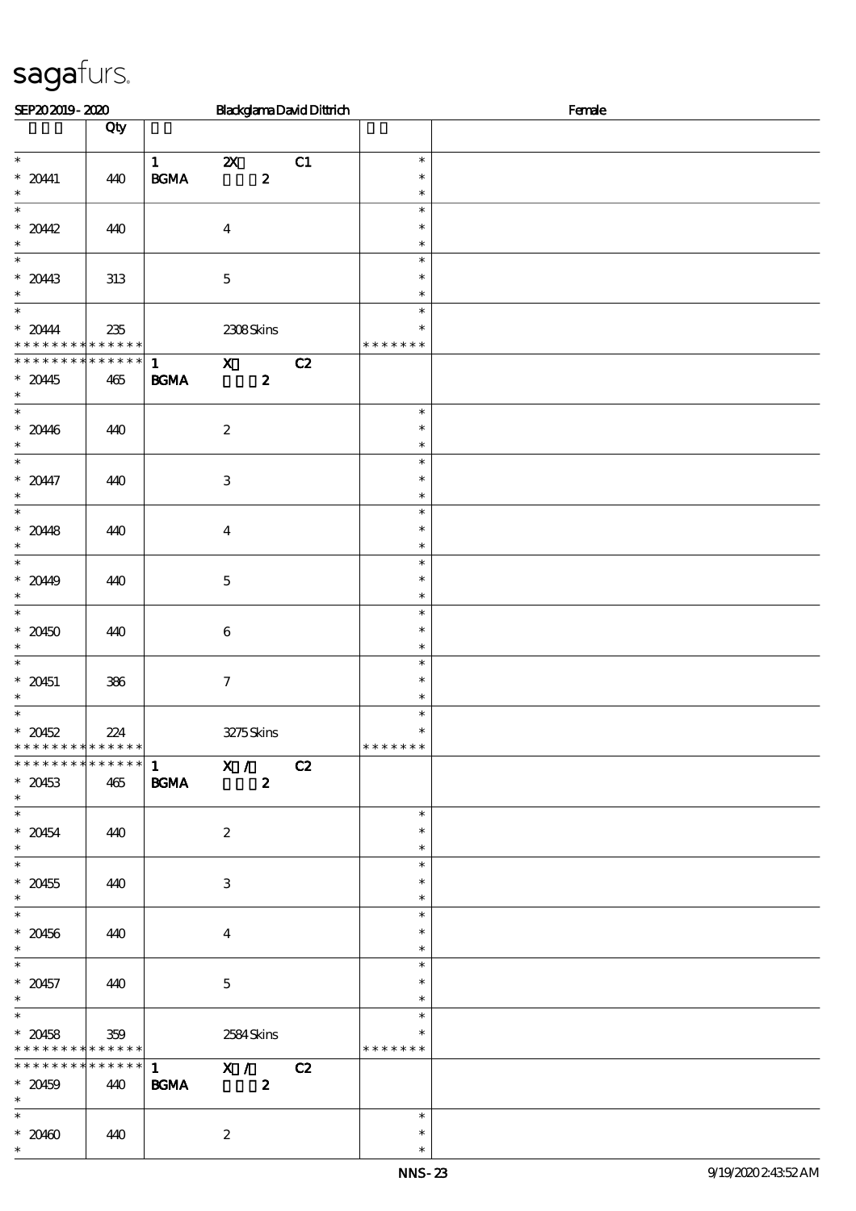| SEP202019-2020                                                         |                    |                                                            |                           |                  | <b>BlackglamaDavidDittrich</b> | Female                            |  |  |  |
|------------------------------------------------------------------------|--------------------|------------------------------------------------------------|---------------------------|------------------|--------------------------------|-----------------------------------|--|--|--|
|                                                                        | Qty                |                                                            |                           |                  |                                |                                   |  |  |  |
| $\ast$<br>$* 2041$<br>$\ast$                                           | 440                | $\mathbf{1}$<br>$\mathbf{B}\mathbf{G}\mathbf{M}\mathbf{A}$ | $\boldsymbol{\alpha}$     | $\boldsymbol{z}$ | C1                             | $\ast$<br>$\ast$<br>$\ast$        |  |  |  |
| $\ast$<br>$*2042$<br>$\ast$                                            | 440                |                                                            | $\boldsymbol{4}$          |                  |                                | $\ast$<br>$\ast$<br>$\ast$        |  |  |  |
| $\ast$<br>$* 2043$<br>$\ast$                                           | 313                |                                                            | $\mathbf 5$               |                  |                                | $\ast$<br>$\ast$<br>$\ast$        |  |  |  |
| $\ast$<br>$*20444$<br>* * *                                            | 235<br>* * * * * * |                                                            | 2308Skins                 |                  |                                | $\ast$<br>$\ast$<br>* * * * * * * |  |  |  |
| * * * * * * * * * * * * * * *<br>$*2045$<br>$\ast$                     | 465                | $\mathbf{1}$<br>$\mathbf{B G MA}$                          | $\mathbf{x}$              | $\boldsymbol{z}$ | C2                             |                                   |  |  |  |
| $\ast$<br>$* 2046$<br>$\ast$                                           | 440                |                                                            | $\boldsymbol{2}$          |                  |                                | $\ast$<br>$\ast$<br>$\ast$        |  |  |  |
| $\ast$<br>$* 20447$<br>$\ast$                                          | 440                |                                                            | $\ensuremath{\mathbf{3}}$ |                  |                                | $\ast$<br>$\ast$<br>$\ast$        |  |  |  |
| $\overline{\ast}$<br>$* 2048$<br>$\ast$                                | 440                |                                                            | $\boldsymbol{4}$          |                  |                                | $\ast$<br>$\ast$<br>$\ast$        |  |  |  |
| $\ast$<br>$* 2049$<br>$\ast$                                           | 440                |                                                            | $\mathbf 5$               |                  |                                | $\ast$<br>$\ast$<br>$\ast$        |  |  |  |
| $\overline{\ast}$<br>$* 20450$<br>$\ast$                               | 440                |                                                            | $\bf 6$                   |                  |                                | $\ast$<br>$\ast$<br>$\ast$        |  |  |  |
| $\ast$<br>$* 20451$<br>$\ast$                                          | 386                |                                                            | $\boldsymbol{7}$          |                  |                                | $\ast$<br>$\ast$<br>$\ast$        |  |  |  |
| $\ast$<br>$* 20452$<br>* * * * * * * * <mark>* * * * * * *</mark>      | 224                |                                                            | 3275Skins                 |                  |                                | $\ast$<br>$\ast$<br>* * * * * * * |  |  |  |
| **************<br>$* 20453$<br>$\ast$                                  | 465                | $\frac{1}{1}$ X /<br><b>BGMA</b>                           |                           | $\boldsymbol{z}$ | C2                             |                                   |  |  |  |
| $* 20454$<br>$\ast$                                                    | 440                |                                                            | $\boldsymbol{2}$          |                  |                                | $\ast$<br>$\ast$<br>$\ast$        |  |  |  |
| $^\ast$ 20455<br>$\ast$                                                | 440                |                                                            | 3                         |                  |                                | $\ast$<br>$\ast$<br>$\ast$        |  |  |  |
| $\overline{\phantom{0}}$<br>$* 20456$<br>$\ast$                        | 440                |                                                            | $\bf{4}$                  |                  |                                | $\ast$<br>$\ast$<br>$\ast$        |  |  |  |
| $\overline{\phantom{0}}$<br>$* 20457$<br>$\ast$                        | 440                |                                                            | $\mathbf 5$               |                  |                                | $\ast$<br>$\ast$<br>$\ast$        |  |  |  |
| $\overline{\phantom{0}}$<br>$* 20458$<br>* * * * * * * * * * * * * * * | 359                |                                                            | 2584Skins                 |                  |                                | $\ast$<br>$\ast$<br>* * * * * * * |  |  |  |
| **************<br>$* 20459$<br>$\ast$                                  | 440                | $1$ X / C2<br><b>BGMA</b>                                  |                           | $\boldsymbol{z}$ |                                |                                   |  |  |  |
| $\overline{\ast}$<br>$* 20400$<br>$\ast$                               | 440                |                                                            | $\boldsymbol{z}$          |                  |                                | $\ast$<br>$\ast$<br>$\ast$        |  |  |  |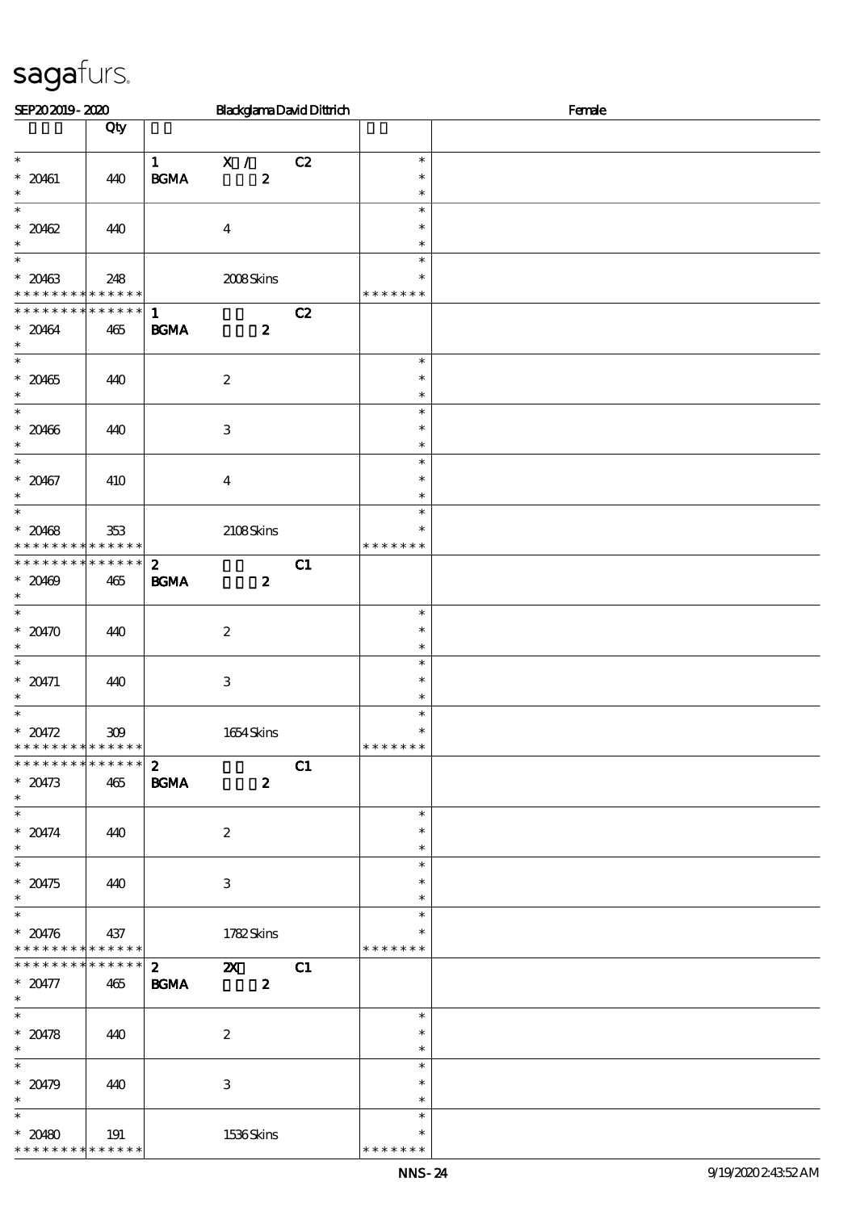| SEP202019-2020                             |     |                                                            | <b>BlackglamaDavidDittrich</b> |    | Female           |  |  |  |  |
|--------------------------------------------|-----|------------------------------------------------------------|--------------------------------|----|------------------|--|--|--|--|
|                                            | Qty |                                                            |                                |    |                  |  |  |  |  |
| $\ast$                                     |     |                                                            |                                |    | $\ast$           |  |  |  |  |
| $* 20461$                                  | 440 | $\mathbf{1}$<br>$\mathbf{B}\mathbf{G}\mathbf{M}\mathbf{A}$ | X /<br>$\boldsymbol{z}$        | C2 | $\ast$           |  |  |  |  |
| $\ast$                                     |     |                                                            |                                |    | $\ast$           |  |  |  |  |
| $\ast$                                     |     |                                                            |                                |    | $\ast$           |  |  |  |  |
| $* 20462$                                  | 440 |                                                            | $\boldsymbol{4}$               |    | $\ast$           |  |  |  |  |
| $\ast$<br>$\overline{\phantom{a}^*}$       |     |                                                            |                                |    | $\ast$           |  |  |  |  |
| $* 20463$                                  | 248 |                                                            | 2008Skins                      |    | $\ast$<br>$\ast$ |  |  |  |  |
| * * * * * * * * * * * * * *                |     |                                                            |                                |    | * * * * * * *    |  |  |  |  |
| * * * * * * * * * * * * * * *              |     | $\mathbf{1}$                                               |                                | C2 |                  |  |  |  |  |
| $* 20464$                                  | 465 | <b>BGMA</b>                                                | $\boldsymbol{z}$               |    |                  |  |  |  |  |
| $\ast$                                     |     |                                                            |                                |    |                  |  |  |  |  |
| $\ast$<br>$* 20465$                        |     |                                                            |                                |    | $\ast$<br>$\ast$ |  |  |  |  |
| $\ast$                                     | 440 |                                                            | $\boldsymbol{2}$               |    | $\ast$           |  |  |  |  |
| $\ast$                                     |     |                                                            |                                |    | $\ast$           |  |  |  |  |
| $* 20466$                                  | 440 |                                                            | $\,3$                          |    | $\ast$           |  |  |  |  |
| $\ast$                                     |     |                                                            |                                |    | $\ast$           |  |  |  |  |
| $\overline{\phantom{0}}$                   |     |                                                            |                                |    | $\ast$<br>$\ast$ |  |  |  |  |
| $* 20467$<br>$\ast$                        | 410 |                                                            | $\boldsymbol{4}$               |    | $\ast$           |  |  |  |  |
| $\ast$                                     |     |                                                            |                                |    | $\ast$           |  |  |  |  |
| $* 20468$                                  | 353 |                                                            | 2108Skins                      |    | $\ast$           |  |  |  |  |
| * * * * * * * * <mark>* * * * * *</mark>   |     |                                                            |                                |    | * * * * * * *    |  |  |  |  |
| * * * * * * * * * * * * * *                |     | $\boldsymbol{z}$                                           |                                | C1 |                  |  |  |  |  |
| $* 20469$<br>$\ast$                        | 465 | <b>BGMA</b>                                                | $\boldsymbol{z}$               |    |                  |  |  |  |  |
| $\overline{\ast}$                          |     |                                                            |                                |    | $\ast$           |  |  |  |  |
| $*20470$                                   | 440 |                                                            | $\boldsymbol{2}$               |    | $\ast$           |  |  |  |  |
| $\ast$                                     |     |                                                            |                                |    | $\ast$           |  |  |  |  |
| $\ast$                                     |     |                                                            |                                |    | $\ast$           |  |  |  |  |
| * $20471$                                  | 440 |                                                            | $\,3$                          |    | $\ast$           |  |  |  |  |
| $\ast$<br>$\ast$                           |     |                                                            |                                |    | $\ast$<br>$\ast$ |  |  |  |  |
| $* 20472$                                  | 309 |                                                            | 1654Skins                      |    | $\ast$           |  |  |  |  |
| * * * * * * * * <mark>* * * * * * *</mark> |     |                                                            |                                |    | * * * * * * *    |  |  |  |  |
| * * * * * * * * * * * * * *                |     | $\boldsymbol{z}$                                           |                                | C1 |                  |  |  |  |  |
| $* 20473$                                  | 465 | <b>BGMA</b>                                                | $\boldsymbol{z}$               |    |                  |  |  |  |  |
| $\ast$                                     |     |                                                            |                                |    | $\ast$           |  |  |  |  |
| $* 20474$                                  | 440 |                                                            | $\boldsymbol{2}$               |    | $\ast$           |  |  |  |  |
| $\ast$                                     |     |                                                            |                                |    | $\ast$           |  |  |  |  |
|                                            |     |                                                            |                                |    | $\ast$           |  |  |  |  |
| $* 20475$                                  | 440 |                                                            | $\ensuremath{\mathbf{3}}$      |    | $\ast$           |  |  |  |  |
| $\ast$<br>$\overline{\phantom{0}}$         |     |                                                            |                                |    | $\ast$           |  |  |  |  |
| $* 20476$                                  |     |                                                            |                                |    | $\ast$<br>$\ast$ |  |  |  |  |
| * * * * * * * * * * * * * *                | 437 |                                                            | 1782Skins                      |    | * * * * * * *    |  |  |  |  |
| ******** <mark>******</mark>               |     | 2 <sup>1</sup>                                             | $\boldsymbol{\mathsf{Z}}$      | C1 |                  |  |  |  |  |
| $* 20477$                                  | 465 | <b>BGMA</b>                                                | $\boldsymbol{z}$               |    |                  |  |  |  |  |
| $\ast$                                     |     |                                                            |                                |    |                  |  |  |  |  |
| $\ast$                                     |     |                                                            |                                |    | $\ast$           |  |  |  |  |
| $* 20478$<br>$\ast$                        | 440 |                                                            | $\boldsymbol{z}$               |    | $\ast$<br>$\ast$ |  |  |  |  |
| $\overline{\phantom{0}}$                   |     |                                                            |                                |    | $\ast$           |  |  |  |  |
| $* 20479$                                  | 440 |                                                            | 3                              |    | $\ast$           |  |  |  |  |
| $\ast$                                     |     |                                                            |                                |    | $\ast$           |  |  |  |  |
| $\ast$                                     |     |                                                            |                                |    | $\ast$           |  |  |  |  |
| $* 20480$                                  | 191 |                                                            | 1536Skins                      |    | $\ast$           |  |  |  |  |
| * * * * * * * * * * * * * *                |     |                                                            |                                |    | * * * * * * *    |  |  |  |  |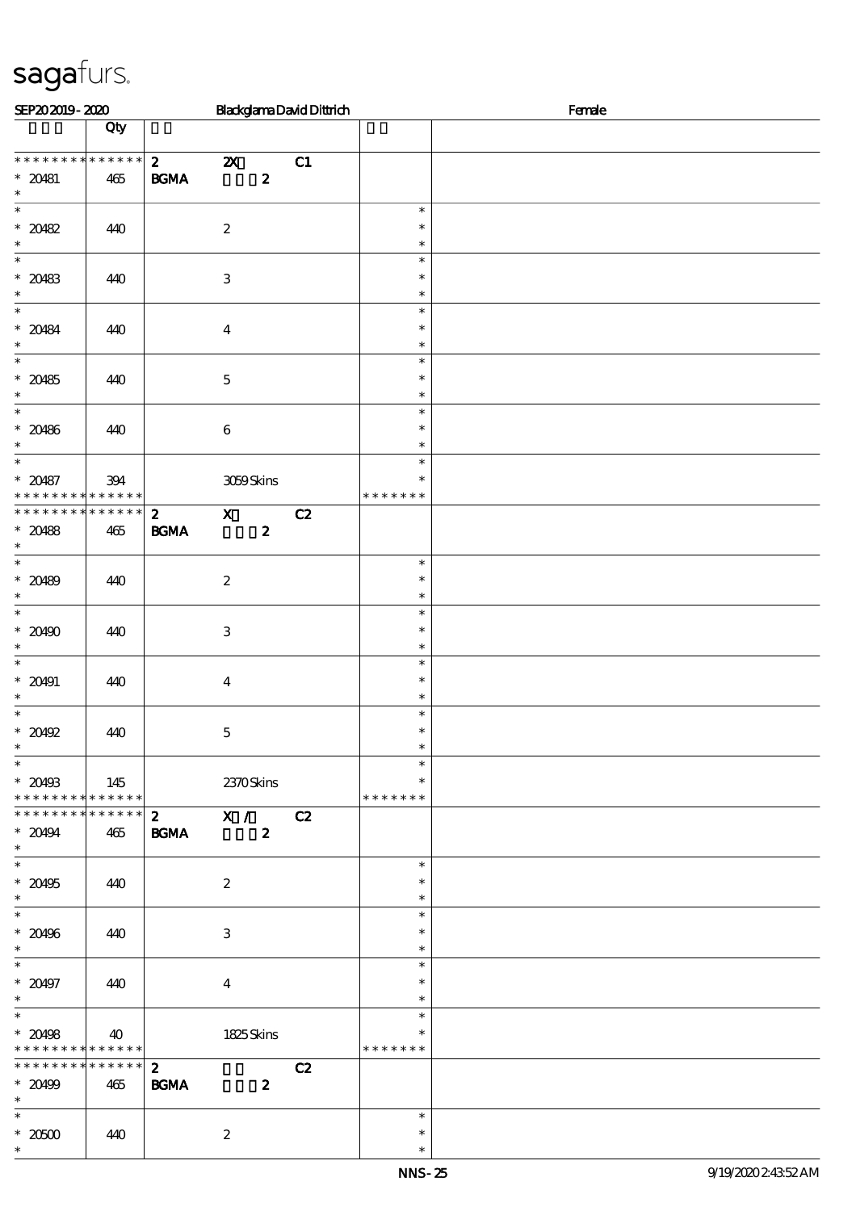| SEP202019-2020                                                        |                                   |                             |                           |                  | <b>BlackglamaDavidDittrich</b> |                                   | Female |
|-----------------------------------------------------------------------|-----------------------------------|-----------------------------|---------------------------|------------------|--------------------------------|-----------------------------------|--------|
|                                                                       | Qty                               |                             |                           |                  |                                |                                   |        |
| * * * * * * * * * * * * * *<br>$* 20481$<br>$\ast$                    | 465                               | $\mathbf{2}$<br><b>BGMA</b> | $\boldsymbol{\mathsf{X}}$ | $\boldsymbol{z}$ | C1                             |                                   |        |
| $\overline{\phantom{0}}$<br>$* 20482$<br>$\ast$                       | 440                               |                             | $\boldsymbol{2}$          |                  |                                | $\ast$<br>$\ast$<br>$\ast$        |        |
| $\ast$<br>$* 20483$<br>$\ast$                                         | 440                               |                             | $\,3$                     |                  |                                | $\ast$<br>$\ast$<br>$\ast$        |        |
| $\overline{\ast}$<br>$* 20484$<br>$\ast$                              | 440                               |                             | $\boldsymbol{4}$          |                  |                                | $\ast$<br>$\ast$<br>$\ast$        |        |
| $\overline{\ast}$<br>$* 20485$<br>$\ast$                              | 440                               |                             | $\mathbf 5$               |                  |                                | $\ast$<br>$\ast$<br>$\ast$        |        |
| $\ast$<br>$* 20486$<br>$\ast$                                         | 440                               |                             | $\,6\,$                   |                  |                                | $\ast$<br>$\ast$<br>$\ast$        |        |
| $\overline{\ast}$<br>$* 20487$<br>* * *                               | 394<br>$\ast\ast\ast\ast\ast\ast$ |                             | 3059Skins                 |                  |                                | $\ast$<br>$\ast$<br>* * * * * * * |        |
| * * * * * * * *<br>$* 20488$<br>$\ast$                                | * * * * * *<br>465                | $\mathbf{z}$<br><b>BGMA</b> | $\mathbf{x}$              | $\boldsymbol{z}$ | C2                             |                                   |        |
| $\overline{\ast}$<br>$* 20489$<br>$\ast$                              | 440                               |                             | $\boldsymbol{2}$          |                  |                                | $\ast$<br>$\ast$<br>$\ast$        |        |
| $\overline{\phantom{0}}$<br>$* 20490$<br>$\ast$                       | 440                               |                             | $\,3$                     |                  |                                | $\ast$<br>$\ast$<br>$\ast$        |        |
| $\ast$<br>$* 20491$<br>$\ast$                                         | 440                               |                             | $\boldsymbol{4}$          |                  |                                | $\ast$<br>$\ast$<br>$\ast$        |        |
| $\ast$<br>$*20492$<br>$\ast$                                          | 440                               |                             | $\mathbf 5$               |                  |                                | $\ast$<br>$\ast$<br>$\ast$        |        |
| $\overline{\phantom{0}}$<br>$*20493$<br>* * * * * * * * * * * * * * * | 145                               |                             | 2370Skins                 |                  |                                | $\ast$<br>$\ast$<br>* * * * * * * |        |
| * * * * * * * * * * * * * * *<br>$* 20494$<br>$\ast$                  | 465                               | $\mathbf{z}$<br><b>BGMA</b> | $\overline{\mathbf{x}}$ / | $\boldsymbol{z}$ | C2                             |                                   |        |
| $*$<br>$^\ast$ 20495<br>$\ast$                                        | 440                               |                             | $\boldsymbol{2}$          |                  |                                | $\ast$<br>$\ast$<br>$\ast$        |        |
| $*$<br>$* 20496$<br>$\ast$                                            | 440                               |                             | $\,3$                     |                  |                                | $\ast$<br>$\ast$<br>$\ast$        |        |
| $\overline{\ast}$<br>$* 20497$<br>$\ast$                              | 440                               |                             | $\overline{\mathbf{4}}$   |                  |                                | $\ast$<br>$\ast$<br>$\ast$        |        |
| $\ast$<br>$* 20498$<br>* * * * * * * * <mark>* * * * * * *</mark>     | 40                                |                             | 1825Skins                 |                  |                                | $\ast$<br>$\ast$<br>* * * * * * * |        |
| * * * * * * * * * * * * * * *<br>$* 20499$<br>$\ast$                  | 465                               | $\mathbf{2}$<br><b>BGMA</b> |                           | $\boldsymbol{2}$ | C2                             |                                   |        |
| $*$<br>$^\ast$ 20500<br>$\ast$                                        | 440                               |                             | $\boldsymbol{2}$          |                  |                                | $\ast$<br>$\ast$<br>$\ast$        |        |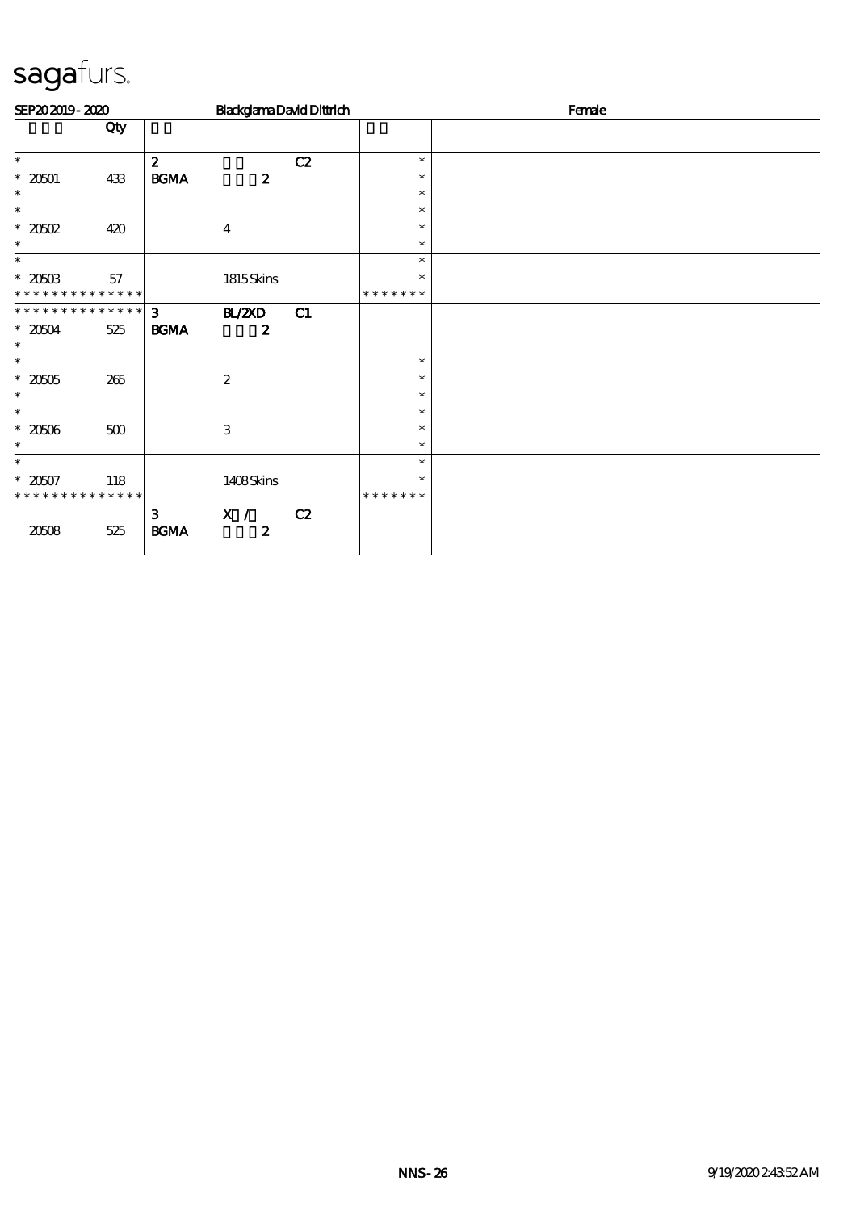| SEP202019-2020              |         |                               | <b>BlackglamaDavidDittrich</b> |    |                  | Female |
|-----------------------------|---------|-------------------------------|--------------------------------|----|------------------|--------|
|                             | Qty     |                               |                                |    |                  |        |
| $\ast$                      |         | $\boldsymbol{z}$              |                                | C2 | $\ast$           |        |
| $* 20501$                   | 433     | <b>BGMA</b>                   | $\boldsymbol{z}$               |    | $\ast$           |        |
| $\ast$                      |         |                               |                                |    | $\ast$           |        |
| $\ast$                      |         |                               |                                |    | $\ast$           |        |
| $*2002$<br>$\ast$           | 420     |                               | $\overline{\mathbf{4}}$        |    | $\ast$<br>$\ast$ |        |
| $\ast$                      |         |                               |                                |    | $\ast$           |        |
| $* 20503$                   | 57      |                               | 1815Skins                      |    | $\ast$           |        |
| * * * * * * * * * * * * * * |         |                               |                                |    | * * * * * * *    |        |
| **************              |         | 3 <sup>1</sup>                | <b>BL/2XD</b>                  | C1 |                  |        |
| $*20504$<br>$\ast$          | 525     | <b>BGMA</b>                   | $\boldsymbol{z}$               |    |                  |        |
| $\ast$                      |         |                               |                                |    | $\ast$           |        |
| $*20005$                    | 265     |                               | $\boldsymbol{2}$               |    | $\ast$           |        |
| $\ast$                      |         |                               |                                |    | $\ast$           |        |
| $\ast$                      |         |                               |                                |    | $\ast$           |        |
| $*2000$                     | $500\,$ |                               | 3                              |    | $\ast$           |        |
| $\ast$                      |         |                               |                                |    | $\ast$           |        |
| $\ast$                      |         |                               |                                |    | $\ast$           |        |
| $* 2007$                    | 118     |                               | 1408Skins                      |    | $\ast$           |        |
| * * * * * * * * * * * * * * |         |                               |                                |    | * * * * * * *    |        |
| 20508                       | 525     | 3 <sup>1</sup><br><b>BGMA</b> | X / C2<br>$\boldsymbol{2}$     |    |                  |        |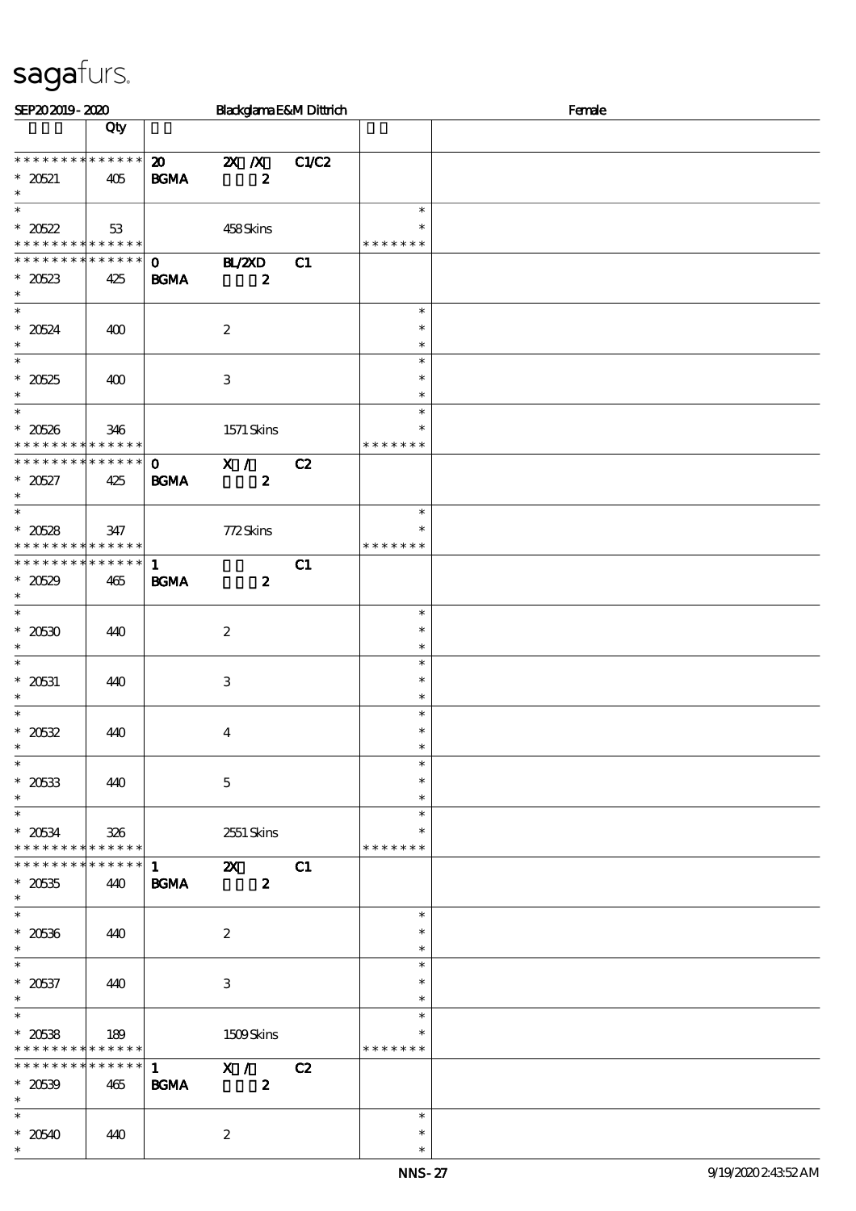| SEP202019-2020                                                               |     |                                            | Blackglama E&M Dittrich                                    |       |                                   | Female |
|------------------------------------------------------------------------------|-----|--------------------------------------------|------------------------------------------------------------|-------|-----------------------------------|--------|
|                                                                              | Qty |                                            |                                                            |       |                                   |        |
| * * * * * * * * * * * * * *<br>$* 20521$<br>$\ast$                           | 405 | $\boldsymbol{\mathfrak{D}}$<br><b>BGMA</b> | $\mathbb{Z}$ $\mathbb{Z}$ $\mathbb{Z}$<br>$\boldsymbol{z}$ | C1/C2 |                                   |        |
| $\overline{\ast}$<br>$* 20522$<br>* * * * * * * * <mark>* * * * * * *</mark> | 53  |                                            | 458Skins                                                   |       | $\ast$<br>∗<br>* * * * * * *      |        |
| * * * * * * * * * * * * * *<br>$* 20523$<br>$\ast$                           | 425 | $\mathbf{O}$<br><b>BGMA</b>                | <b>BL/2XD</b><br>$\boldsymbol{z}$                          | C1    |                                   |        |
| $*$<br>$* 20524$<br>$\ast$                                                   | 400 |                                            | $\boldsymbol{2}$                                           |       | $\ast$<br>$\ast$<br>$\ast$        |        |
| $\overline{\ast}$<br>$* 20525$<br>$\ast$                                     | 400 |                                            | $\,3$                                                      |       | $\ast$<br>$\ast$<br>$\ast$        |        |
| $\ast$<br>$* 20526$<br>* * * * * * * * * * * * * *                           | 346 |                                            | 1571 Skins                                                 |       | $\ast$<br>∗<br>* * * * * * *      |        |
| ******** <mark>*******</mark><br>$*20527$<br>$\ast$                          | 425 | $\mathbf{O}$<br><b>BGMA</b>                | X /<br>$\boldsymbol{z}$                                    | C2    |                                   |        |
| $\overline{\phantom{0}}$<br>$* 20528$<br>* * * * * * * * * * * * * *         | 347 |                                            | 772Skins                                                   |       | $\ast$<br>$\ast$<br>* * * * * * * |        |
| * * * * * * * * * * * * * *<br>$* 20529$<br>$\ast$                           | 465 | $\mathbf{1}$<br><b>BGMA</b>                | $\boldsymbol{z}$                                           | C1    |                                   |        |
| $*$<br>$* 20530$<br>$\ast$                                                   | 440 |                                            | $\boldsymbol{2}$                                           |       | $\ast$<br>$\ast$<br>$\ast$        |        |
| $\ast$<br>$^\ast$ 20531<br>$\ast$                                            | 440 |                                            | $\,3$                                                      |       | $\ast$<br>$\ast$<br>$\ast$        |        |
| $\ast$<br>$^\ast$ 20532<br>$\ast$                                            | 440 |                                            | $\boldsymbol{4}$                                           |       | $\ast$<br>$\ast$<br>$\ast$        |        |
| $\overline{\phantom{0}}$<br>$^\ast$ 20533<br>$\ast$                          | 440 |                                            | $\mathbf 5$                                                |       | $\ast$<br>$\ast$<br>$\ast$        |        |
| $\overline{\phantom{0}}$<br>$* 20534$<br>* * * * * * * * * * * * * *         | 326 |                                            | 2551 Skins                                                 |       | $\ast$<br>$\ast$<br>* * * * * * * |        |
| * * * * * * * * * * * * * *<br>$* 20535$<br>$\ast$                           | 440 | $\mathbf{1}$<br><b>BGMA</b>                | $\boldsymbol{\mathsf{Z}}$<br>$\boldsymbol{z}$              | C1    |                                   |        |
| $\overline{\phantom{0}}$<br>$* 20536$<br>$\ast$                              | 440 |                                            | $\boldsymbol{2}$                                           |       | $\ast$<br>$\ast$<br>$\ast$        |        |
| $\overline{\ast}$<br>$* 20537$<br>$\ast$                                     | 440 |                                            | $\,3\,$                                                    |       | $\ast$<br>$\ast$<br>$\ast$        |        |
| $\ast$<br>$^\ast$ 20538<br>* * * * * * * * * * * * * *                       | 189 |                                            | 1509Skins                                                  |       | $\ast$<br>∗<br>* * * * * * *      |        |
| * * * * * * * * * * * * * *<br>$* 20539$<br>$\ast$                           | 465 | $\mathbf{1}$<br><b>BGMA</b>                | X /<br>$\boldsymbol{z}$                                    | C2    |                                   |        |
| $\ast$<br>$* 20540$<br>$\ast$                                                | 440 |                                            | $\boldsymbol{2}$                                           |       | $\ast$<br>$\ast$<br>$\ast$        |        |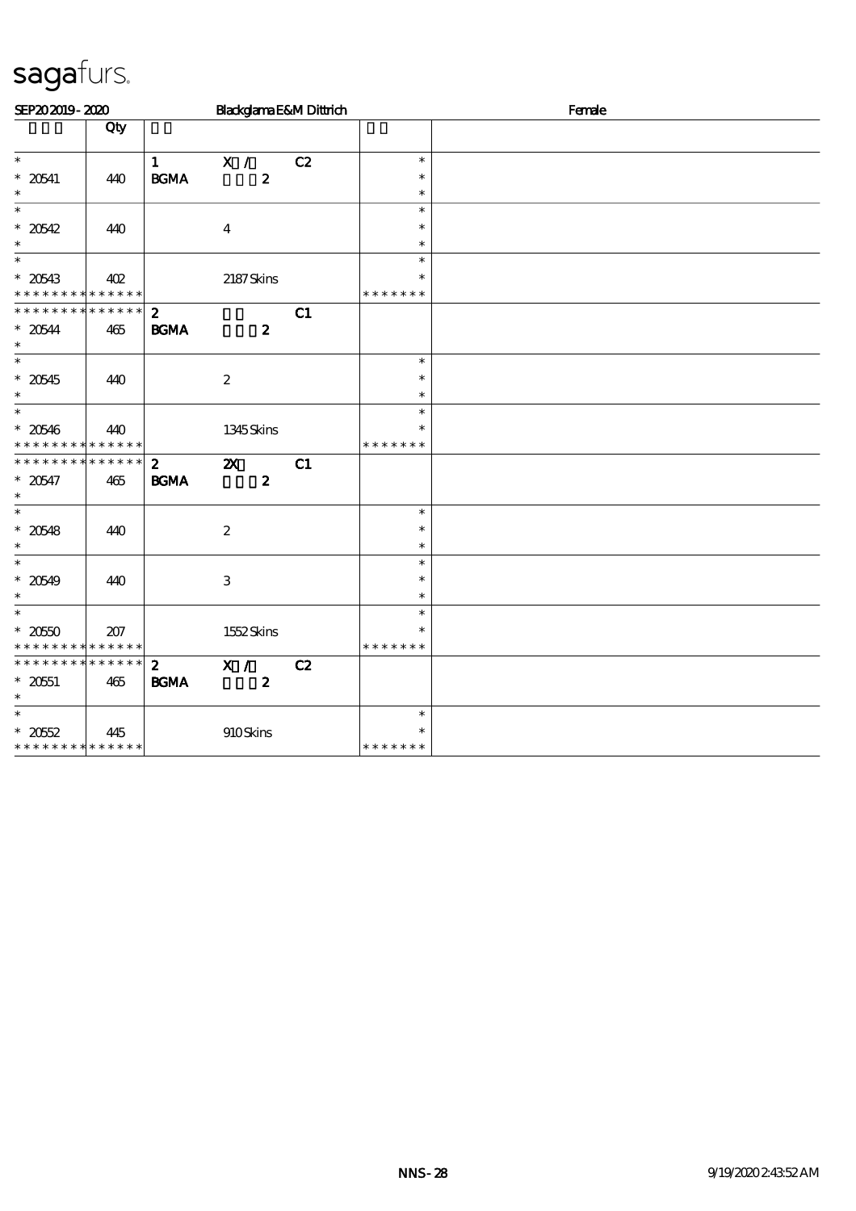| SEP202019-2020                             |     |                   |                           |                  | Blackglama E&M Dittrich |                  | Female |  |  |  |
|--------------------------------------------|-----|-------------------|---------------------------|------------------|-------------------------|------------------|--------|--|--|--|
|                                            | Qty |                   |                           |                  |                         |                  |        |  |  |  |
| $\ast$                                     |     | $\mathbf{1}$      | X /                       |                  | C2                      | $\ast$           |        |  |  |  |
| $^\ast$ 20541                              | 440 | $\mathbf{B G MA}$ |                           | $\boldsymbol{z}$ |                         | $\ast$           |        |  |  |  |
| $\ast$                                     |     |                   |                           |                  |                         | $\ast$           |        |  |  |  |
| $\ast$                                     |     |                   |                           |                  |                         | $\ast$           |        |  |  |  |
| $* 20542$<br>$\ast$                        | 440 |                   | $\overline{\mathbf{4}}$   |                  |                         | $\ast$           |        |  |  |  |
| $_*^-$                                     |     |                   |                           |                  |                         | $\ast$<br>$\ast$ |        |  |  |  |
| $* 20543$                                  | 402 |                   | 2187Skins                 |                  |                         | $\ast$           |        |  |  |  |
| * * * * * * * * * * * * * *                |     |                   |                           |                  |                         | * * * * * * *    |        |  |  |  |
| * * * * * * * * * * * * * *                |     | $\mathbf{2}$      |                           |                  | C1                      |                  |        |  |  |  |
| $*20544$                                   | 465 | <b>BGMA</b>       |                           | $\boldsymbol{z}$ |                         |                  |        |  |  |  |
| $\ast$                                     |     |                   |                           |                  |                         |                  |        |  |  |  |
| $\overline{\ast}$                          |     |                   |                           |                  |                         | $\ast$           |        |  |  |  |
| $* 20545$<br>$\ast$                        | 440 |                   | $\boldsymbol{2}$          |                  |                         | $\ast$<br>$\ast$ |        |  |  |  |
| $\overline{\phantom{a}}$                   |     |                   |                           |                  |                         | $\ast$           |        |  |  |  |
| $* 20546$                                  | 440 |                   | 1345Skins                 |                  |                         | $\ast$           |        |  |  |  |
| * * * * * * * * * * * * * *                |     |                   |                           |                  |                         | * * * * * * *    |        |  |  |  |
| * * * * * * * * * * * * * *                |     | $\mathbf{z}$      | $\boldsymbol{\mathsf{z}}$ |                  | C1                      |                  |        |  |  |  |
| $* 20547$                                  | 465 | $\mathbf{B G MA}$ |                           | $\boldsymbol{z}$ |                         |                  |        |  |  |  |
| $\ast$                                     |     |                   |                           |                  |                         |                  |        |  |  |  |
| $\overline{\ast}$                          |     |                   |                           |                  |                         | $\ast$           |        |  |  |  |
| $* 20548$<br>$\ast$                        | 440 |                   | $\boldsymbol{2}$          |                  |                         | $\ast$<br>$\ast$ |        |  |  |  |
| $\ast$                                     |     |                   |                           |                  |                         | $\ast$           |        |  |  |  |
| $* 20549$                                  | 440 |                   | 3                         |                  |                         | $\ast$           |        |  |  |  |
| $\ast$                                     |     |                   |                           |                  |                         | $\ast$           |        |  |  |  |
| $\overline{\phantom{0}}$                   |     |                   |                           |                  |                         | $\ast$           |        |  |  |  |
| $^\ast$ 2050                               | 207 |                   | 1552Skins                 |                  |                         | $\ast$           |        |  |  |  |
| * * * * * * * * <mark>* * * * * * *</mark> |     |                   |                           |                  |                         | * * * * * * *    |        |  |  |  |
| * * * * * * * * * * * * * *                |     | $\mathbf{z}$      | X /                       |                  | C2                      |                  |        |  |  |  |
| $* 2051$<br>$\ast$                         | 465 | <b>BGMA</b>       |                           | $\boldsymbol{z}$ |                         |                  |        |  |  |  |
| $\ast$                                     |     |                   |                           |                  |                         | $\ast$           |        |  |  |  |
| $* 2052$                                   | 445 |                   | 910Skins                  |                  |                         | $\ast$           |        |  |  |  |
| * * * * * * * * * * * * * *                |     |                   |                           |                  |                         | * * * * * * *    |        |  |  |  |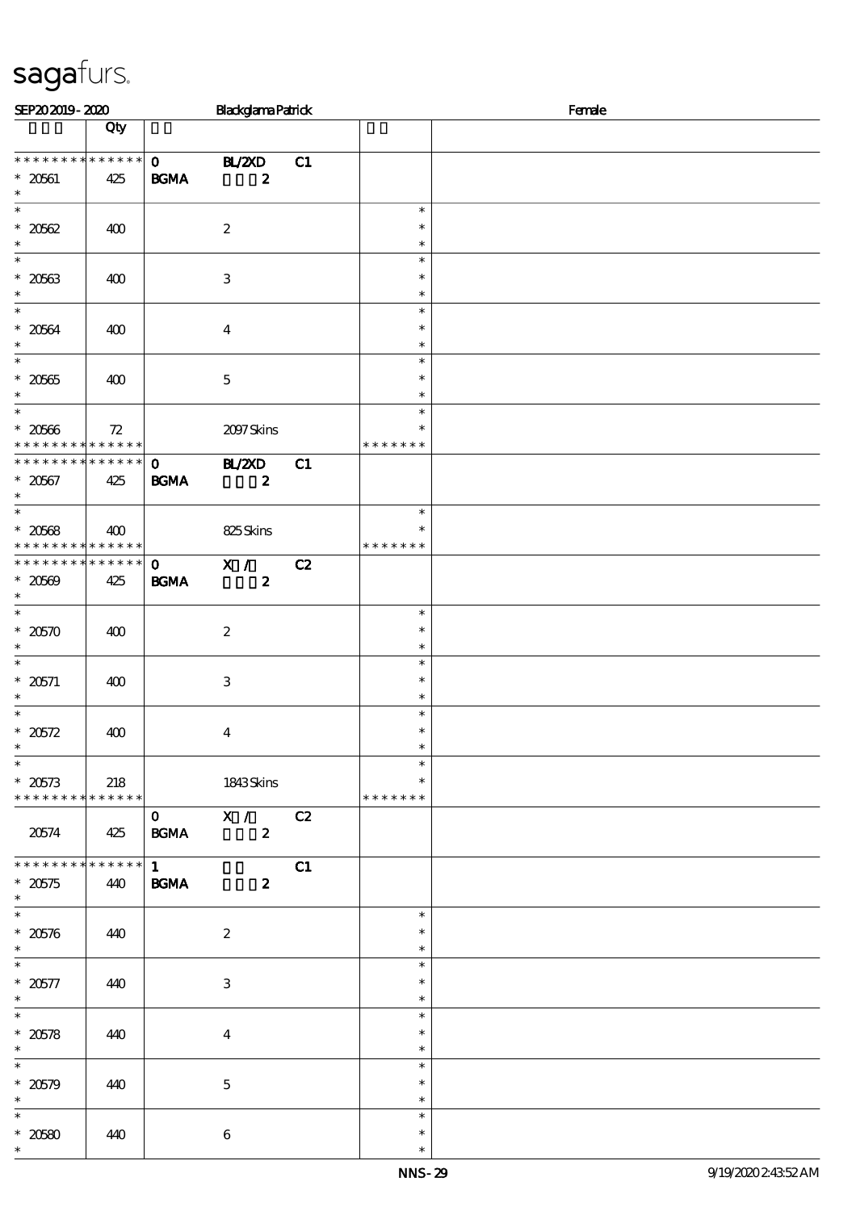| SEP202019-2020                                                         |     |                             | <b>Blackglama Patrick</b>          |    |                                   | Female |
|------------------------------------------------------------------------|-----|-----------------------------|------------------------------------|----|-----------------------------------|--------|
|                                                                        | Qty |                             |                                    |    |                                   |        |
| * * * * * * * * * * * * * * *<br>$* 20601$<br>$\ast$                   | 425 | <b>BGMA</b>                 | $0$ BL/2XD<br>$\boldsymbol{z}$     | C1 |                                   |        |
| $\overline{\ast}$<br>$* 2062$<br>$\ast$                                | 400 |                             | $\boldsymbol{2}$                   |    | $\ast$<br>$\ast$<br>$\ast$        |        |
| $\overline{\phantom{0}}$<br>$* 20563$<br>$\ast$                        | 400 |                             | 3                                  |    | $\ast$<br>$\ast$<br>$\ast$        |        |
| $\overline{\ast}$<br>$* 20564$<br>$\ast$                               | 400 |                             | $\boldsymbol{4}$                   |    | $\ast$<br>$\ast$<br>$\ast$        |        |
| $\overline{\ast}$<br>$^\ast$ 20565<br>$\ast$                           | 400 |                             | $\mathbf 5$                        |    | $\ast$<br>$\ast$<br>$\ast$        |        |
| $\ast$<br>$* 20666$<br>* * * * * * * * * * * * * * *                   | 72  |                             | 2097Skins                          |    | $\ast$<br>∗<br>* * * * * * *      |        |
| * * * * * * * * * * * * * * *<br>$* 20567$<br>$\ast$                   | 425 | $\mathbf{O}$<br><b>BGMA</b> | <b>BL/2XD</b><br>$\boldsymbol{z}$  | C1 |                                   |        |
| $\overline{\phantom{a}^*}$<br>$* 20568$<br>* * * * * * * * * * * * * * | 400 |                             | 825Skins                           |    | $\ast$<br>$\ast$<br>* * * * * * * |        |
| ******** <mark>******</mark><br>$* 20569$<br>$\ast$                    | 425 | $\mathbf{O}$<br><b>BGMA</b> | $\mathbf{X}$ /<br>$\boldsymbol{z}$ | C2 |                                   |        |
| $^\ast$ 20570<br>$\ast$                                                | 400 |                             | $\boldsymbol{2}$                   |    | $\ast$<br>$\ast$<br>$\ast$        |        |
| $\ast$<br>* 20571<br>$\ast$                                            | 400 |                             | $\,3$                              |    | $\ast$<br>$\ast$<br>$\ast$        |        |
| $\ast$<br>$* 20572$<br>$\ast$                                          | 400 |                             | $\boldsymbol{4}$                   |    | $\ast$<br>$\ast$<br>$\ast$        |        |
| $\overline{\ast}$<br>$* 20573$<br>* * * * * * * * * * * * * * *        | 218 |                             | 1843Skins                          |    | $\ast$<br>∗<br>* * * * * * *      |        |
| 20574                                                                  | 425 | $\mathbf{0}$<br><b>BGMA</b> | $\mathbf{X}$ /<br>$\boldsymbol{z}$ | C2 |                                   |        |
| * * * * * * * * * * * * * *<br>$*20575$<br>$\ast$                      | 440 | $1 \quad$<br><b>BGMA</b>    | $\boldsymbol{z}$                   | C1 |                                   |        |
| $\overline{\ast}$<br>$* 20576$<br>$\ast$                               | 440 |                             | $\boldsymbol{2}$                   |    | $\ast$<br>$\ast$<br>$\ast$        |        |
| $\overline{\phantom{0}}$<br>$* 20577$<br>$\ast$                        | 440 |                             | $\,3$                              |    | $\ast$<br>$\ast$<br>$\ast$        |        |
| $\overline{\phantom{0}}$<br>$^\ast$ 20578<br>$\ast$                    | 440 |                             | $\boldsymbol{4}$                   |    | $\ast$<br>$\ast$<br>$\ast$        |        |
| $\ast$<br>$* 20579$<br>$\ast$                                          | 440 |                             | $\mathbf 5$                        |    | $\ast$<br>$\ast$<br>$\ast$        |        |
| $\ast$<br>$* 20580$<br>$\ast$                                          | 440 |                             | $\bf 6$                            |    | $\ast$<br>$\ast$<br>$\ast$        |        |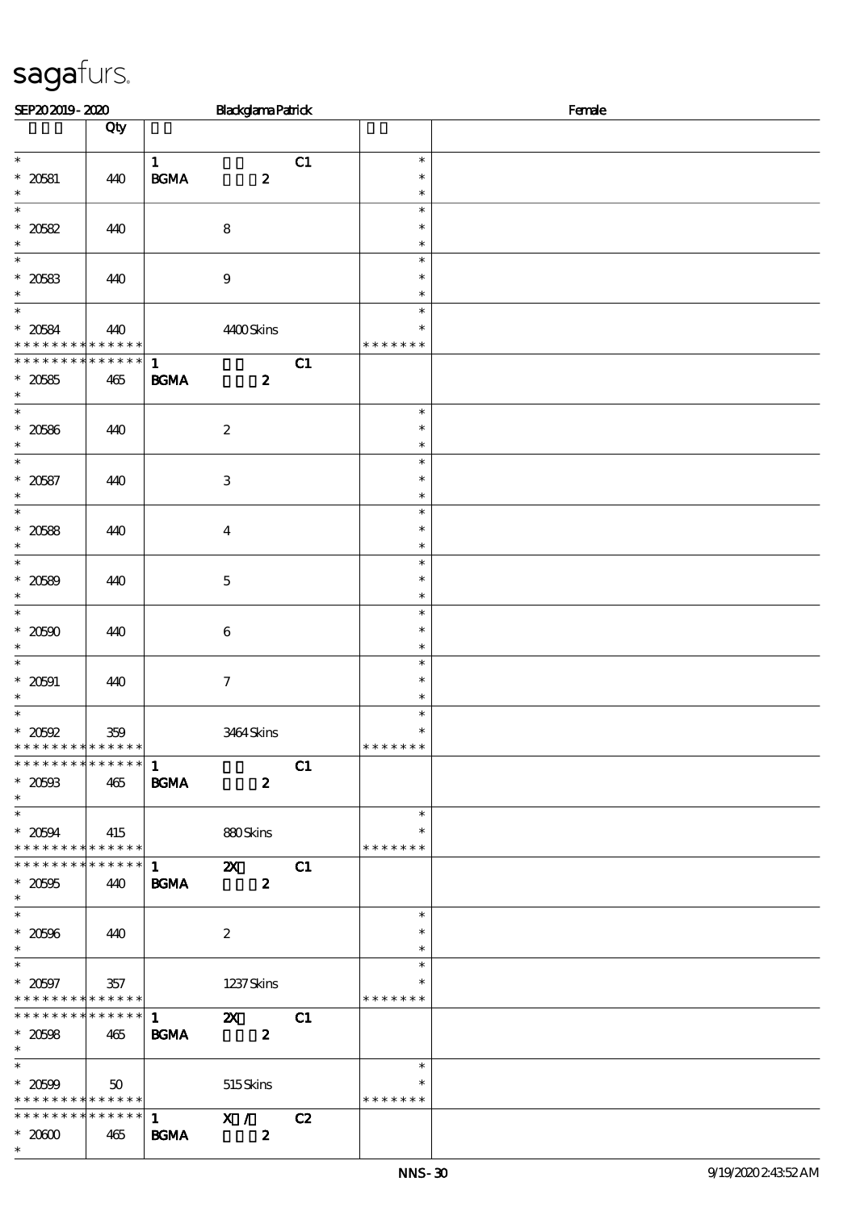| SEP202019-2020                                                                   |                          |                             | <b>Blackglama Patrick</b>                     |    |                                   | Female |  |  |
|----------------------------------------------------------------------------------|--------------------------|-----------------------------|-----------------------------------------------|----|-----------------------------------|--------|--|--|
|                                                                                  | Qty                      |                             |                                               |    |                                   |        |  |  |
| $\ast$<br>$* 20581$<br>$\ast$                                                    | 440                      | $\mathbf{1}$<br><b>BGMA</b> | $\boldsymbol{z}$                              | C1 | $\ast$<br>$\ast$<br>$\ast$        |        |  |  |
| $\overline{\ast}$<br>$* 20582$<br>$\ast$                                         | 440                      |                             | $\bf 8$                                       |    | $\ast$<br>$\ast$<br>$\ast$        |        |  |  |
| $\ast$<br>$* 20583$<br>$\ast$                                                    | 440                      |                             | $\boldsymbol{9}$                              |    | $\ast$<br>$\ast$<br>$\ast$        |        |  |  |
| $\overline{\ast}$<br>$* 20584$<br>* * *                                          | 440<br>* * * * * * * * * |                             | 4400Skins                                     |    | $\ast$<br>$\ast$<br>* * * * * * * |        |  |  |
| * * * * * * * * * * * * * *<br>$^\ast$ 20585<br>$\ast$                           | 465                      | $\mathbf{1}$<br><b>BGMA</b> | $\boldsymbol{z}$                              | C1 |                                   |        |  |  |
| $\ast$<br>$^\ast$ 20586<br>$\ast$                                                | 440                      |                             | $\boldsymbol{2}$                              |    | $\ast$<br>$\ast$<br>$\ast$        |        |  |  |
| $\ast$<br>$* 20587$<br>$\ast$                                                    | 440                      |                             | $\,3$                                         |    | $\ast$<br>$\ast$<br>$\ast$        |        |  |  |
| $\overline{\ast}$<br>$* 20588$<br>$\ast$                                         | 440                      |                             | $\boldsymbol{4}$                              |    | $\ast$<br>$\ast$<br>$\ast$        |        |  |  |
| $\overline{\phantom{0}}$<br>$* 20589$<br>$\ast$                                  | 440                      |                             | $\mathbf 5$                                   |    | $\ast$<br>$\ast$<br>$\ast$        |        |  |  |
| $\overline{\ast}$<br>$* 20500$<br>$\ast$                                         | 440                      |                             | $\,6\,$                                       |    | $\ast$<br>$\ast$<br>$\ast$        |        |  |  |
| $\ast$<br>$* 20001$<br>$\ast$                                                    | 440                      |                             | $\boldsymbol{7}$                              |    | $\ast$<br>$\ast$<br>$\ast$        |        |  |  |
| $\ast$<br>$\hspace{0.1cm}^*$ 20592<br>* * * * * * * * <mark>* * * * * * *</mark> | 359                      |                             | 3464Skins                                     |    | $\ast$<br>$\ast$<br>* * * * * * * |        |  |  |
| **************<br>$^\ast$ 20593<br>$\ast$                                        | 465                      | $\mathbf 1$<br><b>BGMA</b>  | $\boldsymbol{z}$                              | C1 |                                   |        |  |  |
| $\overline{\phantom{0}}$<br>$* 20594$<br>* * * * * * * * * * * * * *             | 415                      |                             | 880Skins                                      |    | $\ast$<br>$\ast$<br>* * * * * * * |        |  |  |
| * * * * * * * * * * * * * *<br>$* 20005$<br>$\ast$                               | 440                      | $\mathbf{1}$<br><b>BGMA</b> | $\mathbf{X}$<br>$\boldsymbol{z}$              | C1 |                                   |        |  |  |
| $^\ast$ 20596<br>$\ast$                                                          | 440                      |                             | $\boldsymbol{2}$                              |    | $\ast$<br>$\ast$<br>$\ast$        |        |  |  |
| $\overline{\phantom{0}}$<br>$^\ast$ 20597<br>* * * * * * * * * * * * * *         | 357                      |                             | 1237 Skins                                    |    | $\ast$<br>$\ast$<br>* * * * * * * |        |  |  |
| * * * * * * * * * * * * * *<br>$^\ast$ 20608<br>$\ast$                           | 465                      | $\mathbf{1}$<br><b>BGMA</b> | $\boldsymbol{\mathsf{Z}}$<br>$\boldsymbol{z}$ | C1 |                                   |        |  |  |
| $\overline{\phantom{0}}$<br>$* 20509$<br>* * * * * * * * * * * * * *             | 50                       |                             | 515Skins                                      |    | $\ast$<br>$\ast$<br>* * * * * * * |        |  |  |
| * * * * * * * * * * * * * * *<br>$*2000$<br>$\ast$                               | 465                      | 1<br><b>BGMA</b>            | X /<br>$\boldsymbol{z}$                       | C2 |                                   |        |  |  |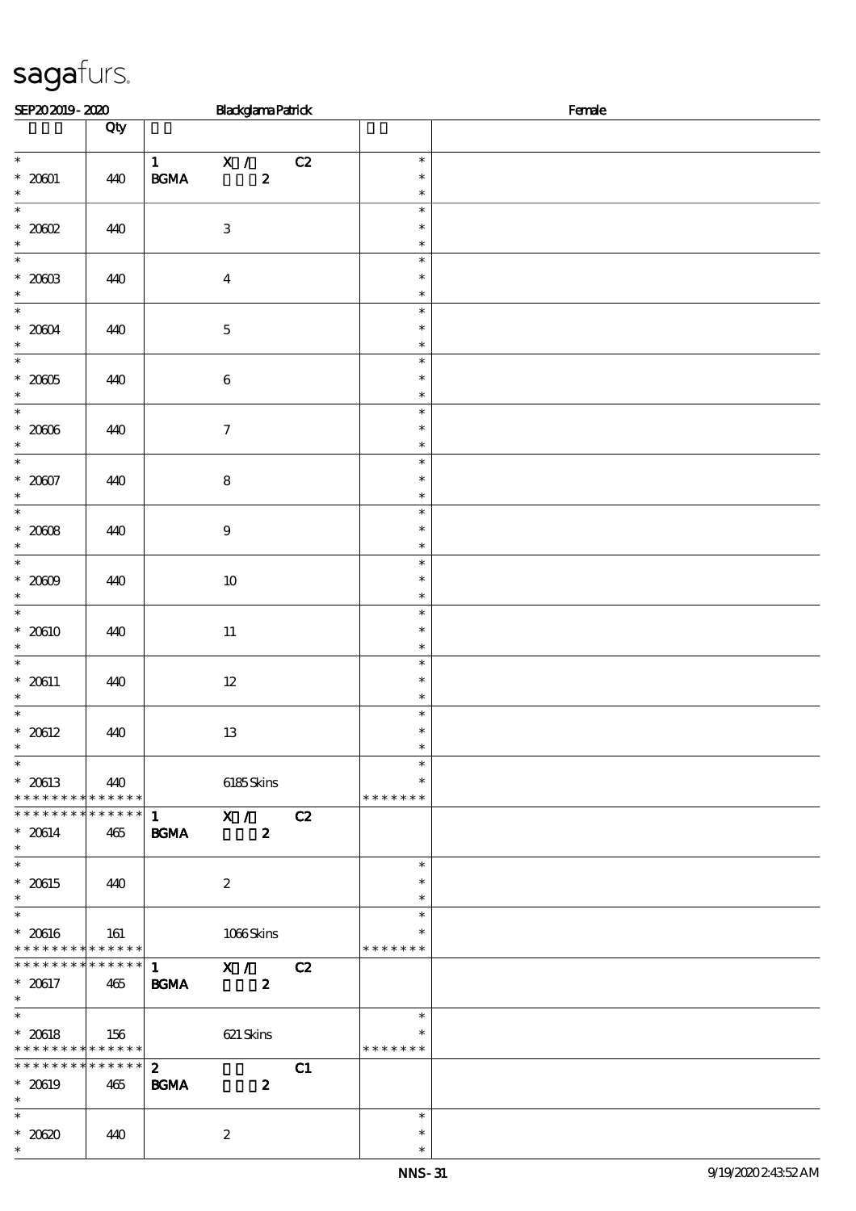| SEP202019-2020                                                                  |     | <b>Blackglama Patrick</b>                                                                                |                                   | Female |
|---------------------------------------------------------------------------------|-----|----------------------------------------------------------------------------------------------------------|-----------------------------------|--------|
|                                                                                 | Qty |                                                                                                          |                                   |        |
| $\overline{\ast}$<br>$^\ast$ 20001                                              | 440 | $\overline{X}$ /<br>C2<br>$\mathbf{1}$<br>$\mathbf{B}\mathbf{G}\mathbf{M}\mathbf{A}$<br>$\boldsymbol{z}$ | $\ast$<br>$\ast$                  |        |
| $\ast$<br>$\overline{\ast}$                                                     |     |                                                                                                          | $\ast$<br>$\ast$                  |        |
| $*20002$<br>$\ast$                                                              | 440 | $\ensuremath{\mathbf{3}}$                                                                                | $\ast$<br>$\ast$                  |        |
| $\ast$<br>$^\ast$ 2003<br>$\ast$                                                | 440 | $\boldsymbol{4}$                                                                                         | $\ast$<br>$\ast$<br>$\ast$        |        |
| $\overline{\ast}$<br>$^\ast$ 2004<br>$\ast$                                     | 440 | $\bf 5$                                                                                                  | $\ast$<br>$\ast$<br>$\ast$        |        |
| $\overline{\ast}$<br>$^\ast$ 2005<br>$\ast$                                     | 440 | $\,6\,$                                                                                                  | $\ast$<br>$\ast$<br>$\ast$        |        |
| $\ast$<br>$^\ast$ 2006                                                          | 440 | $\boldsymbol{\tau}$                                                                                      | $\ast$<br>$\ast$<br>$\ast$        |        |
| $\overline{\ast}$<br>$* 20007$<br>$\ast$                                        | 440 | $\bf8$                                                                                                   | $\ast$<br>$\ast$<br>$\ast$        |        |
| $\overline{\ast}$<br>$^\ast$ 2008<br>$\ast$                                     | 440 | $\boldsymbol{9}$                                                                                         | $\ast$<br>$\ast$<br>$\ast$        |        |
| $\overline{\phantom{0}}$<br>$^\ast$ 2009<br>$\ast$                              | 440 | $10\,$                                                                                                   | $\ast$<br>$\ast$<br>$\ast$        |        |
| $\overline{\phantom{0}}$<br>$* 20610$<br>$\ast$                                 | 440 | $11\,$                                                                                                   | $\ast$<br>$\ast$<br>$\ast$        |        |
| $\ast$<br>$^*$ 20611<br>$\ast$                                                  | 440 | $12\,$                                                                                                   | $\ast$<br>$\ast$<br>$\ast$        |        |
| $\ast$<br>$* 20612$<br>$\ast$                                                   | 440 | $13\,$                                                                                                   | $\ast$<br>$\ast$<br>$\ast$        |        |
| $\overline{\phantom{0}}$<br>$* 20613$<br>* * * * * * * * * * * * * *            | 440 | 6185Skins                                                                                                | $\ast$<br>$\ast$<br>* * * * * * * |        |
| * * * * * * * * * * * * * * *<br>$* 20614$<br>$\ast$                            | 465 | X /<br>C2<br>$\mathbf{1}$<br><b>BGMA</b><br>$\boldsymbol{z}$                                             |                                   |        |
| $\overline{\phantom{0}}$<br>$^\ast$ 20615<br>$\ast$<br>$\overline{\phantom{a}}$ | 440 | $\boldsymbol{2}$                                                                                         | $\ast$<br>$\ast$<br>$\ast$        |        |
| $^\ast$ 20616<br>* * * * * * * * * * * * * *                                    | 161 | 1066Skins                                                                                                | $\ast$<br>$\ast$<br>* * * * * * * |        |
| * * * * * * * * * * * * * * *<br>$* 20617$<br>$\ast$                            | 465 | $\overline{\mathbf{x}}$ /<br>$\mathbf{1}$<br>C2<br><b>BGMA</b><br>$\boldsymbol{z}$                       |                                   |        |
| $\ast$<br>$* 20618$<br>* * * * * * * * * * * * * *                              | 156 | $621$ Skins                                                                                              | $\ast$<br>$\ast$<br>* * * * * * * |        |
| * * * * * * * * * * * * * * *<br>$* 20619$<br>$\ast$                            | 465 | $\mathbf{2}$<br>C1<br><b>BGMA</b><br>$\boldsymbol{z}$                                                    |                                   |        |
| $\overline{\ast}$<br>$*2030$<br>$\ast$                                          | 440 | $\boldsymbol{z}$                                                                                         | $\ast$<br>$\ast$<br>$\ast$        |        |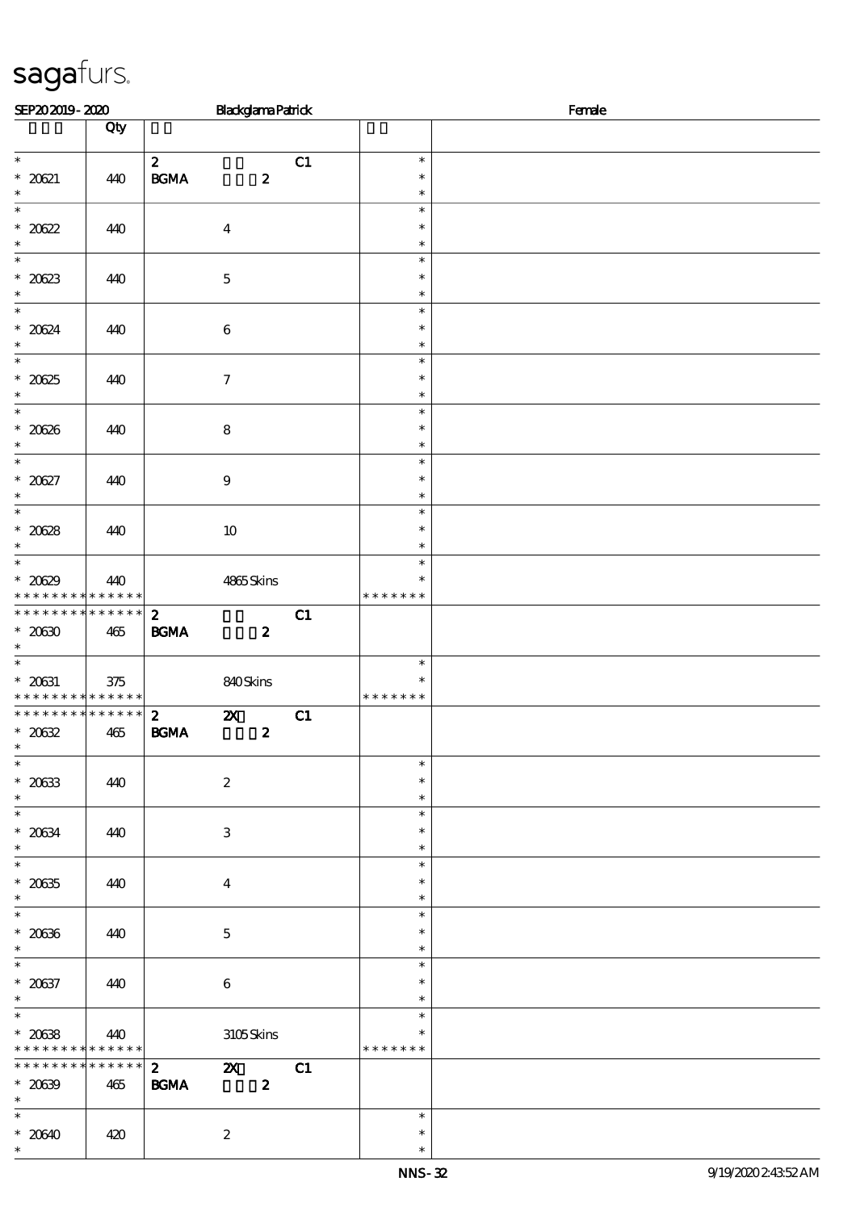| SEP202019-2020                                 |          |                                            | <b>Blackglama Patrick</b> |                  |    |                         | Female |
|------------------------------------------------|----------|--------------------------------------------|---------------------------|------------------|----|-------------------------|--------|
|                                                | Qty      |                                            |                           |                  |    |                         |        |
| $\overline{\phantom{0}}$                       |          | $\mathbf{z}$                               |                           |                  | C1 | $\ast$<br>$\ast$        |        |
| $* 2021$<br>$\ast$                             | 440      | $\mathbf{B G MA}$                          |                           | $\boldsymbol{z}$ |    | $\ast$                  |        |
| $\overline{\ast}$<br>$* 20622$                 | 440      |                                            | $\boldsymbol{4}$          |                  |    | $\ast$<br>$\ast$        |        |
| $\ast$                                         |          |                                            |                           |                  |    | $\ast$                  |        |
| $\overline{\phantom{0}}$<br>$* 20623$          | 440      |                                            | $\mathbf 5$               |                  |    | $\ast$<br>$\ast$        |        |
| $\ast$<br>$\overline{\ast}$                    |          |                                            |                           |                  |    | $\ast$                  |        |
| $* 20624$                                      | 440      |                                            | $\,6\,$                   |                  |    | $\ast$<br>$\ast$        |        |
| $\ast$<br>$\overline{\ast}$                    |          |                                            |                           |                  |    | $\ast$<br>$\ast$        |        |
| $* 2025$                                       | 440      |                                            | $\boldsymbol{7}$          |                  |    | $\ast$                  |        |
| $\ast$<br>$\overline{\phantom{0}}$             |          |                                            |                           |                  |    | $\ast$<br>$\ast$        |        |
| $^\ast$ 2036                                   | 440      |                                            | $\bf 8$                   |                  |    | $\ast$                  |        |
| $\overline{\phantom{0}}$                       |          |                                            |                           |                  |    | $\ast$<br>$\ast$        |        |
| $* 20627$                                      | 440      |                                            | $\boldsymbol{9}$          |                  |    | $\ast$                  |        |
| $\ast$<br>$\overline{\phantom{a}}$             |          |                                            |                           |                  |    | $\ast$<br>$\ast$        |        |
| $* 20628$<br>$\ast$                            | 440      |                                            | $10\,$                    |                  |    | $\ast$<br>$\ast$        |        |
| $\overline{\phantom{0}}$                       |          |                                            |                           |                  |    | $\ast$                  |        |
| $* 20629$<br>* * * * * * * * * * * * * * *     | 440      |                                            | 4865Skins                 |                  |    | $\ast$<br>* * * * * * * |        |
| ******** <mark>*******</mark>                  |          | $\mathbf{2}$                               |                           |                  | C1 |                         |        |
| $^*$ 20630 $\,$<br>$\ast$                      | 465      | $\mathbf{B}\mathbf{G}\mathbf{M}\mathbf{A}$ |                           | $\boldsymbol{z}$ |    |                         |        |
| $\overline{\phantom{0}}$                       |          |                                            |                           |                  |    | $\ast$                  |        |
| $^\ast$ 20631<br>* * * * * * * * * * * * * * * | 375      |                                            | 840Skins                  |                  |    | $\ast$<br>* * * * * * * |        |
| ******** <mark>*******</mark><br>$^\ast$ 20632 | 465      | $\mathbf{z}$<br><b>BGMA</b>                | $\boldsymbol{\mathsf{z}}$ | $\boldsymbol{z}$ | C1 |                         |        |
| $\ast$                                         |          |                                            |                           |                  |    |                         |        |
| $\overline{\ast}$<br>$^\ast$ 20633             | 440      |                                            | $\boldsymbol{2}$          |                  |    | $\ast$<br>$\ast$        |        |
| $\ast$                                         |          |                                            |                           |                  |    | $\ast$                  |        |
| $\ast$<br>$* 20634$                            | 440      |                                            | $\,3$                     |                  |    | $\ast$<br>$\ast$        |        |
| $\ast$<br>$\overline{\phantom{0}}$             |          |                                            |                           |                  |    | $\ast$<br>$\ast$        |        |
| $^\ast$ 20635                                  | 440      |                                            | $\boldsymbol{4}$          |                  |    | $\ast$                  |        |
| $\ast$<br>$\overline{\ast}$                    |          |                                            |                           |                  |    | $\ast$<br>$\ast$        |        |
| $^\ast$ 20636                                  | 440      |                                            | $\mathbf 5$               |                  |    | $\ast$                  |        |
| $\ast$<br>$\overline{\phantom{0}}$             |          |                                            |                           |                  |    | $\ast$<br>$\ast$        |        |
| $* 20637$                                      | 440      |                                            | $\boldsymbol{6}$          |                  |    | $\ast$                  |        |
| $\ast$<br>$\overline{\ast}$                    |          |                                            |                           |                  |    | $\ast$<br>$\ast$        |        |
| $^\ast$ 20638<br>* * * * * * * * * * * * * * * | 440      |                                            | 3105Skins                 |                  |    | $\ast$<br>* * * * * * * |        |
| * * * * * * * *                                | $******$ | $\mathbf{2}$                               | $\mathbf{z}$              |                  | C1 |                         |        |
| $* 20639$<br>$\ast$                            | 465      | <b>BGMA</b>                                |                           | $\boldsymbol{z}$ |    |                         |        |
| $\ast$                                         |          |                                            |                           |                  |    | $\ast$                  |        |
| $* 20640$<br>$\ast$                            | 420      |                                            | $\boldsymbol{z}$          |                  |    | $\ast$<br>$\ast$        |        |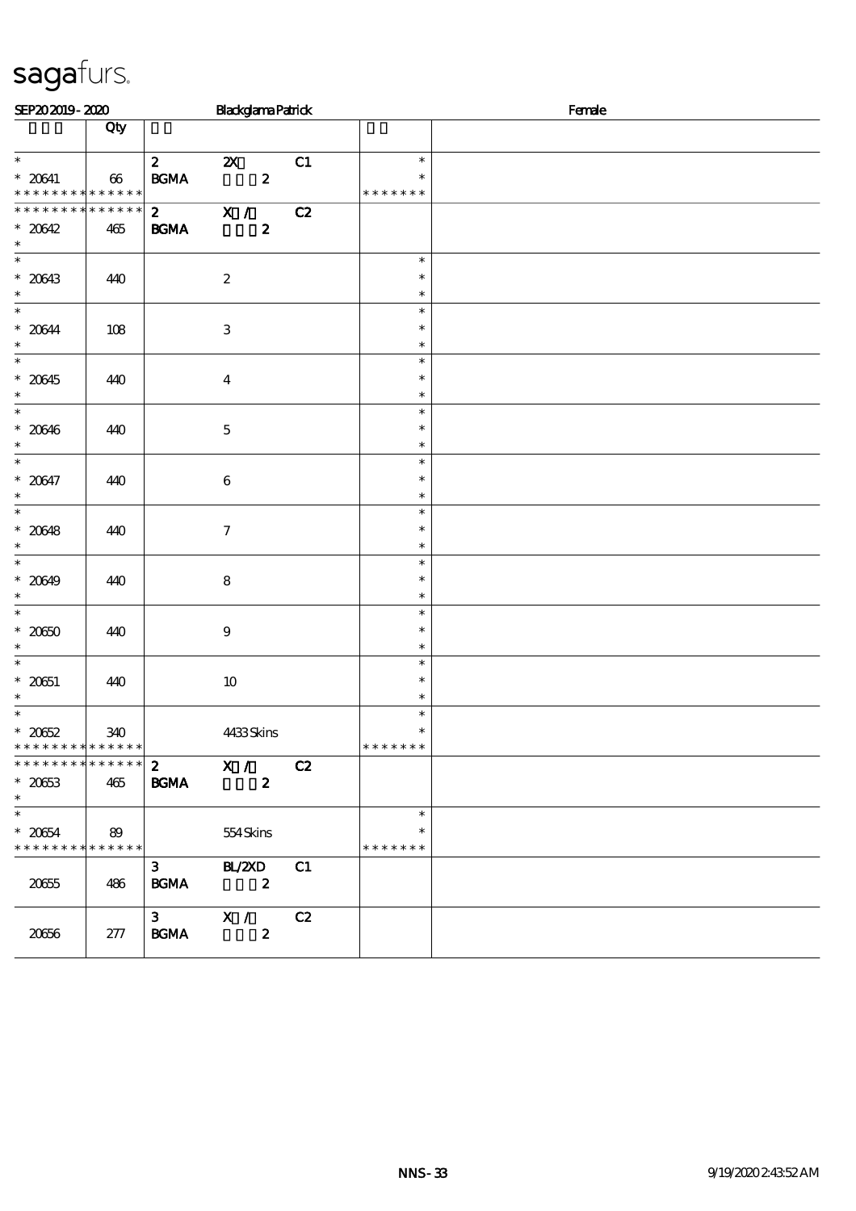| SEP202019-2020                                 |        | <b>BlackglamaPatrick</b>                  |    |                         | Female |  |  |
|------------------------------------------------|--------|-------------------------------------------|----|-------------------------|--------|--|--|
|                                                | Qty    |                                           |    |                         |        |  |  |
| $\ast$                                         |        | $\mathbf{2}$<br>$\boldsymbol{\mathsf{Z}}$ | C1 | $\ast$                  |        |  |  |
| $^\ast$ 20641<br>******** <mark>*******</mark> | $66\,$ | $\mathbf{B G MA}$<br>$\boldsymbol{z}$     |    | $\ast$<br>* * * * * * * |        |  |  |
| * * * * * * * * * * * * * * *                  |        | $\overline{z}$ $\overline{x}$ /           | C2 |                         |        |  |  |
| $* 20642$<br>$\ast$                            | 465    | <b>BGMA</b><br>$\boldsymbol{z}$           |    |                         |        |  |  |
| $\overline{\phantom{0}}$                       |        |                                           |    | $\ast$                  |        |  |  |
| $* 20643$<br>$\ast$                            | 440    | $\boldsymbol{2}$                          |    | $\ast$<br>$\ast$        |        |  |  |
| $\ast$                                         |        |                                           |    | $\ast$                  |        |  |  |
| $* 20644$<br>$\ast$                            | 108    | $\ensuremath{\mathbf{3}}$                 |    | $\ast$<br>$\ast$        |        |  |  |
| $\overline{\phantom{0}}$                       |        |                                           |    | $\ast$                  |        |  |  |
| $* 20645$<br>$\ast$                            | 440    | $\boldsymbol{4}$                          |    | $\ast$<br>$\ast$        |        |  |  |
| $\overline{\phantom{0}}$                       |        |                                           |    | $\ast$                  |        |  |  |
| $* 20646$<br>$\ast$                            | 440    | $\bf 5$                                   |    | $\ast$<br>$\ast$        |        |  |  |
| $\ast$                                         |        |                                           |    | $\ast$                  |        |  |  |
| $* 20647$<br>$\ast$                            | 440    | $\,6\,$                                   |    | $\ast$<br>$\ast$        |        |  |  |
| $\overline{\ast}$                              |        |                                           |    | $\ast$                  |        |  |  |
| $* 20648$<br>$\ast$                            | 440    | $\boldsymbol{7}$                          |    | $\ast$<br>$\ast$        |        |  |  |
| $\overline{\ast}$                              |        |                                           |    | $\ast$                  |        |  |  |
| $* 20649$<br>$\ast$                            | 440    | $\bf8$                                    |    | $\ast$<br>$\ast$        |        |  |  |
| $\overline{\ast}$                              |        |                                           |    | $\ast$                  |        |  |  |
| $* 2050$                                       | 440    | $\boldsymbol{9}$                          |    | $\ast$                  |        |  |  |
| $\ast$<br>$\overline{\phantom{0}}$             |        |                                           |    | $\ast$<br>$\ast$        |        |  |  |
| $* 20651$                                      | 440    | $10\,$                                    |    | $\ast$                  |        |  |  |
| $\ast$<br>$\overline{\ast}$                    |        |                                           |    | $\ast$<br>$\ast$        |        |  |  |
| $* 2062$                                       | 340    | 4433Skins                                 |    | $\ast$                  |        |  |  |
| * * * * * * * * <mark>* * * * * * *</mark>     |        |                                           |    | * * * * * * *           |        |  |  |
| * * * * * * * * * * * * * *                    |        | X /<br>$\mathbf{2}$                       | C2 |                         |        |  |  |
| $* 2063$<br>$\ast$                             | 465    | <b>BGMA</b><br>$\boldsymbol{z}$           |    |                         |        |  |  |
| $\overline{\phantom{0}}$                       |        |                                           |    | $\ast$                  |        |  |  |
| $* 20654$<br>* * * * * * * * * * * * * * *     | 89     | 554Skins                                  |    | $\ast$<br>* * * * * * * |        |  |  |
|                                                |        | $\mathbf{3}$<br>BL/ZXD                    | C1 |                         |        |  |  |
| 20655                                          | 486    | <b>BGMA</b><br>$\overline{\mathbf{z}}$    |    |                         |        |  |  |
|                                                |        | $3^{\circ}$<br>$X / \sqrt{2}$             | C2 |                         |        |  |  |
| 20666                                          | 277    | <b>BGMA</b><br>$\boldsymbol{z}$           |    |                         |        |  |  |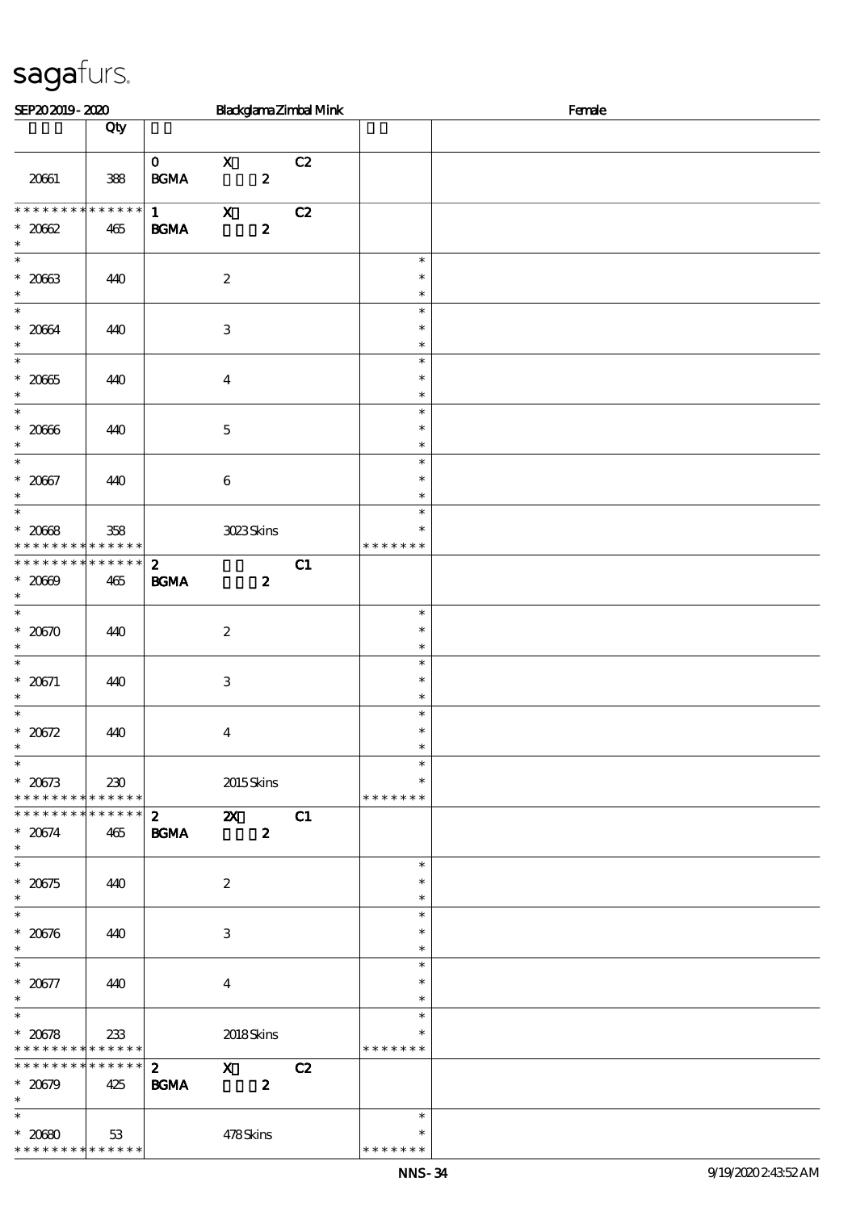| Blackglama Zimbal Mink<br>SEP202019-2020                               |                    |                                   |                         |                  |    | Female                            |  |
|------------------------------------------------------------------------|--------------------|-----------------------------------|-------------------------|------------------|----|-----------------------------------|--|
|                                                                        | Qty                |                                   |                         |                  |    |                                   |  |
| 20661                                                                  | 388                | $\mathbf{0}$<br>$\mathbf{B G MA}$ | $\mathbf{x}$            | $\boldsymbol{z}$ | C2 |                                   |  |
| * * * * * * * *                                                        | $******$           | $1 \quad \blacksquare$            | $\mathbf{x}$            |                  | C2 |                                   |  |
| $* 2062$<br>$\ast$                                                     | 465                | $\mathbf{B G MA}$                 |                         | $\boldsymbol{z}$ |    |                                   |  |
| $\overline{\phantom{0}}$<br>$^\ast$ 2063<br>$\ast$                     | 440                |                                   | $\boldsymbol{2}$        |                  |    | $\ast$<br>$\ast$<br>$\ast$        |  |
| $\overline{\ast}$<br>$* 2064$<br>$\ast$                                | 440                |                                   | $\,3$                   |                  |    | $\ast$<br>$\ast$<br>$\ast$        |  |
| $\ast$<br>$^\ast$ 2065<br>$\ast$                                       | 440                |                                   | $\boldsymbol{4}$        |                  |    | $\ast$<br>$\ast$<br>$\ast$        |  |
| $\ast$<br>$^\ast$ 20066<br>$\ast$                                      | 440                |                                   | $\mathbf 5$             |                  |    | $\ast$<br>$\ast$<br>$\ast$        |  |
| $\overline{\ast}$<br>$* 2067$<br>$\ast$                                | 440                |                                   | $\,6\,$                 |                  |    | $\ast$<br>$\ast$<br>$\ast$        |  |
| $\overline{\phantom{a}^*}$<br>$* 2068$<br>* * * * * * * *              | 358<br>* * * * * * |                                   | 3023Skins               |                  |    | $\ast$<br>$\ast$<br>* * * * * * * |  |
| * * * * * * * *<br>$* 20009$<br>$\ast$                                 | * * * * * *<br>465 | $\mathbf{z}$<br>$\mathbf{B G MA}$ |                         | $\boldsymbol{z}$ | C1 |                                   |  |
| $\overline{\ast}$<br>$^\ast$ 20570<br>$\ast$                           | 440                |                                   | $\boldsymbol{2}$        |                  |    | $\ast$<br>$\ast$<br>$\ast$        |  |
| $\ast$<br>* $20671$<br>$\ast$                                          | 440                |                                   | 3                       |                  |    | $\ast$<br>$\ast$<br>$\ast$        |  |
| $\ast$<br>* $20572$<br>$\ast$                                          | 440                |                                   | $\boldsymbol{4}$        |                  |    | $\ast$<br>$\ast$<br>$\ast$        |  |
| $\overline{\phantom{a}^*}$<br>$* 20673$<br>* * * * * * * * * * * * * * | 230                |                                   | 2015Skins               |                  |    | $\ast$<br>$\ast$<br>* * * * * * * |  |
| ******** <mark>*******</mark><br>$* 20674$<br>$\ast$                   | 465                | $\mathbf{2}$<br><b>BGMA</b>       | $\mathbf{X}$            | $\boldsymbol{z}$ | C1 |                                   |  |
| $\overline{\ast}$<br>$* 20575$<br>$\ast$                               | 440                |                                   | $\boldsymbol{2}$        |                  |    | $\ast$<br>$\ast$<br>$\ast$        |  |
| $\overline{\ast}$<br>$* 20576$<br>$\ast$                               | 440                |                                   | $\,3$                   |                  |    | $\ast$<br>$\ast$<br>$\ast$        |  |
| $\overline{\phantom{0}}$<br>$* 20577$<br>$\ast$                        | 440                |                                   | $\overline{\mathbf{4}}$ |                  |    | $\ast$<br>$\ast$<br>$\ast$        |  |
| $\ast$<br>$* 20578$<br>* * * * * * * * * * * * * * *                   | 233                |                                   | 2018Skins               |                  |    | $\ast$<br>* * * * * * *           |  |
| ******** <mark>******</mark><br>$* 20679$<br>$\ast$                    | 425                | $\mathbf{2}$<br><b>BGMA</b>       | $\mathbf X$             | $\boldsymbol{2}$ | C2 |                                   |  |
| $\overline{\phantom{0}}$<br>$* 2000$<br>* * * * * * * * * * * * * *    | 53                 |                                   | 478Skins                |                  |    | $\ast$<br>*<br>* * * * * * *      |  |